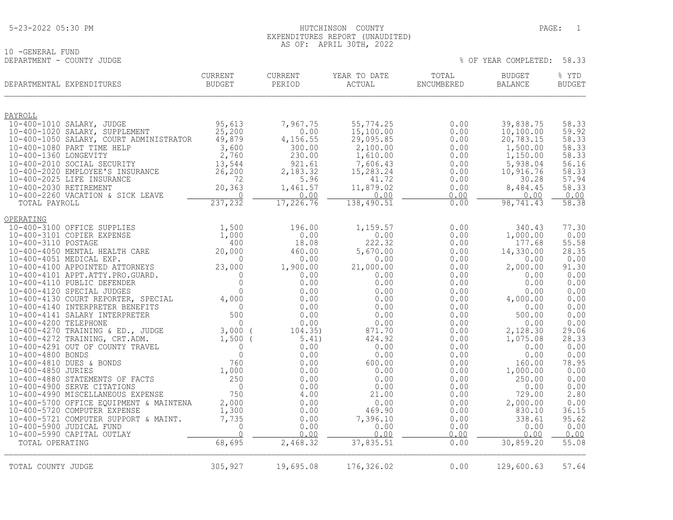# 10 -GENERAL FUND<br>DEPARTMENT - COUNTY JUDGE

| DEPARTMENTAL EXPENDITURES                                   | <b>CURRENT</b><br>BUDGET  | <b>CURRENT</b><br>PERIOD | YEAR TO DATE<br>ACTUAL | TOTAL<br>ENCUMBERED | <b>BUDGET</b><br>BALANCE | % YTD<br><b>BUDGET</b> |
|-------------------------------------------------------------|---------------------------|--------------------------|------------------------|---------------------|--------------------------|------------------------|
| PAYROLL                                                     |                           |                          |                        |                     |                          |                        |
| 10-400-1010 SALARY, JUDGE                                   | 95,613                    | 7,967.75                 | 55,774.25              | 0.00                | 39,838.75                | 58.33                  |
| 10-400-1020 SALARY, SUPPLEMENT                              | 25,200                    | 0.00                     | 15,100.00              | 0.00                | 10,100.00                | 59.92                  |
| 10-400-1050 SALARY, COURT ADMINISTRATOR                     | 49,879                    | 4,156.55                 | 29,095.85              | 0.00                | 20,783.15                | 58.33                  |
| 10-400-1080 PART TIME HELP                                  | 3,600                     | 300.00                   | 2,100.00               | 0.00                | 1,500.00                 | 58.33                  |
| 10-400-1360 LONGEVITY                                       | 2,760                     | 230.00                   | 1,610.00               | 0.00                | 1,150.00                 | 58.33                  |
| 10-400-2010 SOCIAL SECURITY                                 | 13,544                    | 921.61                   | 7,606.43               | 0.00                | 5,938.04                 | 56.16                  |
| 10-400-2020 EMPLOYEE'S INSURANCE                            | 26, 200                   | 2,183.32                 | 15,283.24              | 0.00                | 10,916.76                | 58.33                  |
| 10-400-2025 LIFE INSURANCE                                  | 72                        | 5.96                     | 41.72                  | 0.00                | 30.28                    | 57.94                  |
| 10-400-2030 RETIREMENT<br>10-400-2260 VACATION & SICK LEAVE | 20,363<br>$\Omega$        | 1,461.57<br>0.00         | 11,879.02<br>0.00      | 0.00<br>0.00        | 8,484.45<br>0.00         | 58.33<br>0.00          |
| TOTAL PAYROLL                                               | 237,232                   | 17,226.76                | 138,490.51             | 0.00                | 98,741.43                | 58.38                  |
| OPERATING                                                   |                           |                          |                        |                     |                          |                        |
| 10-400-3100 OFFICE SUPPLIES                                 | 1,500                     | 196.00                   | 1,159.57               | 0.00                | 340.43                   | 77.30                  |
| 10-400-3101 COPIER EXPENSE                                  | 1,000                     | 0.00                     | 0.00                   | 0.00                | 1,000.00                 | 0.00                   |
| 10-400-3110 POSTAGE                                         | 400                       | 18.08                    | 222.32                 | 0.00                | 177.68                   | 55.58                  |
| 10-400-4050 MENTAL HEALTH CARE                              | 20,000                    | 460.00                   | 5,670.00               | 0.00                | 14,330.00                | 28.35                  |
| 10-400-4051 MEDICAL EXP.                                    | $\Omega$                  | 0.00                     | 0.00                   | 0.00                | 0.00                     | 0.00                   |
| 10-400-4100 APPOINTED ATTORNEYS                             | 23,000                    | 1,900.00                 | 21,000.00              | 0.00                | 2,000.00                 | 91.30                  |
| 10-400-4101 APPT.ATTY.PRO.GUARD.                            | $\Omega$                  | 0.00                     | 0.00                   | 0.00                | 0.00                     | 0.00                   |
| 10-400-4110 PUBLIC DEFENDER                                 | $\mathbf 0$               | 0.00                     | 0.00                   | 0.00                | 0.00                     | 0.00                   |
| 10-400-4120 SPECIAL JUDGES                                  | $\Omega$                  | 0.00                     | 0.00                   | 0.00                | 0.00                     | 0.00                   |
| 10-400-4130 COURT REPORTER, SPECIAL                         | 4,000                     | 0.00                     | 0.00                   | 0.00                | 4,000.00                 | 0.00                   |
| 10-400-4140 INTERPRETER BENEFITS                            | $\overline{0}$            | 0.00                     | 0.00                   | 0.00                | 0.00                     | 0.00                   |
| 10-400-4141 SALARY INTERPRETER                              | 500                       | 0.00                     | 0.00                   | 0.00                | 500.00                   | 0.00                   |
| 10-400-4200 TELEPHONE<br>10-400-4270 TRAINING & ED., JUDGE  | $\mathbf{0}$<br>$3,000$ ( | 0.00<br>104.35)          | 0.00<br>871.70         | 0.00<br>0.00        | 0.00<br>2,128.30         | 0.00<br>29.06          |
| 10-400-4272 TRAINING, CRT.ADM.                              | $1,500$ (                 | 5.41)                    | 424.92                 | 0.00                | 1,075.08                 | 28.33                  |
| 10-400-4291 OUT OF COUNTY TRAVEL                            | $\mathbf{0}$              | 0.00                     | 0.00                   | 0.00                | 0.00                     | 0.00                   |
| 10-400-4800 BONDS                                           | $\mathbf 0$               | 0.00                     | 0.00                   | 0.00                | 0.00                     | 0.00                   |
| 10-400-4810 DUES & BONDS                                    | 760                       | 0.00                     | 600.00                 | 0.00                | 160.00                   | 78.95                  |
| 10-400-4850 JURIES                                          | 1,000                     | 0.00                     | 0.00                   | 0.00                | 1,000.00                 | 0.00                   |
| 10-400-4880 STATEMENTS OF FACTS                             | 250                       | 0.00                     | 0.00                   | 0.00                | 250.00                   | 0.00                   |
| 10-400-4900 SERVE CITATIONS                                 | $\overline{0}$            | 0.00                     | 0.00                   | 0.00                | 0.00                     | 0.00                   |
| 10-400-4990 MISCELLANEOUS EXPENSE                           | 750                       | 4.00                     | 21.00                  | 0.00                | 729.00                   | 2.80                   |
| 10-400-5700 OFFICE EQUIPMENT & MAINTENA                     | 2,000                     | 0.00                     | 0.00                   | 0.00                | 2,000.00                 | 0.00                   |
| 10-400-5720 COMPUTER EXPENSE                                | 1,300                     | 0.00                     | 469.90                 | 0.00                | 830.10                   | 36.15                  |
| 10-400-5721 COMPUTER SUPPORT & MAINT.                       | 7,735                     | 0.00                     | 7,396.10               | 0.00                | 338.61                   | 95.62                  |
| 10-400-5900 JUDICAL FUND                                    | $\mathbf 0$               | 0.00                     | 0.00                   | 0.00                | 0.00                     | 0.00                   |
| 10-400-5990 CAPITAL OUTLAY                                  | $\overline{0}$            | 0.00                     | 0.00                   | 0.00                | 0.00                     | 0.00                   |
| TOTAL OPERATING                                             | 68,695                    | 2,468.32                 | 37,835.51              | 0.00                | 30,859.20                | 55.08                  |
| TOTAL COUNTY JUDGE                                          | 305,927                   | 19,695.08                | 176,326.02             | 0.00                | 129,600.63               | 57.64                  |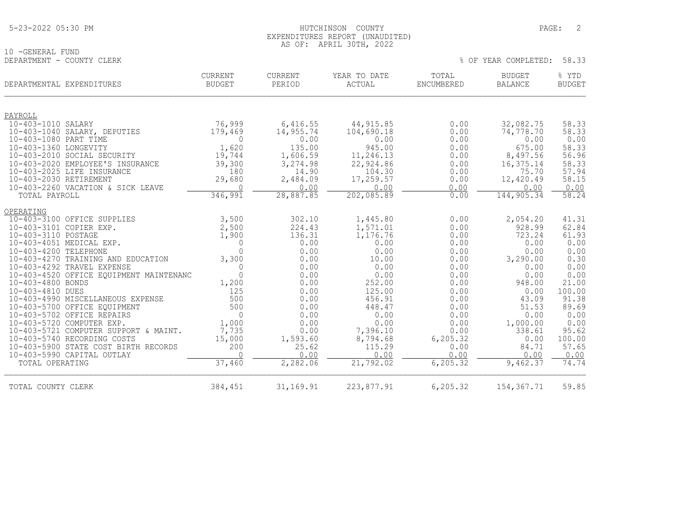10 -GENERAL FUND<br>DEPARTMENT - COUNTY CLERK

## EXPENDITURES REPORT (UNAUDITED) AS OF: APRIL 30TH, 2022

| DEPARTMENTAL EXPENDITURES                                      | CURRENT<br><b>BUDGET</b> | <b>CURRENT</b><br>PERIOD | YEAR TO DATE<br><b>ACTUAL</b> | TOTAL<br><b>ENCUMBERED</b> | <b>BUDGET</b><br><b>BALANCE</b> | % YTD<br><b>BUDGET</b> |
|----------------------------------------------------------------|--------------------------|--------------------------|-------------------------------|----------------------------|---------------------------------|------------------------|
| PAYROLL                                                        |                          |                          |                               |                            |                                 |                        |
| 10-403-1010 SALARY                                             | 76,999                   | 6,416.55                 | 44, 915.85                    | 0.00                       | 32,082.75                       | 58.33                  |
| 10-403-1040 SALARY, DEPUTIES                                   | 179,469                  | 14,955.74                | 104,690.18                    | 0.00                       | 74,778.70                       | 58.33                  |
| 10-403-1080 PART TIME                                          | $\Omega$                 | 0.00                     | 0.00                          | 0.00                       | 0.00                            | 0.00                   |
| 10-403-1360 LONGEVITY                                          | 1,620                    | 135.00                   | 945.00                        | 0.00                       | 675.00                          | 58.33                  |
| 10-403-2010 SOCIAL SECURITY                                    | 19,744                   | 1,606.59                 | 11,246.13                     | 0.00                       | 8,497.56                        | 56.96                  |
| 10-403-2020 EMPLOYEE'S INSURANCE<br>10-403-2025 LIFE INSURANCE | 39,300                   | 3,274.98                 | 22,924.86<br>104.30           | 0.00                       | 16, 375. 14<br>75.70            | 58.33<br>57.94         |
| 10-403-2030 RETIREMENT                                         | 180<br>29,680            | 14.90<br>2,484.09        | 17,259.57                     | 0.00<br>0.00               | 12,420.49                       | 58.15                  |
| 10-403-2260 VACATION & SICK LEAVE                              | $\Omega$                 | 0.00                     | 0.00                          | 0.00                       | 0.00                            | 0.00                   |
| TOTAL PAYROLL                                                  | 346,991                  | 28,887.85                | 202,085.89                    | 0.00                       | 144,905.34                      | 58.24                  |
| OPERATING                                                      |                          |                          |                               |                            |                                 |                        |
| 10-403-3100 OFFICE SUPPLIES                                    | 3,500                    | 302.10                   | 1,445.80                      | 0.00                       | 2,054.20                        | 41.31                  |
| 10-403-3101 COPIER EXP.                                        | 2,500                    | 224.43                   | 1,571.01                      | 0.00                       | 928.99                          | 62.84                  |
| 10-403-3110 POSTAGE                                            | 1,900                    | 136.31                   | 1,176.76                      | 0.00                       | 723.24                          | 61.93                  |
| 10-403-4051 MEDICAL EXP.                                       | $\mathbf{0}$             | 0.00                     | 0.00                          | 0.00                       | 0.00                            | 0.00                   |
| 10-403-4200 TELEPHONE                                          | $\Omega$                 | 0.00                     | 0.00                          | 0.00                       | 0.00                            | 0.00                   |
| 10-403-4270 TRAINING AND EDUCATION                             | 3,300                    | 0.00                     | 10.00                         | 0.00                       | 3,290.00                        | 0.30<br>0.00           |
| 10-403-4292 TRAVEL EXPENSE                                     | $\mathbf{0}$<br>$\Omega$ | 0.00                     | 0.00<br>0.00                  | 0.00<br>0.00               | 0.00<br>0.00                    |                        |
| 10-403-4520 OFFICE EQUIPMENT MAINTENANC<br>10-403-4800 BONDS   | 1,200                    | 0.00<br>0.00             | 252.00                        | 0.00                       | 948.00                          | 0.00<br>21.00          |
| 10-403-4810 DUES                                               | 125                      | 0.00                     | 125.00                        | 0.00                       | 0.00                            | 100.00                 |
| 10-403-4990 MISCELLANEOUS EXPENSE                              | 500                      | 0.00                     | 456.91                        | 0.00                       | 43.09                           | 91.38                  |
| 10-403-5700 OFFICE EQUIPMENT                                   | 500                      | 0.00                     | 448.47                        | 0.00                       | 51.53                           | 89.69                  |
| 10-403-5702 OFFICE REPAIRS                                     | $\Omega$                 | 0.00                     | 0.00                          | 0.00                       | 0.00                            | 0.00                   |
| 10-403-5720 COMPUTER EXP.                                      | 1,000                    | 0.00                     | 0.00                          | 0.00                       | 1,000.00                        | 0.00                   |
| 10-403-5721 COMPUTER SUPPORT & MAINT.                          | 7,735                    | 0.00                     | 7,396.10                      | 0.00                       | 338.61                          | 95.62                  |
| 10-403-5740 RECORDING COSTS                                    | 15,000                   | 1,593.60                 | 8,794.68                      | 6,205.32                   | 0.00                            | 100.00                 |
| 10-403-5900 STATE COST BIRTH RECORDS                           | 200                      | 25.62                    | 115.29                        | 0.00                       | 84.71                           | 57.65                  |
| 10-403-5990 CAPITAL OUTLAY                                     | $\Omega$                 | 0.00                     | 0.00                          | 0.00                       | 0.00                            | 0.00                   |
| TOTAL OPERATING                                                | 37, 460                  | 2,282.06                 | 21,792.02                     | 6, 205.32                  | 9,462.37                        | 74.74                  |
| TOTAL COUNTY CLERK                                             | 384,451                  | 31, 169.91               | 223,877.91                    | 6,205.32                   | 154, 367. 71                    | 59.85                  |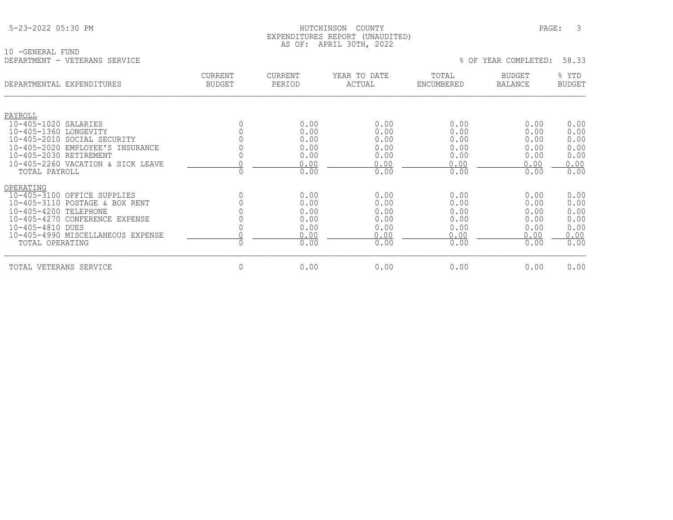## HUTCHINSON COUNTY PAGE: 3 EXPENDITURES REPORT (UNAUDITED) AS OF: APRIL 30TH, 2022

10 -GENERAL FUND DEPARTMENT - VETERANS SERVICE % OF YEAR COMPLETED: 58.33

| DEPARTMENTAL EXPENDITURES         | CURRENT<br><b>BUDGET</b> | <b>CURRENT</b><br>PERIOD | YEAR TO DATE<br>ACTUAL | TOTAL<br>ENCUMBERED | <b>BUDGET</b><br><b>BALANCE</b> | % YTD<br><b>BUDGET</b> |
|-----------------------------------|--------------------------|--------------------------|------------------------|---------------------|---------------------------------|------------------------|
| PAYROLL                           |                          |                          |                        |                     |                                 |                        |
| 10-405-1020 SALARIES              |                          | 0.00                     | 0.00                   | 0.00                | 0.00                            | 0.00                   |
| 10-405-1360 LONGEVITY             |                          | 0.00                     | 0.00                   | 0.00                | 0.00                            | 0.00                   |
| 10-405-2010 SOCIAL SECURITY       |                          | 0.00                     | 0.00                   | 0.00                | 0.00                            | 0.00                   |
| 10-405-2020 EMPLOYEE'S INSURANCE  |                          | 0.00                     | 0.00                   | 0.00                | 0.00                            | 0.00                   |
| 10-405-2030 RETIREMENT            |                          | 0.00                     | 0.00                   | 0.00                | 0.00                            | 0.00                   |
| 10-405-2260 VACATION & SICK LEAVE |                          | 0.00                     | 0.00                   | 0.00                | 0.00                            | 0.00                   |
| TOTAL PAYROLL                     | $\Omega$                 | 0.00                     | 0.00                   | 0.00                | 0.00                            | 0.00                   |
| OPERATING                         |                          |                          |                        |                     |                                 |                        |
| 10-405-3100 OFFICE SUPPLIES       |                          | 0.00                     | 0.00                   | 0.00                | 0.00                            | 0.00                   |
| 10-405-3110 POSTAGE & BOX RENT    |                          | 0.00                     | 0.00                   | 0.00                | 0.00                            | 0.00                   |
| $10 - 405 - 4200$<br>TELEPHONE    |                          | 0.00                     | 0.00                   | 0.00                | 0.00                            | 0.00                   |
| 10-405-4270 CONFERENCE EXPENSE    |                          | 0.00                     | 0.00                   | 0.00                | 0.00                            | 0.00                   |
| 10-405-4810 DUES                  |                          | 0.00                     | 0.00                   | 0.00                | 0.00                            | 0.00                   |
| 10-405-4990 MISCELLANEOUS EXPENSE |                          | 0.00                     | 0.00                   | 0.00                | 0.00                            | 0.00                   |
| TOTAL OPERATING                   | $\Omega$                 | 0.00                     | 0.00                   | 0.00                | 0.00                            | 0.00                   |
| TOTAL VETERANS SERVICE            | 0                        | 0.00                     | 0.00                   | 0.00                | 0.00                            | 0.00                   |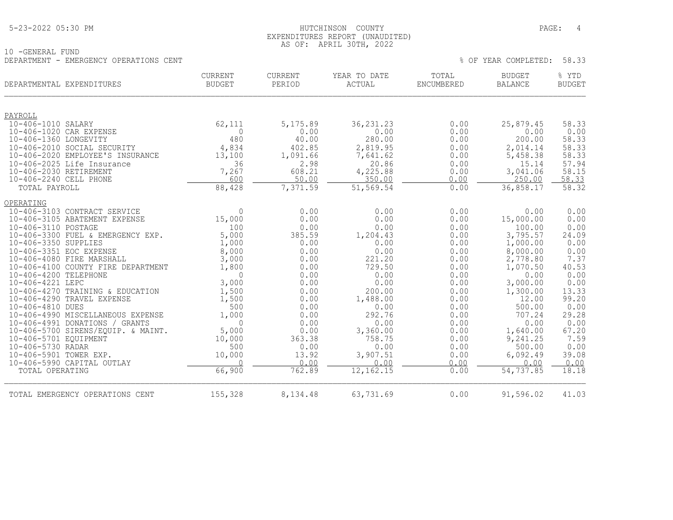## 5-23-2022 05:30 PM HUTCHINSON COUNTY PAGE: 4 EXPENDITURES REPORT (UNAUDITED) AS OF: APRIL 30TH, 2022

10 -GENERAL FUND DEPARTMENT - EMERGENCY OPERATIONS CENT WELL ASSESSED FOR A SERVICE OF THE SERVICE OF YEAR COMPLETED: 58.33

| DEPARTMENTAL EXPENDITURES                                       | CURRENT<br><b>BUDGET</b> | <b>CURRENT</b><br>PERIOD | YEAR TO DATE<br><b>ACTUAL</b> | TOTAL<br>ENCUMBERED | <b>BUDGET</b><br>BALANCE | % YTD<br><b>BUDGET</b> |
|-----------------------------------------------------------------|--------------------------|--------------------------|-------------------------------|---------------------|--------------------------|------------------------|
| PAYROLL                                                         |                          |                          |                               |                     |                          |                        |
| 10-406-1010 SALARY                                              | 62,111                   | 5, 175.89                | 36, 231. 23                   | 0.00                | 25,879.45                | 58.33                  |
| 10-406-1020 CAR EXPENSE                                         | $\Omega$                 | 0.00                     | 0.00                          | 0.00                | 0.00                     | 0.00                   |
| 10-406-1360 LONGEVITY                                           | 480                      | 40.00                    | 280.00                        | 0.00                | 200.00                   | 58.33                  |
| 10-406-2010 SOCIAL SECURITY                                     | 4,834                    | 402.85                   | 2,819.95                      | 0.00                | 2,014.14                 | 58.33                  |
| 10-406-2020 EMPLOYEE'S INSURANCE                                | 13,100                   | 1,091.66                 | 7,641.62                      | 0.00                | 5,458.38                 | 58.33                  |
| 10-406-2025 Life Insurance                                      | 36                       | 2.98                     | 20.86                         | 0.00                | 15.14                    | 57.94                  |
| 10-406-2030 RETIREMENT                                          | 7,267                    | 608.21                   | 4,225.88                      | 0.00                | 3,041.06                 | 58.15                  |
| 10-406-2240 CELL PHONE                                          | 600                      | 50.00<br>7,371.59        | 350.00                        | 0.00                | 250.00                   | 58.33                  |
| TOTAL PAYROLL                                                   | 88,428                   |                          | 51,569.54                     | 0.00                | 36,858.17                | 58.32                  |
| OPERATING                                                       |                          |                          |                               |                     |                          |                        |
| 10-406-3103 CONTRACT SERVICE                                    | $\Omega$                 | 0.00                     | 0.00                          | 0.00                | 0.00                     | 0.00                   |
| 10-406-3105 ABATEMENT EXPENSE                                   | 15,000                   | 0.00                     | 0.00                          | 0.00                | 15,000.00                | 0.00                   |
| 10-406-3110 POSTAGE                                             | 100                      | 0.00                     | 0.00                          | 0.00                | 100.00                   | 0.00                   |
| 10-406-3300 FUEL & EMERGENCY EXP.                               | 5,000                    | 385.59                   | 1,204.43                      | 0.00                | 3,795.57                 | 24.09                  |
| 10-406-3350 SUPPLIES                                            | 1,000                    | 0.00                     | 0.00                          | 0.00                | 1,000.00                 | 0.00                   |
| 10-406-3351 EOC EXPENSE                                         | 8,000                    | 0.00                     | 0.00                          | 0.00                | 8,000.00                 | 0.00                   |
| 10-406-4080 FIRE MARSHALL<br>10-406-4100 COUNTY FIRE DEPARTMENT | 3,000<br>1,800           | 0.00<br>0.00             | 221.20<br>729.50              | 0.00                | 2,778.80                 | 7.37<br>40.53          |
| 10-406-4200 TELEPHONE                                           | $\Omega$                 | 0.00                     | 0.00                          | 0.00<br>0.00        | 1,070.50<br>0.00         | 0.00                   |
| 10-406-4221 LEPC                                                | 3,000                    | 0.00                     | 0.00                          | 0.00                | 3,000.00                 | 0.00                   |
| 10-406-4270 TRAINING & EDUCATION                                | 1,500                    | 0.00                     | 200.00                        | 0.00                | 1,300.00                 | 13.33                  |
| 10-406-4290 TRAVEL EXPENSE                                      | 1,500                    | 0.00                     | 1,488.00                      | 0.00                | 12.00                    | 99.20                  |
| 10-406-4810 DUES                                                | 500                      | 0.00                     | 0.00                          | 0.00                | 500.00                   | 0.00                   |
| 10-406-4990 MISCELLANEOUS EXPENSE                               | 1,000                    | 0.00                     | 292.76                        | 0.00                | 707.24                   | 29.28                  |
| 10-406-4991 DONATIONS / GRANTS                                  | $\Omega$                 | 0.00                     | 0.00                          | 0.00                | 0.00                     | 0.00                   |
| 10-406-5700 SIRENS/EQUIP. & MAINT.                              | 5,000                    | 0.00                     | 3,360.00                      | 0.00                | 1,640.00                 | 67.20                  |
| 10-406-5701 EQUIPMENT                                           | 10,000                   | 363.38                   | 758.75                        | 0.00                | 9,241.25                 | 7.59                   |
| 10-406-5730 RADAR                                               | 500                      | 0.00                     | 0.00                          | 0.00                | 500.00                   | 0.00                   |
| 10-406-5901 TOWER EXP.                                          | 10,000                   | 13.92                    | 3,907.51                      | 0.00                | 6,092.49                 | 39.08                  |
| 10-406-5990 CAPITAL OUTLAY                                      | $\Omega$                 | 0.00                     | 0.00                          | 0.00                | 0.00                     | 0.00                   |
| TOTAL OPERATING                                                 | 66,900                   | 762.89                   | 12, 162. 15                   | 0.00                | 54, 737.85               | 18.18                  |
| TOTAL EMERGENCY OPERATIONS CENT                                 | 155,328                  | 8,134.48                 | 63,731.69                     | 0.00                | 91,596.02                | 41.03                  |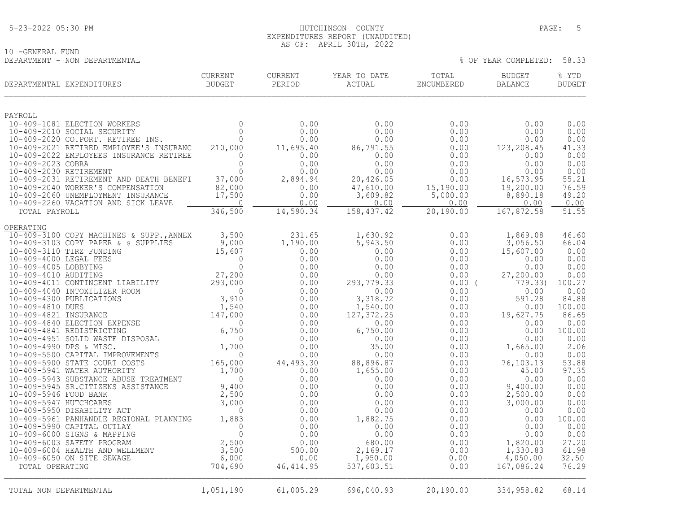## 5-23-2022 05:30 PM HUTCHINSON COUNTY PAGE: 5 EXPENDITURES REPORT (UNAUDITED) AS OF: APRIL 30TH, 2022

% OF YEAR COMPLETED: 58.33

10 -GENERAL FUND<br>DEPARTMENT - NON DEPARTMENTAL

| DEPARTMENTAL EXPENDITURES                                                    | CURRENT<br><b>BUDGET</b> | CURRENT<br>PERIOD  | YEAR TO DATE<br>ACTUAL | TOTAL<br>ENCUMBERED | <b>BUDGET</b><br>BALANCE | % YTD<br><b>BUDGET</b> |
|------------------------------------------------------------------------------|--------------------------|--------------------|------------------------|---------------------|--------------------------|------------------------|
| PAYROLL                                                                      |                          |                    |                        |                     |                          |                        |
| 10-409-1081 ELECTION WORKERS                                                 | $\mathbf{0}$             | 0.00               | 0.00                   | 0.00                | 0.00                     | 0.00                   |
| 10-409-2010 SOCIAL SECURITY                                                  | $\Omega$                 | 0.00               | 0.00                   | 0.00                | 0.00                     | 0.00                   |
| 10-409-2020 CO.PORT. RETIREE INS.<br>10-409-2021 RETIRED EMPLOYEE'S INSURANC | $\mathbf 0$              | 0.00               | 0.00                   | 0.00                | 0.00                     | 0.00<br>41.33          |
| 10-409-2022 EMPLOYEES INSURANCE RETIREE                                      | 210,000<br>$\mathbf 0$   | 11,695.40<br>0.00  | 86,791.55<br>0.00      | 0.00<br>0.00        | 123,208.45<br>0.00       | 0.00                   |
| 10-409-2023 COBRA                                                            | $\overline{0}$           | 0.00               | 0.00                   | 0.00                | 0.00                     | 0.00                   |
| 10-409-2030 RETIREMENT                                                       | $\Omega$                 | 0.00               | 0.00                   | 0.00                | 0.00                     | 0.00                   |
| 10-409-2031 RETIREMENT AND DEATH BENEFI                                      | 37,000                   | 2,894.94           | 20,426.05              | 0.00                | 16,573.95                | 55.21                  |
| 10-409-2040 WORKER'S COMPENSATION                                            | 82,000                   | 0.00               | 47,610.00              | 15,190.00           | 19,200.00                | 76.59                  |
| 10-409-2060 UNEMPLOYMENT INSURANCE<br>10-409-2260 VACATION AND SICK LEAVE    | 17,500<br>$\Omega$       | 0.00<br>0.00       | 3,609.82<br>0.00       | 5,000.00<br>0.00    | 8,890.18<br>0.00         | 49.20<br>0.00          |
| TOTAL PAYROLL                                                                | 346,500                  | 14,590.34          | 158, 437.42            | 20,190.00           | 167,872.58               | 51.55                  |
|                                                                              |                          |                    |                        |                     |                          |                        |
| OPERATING                                                                    |                          |                    |                        |                     |                          |                        |
| 10-409-3100 COPY MACHINES & SUPP., ANNEX                                     | 3,500                    | 231.65             | 1,630.92               | 0.00                | 1,869.08                 | 46.60                  |
| 10-409-3103 COPY PAPER & s SUPPLIES                                          | 9,000                    | 1,190.00           | 5,943.50               | 0.00                | 3,056.50                 | 66.04<br>0.00          |
| 10-409-3110 TIRZ FUNDING<br>10-409-4000 LEGAL FEES                           | 15,607<br>$\Omega$       | 0.00<br>0.00       | 0.00<br>0.00           | 0.00<br>0.00        | 15,607.00<br>0.00        | 0.00                   |
| 10-409-4005 LOBBYING                                                         | $\mathbf 0$              | 0.00               | 0.00                   | 0.00                | 0.00                     | 0.00                   |
| 10-409-4010 AUDITING                                                         | 27,200                   | 0.00               | 0.00                   | 0.00                | 27,200.00                | 0.00                   |
| 10-409-4011 CONTINGENT LIABILITY                                             | 293,000                  | 0.00               | 293,779.33             | $0.00$ (            | 779.33)                  | 100.27                 |
| 10-409-4040 INTOXILIZER ROOM                                                 | $\overline{0}$           | 0.00               | 0.00                   | 0.00                | 0.00                     | 0.00                   |
| 10-409-4300 PUBLICATIONS<br>10-409-4810 DUES                                 | 3,910<br>1,540           | 0.00<br>0.00       | 3,318.72<br>1,540.00   | 0.00<br>0.00        | 591.28<br>0.00           | 84.88<br>100.00        |
| 10-409-4821 INSURANCE                                                        | 147,000                  | 0.00               | 127, 372.25            | 0.00                | 19,627.75                | 86.65                  |
| 10-409-4840 ELECTION EXPENSE                                                 | $\mathbf{0}$             | 0.00               | 0.00                   | 0.00                | 0.00                     | 0.00                   |
| 10-409-4841 REDISTRICTING                                                    | 6,750                    | 0.00               | 6,750.00               | 0.00                | 0.00                     | 100.00                 |
| 10-409-4951 SOLID WASTE DISPOSAL                                             | $\Omega$                 | 0.00               | 0.00                   | 0.00                | 0.00                     | 0.00                   |
| 10-409-4990 DPS & MISC.                                                      | 1,700                    | 0.00               | 35.00                  | 0.00                | 1,665.00                 | 2.06                   |
| 10-409-5500 CAPITAL IMPROVEMENTS<br>10-409-5900 STATE COURT COSTS            | $\Omega$<br>165,000      | 0.00<br>44, 493.30 | 0.00<br>88,896.87      | 0.00<br>0.00        | 0.00<br>76,103.13        | 0.00<br>53.88          |
| 10-409-5941 WATER AUTHORITY                                                  | 1,700                    | 0.00               | 1,655.00               | 0.00                | 45.00                    | 97.35                  |
| 10-409-5943 SUBSTANCE ABUSE TREATMENT                                        | $\Omega$                 | 0.00               | 0.00                   | 0.00                | 0.00                     | 0.00                   |
| 10-409-5945 SR.CITIZENS ASSISTANCE                                           | 9,400                    | 0.00               | 0.00                   | 0.00                | 9,400.00                 | 0.00                   |
| 10-409-5946 FOOD BANK                                                        | 2,500                    | 0.00               | 0.00                   | 0.00                | 2,500.00                 | 0.00                   |
| 10-409-5947 HUTCHCARES                                                       | 3,000<br>$\mathbf 0$     | 0.00               | 0.00                   | 0.00                | 3,000.00                 | 0.00<br>0.00           |
| 10-409-5950 DISABILITY ACT<br>10-409-5961 PANHANDLE REGIONAL PLANNING        | 1,883                    | 0.00<br>0.00       | 0.00<br>1,882.75       | 0.00<br>0.00        | 0.00<br>0.00             | 100.00                 |
| 10-409-5990 CAPITAL OUTLAY                                                   | $\mathbf{0}$             | 0.00               | 0.00                   | 0.00                | 0.00                     | 0.00                   |
| 10-409-6000 SIGNS & MAPPING                                                  | $\Omega$                 | 0.00               | 0.00                   | 0.00                | 0.00                     | 0.00                   |
| 10-409-6003 SAFETY PROGRAM                                                   | 2,500                    | 0.00               | 680.00                 | 0.00                | 1,820.00                 | 27.20                  |
| 10-409-6004 HEALTH AND WELLMENT                                              | 3,500                    | 500.00             | 2,169.17               | 0.00                | 1,330.83                 | 61.98                  |
| 10-409-6050 ON SITE SEWAGE                                                   | 6,000<br>704,690         | 0.00<br>46, 414.95 | 1,950.00<br>537,603.51 | 0.00<br>0.00        | 4,050.00<br>167,086.24   | 32.50<br>76.29         |
| TOTAL OPERATING                                                              |                          |                    |                        |                     |                          |                        |
| TOTAL NON DEPARTMENTAL                                                       | 1,051,190                | 61,005.29          | 696,040.93             | 20,190.00           | 334,958.82               | 68.14                  |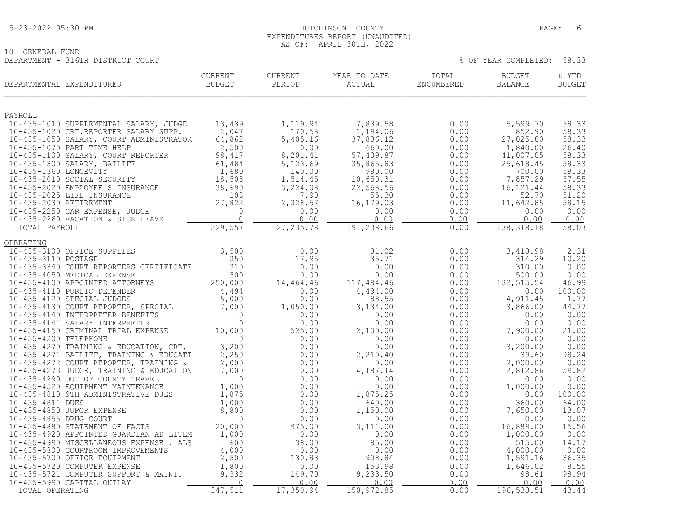## 5-23-2022 05:30 PM HUTCHINSON COUNTY PAGE: 6 EXPENDITURES REPORT (UNAUDITED) AS OF: APRIL 30TH, 2022

|                                   | ∟ ג | <b>APRIL</b> | ZUZZ |     |      |            |       |
|-----------------------------------|-----|--------------|------|-----|------|------------|-------|
| 10 - GENERAL<br>FUND              |     |              |      |     |      |            |       |
| DEPARTMENT - 316TH DISTRICT COURT |     |              |      | OF. | YEAR | COMPLETED. | 58.33 |

| DEPARTMENTAL EXPENDITURES                                                                                                                                                                                                                  | CURRENT<br>BUDGET               | CURRENT<br>PERIOD  | YEAR TO DATE<br>ACTUAL | TOTAL<br>ENCUMBERED | <b>BUDGET</b><br>BALANCE | % YTD<br><b>BUDGET</b> |
|--------------------------------------------------------------------------------------------------------------------------------------------------------------------------------------------------------------------------------------------|---------------------------------|--------------------|------------------------|---------------------|--------------------------|------------------------|
| <u>PAYROLL</u>                                                                                                                                                                                                                             |                                 |                    |                        |                     |                          |                        |
| 10-435-1010 SUPPLEMENTAL SALARY, JUDGE                                                                                                                                                                                                     | 13,439                          | 1,119.94           | 7,839.58               | 0.00                | 5,599.70                 | 58.33                  |
| 10-435-1020 CRT.REPORTER SALARY SUPP.                                                                                                                                                                                                      | 2,047                           | 170.58             | 1,194.06               | 0.00                | 852.90                   | 58.33                  |
| 10-435-1050 SALARY, COURT ADMINISTRATOR                                                                                                                                                                                                    | 64,862                          | 5,405.16           | 37,836.12              | 0.00                | 27,025.80                | 58.33                  |
| 10-435-1070 PART TIME HELP                                                                                                                                                                                                                 | 2,500                           | 0.00               | 660.00                 | 0.00                | 1,840.00                 | 26.40                  |
| 10-435-1100 SALARY, COURT REPORTER                                                                                                                                                                                                         | 98,417                          | 8,201.41           | 57,409.87              | 0.00                | 41,007.05                | 58.33<br>58.33         |
|                                                                                                                                                                                                                                            | 61,484                          | 5,123.69<br>140.00 | 35,865.83<br>980.00    | 0.00<br>0.00        | 25,618.45<br>700.00      | 58.33                  |
| 10-435-1300 SALARY, BAILIFF<br>10-435-1360 LONGEVITY<br>10-435-2010 SOCIAL SECURITY                                                                                                                                                        | $1,680$<br>$18,508$<br>$38,690$ | 1,514.45           | 10,650.31              | 0.00                | 7,857.29                 | 57.55                  |
| 10-435-2020 EMPLOYEE'S INSURANCE<br>10-435-2025 LIFE INSURANCE<br>10-435-2030 RETIREMENT<br>10-435-2250 CAR EXPENSE, JUDGE<br>10-435-2250 CAR EXPENSE, JUDGE<br>10-435-2250 VACATION & SICK LEAVE<br>220 FE7                               |                                 | 3,224.08           | 22,568.56              | 0.00                | 16, 121.44               | 58.33                  |
|                                                                                                                                                                                                                                            |                                 | 7.90               | 55.30                  | 0.00                | 52.70                    | 51.20                  |
|                                                                                                                                                                                                                                            |                                 | 2,328.57           | 16,179.03              | 0.00                | 11,642.85                | 58.15                  |
|                                                                                                                                                                                                                                            |                                 | 0.00<br>0.00       | 0.00<br>0.00           | 0.00                | 0.00<br>0.00             | 0.00                   |
| TOTAL PAYROLL                                                                                                                                                                                                                              | 329,557                         | 27, 235.78         | 191,238.66             | 0.00<br>0.00        | 138, 318.18              | 0.00<br>58.03          |
|                                                                                                                                                                                                                                            |                                 |                    |                        |                     |                          |                        |
| OPERATING<br>10-435-3100 OFFICE SUPPLIES                                                                                                                                                                                                   | 3,500                           | 0.00               | 81.02                  | 0.00                | 3,418.98                 | 2.31                   |
| 10-435-3110 POSTAGE                                                                                                                                                                                                                        | 350                             | 17.95              | 35.71                  | 0.00                | 314.29                   | 10.20                  |
| 10-435-3340 COURT REPORTERS CERTIFICATE                                                                                                                                                                                                    | 310                             | 0.00               | 0.00                   | 0.00                | 310.00                   | 0.00                   |
| 10-435-4050 MEDICAL EXPENSE                                                                                                                                                                                                                | 500<br>500, EYS 250, 250        | 0.00               | 0.00                   | 0.00                | 500.00                   | 0.00                   |
| 10-435-4100 APPOINTED ATTORNEYS                                                                                                                                                                                                            |                                 | 14,464.46          | 117,484.46             | 0.00                | 132, 515.54              | 46.99                  |
| 10-435-4120 SPECIAL JUDGES<br>10-435-4130 COURT REPORTER, SPECIAL 5,000<br>10-435-4140 INTERPRETER BENEFITS 7,000<br>10-435-4141 SALARY INTERPRETER 0<br>10-435-4150 CRIMINAL TRIAL EXPENSE 10,000<br>10-435-4200 TELEPHONE<br>10-435-4270 |                                 | 0.00               | 4,494.00               | 0.00                | 0.00                     | 100.00                 |
|                                                                                                                                                                                                                                            |                                 | 0.00<br>1,050.00   | 88.55<br>3,134.00      | 0.00<br>0.00        | 4,911.45<br>3,866.00     | 1.77<br>44.77          |
|                                                                                                                                                                                                                                            |                                 | 0.00               | 0.00                   | 0.00                | 0.00                     | 0.00                   |
|                                                                                                                                                                                                                                            |                                 | 0.00               | 0.00                   | 0.00                | 0.00                     | 0.00                   |
|                                                                                                                                                                                                                                            |                                 | 525.00             | 2,100.00               | 0.00                | 7,900.00                 | 21.00                  |
|                                                                                                                                                                                                                                            |                                 | 0.00               | 0.00                   | 0.00                | 0.00                     | 0.00                   |
| 10-435-4270 TRAINING & EDUCATION, CRT.                                                                                                                                                                                                     | 3,200                           | 0.00               | 0.00                   | 0.00                | 3,200.00                 | 0.00                   |
|                                                                                                                                                                                                                                            | 2,250                           | 0.00               | 2,210.40               | 0.00                | 39.60                    | 98.24                  |
| 10-435-4271 BAILIFF, TRAINING & EDUCATI<br>10-435-4272 COURT REPORTER, TRAINING &<br>10-435-4273 JUDGE, TRAINING & EDUCATION                                                                                                               | 2,000<br>7,000                  | 0.00<br>0.00       | 0.00<br>4,187.14       | 0.00<br>0.00        | 2,000.00<br>2,812.86     | 0.00<br>59.82          |
| 10-435-4290 OUT OF COUNTY TRAVEL                                                                                                                                                                                                           | $\overline{0}$                  | 0.00               | 0.00                   | 0.00                | 0.00                     | 0.00                   |
| 10-435-4520 EQUIPMENT MAINTENANCE                                                                                                                                                                                                          | 1,000                           | 0.00               | 0.00                   | 0.00                | 1,000.00                 | 0.00                   |
| 10-435-4810 9TH ADMINISTRATIVE DUES                                                                                                                                                                                                        | 1,875                           | 0.00               | 1,875.25               | 0.00                | 0.00                     | 100.00                 |
| 10-435-4811 DUES                                                                                                                                                                                                                           | 1,000                           | 0.00               | 640.00                 | 0.00                | 360.00                   | 64.00                  |
| 10-435-4850 JUROR EXPENSE                                                                                                                                                                                                                  | 8,800                           | 0.00               | 1,150.00               | 0.00                | 7,650.00                 | 13.07                  |
| 10-435-4855 DRUG COURT<br>10-435-4880 STATEMENT OF FACTS                                                                                                                                                                                   | $\Omega$<br>20,000              | 0.00<br>975.00     | 0.00                   | 0.00                | 0.00                     | 0.00                   |
| 10-435-4920 APPOINTED GUARDIAN AD LITEM                                                                                                                                                                                                    | 1,000                           | 0.00               | 3,111.00<br>0.00       | 0.00<br>0.00        | 16,889.00<br>1,000.00    | 15.56<br>0.00          |
| 10-435-4990 MISCELLANEOUS EXPENSE, ALS                                                                                                                                                                                                     |                                 | 38.00              | 85.00                  | 0.00                | 515.00                   | 14.17                  |
| 10-435-5300 COURTROOM IMPROVEMENTS                                                                                                                                                                                                         | $600$<br>4,000<br>2,500         | 0.00               | 0.00                   | 0.00                | 4,000.00                 | 0.00                   |
| 10-435-5700 OFFICE EQUIPMENT                                                                                                                                                                                                               |                                 | 130.83             | 908.84                 | 0.00                | 1,591.16                 | 36.35                  |
| 10-435-5720 COMPUTER EXPENSE                                                                                                                                                                                                               | 1,800                           | 0.00               | 153.98                 | 0.00                | 1,646.02                 | 8.55                   |
| 10-435-5721 COMPUTER SUPPORT & MAINT.                                                                                                                                                                                                      | 9,332                           | 149.70             | 9,233.50               | 0.00                | 98.61                    | 98.94                  |
| 10-435-5990 CAPITAL OUTLAY<br>TOTAL OPERATING                                                                                                                                                                                              | $\overline{0}$<br>347,511       | 0.00<br>17,350.94  | 0.00<br>150, 972.85    | 0.00<br>0.00        | 0.00<br>196, 538.51      | 0.00<br>43.44          |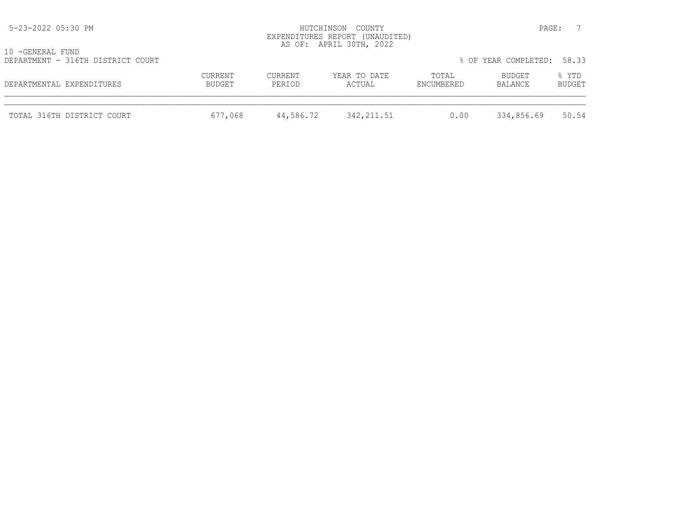| 5-23-2022 05:30 PM                                    |                   |                   | HUTCHINSON COUNTY<br>EXPENDITURES REPORT (UNAUDITED)<br>AS OF: APRIL 30TH, 2022 |                     |                      | PAGE:           |
|-------------------------------------------------------|-------------------|-------------------|---------------------------------------------------------------------------------|---------------------|----------------------|-----------------|
| 10 -GENERAL FUND<br>DEPARTMENT - 316TH DISTRICT COURT |                   |                   |                                                                                 |                     | % OF YEAR COMPLETED: | 58.33           |
| DEPARTMENTAL EXPENDITURES                             | CURRENT<br>BUDGET | CURRENT<br>PERIOD | YEAR TO DATE<br>ACTUAL                                                          | TOTAL<br>ENCUMBERED | BUDGET<br>BALANCE    | % YTD<br>BUDGET |
| TOTAL 316TH DISTRICT COURT                            | 677,068           | 44,586.72         | 342, 211.51                                                                     | 0.00                | 334,856.69           | 50.54           |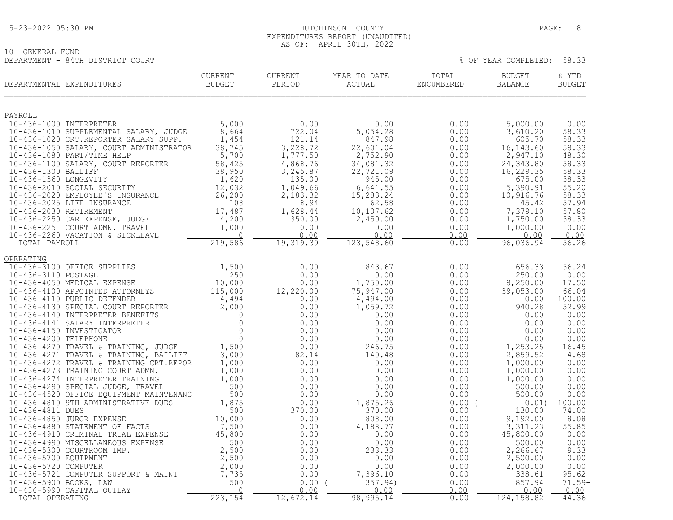#### 5-23-2022 05:30 PM HUTCHINSON COUNTY PAGE: 8 EXPENDITURES REPORT (UNAUDITED) AS OF: APRIL 30TH, 2022

| 10 -GENERAL FUND                 |  |         |
|----------------------------------|--|---------|
| DEPARTMENT - 84TH DISTRICT COURT |  |         |
|                                  |  | CIIDDEI |

| ULULULULU IUNU         | DEPARTMENT - 84TH DISTRICT COURT                                                |                                 |                          |                        |                     | % OF YEAR COMPLETED:            | 58.33                  |
|------------------------|---------------------------------------------------------------------------------|---------------------------------|--------------------------|------------------------|---------------------|---------------------------------|------------------------|
|                        | DEPARTMENTAL EXPENDITURES                                                       | <b>CURRENT</b><br><b>BUDGET</b> | <b>CURRENT</b><br>PERIOD | YEAR TO DATE<br>ACTUAL | TOTAL<br>ENCUMBERED | <b>BUDGET</b><br><b>BALANCE</b> | % YTD<br><b>BUDGET</b> |
| PAYROLL                |                                                                                 |                                 |                          |                        |                     |                                 |                        |
|                        | 10-436-1000 INTERPRETER                                                         | 5,000                           | 0.00                     | 0.00                   | 0.00                | 5,000.00                        | 0.00                   |
|                        | 10-436-1010 SUPPLEMENTAL SALARY, JUDGE<br>10-436-1020 CRT.REPORTER SALARY SUPP. | 8,664                           | 722.04                   | 5,054.28               | 0.00                | 3,610.20                        | 58.33                  |
|                        | 10-436-1050 SALARY, COURT ADMINISTRATOR                                         | 1,454<br>38,745                 | 121.14<br>3,228.72       | 847.98<br>22,601.04    | 0.00<br>0.00        | 605.70<br>16,143.60             | 58.33<br>58.33         |
|                        | 10-436-1080 PART/TIME HELP                                                      | 5,700                           | 1,777.50                 | 2,752.90               | 0.00                | 2,947.10                        | 48.30                  |
|                        | 10-436-1100 SALARY, COURT REPORTER                                              | 58,425                          | 4,868.76                 | 34,081.32              | 0.00                | 24,343.80                       | 58.33                  |
| 10-436-1300 BAILIFF    |                                                                                 | 38,950                          | 3,245.87                 | 22,721.09              | 0.00                | 16,229.35                       | 58.33                  |
| 10-436-1360 LONGEVITY  |                                                                                 | 1,620                           | 135.00                   | 945.00                 | 0.00                | 675.00                          | 58.33                  |
|                        | 10-436-2010 SOCIAL SECURITY                                                     | 12,032                          | 1,049.66                 | 6,641.55               | 0.00                | 5,390.91                        | 55.20                  |
|                        | 10-436-2020 EMPLOYEE'S INSURANCE                                                | 26,200                          | 2,183.32                 | 15,283.24              | 0.00                | 10,916.76                       | 58.33                  |
| 10-436-2030 RETIREMENT | 10-436-2025 LIFE INSURANCE                                                      | 108<br>17,487                   | 8.94                     | 62.58<br>10,107.62     | 0.00<br>0.00        | 45.42<br>7,379.10               | 57.94<br>57.80         |
|                        | 10-436-2250 CAR EXPENSE, JUDGE                                                  | 4,200                           | 1,628.44<br>350.00       | 2,450.00               | 0.00                | 1,750.00                        | 58.33                  |
|                        | 10-436-2251 COURT ADMN. TRAVEL                                                  | 1,000                           | 0.00                     | 0.00                   | 0.00                | 1,000.00                        | 0.00                   |
|                        | 10-436-2260 VACATION & SICKLEAVE                                                |                                 | 0.00                     | 0.00                   | 0.00                | 0.00                            | 0.00                   |
| TOTAL PAYROLL          |                                                                                 | 219,586                         | 19,319.39                | 123,548.60             | 0.00                | 96,036.94                       | 56.26                  |
|                        |                                                                                 |                                 |                          |                        |                     |                                 |                        |

| OPERATING                               |         |           |           |       |             |          |
|-----------------------------------------|---------|-----------|-----------|-------|-------------|----------|
| 10-436-3100 OFFICE SUPPLIES             | 1,500   | 0.00      | 843.67    | 0.00  | 656.33      | 56.24    |
| 10-436-3110 POSTAGE                     | 250     | 0.00      | 0.00      | 0.00  | 250.00      | 0.00     |
| 10-436-4050 MEDICAL EXPENSE             | 10,000  | 0.00      | 1,750.00  | 0.00  | 8,250.00    | 17.50    |
| 10-436-4100 APPOINTED ATTORNEYS         | 115,000 | 12,220.00 | 75,947.00 | 0.00  | 39,053.00   | 66.04    |
| 10-436-4110 PUBLIC DEFENDER             | 4,494   | 0.00      | 4,494.00  | 0.00  | 0.00        | 100.00   |
| 10-436-4130 SPECIAL COURT REPORTER      | 2,000   | 0.00      | 1,059.72  | 0.00  | 940.28      | 52.99    |
| 10-436-4140 INTERPRETER BENEFITS        |         | 0.00      | 0.00      | 0.00  | 0.00        | 0.00     |
| 10-436-4141 SALARY INTERPRETER          |         | 0.00      | 0.00      | 0.00  | 0.00        | 0.00     |
| 10-436-4150 INVESTIGATOR                |         | 0.00      | 0.00      | 0.00  | 0.00        | 0.00     |
| 10-436-4200 TELEPHONE                   |         | 0.00      | 0.00      | 0.00  | 0.00        | 0.00     |
| 10-436-4270 TRAVEL & TRAINING, JUDGE    | 1,500   | 0.00      | 246.75    | 0.00  | 1,253.25    | 16.45    |
| 10-436-4271 TRAVEL & TRAINING, BAILIFF  | 3,000   | 82.14     | 140.48    | 0.00  | 2,859.52    | 4.68     |
| 10-436-4272 TRAVEL & TRAINING CRT.REPOR | 1,000   | 0.00      | 0.00      | 0.00  | 1,000.00    | 0.00     |
| 10-436-4273 TRAINING COURT ADMN.        | 1,000   | 0.00      | 0.00      | 0.00  | 1,000.00    | 0.00     |
| 10-436-4274 INTERPRETER TRAINING        | 1,000   | 0.00      | 0.00      | 0.00  | 1,000.00    | 0.00     |
| 10-436-4290 SPECIAL JUDGE, TRAVEL       | 500     | 0.00      | 0.00      | 0.00  | 500.00      | 0.00     |
| 10-436-4520 OFFICE EQUIPMENT MAINTENANC | 500     | 0.00      | 0.00      | 0.00  | 500.00      | 0.00     |
| 10-436-4810 9TH ADMINISTRATIVE DUES     | 1,875   | 0.00      | 1,875.26  | 0.00( | 0.01)       | 100.00   |
| 10-436-4811 DUES                        | 500     | 370.00    | 370.00    | 0.00  | 130.00      | 74.00    |
| 10-436-4850 JUROR EXPENSE               | 10,000  | 0.00      | 808.00    | 0.00  | 9,192.00    | 8.08     |
| 10-436-4880 STATEMENT OF FACTS          | 7,500   | 0.00      | 4,188.77  | 0.00  | 3, 311.23   | 55.85    |
| 10-436-4910 CRIMINAL TRIAL EXPENSE      | 45,800  | 0.00      | 0.00      | 0.00  | 45,800.00   | 0.00     |
| 10-436-4990 MISCELLANEOUS EXPENSE       | 500     | 0.00      | 0.00      | 0.00  | 500.00      | 0.00     |
| 10-436-5300 COURTROOM IMP.              | 2,500   | 0.00      | 233.33    | 0.00  | 2,266.67    | 9.33     |
| 10-436-5700 EQUIPMENT                   | 2,500   | 0.00      | 0.00      | 0.00  | 2,500.00    | 0.00     |
| 10-436-5720 COMPUTER                    | 2,000   | 0.00      | 0.00      | 0.00  | 2,000.00    | 0.00     |
| 10-436-5721 COMPUTER SUPPORT & MAINT    | 7,735   | 0.00      | 7,396.10  | 0.00  | 338.61      | 95.62    |
| 10-436-5900 BOOKS, LAW                  | 500     | 0.00(     | 357.94)   | 0.00  | 857.94      | $71.59-$ |
| 10-436-5990 CAPITAL OUTLAY              |         | 0.00      | 0.00      | 0.00  | 0.00        | 0.00     |
| TOTAL OPERATING                         | 223,154 | 12,672.14 | 98,995.14 | 0.00  | 124, 158.82 | 44.36    |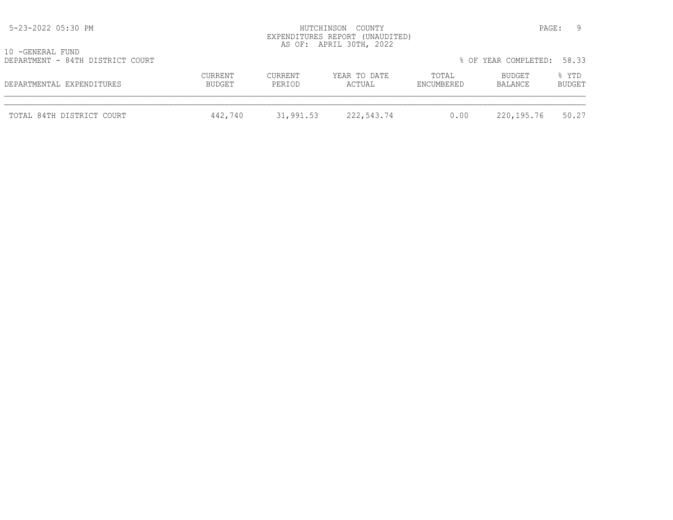| 5-23-2022 05:30 PM                                   |                   | HUTCHINSON COUNTY<br>EXPENDITURES REPORT (UNAUDITED)<br>AS OF: APRIL 30TH, 2022 |                        | - 9<br>PAGE:        |                      |                 |
|------------------------------------------------------|-------------------|---------------------------------------------------------------------------------|------------------------|---------------------|----------------------|-----------------|
| 10 -GENERAL FUND<br>DEPARTMENT - 84TH DISTRICT COURT |                   |                                                                                 |                        |                     | % OF YEAR COMPLETED: | 58.33           |
| DEPARTMENTAL EXPENDITURES                            | CURRENT<br>BUDGET | CURRENT<br>PERIOD                                                               | YEAR TO DATE<br>ACTUAL | TOTAL<br>ENCUMBERED | BUDGET<br>BALANCE    | % YTD<br>BUDGET |
| TOTAL 84TH DISTRICT COURT                            | 442,740           | 31,991.53                                                                       | 222,543.74             | 0.00                | 220,195.76           | 50.27           |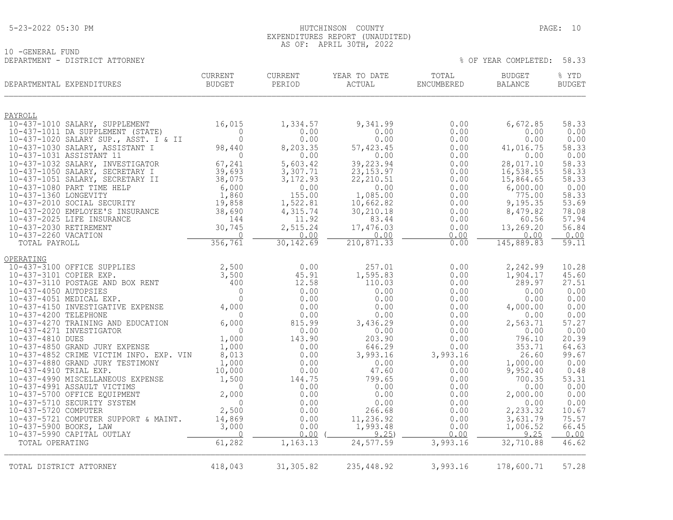## 5-23-2022 05:30 PM HUTCHINSON COUNTY PAGE: 10 EXPENDITURES REPORT (UNAUDITED) AS OF: APRIL 30TH, 2022

10 -GENERAL FUND DEPARTMENT - DISTRICT ATTORNEY % OF YEAR COMPLETED: 58.33

| DEPARTMENTAL EXPENDITURES                                       | <b>CURRENT</b><br>BUDGET | CURRENT<br>PERIOD | YEAR TO DATE<br>ACTUAL | TOTAL<br>ENCUMBERED | <b>BUDGET</b><br><b>BALANCE</b> | % YTD<br><b>BUDGET</b> |
|-----------------------------------------------------------------|--------------------------|-------------------|------------------------|---------------------|---------------------------------|------------------------|
|                                                                 |                          |                   |                        |                     |                                 |                        |
| PAYROLL<br>10-437-1010 SALARY, SUPPLEMENT                       | 16,015                   | 1,334.57          | 9,341.99               | 0.00                | 6,672.85                        | 58.33                  |
| 10-437-1011 DA SUPPLEMENT (STATE)                               | $\Omega$                 | 0.00              | 0.00                   | 0.00                | 0.00                            | 0.00                   |
| 10-437-1020 SALARY SUP., ASST. I & II                           | $\overline{0}$           | 0.00              | 0.00                   | 0.00                | 0.00                            | 0.00                   |
| 10-437-1030 SALARY, ASSISTANT I                                 | 98,440                   | 8,203.35          | 57, 423.45             | 0.00                | 41,016.75                       | 58.33                  |
| 10-437-1031 ASSISTANT 11<br>10-437-1032 SALARY, INVESTIGATOR    | $\circ$<br>67,241        | 0.00<br>5,603.42  | 0.00<br>39,223.94      | 0.00<br>0.00        | 0.00<br>28,017.10               | 0.00<br>58.33          |
| 10-437-1050 SALARY, SECRETARY I                                 | 39,693                   | 3,307.71          | 23, 153.97             | 0.00                | 16,538.55                       | 58.33                  |
| 10-437-1051 SALARY, SECRETARY II                                | 38,075                   | 3,172.93          | 22, 210.51             | 0.00                | 15,864.65                       | 58.33                  |
| 10-437-1080 PART TIME HELP                                      | 6,000                    | 0.00              | 0.00                   | 0.00                | 6,000.00                        | 0.00                   |
| 10-437-1360 LONGEVITY                                           | 1,860                    | 155.00            | 1,085.00               | 0.00                | 775.00                          | 58.33                  |
| 10-437-2010 SOCIAL SECURITY<br>10-437-2020 EMPLOYEE'S INSURANCE | 19,858                   | 1,522.81          | 10,662.82              | 0.00                | 9,195.35                        | 53.69                  |
| 10-437-2025 LIFE INSURANCE                                      | 38,690<br>144            | 4,315.74<br>11.92 | 30,210.18<br>83.44     | 0.00<br>0.00        | 8,479.82<br>60.56               | 78.08<br>57.94         |
| 10-437-2030 RETIREMENT                                          | 30,745                   | 2,515.24          | 17,476.03              | 0.00                | 13,269.20                       | 56.84                  |
| 10-437-2260 VACATION                                            | $\Omega$                 | 0.00              | 0.00                   | 0.00                | 0.00                            | 0.00                   |
| TOTAL PAYROLL                                                   | 356, 761                 | 30, 142.69        | 210,871.33             | 0.00                | 145,889.83                      | 59.11                  |
| OPERATING                                                       |                          |                   |                        |                     |                                 |                        |
| 10-437-3100 OFFICE SUPPLIES                                     | 2,500                    | 0.00              | 257.01                 | 0.00                | 2,242.99                        | 10.28                  |
| 10-437-3101 COPIER EXP.                                         | 3,500                    | 45.91             | 1,595.83               | 0.00                | 1,904.17                        | 45.60                  |
| 10-437-3110 POSTAGE AND BOX RENT                                | 400                      | 12.58             | 110.03                 | 0.00                | 289.97                          | 27.51                  |
| 10-437-4050 AUTOPSIES<br>10-437-4051 MEDICAL EXP.               | $\Omega$<br>$\Omega$     | 0.00<br>0.00      | 0.00<br>0.00           | 0.00<br>0.00        | 0.00<br>0.00                    | 0.00<br>0.00           |
| 10-437-4150 INVESTIGATIVE EXPENSE                               | 4,000                    | 0.00              | 0.00                   | 0.00                | 4,000.00                        | 0.00                   |
| 10-437-4200 TELEPHONE                                           | $\Omega$                 | 0.00              | 0.00                   | 0.00                | 0.00                            | 0.00                   |
| 10-437-4270 TRAINING AND EDUCATION                              | 6,000                    | 815.99            | 3,436.29               | 0.00                | 2,563.71                        | 57.27                  |
| 10-437-4271 INVESTIGATOR                                        | $\mathbf{0}$             | 0.00              | 0.00                   | 0.00                | 0.00                            | 0.00                   |
| 10-437-4810 DUES<br>10-437-4850 GRAND JURY EXPENSE              | 1,000                    | 143.90<br>0.00    | 203.90                 | 0.00                | 796.10<br>353.71                | 20.39<br>64.63         |
| 10-437-4852 CRIME VICTIM INFO. EXP. VIN                         | 1,000<br>8,013           | 0.00              | 646.29<br>3,993.16     | 0.00<br>3,993.16    | 26.60                           | 99.67                  |
| 10-437-4880 GRAND JURY TESTIMONY                                | 1,000                    | 0.00              | 0.00                   | 0.00                | 1,000.00                        | 0.00                   |
| 10-437-4910 TRIAL EXP.                                          | 10,000                   | 0.00              | 47.60                  | 0.00                | 9,952.40                        | 0.48                   |
| 10-437-4990 MISCELLANEOUS EXPENSE                               | 1,500                    | 144.75            | 799.65                 | 0.00                | 700.35                          | 53.31                  |
| 10-437-4991 ASSAULT VICTIMS<br>10-437-5700 OFFICE EQUIPMENT     | $\Omega$<br>2,000        | 0.00<br>0.00      | 0.00<br>0.00           | 0.00                | 0.00<br>2,000.00                | 0.00<br>0.00           |
| 10-437-5710 SECURITY SYSTEM                                     | $\Omega$                 | 0.00              | 0.00                   | 0.00<br>0.00        | 0.00                            | 0.00                   |
| 10-437-5720 COMPUTER                                            | 2,500                    | 0.00              | 266.68                 | 0.00                | 2,233.32                        | 10.67                  |
| 10-437-5721 COMPUTER SUPPORT & MAINT.                           | 14,869                   | 0.00              | 11,236.92              | 0.00                | 3,631.79                        | 75.57                  |
| 10-437-5900 BOOKS, LAW                                          | 3,000                    | 0.00              | 1,993.48               | 0.00                | 1,006.52                        | 66.45                  |
| 10-437-5990 CAPITAL OUTLAY                                      | $\Omega$                 | 0.00              | 9.25                   | 0.00                | 9.25                            | 0.00                   |
| TOTAL OPERATING                                                 | 61,282                   | 1,163.13          | 24, 577.59             | 3,993.16            | 32,710.88                       | 46.62                  |
|                                                                 |                          |                   |                        |                     |                                 |                        |
| TOTAL DISTRICT ATTORNEY                                         | 418,043                  | 31,305.82         | 235, 448.92            | 3,993.16            | 178,600.71                      | 57.28                  |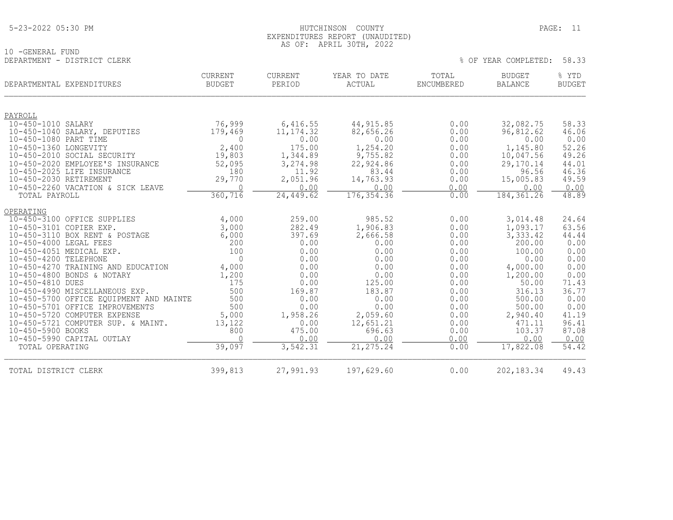### 5-23-2022 05:30 PM HUTCHINSON COUNTY PAGE: 11 EXPENDITURES REPORT (UNAUDITED) AS OF: APRIL 30TH, 2022

|                             | AU UI. ALIALU JUIII, 2022 |  |                            |  |
|-----------------------------|---------------------------|--|----------------------------|--|
| 10 -GENERAL FUND            |                           |  |                            |  |
| DEPARTMENT - DISTRICT CLERK |                           |  | % OF YEAR COMPLETED: 58.33 |  |

| DEPARTMENTAL EXPENDITURES |                                                                           | <b>CURRENT</b><br><b>BUDGET</b> | <b>CURRENT</b><br>PERIOD | YEAR TO DATE<br>ACTUAL | TOTAL<br><b>ENCUMBERED</b> | <b>BUDGET</b><br><b>BALANCE</b> | % YTD<br><b>BUDGET</b> |
|---------------------------|---------------------------------------------------------------------------|---------------------------------|--------------------------|------------------------|----------------------------|---------------------------------|------------------------|
| PAYROLL                   |                                                                           |                                 |                          |                        |                            |                                 |                        |
| 10-450-1010 SALARY        |                                                                           | 76,999                          | 6,416.55                 | 44, 915.85             | 0.00                       | 32,082.75                       | 58.33                  |
|                           | 10-450-1040 SALARY, DEPUTIES                                              | 179,469                         | 11, 174.32               | 82,656.26              | 0.00                       | 96,812.62                       | 46.06                  |
| 10-450-1080 PART TIME     |                                                                           | $\Omega$                        | 0.00                     | 0.00                   | 0.00                       | 0.00                            | 0.00                   |
| 10-450-1360 LONGEVITY     |                                                                           | 2,400                           | 175.00                   | 1,254.20               | 0.00                       | 1,145.80                        | 52.26                  |
|                           | 10-450-2010 SOCIAL SECURITY                                               | 19,803                          | 1,344.89                 | 9,755.82               | 0.00                       | 10,047.56                       | 49.26                  |
|                           | 10-450-2020 EMPLOYEE'S INSURANCE                                          | 52,095                          | 3,274.98                 | 22,924.86              | 0.00                       | 29,170.14                       | 44.01                  |
|                           | 10-450-2025 LIFE INSURANCE                                                | 180                             | 11.92                    | 83.44                  | 0.00                       | 96.56                           | 46.36                  |
| 10-450-2030 RETIREMENT    | 10-450-2260 VACATION & SICK LEAVE                                         | 29,770<br>$\Omega$              | 2,051.96<br>0.00         | 14,763.93<br>0.00      | 0.00<br>0.00               | 15,005.83<br>0.00               | 49.59<br>0.00          |
| TOTAL PAYROLL             |                                                                           | 360, 716                        | 24,449.62                | 176, 354.36            | 0.00                       | 184, 361.26                     | 48.89                  |
|                           |                                                                           |                                 |                          |                        |                            |                                 |                        |
| OPERATING                 |                                                                           |                                 |                          |                        |                            |                                 |                        |
|                           | 10-450-3100 OFFICE SUPPLIES                                               | 4,000                           | 259.00                   | 985.52                 | 0.00                       | 3,014.48                        | 24.64                  |
| 10-450-3101 COPIER EXP.   |                                                                           | 3,000                           | 282.49                   | 1,906.83               | 0.00                       | 1,093.17                        | 63.56                  |
|                           | 10-450-3110 BOX RENT & POSTAGE                                            | 6,000                           | 397.69                   | 2,666.58               | 0.00                       | 3,333.42                        | 44.44                  |
| 10-450-4000 LEGAL FEES    |                                                                           | 200                             | 0.00                     | 0.00                   | 0.00                       | 200.00                          | 0.00                   |
|                           | 10-450-4051 MEDICAL EXP.                                                  | 100                             | 0.00                     | 0.00                   | 0.00                       | 100.00                          | 0.00                   |
| 10-450-4200 TELEPHONE     |                                                                           | $\Omega$                        | 0.00                     | 0.00                   | 0.00                       | 0.00                            | 0.00                   |
|                           | 10-450-4270 TRAINING AND EDUCATION                                        | 4,000                           | 0.00                     | 0.00                   | 0.00                       | 4,000.00                        | 0.00                   |
|                           | 10-450-4800 BONDS & NOTARY                                                | 1,200                           | 0.00                     | 0.00                   | 0.00                       | 1,200.00                        | 0.00                   |
| 10-450-4810 DUES          |                                                                           | 175                             | 0.00                     | 125.00                 | 0.00                       | 50.00                           | 71.43                  |
|                           | 10-450-4990 MISCELLANEOUS EXP.<br>10-450-5700 OFFICE EQUIPMENT AND MAINTE | 500<br>500                      | 169.87<br>0.00           | 183.87<br>0.00         | 0.00<br>0.00               | 316.13<br>500.00                | 36.77<br>0.00          |
|                           | 10-450-5701 OFFICE IMPROVEMENTS                                           | 500                             | 0.00                     | 0.00                   | 0.00                       | 500.00                          | 0.00                   |
|                           | 10-450-5720 COMPUTER EXPENSE                                              | 5,000                           | 1,958.26                 | 2,059.60               | 0.00                       | 2,940.40                        | 41.19                  |
|                           | 10-450-5721 COMPUTER SUP. & MAINT.                                        | 13,122                          | 0.00                     | 12,651.21              | 0.00                       | 471.11                          | 96.41                  |
| 10-450-5900 BOOKS         |                                                                           | 800                             | 475.00                   | 696.63                 | 0.00                       | 103.37                          | 87.08                  |
|                           | 10-450-5990 CAPITAL OUTLAY                                                | $\Omega$                        | 0.00                     | 0.00                   | 0.00                       | 0.00                            | 0.00                   |
| TOTAL OPERATING           |                                                                           | 39,097                          | 3,542.31                 | 21, 275.24             | 0.00                       | 17,822.08                       | 54.42                  |
| TOTAL DISTRICT CLERK      |                                                                           | 399,813                         | 27,991.93                | 197,629.60             | 0.00                       | 202, 183.34                     | 49.43                  |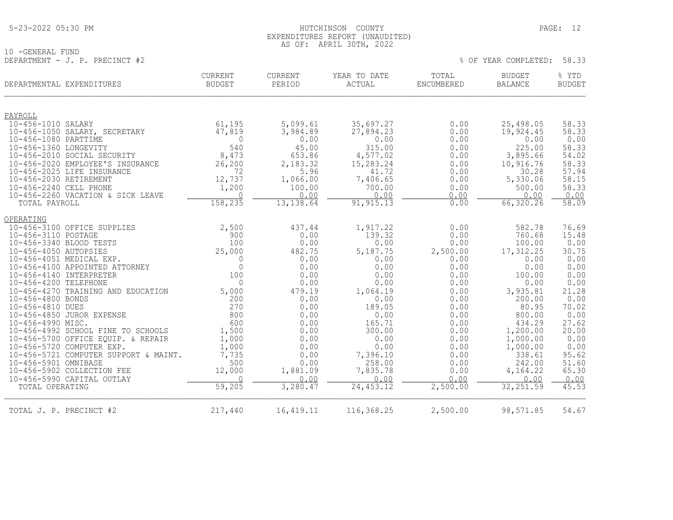## 5-23-2022 05:30 PM HUTCHINSON COUNTY PAGE: 12 EXPENDITURES REPORT (UNAUDITED) AS OF: APRIL 30TH, 2022

10 -GENERAL FUND DEPARTMENT - J. P. PRECINCT #2 % OF YEAR COMPLETED: 58.33

| DEPARTMENTAL EXPENDITURES                                   | <b>CURRENT</b><br><b>BUDGET</b> | <b>CURRENT</b><br>PERIOD | YEAR TO DATE<br>ACTUAL | TOTAL<br>ENCUMBERED | <b>BUDGET</b><br><b>BALANCE</b> | % YTD<br><b>BUDGET</b> |
|-------------------------------------------------------------|---------------------------------|--------------------------|------------------------|---------------------|---------------------------------|------------------------|
| PAYROLL                                                     |                                 |                          |                        |                     |                                 |                        |
| 10-456-1010 SALARY                                          | 61,195                          | 5,099.61                 | 35,697.27              | 0.00                | 25,498.05                       | 58.33                  |
| 10-456-1050 SALARY, SECRETARY                               | 47,819                          | 3,984.89                 | 27,894.23              | 0.00                | 19,924.45                       | 58.33                  |
| 10-456-1080 PARTTIME                                        | $\mathbf 0$                     | 0.00                     | 0.00                   | 0.00                | 0.00                            | 0.00                   |
| 10-456-1360 LONGEVITY                                       | 540                             | 45.00                    | 315.00                 | 0.00                | 225.00                          | 58.33                  |
| 10-456-2010 SOCIAL SECURITY                                 | 8,473                           | 653.86                   | 4,577.02               | 0.00                | 3,895.66                        | 54.02                  |
| 10-456-2020 EMPLOYEE'S INSURANCE                            | 26,200                          | 2,183.32                 | 15,283.24              | 0.00                | 10,916.76                       | 58.33                  |
| 10-456-2025 LIFE INSURANCE                                  | 72                              | 5.96                     | 41.72                  | 0.00                | 30.28                           | 57.94                  |
| 10-456-2030 RETIREMENT                                      | 12,737                          | 1,066.00                 | 7,406.65               | 0.00                | 5,330.06                        | 58.15                  |
| 10-456-2240 CELL PHONE<br>10-456-2260 VACATION & SICK LEAVE | 1,200<br>$\Omega$               | 100.00<br>0.00           | 700.00<br>0.00         | 0.00<br>0.00        | 500.00<br>0.00                  | 58.33<br>0.00          |
| TOTAL PAYROLL                                               | 158,235                         | 13, 138.64               | 91, 915.13             | 0.00                | 66,320.26                       | 58.09                  |
| OPERATING                                                   |                                 |                          |                        |                     |                                 |                        |
| 10-456-3100 OFFICE SUPPLIES                                 | 2,500                           | 437.44                   | 1,917.22               | 0.00                | 582.78                          | 76.69                  |
| 10-456-3110 POSTAGE                                         | 900                             | 0.00                     | 139.32                 | 0.00                | 760.68                          | 15.48                  |
| 10-456-3340 BLOOD TESTS                                     | 100                             | 0.00                     | 0.00                   | 0.00                | 100.00                          | 0.00                   |
| 10-456-4050 AUTOPSIES                                       | 25,000                          | 482.75                   | 5,187.75               | 2,500.00            | 17,312.25                       | 30.75                  |
| 10-456-4051 MEDICAL EXP.                                    | $\Omega$                        | 0.00                     | 0.00                   | 0.00                | 0.00                            | 0.00                   |
| 10-456-4100 APPOINTED ATTORNEY                              | $\overline{0}$                  | 0.00                     | 0.00                   | 0.00                | 0.00                            | 0.00                   |
| 10-456-4140 INTERPRETER<br>10-456-4200 TELEPHONE            | 100<br>$\Omega$                 | 0.00<br>0.00             | 0.00<br>0.00           | 0.00<br>0.00        | 100.00<br>0.00                  | 0.00<br>0.00           |
| 10-456-4270 TRAINING AND EDUCATION                          | 5,000                           | 479.19                   | 1,064.19               | 0.00                | 3,935.81                        | 21.28                  |
| 10-456-4800 BONDS                                           | 200                             | 0.00                     | 0.00                   | 0.00                | 200.00                          | 0.00                   |
| 10-456-4810 DUES                                            | 270                             | 0.00                     | 189.05                 | 0.00                | 80.95                           | 70.02                  |
| 10-456-4850 JUROR EXPENSE                                   | 800                             | 0.00                     | 0.00                   | 0.00                | 800.00                          | 0.00                   |
| 10-456-4990 MISC.                                           | 600                             | 0.00                     | 165.71                 | 0.00                | 434.29                          | 27.62                  |
| 10-456-4992 SCHOOL FINE TO SCHOOLS                          | 1,500                           | 0.00                     | 300.00                 | 0.00                | 1,200.00                        | 20.00                  |
| 10-456-5700 OFFICE EQUIP. & REPAIR                          | 1,000                           | 0.00                     | 0.00                   | 0.00                | 1,000.00                        | 0.00                   |
| 10-456-5720 COMPUTER EXP.                                   | 1,000                           | 0.00                     | 0.00                   | 0.00                | 1,000.00                        | 0.00                   |
| 10-456-5721 COMPUTER SUPPORT & MAINT.                       | 7,735                           | 0.00                     | 7,396.10               | 0.00                | 338.61                          | 95.62                  |
| 10-456-5901 OMNIBASE<br>10-456-5902 COLLECTION FEE          | 500<br>12,000                   | 0.00<br>1,881.09         | 258.00<br>7,835.78     | 0.00<br>0.00        | 242.00<br>4,164.22              | 51.60<br>65.30         |
| 10-456-5990 CAPITAL OUTLAY                                  | $\Omega$                        | 0.00                     | 0.00                   | 0.00                | 0.00                            | 0.00                   |
| TOTAL OPERATING                                             | 59,205                          | 3,280.47                 | 24, 453.12             | 2,500.00            | 32, 251.59                      | 45.53                  |
| TOTAL J. P. PRECINCT #2                                     | 217,440                         | 16,419.11                | 116,368.25             | 2,500.00            | 98,571.85                       | 54.67                  |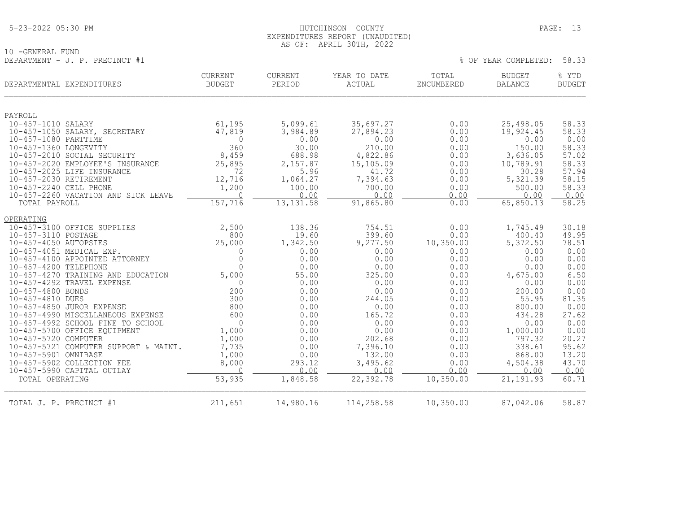## 5-23-2022 05:30 PM HUTCHINSON COUNTY PAGE: 13 EXPENDITURES REPORT (UNAUDITED) AS OF: APRIL 30TH, 2022

10 -GENERAL FUND DEPARTMENT - J. P. PRECINCT #1  $\%$  OF YEAR COMPLETED: 58.33

| DEPARTMENTAL EXPENDITURES                     | <b>CURRENT</b><br><b>BUDGET</b> | <b>CURRENT</b><br>PERIOD | YEAR TO DATE<br>ACTUAL | TOTAL<br>ENCUMBERED | <b>BUDGET</b><br><b>BALANCE</b> | % YTD<br><b>BUDGET</b> |
|-----------------------------------------------|---------------------------------|--------------------------|------------------------|---------------------|---------------------------------|------------------------|
| PAYROLL                                       |                                 |                          |                        |                     |                                 |                        |
| 10-457-1010 SALARY                            | 61,195                          | 5,099.61                 | 35,697.27              | 0.00                | 25,498.05                       | 58.33                  |
| 10-457-1050 SALARY, SECRETARY                 | 47,819                          | 3,984.89                 | 27,894.23              | 0.00                | 19,924.45                       | 58.33                  |
| 10-457-1080 PARTTIME                          | $\Omega$                        | 0.00                     | 0.00                   | 0.00                | 0.00                            | 0.00                   |
| 10-457-1360 LONGEVITY                         | 360                             | 30.00                    | 210.00                 | 0.00                | 150.00                          | 58.33                  |
| 10-457-2010 SOCIAL SECURITY                   | 8,459                           | 688.98                   | 4,822.86               | 0.00                | 3,636.05                        | 57.02                  |
| 10-457-2020 EMPLOYEE'S INSURANCE              | 25,895                          | 2,157.87                 | 15,105.09              | 0.00                | 10,789.91                       | 58.33                  |
| 10-457-2025 LIFE INSURANCE                    | 72                              | 5.96                     | 41.72                  | 0.00                | 30.28                           | 57.94                  |
| 10-457-2030 RETIREMENT                        | 12,716                          | 1,064.27                 | 7,394.63               | 0.00                | 5,321.39                        | 58.15                  |
| 10-457-2240 CELL PHONE                        | 1,200                           | 100.00                   | 700.00                 | 0.00                | 500.00                          | 58.33                  |
| 10-457-2260 VACATION AND SICK LEAVE           | $\Omega$                        | 0.00                     | 0.00                   | 0.00                | 0.00                            | $\frac{0.00}{58.25}$   |
| TOTAL PAYROLL                                 | 157,716                         | 13, 131.58               | 91,865.80              | 0.00                | 65,850.13                       |                        |
| OPERATING                                     |                                 |                          |                        |                     |                                 |                        |
| 10-457-3100 OFFICE SUPPLIES                   | 2,500                           | 138.36                   | 754.51                 | 0.00                | 1,745.49                        | 30.18                  |
| 10-457-3110 POSTAGE                           | 800                             | 19.60                    | 399.60                 | 0.00                | 400.40                          | 49.95                  |
| 10-457-4050 AUTOPSIES                         | 25,000                          | 1,342.50                 | 9,277.50               | 10,350.00           | 5,372.50                        | 78.51                  |
| 10-457-4051 MEDICAL EXP.                      | $\mathbf 0$                     | 0.00                     | 0.00                   | 0.00                | 0.00                            | 0.00                   |
| 10-457-4100 APPOINTED ATTORNEY                | $\mathbf 0$                     | 0.00                     | 0.00                   | 0.00                | 0.00                            | 0.00                   |
| 10-457-4200 TELEPHONE                         | $\overline{0}$                  | 0.00                     | 0.00                   | 0.00                | 0.00                            | 0.00                   |
| 10-457-4270 TRAINING AND EDUCATION            | 5,000                           | 55.00                    | 325.00                 | 0.00                | 4,675.00                        | 6.50                   |
| 10-457-4292 TRAVEL EXPENSE                    | $\Omega$                        | 0.00                     | 0.00                   | 0.00                | 0.00                            | 0.00                   |
| 10-457-4800 BONDS                             | 200                             | 0.00                     | 0.00                   | 0.00                | 200.00                          | 0.00                   |
| 10-457-4810 DUES<br>10-457-4850 JUROR EXPENSE | 300<br>800                      | 0.00<br>0.00             | 244.05<br>0.00         | 0.00<br>0.00        | 55.95<br>800.00                 | 81.35<br>0.00          |
| 10-457-4990 MISCELLANEOUS EXPENSE             | 600                             | 0.00                     | 165.72                 | 0.00                | 434.28                          | 27.62                  |
| 10-457-4992 SCHOOL FINE TO SCHOOL             | $\Omega$                        | 0.00                     | 0.00                   | 0.00                | 0.00                            | 0.00                   |
| 10-457-5700 OFFICE EQUIPMENT                  | 1,000                           | 0.00                     | 0.00                   | 0.00                | 1,000.00                        | 0.00                   |
| 10-457-5720 COMPUTER                          | 1,000                           | 0.00                     | 202.68                 | 0.00                | 797.32                          | 20.27                  |
| 10-457-5721 COMPUTER SUPPORT & MAINT.         | 7,735                           | 0.00                     | 7,396.10               | 0.00                | 338.61                          | 95.62                  |
| 10-457-5901 OMNIBASE                          | 1,000                           | 0.00                     | 132.00                 | 0.00                | 868.00                          | 13.20                  |
| 10-457-5902 COLLECTION FEE                    | 8,000                           | 293.12                   | 3,495.62               | 0.00                | 4,504.38                        | 43.70                  |
| 10-457-5990 CAPITAL OUTLAY                    | $\Omega$                        | 0.00                     | 0.00                   | 0.00                | 0.00                            | 0.00                   |
| TOTAL OPERATING                               | 53,935                          | 1,848.58                 | 22,392.78              | 10,350.00           | 21, 191.93                      | 60.71                  |
| TOTAL J. P. PRECINCT #1                       | 211,651                         | 14,980.16                | 114,258.58             | 10, 350.00          | 87,042.06                       | 58.87                  |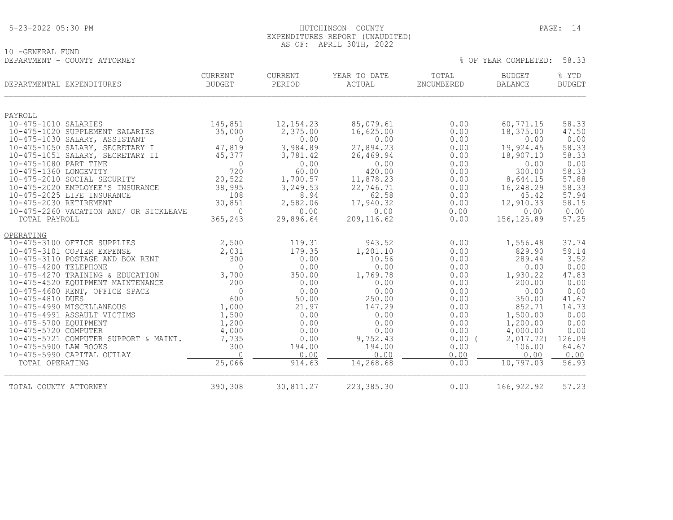| 5-23-2022 05:30 PM |
|--------------------|
|--------------------|

## HUTCHINSON COUNTY PAGE: 14 EXPENDITURES REPORT (UNAUDITED) AS OF: APRIL 30TH, 2022

% OF YEAR COMPLETED: 58.33

10 -GENERAL FUND<br>DEPARTMENT - COUNTY ATTORNEY

|                        | DEPARTMENTAL EXPENDITURES              | <b>CURRENT</b><br><b>BUDGET</b> | CURRENT<br>PERIOD | YEAR TO DATE<br>ACTUAL | TOTAL<br>ENCUMBERED | <b>BUDGET</b><br><b>BALANCE</b> | % YTD<br><b>BUDGET</b> |
|------------------------|----------------------------------------|---------------------------------|-------------------|------------------------|---------------------|---------------------------------|------------------------|
| PAYROLL                |                                        |                                 |                   |                        |                     |                                 |                        |
| 10-475-1010 SALARIES   |                                        | 145,851                         | 12, 154. 23       | 85,079.61              | 0.00                | 60,771.15                       | 58.33                  |
|                        | 10-475-1020 SUPPLEMENT SALARIES        | 35,000                          | 2,375.00          | 16,625.00              | 0.00                | 18,375.00                       | 47.50                  |
|                        | 10-475-1030 SALARY, ASSISTANT          | $\overline{0}$                  | 0.00              | 0.00                   | 0.00                | 0.00                            | 0.00                   |
|                        | 10-475-1050 SALARY, SECRETARY I        | 47,819                          | 3,984.89          | 27,894.23              | 0.00<br>0.00        | 19,924.45<br>18,907.10          | 58.33<br>58.33         |
| 10-475-1080 PART TIME  | 10-475-1051 SALARY, SECRETARY II       | 45,377<br>$\Omega$              | 3,781.42<br>0.00  | 26,469.94<br>0.00      | 0.00                | 0.00                            | 0.00                   |
| 10-475-1360 LONGEVITY  |                                        | 720                             | 60.00             | 420.00                 | 0.00                | 300.00                          | 58.33                  |
|                        | 10-475-2010 SOCIAL SECURITY            | 20,522                          | 1,700.57          | 11,878.23              | 0.00                | 8,644.15                        | 57.88                  |
|                        | 10-475-2020 EMPLOYEE'S INSURANCE       | 38,995                          | 3,249.53          | 22,746.71              | 0.00                | 16,248.29                       | 58.33                  |
|                        | 10-475-2025 LIFE INSURANCE             | 108                             | 8.94              | 62.58                  | 0.00                | 45.42                           | 57.94                  |
| 10-475-2030 RETIREMENT |                                        | 30,851                          | 2,582.06          | 17,940.32              | 0.00                | 12,910.33                       | 58.15                  |
|                        | 10-475-2260 VACATION AND/ OR SICKLEAVE | $\Omega$                        | 0.00              | 0.00<br>209, 116.62    | 0.00<br>0.00        | 0.00<br>156, 125.89             | 0.00<br>57.25          |
| TOTAL PAYROLL          |                                        | 365,243                         | 29,896.64         |                        |                     |                                 |                        |
| OPERATING              |                                        |                                 |                   |                        |                     |                                 |                        |
|                        | 10-475-3100 OFFICE SUPPLIES            | 2,500                           | 119.31            | 943.52                 | 0.00                | 1,556.48                        | 37.74                  |
|                        | 10-475-3101 COPIER EXPENSE             | 2,031                           | 179.35            | 1,201.10               | 0.00                | 829.90                          | 59.14                  |
|                        | 10-475-3110 POSTAGE AND BOX RENT       | 300                             | 0.00              | 10.56                  | 0.00                | 289.44                          | 3.52                   |
| 10-475-4200 TELEPHONE  |                                        | $\Omega$                        | 0.00              | 0.00                   | 0.00                | 0.00                            | 0.00                   |
|                        | 10-475-4270 TRAINING & EDUCATION       | 3,700                           | 350.00            | 1,769.78               | 0.00                | 1,930.22                        | 47.83                  |
|                        | 10-475-4520 EQUIPMENT MAINTENANCE      | 200<br>$\Omega$                 | 0.00<br>0.00      | 0.00                   | 0.00<br>0.00        | 200.00<br>0.00                  | 0.00<br>0.00           |
| 10-475-4810 DUES       | 10-475-4600 RENT, OFFICE SPACE         | 600                             | 50.00             | 0.00<br>250.00         | 0.00                | 350.00                          | 41.67                  |
|                        | 10-475-4990 MISCELLANEOUS              | 1,000                           | 21.97             | 147.29                 | 0.00                | 852.71                          | 14.73                  |
|                        | 10-475-4991 ASSAULT VICTIMS            | 1,500                           | 0.00              | 0.00                   | 0.00                | 1,500.00                        | 0.00                   |
| 10-475-5700 EOUIPMENT  |                                        | 1,200                           | 0.00              | 0.00                   | 0.00                | 1,200.00                        | 0.00                   |
| 10-475-5720 COMPUTER   |                                        | 4,000                           | 0.00              | 0.00                   | 0.00                | 4,000.00                        | 0.00                   |
|                        | 10-475-5721 COMPUTER SUPPORT & MAINT.  | 7,735                           | 0.00              | 9,752.43               | 0.00(               | 2,017.72)                       | 126.09                 |
| 10-475-5900 LAW BOOKS  |                                        | 300                             | 194.00            | 194.00                 | 0.00                | 106.00                          | 64.67                  |
|                        | 10-475-5990 CAPITAL OUTLAY             | $\Omega$                        | 0.00              | 0.00                   | 0.00                | 0.00                            | 0.00                   |
| TOTAL OPERATING        |                                        | 25,066                          | 914.63            | 14,268.68              | 0.00                | 10,797.03                       | 56.93                  |
| TOTAL COUNTY ATTORNEY  |                                        | 390,308                         | 30,811.27         | 223,385.30             | 0.00                | 166, 922.92                     | 57.23                  |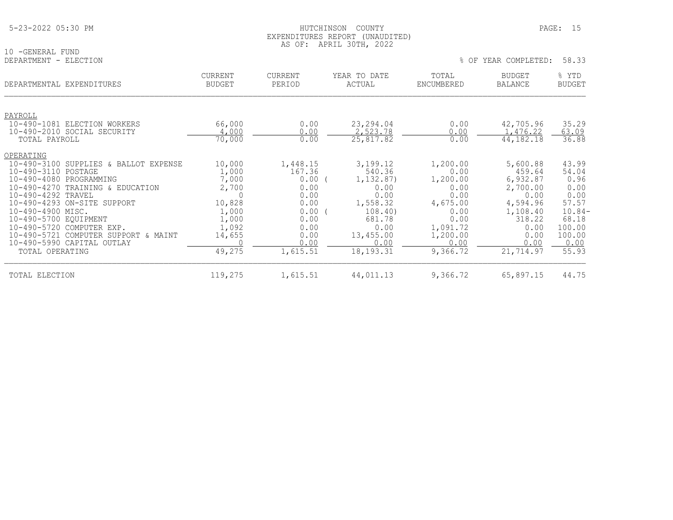|--|

## 10 -GENERAL FUND<br>DEPARTMENT - ELECTION

| DEPARTMENTAL EXPENDITURES                      | <b>CURRENT</b><br><b>BUDGET</b> | <b>CURRENT</b><br>PERIOD | YEAR TO DATE<br>ACTUAL | TOTAL<br>ENCUMBERED | BUDGET<br><b>BALANCE</b> | % YTD<br><b>BUDGET</b> |
|------------------------------------------------|---------------------------------|--------------------------|------------------------|---------------------|--------------------------|------------------------|
|                                                |                                 |                          |                        |                     |                          |                        |
| PAYROLL<br>10-490-1081 ELECTION WORKERS        | 66,000                          | 0.00                     | 23,294.04              | 0.00                | 42,705.96                | 35.29                  |
| 10-490-2010 SOCIAL SECURITY                    | 4,000                           | 0.00                     | 2,523.78               | 0.00                | ,476.22                  | 63.09                  |
| TOTAL PAYROLL                                  | 70,000                          | 0.00                     | 25,817.82              | 0.00                | 44, 182. 18              | 36.88                  |
| OPERATING                                      |                                 |                          |                        |                     |                          |                        |
| $10 - 490 - 3100$<br>SUPPLIES & BALLOT EXPENSE | 10,000                          | 1,448.15                 | 3,199.12               | 1,200.00            | 5,600.88                 | 43.99                  |
| 10-490-3110 POSTAGE                            | 1,000                           | 167.36                   | 540.36                 | 0.00                | 459.64                   | 54.04                  |
| $10 - 490 - 4080$<br>PROGRAMMING               | 7,000                           | 0.00                     | 1, 132.87)             | 1,200.00            | 6,932.87                 | 0.96                   |
| $10 - 490 - 4270$<br>TRAINING & EDUCATION      | 2,700                           | 0.00                     | 0.00                   | 0.00                | 2,700.00                 | 0.00                   |
| 10-490-4292 TRAVEL                             |                                 | 0.00                     | 0.00                   | 0.00                | 0.00                     | 0.00                   |
| 10-490-4293 ON-SITE SUPPORT                    | 10,828                          | 0.00                     | 1,558.32               | 4,675.00            | 4,594.96                 | 57.57                  |
| 10-490-4900 MISC.                              | 1,000                           | 0.00                     | 108.40                 | 0.00                | 1,108.40                 | $10.84-$               |
| 10-490-5700 EQUIPMENT                          | 1,000                           | 0.00                     | 681.78                 | 0.00                | 318.22                   | 68.18                  |
| 10-490-5720 COMPUTER EXP.                      | 1,092                           | 0.00                     | 0.00                   | 1,091.72            | 0.00                     | 100.00                 |
| 10-490-5721 COMPUTER SUPPORT<br>& MAINT        | 14,655                          | 0.00                     | 13,455.00              | 1,200.00            | 0.00                     | 100.00                 |
| 10-490-5990 CAPITAL OUTLAY                     |                                 | 0.00                     | 0.00                   | 0.00                | 0.00                     | 0.00                   |
| TOTAL OPERATING                                | 49,275                          | 1,615.51                 | 18, 193. 31            | 9,366.72            | 21,714.97                | 55.93                  |
| TOTAL ELECTION                                 | 119,275                         | 1,615.51                 | 44,011.13              | 9,366.72            | 65,897.15                | 44.75                  |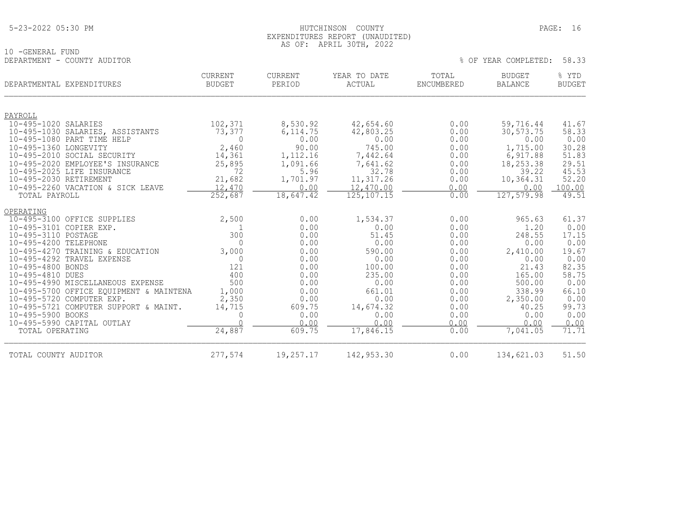## HUTCHINSON COUNTY PAGE: 16 EXPENDITURES REPORT (UNAUDITED) AS OF: APRIL 30TH, 2022

% OF YEAR COMPLETED: 58.33

10 -GENERAL FUND<br>DEPARTMENT - COUNTY AUDITOR

| DEPARTMENTAL EXPENDITURES                                            | <b>CURRENT</b><br><b>BUDGET</b> | CURRENT<br>PERIOD      | YEAR TO DATE<br>ACTUAL | TOTAL<br><b>ENCUMBERED</b> | <b>BUDGET</b><br><b>BALANCE</b> | % YTD<br><b>BUDGET</b> |
|----------------------------------------------------------------------|---------------------------------|------------------------|------------------------|----------------------------|---------------------------------|------------------------|
| PAYROLL                                                              |                                 |                        |                        |                            |                                 |                        |
| 10-495-1020 SALARIES                                                 | 102,371                         | 8,530.92               | 42,654.60              | 0.00                       | 59,716.44                       | 41.67                  |
| 10-495-1030 SALARIES, ASSISTANTS                                     | 73,377                          | 6, 114.75              | 42,803.25              | 0.00                       | 30,573.75                       | 58.33                  |
| 10-495-1080 PART TIME HELP                                           | $\Omega$                        | 0.00                   | 0.00                   | 0.00                       | 0.00                            | 0.00                   |
| 10-495-1360 LONGEVITY                                                | 2,460                           | 90.00                  | 745.00                 | 0.00                       | 1,715.00                        | 30.28                  |
| 10-495-2010 SOCIAL SECURITY                                          | 14,361                          | 1,112.16               | 7,442.64               | 0.00                       | 6,917.88                        | 51.83                  |
| 10-495-2020 EMPLOYEE'S INSURANCE                                     | 25,895                          | 1,091.66               | 7,641.62               | 0.00                       | 18,253.38                       | 29.51                  |
| 10-495-2025 LIFE INSURANCE                                           | 72                              | 5.96                   | 32.78                  | 0.00                       | 39.22                           | 45.53<br>52.20         |
| 10-495-2030 RETIREMENT<br>10-495-2260 VACATION & SICK LEAVE          | 21,682<br>12,470                | 1,701.97<br>0.00       | 11,317.26<br>12,470.00 | 0.00<br>0.00               | 10,364.31<br>0.00               | 100.00                 |
| TOTAL PAYROLL                                                        | 252,687                         | $18,647.\overline{42}$ | 125, 107. 15           | 0.00                       | 127,579.98                      | 49.51                  |
| OPERATING                                                            |                                 |                        |                        |                            |                                 |                        |
| 10-495-3100 OFFICE SUPPLIES                                          | 2,500                           | 0.00                   | 1,534.37               | 0.00                       | 965.63                          | 61.37                  |
| 10-495-3101 COPIER EXP.                                              |                                 | 0.00                   | 0.00                   | 0.00                       | 1.20                            | 0.00                   |
| 10-495-3110 POSTAGE                                                  | 300                             | 0.00                   | 51.45                  | 0.00                       | 248.55                          | 17.15                  |
| 10-495-4200 TELEPHONE                                                | $\Omega$                        | 0.00                   | 0.00                   | 0.00                       | 0.00                            | 0.00                   |
| 10-495-4270 TRAINING & EDUCATION                                     | 3,000                           | 0.00                   | 590.00                 | 0.00                       | 2,410.00                        | 19.67                  |
| 10-495-4292 TRAVEL EXPENSE                                           | $\Omega$                        | 0.00                   | 0.00                   | 0.00                       | 0.00                            | 0.00                   |
| 10-495-4800 BONDS                                                    | 121                             | 0.00                   | 100.00                 | 0.00                       | 21.43                           | 82.35                  |
| 10-495-4810 DUES                                                     | 400                             | 0.00                   | 235.00                 | 0.00                       | 165.00                          | 58.75                  |
| 10-495-4990 MISCELLANEOUS EXPENSE                                    | 500                             | 0.00                   | 0.00                   | 0.00                       | 500.00                          | 0.00                   |
| 10-495-5700 OFFICE EQUIPMENT & MAINTENA<br>10-495-5720 COMPUTER EXP. | 1,000<br>2,350                  | 0.00<br>0.00           | 661.01<br>0.00         | 0.00<br>0.00               | 338.99<br>2,350.00              | 66.10<br>0.00          |
| 10-495-5721 COMPUTER SUPPORT & MAINT.                                | 14,715                          | 609.75                 | 14,674.32              | 0.00                       | 40.25                           | 99.73                  |
| 10-495-5900 BOOKS                                                    | 0                               | 0.00                   | 0.00                   | 0.00                       | 0.00                            | 0.00                   |
| 10-495-5990 CAPITAL OUTLAY                                           | $\cap$                          | 0.00                   | 0.00                   | 0.00                       | 0.00                            | 0.00                   |
| TOTAL OPERATING                                                      | 24,887                          | 609.75                 | 17,846.15              | 0.00                       | 7,041.05                        | 71.71                  |
| TOTAL COUNTY AUDITOR                                                 | 277,574                         | 19,257.17              | 142,953.30             | 0.00                       | 134,621.03                      | 51.50                  |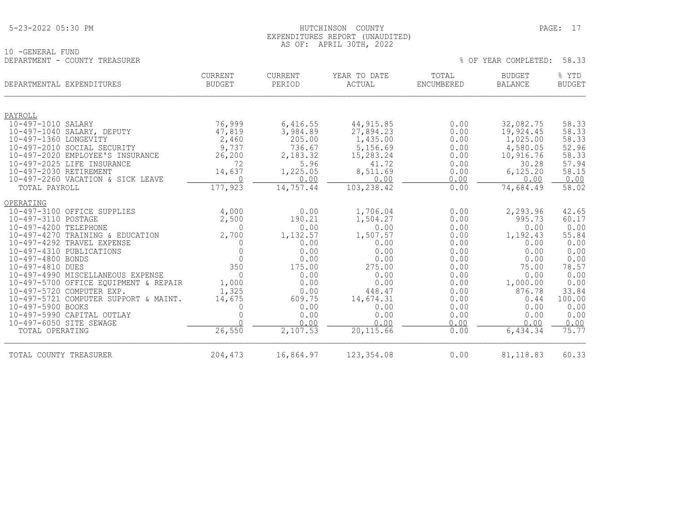|  | 5-23-2022 05:30 PM |  |  |
|--|--------------------|--|--|
|--|--------------------|--|--|

10 -GENERAL FUND

## HUTCHINSON COUNTY PAGE: 17 EXPENDITURES REPORT (UNAUDITED) AS OF: APRIL 30TH, 2022

| UINI                         |                    |        |     |                             |                           | $\sim$ $\sim$ |
|------------------------------|--------------------|--------|-----|-----------------------------|---------------------------|---------------|
|                              | חיית ספו.<br>LUTIN | .      | ⊷∸∸ | $m \wedge m$<br>- - - - - - | א וווש<br><b>DODOLI</b>   | VMF<br>∸∸ ⊥   |
| . .<br>TURES<br>.<br>--<br>. | DU JI JI TP 1 1    | .<br>. | .   | .<br>.                      | 3707<br>٢Д<br>۰. د .<br>. | .             |

|  |  |  | % OF YEAR COMPLETED: | 58.33 |  |  |
|--|--|--|----------------------|-------|--|--|
|--|--|--|----------------------|-------|--|--|

| DEPARTMENTAL EXPENDITURES                            | CURRENT<br><b>BUDGET</b> | <b>CURRENT</b><br>PERIOD | YEAR TO DATE<br><b>ACTUAL</b> | TOTAL<br>ENCUMBERED | <b>BUDGET</b><br><b>BALANCE</b> | % YTD<br><b>BUDGET</b> |
|------------------------------------------------------|--------------------------|--------------------------|-------------------------------|---------------------|---------------------------------|------------------------|
| PAYROLL                                              |                          |                          |                               |                     |                                 |                        |
| 10-497-1010 SALARY                                   | 76,999                   | 6,416.55                 | 44, 915.85                    | 0.00                | 32,082.75                       | 58.33                  |
| 10-497-1040 SALARY, DEPUTY                           | 47,819                   | 3,984.89                 | 27,894.23                     | 0.00                | 19,924.45                       | 58.33                  |
| 10-497-1360 LONGEVITY<br>10-497-2010 SOCIAL SECURITY | 2,460<br>9,737           | 205.00<br>736.67         | 1,435.00<br>5,156.69          | 0.00<br>0.00        | 1,025.00<br>4,580.05            | 58.33<br>52.96         |
| 10-497-2020 EMPLOYEE'S INSURANCE                     | 26, 200                  | 2,183.32                 | 15,283.24                     | 0.00                | 10,916.76                       | 58.33                  |
| 10-497-2025 LIFE INSURANCE                           | 72                       | 5.96                     | 41.72                         | 0.00                | 30.28                           | 57.94                  |
| 10-497-2030 RETIREMENT                               | 14,637                   | 1,225.05                 | 8,511.69                      | 0.00                | 6, 125.20                       | 58.15                  |
| 10-497-2260 VACATION & SICK LEAVE                    | $\bigcap$                | 0.00                     | 0.00                          | 0.00                | 0.00                            | 0.00                   |
| TOTAL PAYROLL                                        | 177,923                  | 14,757.44                | 103, 238.42                   | 0.00                | 74,684.49                       | 58.02                  |
| OPERATING                                            |                          |                          |                               |                     |                                 |                        |
| 10-497-3100 OFFICE SUPPLIES                          | 4,000                    | 0.00                     | 1,706.04                      | 0.00                | 2,293.96                        | 42.65                  |
| 10-497-3110 POSTAGE                                  | 2,500                    | 190.21                   | 1,504.27                      | 0.00                | 995.73                          | 60.17                  |
| 10-497-4200 TELEPHONE                                | $\Omega$                 | 0.00                     | 0.00                          | 0.00                | 0.00                            | 0.00                   |
| 10-497-4270 TRAINING & EDUCATION                     | 2,700                    | 1,132.57                 | 1,507.57                      | 0.00                | 1,192.43                        | 55.84                  |
| 10-497-4292 TRAVEL EXPENSE                           | $\Omega$                 | 0.00                     | 0.00                          | 0.00                | 0.00                            | 0.00                   |
| 10-497-4310 PUBLICATIONS<br>10-497-4800 BONDS        | $\Omega$<br>$\Omega$     | 0.00<br>0.00             | 0.00<br>0.00                  | 0.00<br>0.00        | 0.00<br>0.00                    | 0.00<br>0.00           |
| 10-497-4810 DUES                                     | 350                      | 175.00                   | 275.00                        | 0.00                | 75.00                           | 78.57                  |
| 10-497-4990 MISCELLANEOUS EXPENSE                    | $\Omega$                 | 0.00                     | 0.00                          | 0.00                | 0.00                            | 0.00                   |
| 10-497-5700 OFFICE EQUIPMENT & REPAIR                | 1,000                    | 0.00                     | 0.00                          | 0.00                | 1,000.00                        | 0.00                   |
| 10-497-5720 COMPUTER EXP.                            | 1,325                    | 0.00                     | 448.47                        | 0.00                | 876.78                          | 33.84                  |
| 10-497-5721 COMPUTER SUPPORT & MAINT.                | 14,675                   | 609.75                   | 14,674.31                     | 0.00                | 0.44                            | 100.00                 |
| 10-497-5900 BOOKS                                    | $\Omega$                 | 0.00                     | 0.00                          | 0.00                | 0.00                            | 0.00                   |
| 10-497-5990 CAPITAL OUTLAY                           | $\Omega$                 | 0.00                     | 0.00                          | 0.00                | 0.00                            | 0.00                   |
| 10-497-6050 SITE SEWAGE                              |                          | 0.00                     | 0.00                          | 0.00                | 0.00                            | 0.00                   |
| TOTAL OPERATING                                      | 26,550                   | 2,107.53                 | 20, 115.66                    | 0.00                | 6,434.34                        | 75.77                  |
| TOTAL COUNTY TREASURER                               | 204,473                  | 16,864.97                | 123, 354.08                   | 0.00                | 81, 118.83                      | 60.33                  |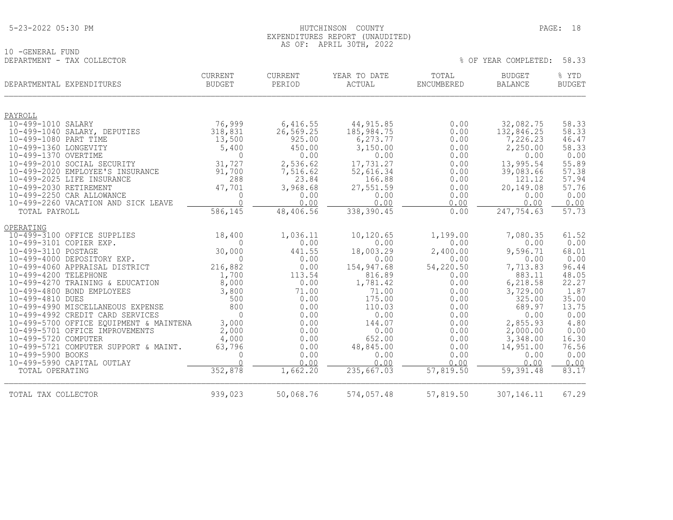## HUTCHINSON COUNTY PAGE: 18 EXPENDITURES REPORT (UNAUDITED) AS OF: APRIL 30TH, 2022

% OF YEAR COMPLETED: 58.33

10 -GENERAL FUND<br>DEPARTMENT - TAX COLLECTOR

| DEPARTMENTAL EXPENDITURES                             | <b>CURRENT</b><br><b>BUDGET</b> | CURRENT<br>PERIOD      | YEAR TO DATE<br>ACTUAL    | TOTAL<br><b>ENCUMBERED</b> | <b>BUDGET</b><br><b>BALANCE</b> | % YTD<br><b>BUDGET</b> |
|-------------------------------------------------------|---------------------------------|------------------------|---------------------------|----------------------------|---------------------------------|------------------------|
|                                                       |                                 |                        |                           |                            |                                 |                        |
| PAYROLL<br>10-499-1010 SALARY                         |                                 |                        |                           | 0.00                       |                                 | 58.33                  |
| 10-499-1040 SALARY, DEPUTIES                          | 76,999<br>318,831               | 6,416.55<br>26, 569.25 | 44, 915.85<br>185, 984.75 | 0.00                       | 32,082.75<br>132,846.25         | 58.33                  |
| 10-499-1080 PART TIME                                 | 13,500                          | 925.00                 | 6,273.77                  | 0.00                       | 7,226.23                        | 46.47                  |
| 10-499-1360 LONGEVITY                                 | 5,400                           | 450.00                 | 3,150.00                  | 0.00                       | 2,250.00                        | 58.33                  |
| 10-499-1370 OVERTIME                                  | $\Omega$                        | 0.00                   | 0.00                      | 0.00                       | 0.00                            | 0.00                   |
| 10-499-2010 SOCIAL SECURITY                           | 31,727                          | 2,536.62               | 17,731.27                 | 0.00                       | 13,995.54                       | 55.89                  |
| 10-499-2020 EMPLOYEE'S INSURANCE                      | 91,700                          | 7,516.62               | 52,616.34                 | 0.00                       | 39,083.66                       | 57.38                  |
| 10-499-2025 LIFE INSURANCE                            | 288                             | 23.84                  | 166.88                    | 0.00                       | 121.12                          | 57.94                  |
| 10-499-2030 RETIREMENT                                | 47,701                          | 3,968.68               | 27,551.59                 | 0.00                       | 20,149.08                       | 57.76                  |
| 10-499-2250 CAR ALLOWANCE                             | $\mathbf{0}$<br>$\cap$          | 0.00                   | 0.00                      | 0.00                       | 0.00                            | 0.00                   |
| 10-499-2260 VACATION AND SICK LEAVE                   |                                 | 0.00                   | 0.00                      | 0.00                       | 0.00                            | 0.00<br>57.73          |
| TOTAL PAYROLL                                         | 586,145                         | 48,406.56              | 338,390.45                | 0.00                       | 247,754.63                      |                        |
| OPERATING                                             |                                 |                        |                           |                            |                                 |                        |
| 10-499-3100 OFFICE SUPPLIES                           | 18,400                          | 1,036.11               | 10,120.65                 | 1,199.00                   | 7,080.35                        | 61.52                  |
| 10-499-3101 COPIER EXP.                               | $\Omega$                        | 0.00                   | 0.00                      | 0.00                       | 0.00                            | 0.00                   |
| 10-499-3110 POSTAGE                                   | 30,000                          | 441.55                 | 18,003.29                 | 2,400.00                   | 9,596.71                        | 68.01                  |
| 10-499-4000 DEPOSITORY EXP.                           | $\Omega$                        | 0.00                   | 0.00                      | 0.00                       | 0.00                            | 0.00                   |
| 10-499-4060 APPRAISAL DISTRICT                        | 216,882                         | 0.00                   | 154,947.68                | 54,220.50                  | 7,713.83                        | 96.44                  |
| 10-499-4200 TELEPHONE                                 | 1,700                           | 113.54                 | 816.89                    | 0.00                       | 883.11                          | 48.05                  |
| 10-499-4270 TRAINING & EDUCATION                      | 8,000                           | 0.00                   | 1,781.42                  | 0.00                       | 6,218.58                        | 22.27                  |
| 10-499-4800 BOND EMPLOYEES                            | 3,800<br>500                    | 71.00<br>0.00          | 71.00<br>175.00           | 0.00<br>0.00               | 3,729.00<br>325.00              | 1.87                   |
| 10-499-4810 DUES<br>10-499-4990 MISCELLANEOUS EXPENSE | 800                             | 0.00                   | 110.03                    | 0.00                       | 689.97                          | 35.00<br>13.75         |
| 10-499-4992 CREDIT CARD SERVICES                      | $\Omega$                        | 0.00                   | 0.00                      | 0.00                       | 0.00                            | 0.00                   |
| 10-499-5700 OFFICE EQUIPMENT & MAINTENA               | 3,000                           | 0.00                   | 144.07                    | 0.00                       | 2,855.93                        | 4.80                   |
| 10-499-5701 OFFICE IMPROVEMENTS                       | 2,000                           | 0.00                   | 0.00                      | 0.00                       | 2,000.00                        | 0.00                   |
| 10-499-5720 COMPUTER                                  | 4,000                           | 0.00                   | 652.00                    | 0.00                       | 3,348.00                        | 16.30                  |
| 10-499-5721 COMPUTER SUPPORT & MAINT.                 | 63,796                          | 0.00                   | 48,845.00                 | 0.00                       | 14,951.00                       | 76.56                  |
| 10-499-5900 BOOKS                                     | $\mathbf{0}$                    | 0.00                   | 0.00                      | 0.00                       | 0.00                            | 0.00                   |
| 10-499-5990 CAPITAL OUTLAY                            | $\cap$                          | 0.00                   | 0.00                      | 0.00                       | 0.00                            | 0.00                   |
| TOTAL OPERATING                                       | 352,878                         | 1,662.20               | 235,667.03                | 57,819.50                  | 59,391.48                       | 83.17                  |
| TOTAL TAX COLLECTOR                                   | 939,023                         | 50,068.76              | 574,057.48                | 57,819.50                  | 307,146.11                      | 67.29                  |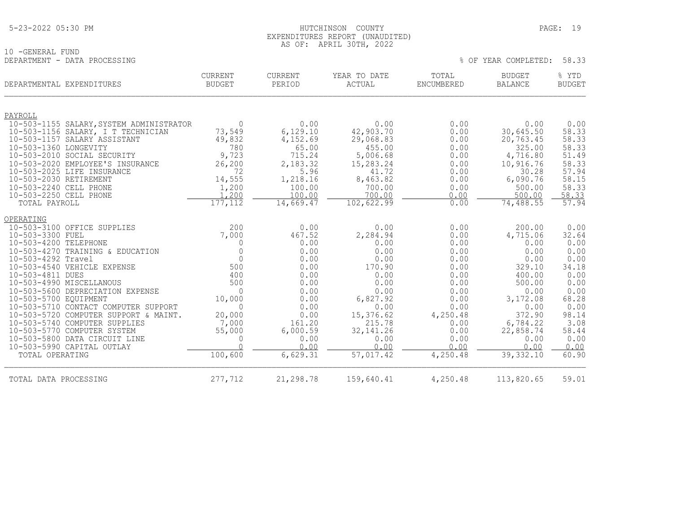| 5-23-2022 05:30 PM |
|--------------------|
|--------------------|

## HUTCHINSON COUNTY PAGE: 19 EXPENDITURES REPORT (UNAUDITED) AS OF: APRIL 30TH, 2022

% OF YEAR COMPLETED: 58.33

10 -GENERAL FUND<br>DEPARTMENT - DATA PROCESSING

| DEPARTMENTAL EXPENDITURES                        |                                          | CURRENT<br><b>BUDGET</b> | <b>CURRENT</b><br>PERIOD | YEAR TO DATE<br>ACTUAL | TOTAL<br>ENCUMBERED | <b>BUDGET</b><br><b>BALANCE</b> | % YTD<br><b>BUDGET</b> |
|--------------------------------------------------|------------------------------------------|--------------------------|--------------------------|------------------------|---------------------|---------------------------------|------------------------|
| PAYROLL                                          |                                          |                          |                          |                        |                     |                                 |                        |
|                                                  | 10-503-1155 SALARY, SYSTEM ADMINISTRATOR | $\Omega$                 | 0.00                     | 0.00                   | 0.00                | 0.00                            | 0.00                   |
| 10-503-1157 SALARY ASSISTANT                     | 10-503-1156 SALARY, I T TECHNICIAN       | 73,549<br>49,832         | 6,129.10<br>4,152.69     | 42,903.70<br>29,068.83 | 0.00<br>0.00        | 30,645.50<br>20,763.45          | 58.33<br>58.33         |
| 10-503-1360 LONGEVITY                            |                                          | 780                      | 65.00                    | 455.00                 | 0.00                | 325.00                          | 58.33                  |
| 10-503-2010 SOCIAL SECURITY                      |                                          | 9,723                    | 715.24                   | 5,006.68               | 0.00                | 4,716.80                        | 51.49                  |
|                                                  | 10-503-2020 EMPLOYEE'S INSURANCE         | 26,200                   | 2,183.32                 | 15,283.24              | 0.00                | 10,916.76                       | 58.33                  |
| 10-503-2025 LIFE INSURANCE                       |                                          | 72                       | 5.96                     | 41.72                  | 0.00                | 30.28                           | 57.94                  |
| 10-503-2030 RETIREMENT<br>10-503-2240 CELL PHONE |                                          | 14,555<br>1,200          | 1,218.16<br>100.00       | 8,463.82<br>700.00     | 0.00<br>0.00        | 6,090.76<br>500.00              | 58.15<br>58.33         |
| 10-503-2250 CELL PHONE                           |                                          | 1,200                    | 100.00                   | 700.00                 | 0.00                | 500.00                          | 58.33                  |
| TOTAL PAYROLL                                    |                                          | 177,112                  | 14,669.47                | 102,622.99             | 0.00                | 74,488.55                       | 57.94                  |
| OPERATING                                        |                                          |                          |                          |                        |                     |                                 |                        |
| 10-503-3100 OFFICE SUPPLIES                      |                                          | 200                      | 0.00                     | 0.00                   | 0.00                | 200.00                          | 0.00                   |
| 10-503-3300 FUEL                                 |                                          | 7,000                    | 467.52                   | 2,284.94               | 0.00                | 4,715.06                        | 32.64                  |
| 10-503-4200 TELEPHONE                            |                                          | 0                        | 0.00                     | 0.00                   | 0.00                | 0.00                            | 0.00                   |
| 10-503-4292 Travel                               | 10-503-4270 TRAINING & EDUCATION         | $\mathbf{0}$<br>$\Omega$ | 0.00<br>0.00             | 0.00<br>0.00           | 0.00<br>0.00        | 0.00<br>0.00                    | 0.00<br>0.00           |
| 10-503-4540 VEHICLE EXPENSE                      |                                          | 500                      | 0.00                     | 170.90                 | 0.00                | 329.10                          | 34.18                  |
| 10-503-4811 DUES                                 |                                          | 400                      | 0.00                     | 0.00                   | 0.00                | 400.00                          | 0.00                   |
| 10-503-4990 MISCELLANOUS                         |                                          | 500                      | 0.00                     | 0.00                   | 0.00                | 500.00                          | 0.00                   |
|                                                  | 10-503-5600 DEPRECIATION EXPENSE         | $\Omega$                 | 0.00                     | 0.00                   | 0.00                | 0.00                            | 0.00                   |
| 10-503-5700 EOUIPMENT                            | 10-503-5710 CONTACT COMPUTER SUPPORT     | 10,000<br>$\Omega$       | 0.00<br>0.00             | 6,827.92<br>0.00       | 0.00<br>0.00        | 3,172.08<br>0.00                | 68.28<br>0.00          |
|                                                  | 10-503-5720 COMPUTER SUPPORT & MAINT.    | 20,000                   | 0.00                     | 15,376.62              | 4,250.48            | 372.90                          | 98.14                  |
| 10-503-5740 COMPUTER SUPPLIES                    |                                          | 7,000                    | 161.20                   | 215.78                 | 0.00                | 6,784.22                        | 3.08                   |
| 10-503-5770 COMPUTER SYSTEM                      |                                          | 55,000                   | 6,000.59                 | 32, 141. 26            | 0.00                | 22,858.74                       | 58.44                  |
| 10-503-5800 DATA CIRCUIT LINE                    |                                          | $\mathbf{0}$             | 0.00                     | 0.00                   | 0.00                | 0.00                            | 0.00                   |
| 10-503-5990 CAPITAL OUTLAY                       |                                          | $\Omega$                 | 0.00                     | 0.00                   | 0.00                | 0.00                            | 0.00                   |
| TOTAL OPERATING                                  |                                          | 100,600                  | 6,629.31                 | 57,017.42              | 4,250.48            | 39, 332.10                      | 60.90                  |
| TOTAL DATA PROCESSING                            |                                          | 277,712                  | 21,298.78                | 159,640.41             | 4,250.48            | 113,820.65                      | 59.01                  |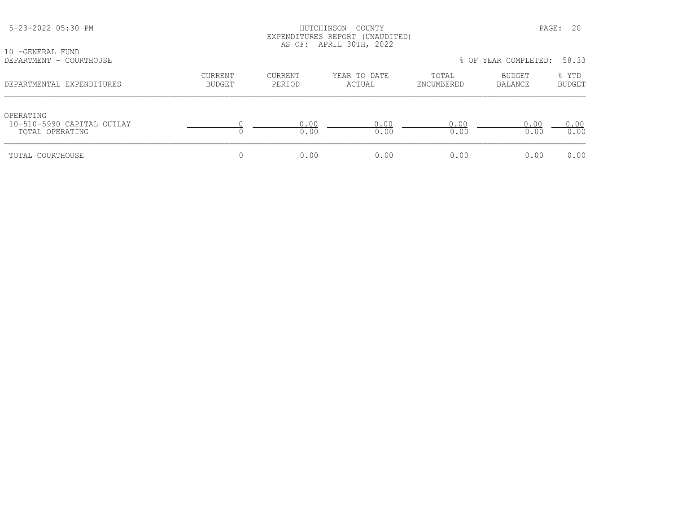| 10 - GENERAL FUND                                          |                   |                          | EXPENDITURES REPORT (UNAUDITED)<br>AS OF: APRIL 30TH, 2022 |                     |                            |                        |
|------------------------------------------------------------|-------------------|--------------------------|------------------------------------------------------------|---------------------|----------------------------|------------------------|
| DEPARTMENT - COURTHOUSE                                    |                   |                          |                                                            |                     | % OF YEAR COMPLETED: 58.33 |                        |
| DEPARTMENTAL EXPENDITURES                                  | CURRENT<br>BUDGET | <b>CURRENT</b><br>PERIOD | YEAR TO DATE<br>ACTUAL                                     | TOTAL<br>ENCUMBERED | BUDGET<br><b>BALANCE</b>   | % YTD<br><b>BUDGET</b> |
| OPERATING<br>10-510-5990 CAPITAL OUTLAY<br>TOTAL OPERATING |                   | 0.00<br>0.00             | 0.00<br>0.00                                               | 0.00<br>0.00        | 0.00<br>0.00               | 0.00<br>0.00           |
| TOTAL COURTHOUSE                                           |                   | 0.00                     | 0.00                                                       | 0.00                | 0.00                       | 0.00                   |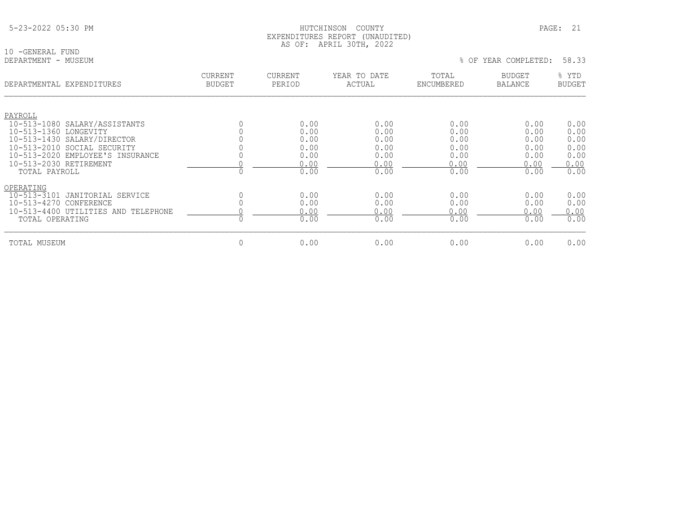|--|

10 -GENERAL FUND<br>DEPARTMENT - MUSEUM

| DEPARTMENTAL EXPENDITURES               | <b>CURRENT</b><br><b>BUDGET</b> | CURRENT<br>PERIOD | YEAR TO DATE<br>ACTUAL | TOTAL<br>ENCUMBERED | <b>BUDGET</b><br><b>BALANCE</b> | % YTD<br><b>BUDGET</b> |
|-----------------------------------------|---------------------------------|-------------------|------------------------|---------------------|---------------------------------|------------------------|
|                                         |                                 |                   |                        |                     |                                 |                        |
| PAYROLL                                 |                                 |                   |                        |                     |                                 |                        |
| 10-513-1080 SALARY/ASSISTANTS           |                                 | 0.00              | 0.00                   | 0.00                | 0.00                            | 0.00                   |
| 10-513-1360 LONGEVITY                   |                                 | 0.00              | 0.00                   | 0.00                | 0.00                            | 0.00                   |
| 10-513-1430 SALARY/DIRECTOR             |                                 | 0.00              | 0.00                   | 0.00                | 0.00                            | 0.00                   |
| 10-513-2010 SOCIAL SECURITY             |                                 | 0.00              | 0.00                   | 0.00                | 0.00                            | 0.00                   |
| 10-513-2020 EMPLOYEE'S INSURANCE        |                                 | 0.00              | 0.00                   | 0.00                | 0.00                            | 0.00                   |
| 10-513-2030 RETIREMENT                  |                                 | 0.00              | 0.00                   | 0.00                | 0.00                            | 0.00                   |
| TOTAL PAYROLL                           |                                 | 0.00              | 0.00                   | 0.00                | 0.00                            | 0.00                   |
| OPERATING                               |                                 |                   |                        |                     |                                 |                        |
| $10 - 513 - 3101$<br>JANITORIAL SERVICE |                                 | 0.00              | 0.00                   | 0.00                | 0.00                            | 0.00                   |
| 10-513-4270 CONFERENCE                  |                                 | 0.00              | 0.00                   | 0.00                | 0.00                            | 0.00                   |
| 10-513-4400 UTILITIES AND TELEPHONE     |                                 | 0.00              | 0.00                   | 0.00                | 0.00                            | 0.00                   |
| TOTAL OPERATING                         |                                 | 0.00              | 0.00                   | 0.00                | 0.00                            | 0.00                   |
| TOTAL MUSEUM                            | 0                               | 0.00              | 0.00                   | 0.00                | 0.00                            | 0.00                   |
|                                         |                                 |                   |                        |                     |                                 |                        |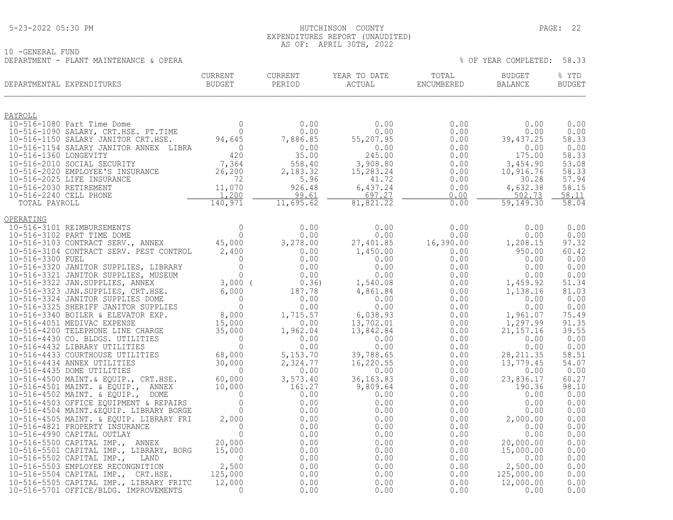## 5-23-2022 05:30 PM HUTCHINSON COUNTY PAGE: 22 EXPENDITURES REPORT (UNAUDITED) AS OF: APRIL 30TH, 2022

10 -GENERAL FUND DEPARTMENT - PLANT MAINTENANCE & OPERA % OF YEAR COMPLETED: 58.33

| UURRENT<br>DEPARTMENTAL EXPENDITURES                                                                                                                                                                                                                                                             | CURRENT   | CURRENT<br>PERIOD | YEAR TO DATE<br>ACTUAL ENCUMBERED | TOTAL | BUDGET<br>BALANCE                     | % YTD<br><b>BUDGET</b> |
|--------------------------------------------------------------------------------------------------------------------------------------------------------------------------------------------------------------------------------------------------------------------------------------------------|-----------|-------------------|-----------------------------------|-------|---------------------------------------|------------------------|
| <u>PAYROLL</u>                                                                                                                                                                                                                                                                                   |           |                   |                                   |       |                                       |                        |
| $\begin{tabular}{l c c c c c} \multicolumn{1}{c}{\textbf{PAYROLL}} & & & & & & & 0 & 0.00 & 0.00 & 0.00 & 0.00 & 0.00 & 0.00 & 0.00 & 0.00 & 0.00 & 0.00 & 0.00 & 0.00 & 0.00 & 0.00 & 0.00 & 0.00 & 0.00 & 0.00 & 0.00 & 0.00 & 0.00 & 0.00 & 0.00 & 0.00 & 0.00 & 0.00 & 0.00 & 0.00 & 0.00 &$ |           |                   |                                   |       | 0.00                                  | 0.00                   |
|                                                                                                                                                                                                                                                                                                  |           |                   |                                   |       | 0.00                                  | 0.00                   |
|                                                                                                                                                                                                                                                                                                  |           |                   |                                   |       | 39,437.25                             | 58.33<br>0.00          |
|                                                                                                                                                                                                                                                                                                  |           |                   |                                   |       | $0.00$<br>175.00                      | 58.33                  |
|                                                                                                                                                                                                                                                                                                  |           |                   |                                   |       | 3,454.90                              | 53.08                  |
|                                                                                                                                                                                                                                                                                                  |           |                   |                                   |       | 10,916.76<br>30.28                    | 58.33<br>57.94         |
|                                                                                                                                                                                                                                                                                                  |           |                   |                                   |       | 4,632.38                              | 58.15                  |
|                                                                                                                                                                                                                                                                                                  |           |                   |                                   |       | 502.73                                | 58.11                  |
|                                                                                                                                                                                                                                                                                                  |           |                   |                                   |       | 59,149.30                             | 58.04                  |
| OPERATING                                                                                                                                                                                                                                                                                        |           |                   |                                   |       |                                       |                        |
|                                                                                                                                                                                                                                                                                                  |           |                   |                                   |       |                                       | 0.00                   |
|                                                                                                                                                                                                                                                                                                  |           |                   |                                   |       |                                       | 0.00<br>97.32          |
|                                                                                                                                                                                                                                                                                                  |           |                   |                                   |       |                                       | 60.42                  |
|                                                                                                                                                                                                                                                                                                  |           |                   |                                   |       |                                       | 0.00                   |
|                                                                                                                                                                                                                                                                                                  |           |                   |                                   |       |                                       | 0.00                   |
|                                                                                                                                                                                                                                                                                                  |           |                   |                                   |       |                                       | 0.00<br>51.34          |
|                                                                                                                                                                                                                                                                                                  |           |                   |                                   |       |                                       | 81.03                  |
|                                                                                                                                                                                                                                                                                                  |           |                   |                                   |       |                                       | 0.00                   |
|                                                                                                                                                                                                                                                                                                  |           |                   |                                   |       |                                       | 0.00                   |
|                                                                                                                                                                                                                                                                                                  |           |                   |                                   |       |                                       | 75.49<br>91.35         |
|                                                                                                                                                                                                                                                                                                  |           |                   |                                   |       |                                       | 39.55                  |
|                                                                                                                                                                                                                                                                                                  |           |                   |                                   |       |                                       | 0.00                   |
|                                                                                                                                                                                                                                                                                                  |           |                   |                                   |       |                                       | 0.00<br>58.51          |
|                                                                                                                                                                                                                                                                                                  |           |                   |                                   |       |                                       | 54.07                  |
|                                                                                                                                                                                                                                                                                                  |           |                   |                                   |       |                                       | 0.00                   |
|                                                                                                                                                                                                                                                                                                  |           |                   |                                   |       |                                       | 60.27<br>98.10         |
|                                                                                                                                                                                                                                                                                                  |           |                   |                                   |       |                                       | 0.00                   |
|                                                                                                                                                                                                                                                                                                  |           |                   |                                   |       |                                       | 0.00                   |
|                                                                                                                                                                                                                                                                                                  |           |                   |                                   |       |                                       | 0.00                   |
|                                                                                                                                                                                                                                                                                                  |           |                   |                                   |       |                                       | 0.00<br>0.00           |
|                                                                                                                                                                                                                                                                                                  |           |                   |                                   |       |                                       | 0.00                   |
|                                                                                                                                                                                                                                                                                                  |           |                   |                                   |       |                                       | 0.00                   |
|                                                                                                                                                                                                                                                                                                  |           |                   |                                   |       |                                       | 0.00                   |
|                                                                                                                                                                                                                                                                                                  |           |                   |                                   |       |                                       | 0.00<br>0.00           |
|                                                                                                                                                                                                                                                                                                  |           |                   |                                   |       | $2,500.00$<br>125,000.00<br>12,000.00 | 0.00                   |
| 10-516-5505 CAPITAL IMP., LIBRARY FRITC                                                                                                                                                                                                                                                          | 12,000    | 0.00              | 0.00                              | 0.00  |                                       | 0.00                   |
| 10-516-5701 OFFICE/BLDG. IMPROVEMENTS                                                                                                                                                                                                                                                            | $\bigcap$ | 0.00              | 0.00                              | 0.00  | 0.00                                  | 0.00                   |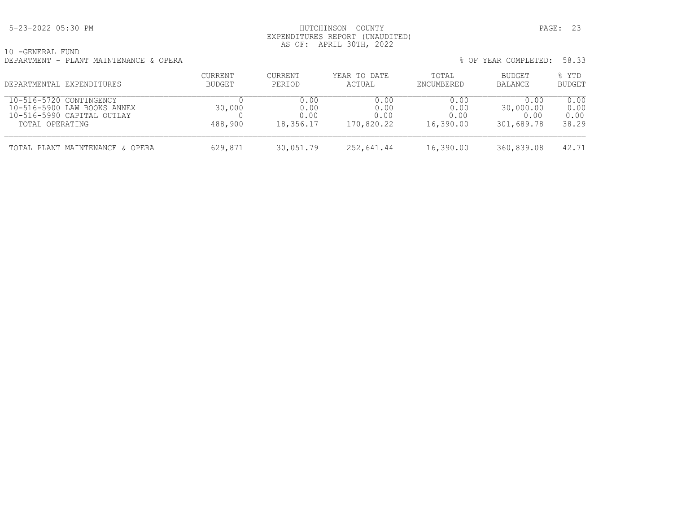## 5-23-2022 05:30 PM HUTCHINSON COUNTY PAGE: 23 EXPENDITURES REPORT (UNAUDITED) AS OF: APRIL 30TH, 2022

| 10 - GENERAL FUND |  |                                        |  |
|-------------------|--|----------------------------------------|--|
|                   |  | DEPARTMENT - PLANT MAINTENANCE & OPERA |  |

| $\pm U$ GEREAGED FUND<br>DEPARTMENT - PLANT MAINTENANCE & OPERA                      |                   |                      |                        |                      | % OF YEAR COMPLETED:      | 58.33                  |
|--------------------------------------------------------------------------------------|-------------------|----------------------|------------------------|----------------------|---------------------------|------------------------|
| DEPARTMENTAL EXPENDITURES                                                            | CURRENT<br>BUDGET | CURRENT<br>PERIOD    | YEAR TO DATE<br>ACTUAL | TOTAL<br>ENCUMBERED  | BUDGET<br>BALANCE         | % YTD<br><b>BUDGET</b> |
| 10-516-5720 CONTINGENCY<br>10-516-5900 LAW BOOKS ANNEX<br>10-516-5990 CAPITAL OUTLAY | 30,000            | 0.00<br>0.00<br>0.00 | 0.00<br>0.00<br>0.00   | 0.00<br>0.00<br>0.00 | 0.00<br>30,000.00<br>0.00 | 0.00<br>0.00<br>0.00   |
| TOTAL OPERATING                                                                      | 488,900           | 18,356.17            | 170,820.22             | 16,390.00            | 301,689.78                | 38.29                  |
| TOTAL PLANT MAINTENANCE & OPERA                                                      | 629,871           | 30,051.79            | 252,641.44             | 16,390.00            | 360,839.08                | 42.71                  |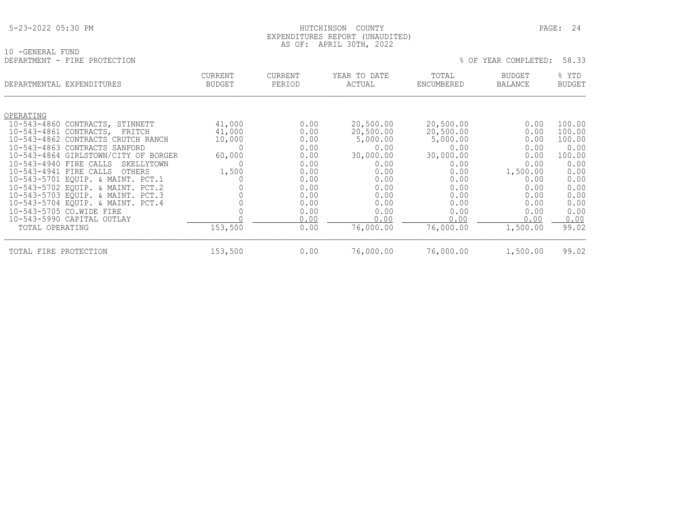## HUTCHINSON COUNTY PAGE: 24 EXPENDITURES REPORT (UNAUDITED) AS OF: APRIL 30TH, 2022

|                                 |                                     |                                                                                      |                                                                                                    |                                                                                                    | 58.33                                                                                                            |
|---------------------------------|-------------------------------------|--------------------------------------------------------------------------------------|----------------------------------------------------------------------------------------------------|----------------------------------------------------------------------------------------------------|------------------------------------------------------------------------------------------------------------------|
| <b>CURRENT</b><br><b>BUDGET</b> | CURRENT<br>PERIOD                   | YEAR TO DATE<br>ACTUAL                                                               | TOTAL<br>ENCUMBERED                                                                                | BUDGET<br><b>BALANCE</b>                                                                           | % YTD<br><b>BUDGET</b>                                                                                           |
|                                 |                                     |                                                                                      |                                                                                                    |                                                                                                    |                                                                                                                  |
| 41,000                          | 0.00                                | 20,500.00                                                                            | 20,500.00                                                                                          | 0.00                                                                                               | 100.00                                                                                                           |
|                                 |                                     |                                                                                      |                                                                                                    |                                                                                                    | 100.00                                                                                                           |
|                                 |                                     |                                                                                      |                                                                                                    |                                                                                                    | 100.00                                                                                                           |
|                                 |                                     |                                                                                      |                                                                                                    |                                                                                                    | 0.00<br>100.00                                                                                                   |
|                                 |                                     |                                                                                      |                                                                                                    |                                                                                                    |                                                                                                                  |
|                                 |                                     |                                                                                      |                                                                                                    |                                                                                                    | 0.00<br>0.00                                                                                                     |
|                                 |                                     |                                                                                      |                                                                                                    |                                                                                                    | 0.00                                                                                                             |
|                                 |                                     |                                                                                      |                                                                                                    |                                                                                                    | 0.00                                                                                                             |
|                                 |                                     |                                                                                      |                                                                                                    |                                                                                                    | 0.00                                                                                                             |
|                                 |                                     |                                                                                      |                                                                                                    |                                                                                                    | 0.00                                                                                                             |
|                                 |                                     |                                                                                      |                                                                                                    |                                                                                                    | 0.00                                                                                                             |
|                                 | 0.00                                | 0.00                                                                                 | 0.00                                                                                               | 0.00                                                                                               | 0.00                                                                                                             |
| 153,500                         | 0.00                                | 76,000.00                                                                            | 76,000.00                                                                                          | 1,500.00                                                                                           | 99.02                                                                                                            |
|                                 | 41,000<br>10,000<br>60,000<br>1,500 | 0.00<br>0.00<br>0.00<br>0.00<br>0.00<br>0.00<br>0.00<br>0.00<br>0.00<br>0.00<br>0.00 | 20,500.00<br>5,000.00<br>0.00<br>30,000.00<br>0.00<br>0.00<br>0.00<br>0.00<br>0.00<br>0.00<br>0.00 | 20,500.00<br>5,000.00<br>0.00<br>30,000.00<br>0.00<br>0.00<br>0.00<br>0.00<br>0.00<br>0.00<br>0.00 | % OF YEAR COMPLETED:<br>0.00<br>0.00<br>0.00<br>0.00<br>0.00<br>1,500.00<br>0.00<br>0.00<br>0.00<br>0.00<br>0.00 |

TOTAL FIRE PROTECTION 153,500 0.00 76,000.00 76,000.00 1,500.00 99.02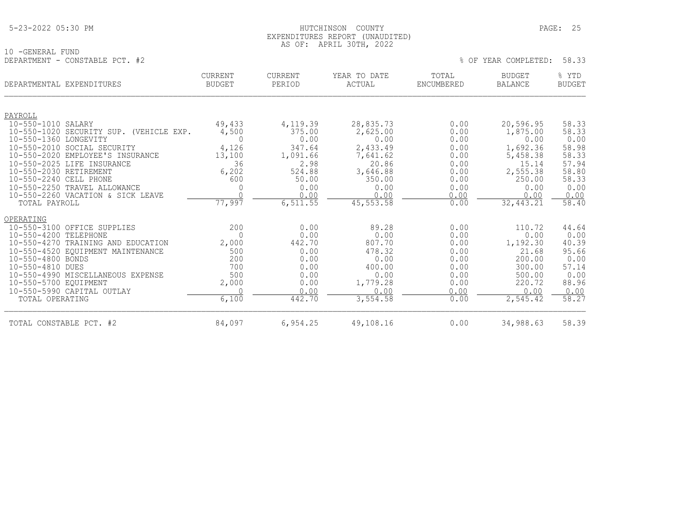|  | 5-23-2022 05:30 PM |  |  |
|--|--------------------|--|--|
|--|--------------------|--|--|

## 5-23-2022 05:30 PM HUTCHINSON COUNTY PAGE: 25 EXPENDITURES REPORT (UNAUDITED) AS OF: APRIL 30TH, 2022

10 -GENERAL FUND DEPARTMENT - CONSTABLE PCT. #2  $\%$  OF YEAR COMPLETED: 58.33

|                        | DEPARTMENTAL EXPENDITURES                                       | <b>CURRENT</b><br><b>BUDGET</b> | <b>CURRENT</b><br>PERIOD | YEAR TO DATE<br>ACTUAL | TOTAL<br>ENCUMBERED | <b>BUDGET</b><br><b>BALANCE</b> | % YTD<br><b>BUDGET</b> |
|------------------------|-----------------------------------------------------------------|---------------------------------|--------------------------|------------------------|---------------------|---------------------------------|------------------------|
|                        |                                                                 |                                 |                          |                        |                     |                                 |                        |
| PAYROLL                |                                                                 |                                 |                          |                        |                     |                                 |                        |
| 10-550-1010 SALARY     |                                                                 | 49,433                          | 4,119.39                 | 28,835.73              | 0.00                | 20,596.95                       | 58.33                  |
|                        | 10-550-1020 SECURITY SUP. (VEHICLE EXP.                         | 4,500                           | 375.00                   | 2,625.00               | 0.00                | 1,875.00                        | 58.33                  |
| 10-550-1360 LONGEVITY  |                                                                 | $\Omega$                        | 0.00                     | 0.00                   | 0.00                | 0.00                            | 0.00                   |
|                        | 10-550-2010 SOCIAL SECURITY<br>10-550-2020 EMPLOYEE'S INSURANCE | 4,126                           | 347.64                   | 2,433.49               | 0.00<br>0.00        | 1,692.36                        | 58.98<br>58.33         |
|                        | 10-550-2025 LIFE INSURANCE                                      | 13,100<br>36                    | 1,091.66                 | 7,641.62<br>20.86      |                     | 5,458.38<br>15.14               | 57.94                  |
| 10-550-2030 RETIREMENT |                                                                 | 6,202                           | 2.98<br>524.88           | 3,646.88               | 0.00<br>0.00        | 2,555.38                        | 58.80                  |
| 10-550-2240 CELL PHONE |                                                                 | 600                             | 50.00                    | 350.00                 | 0.00                | 250.00                          | 58.33                  |
|                        | 10-550-2250 TRAVEL ALLOWANCE                                    | 0                               | 0.00                     | 0.00                   | 0.00                | 0.00                            | 0.00                   |
|                        | 10-550-2260 VACATION & SICK LEAVE                               | $\cap$                          | 0.00                     | 0.00                   | 0.00                | 0.00                            | 0.00                   |
| TOTAL PAYROLL          |                                                                 | 77,997                          | 6, 511.55                | 45, 553. 58            | 0.00                | 32, 443.21                      | 58.40                  |
| OPERATING              |                                                                 |                                 |                          |                        |                     |                                 |                        |
|                        | 10-550-3100 OFFICE SUPPLIES                                     | 200                             | 0.00                     | 89.28                  | 0.00                | 110.72                          | 44.64                  |
| 10-550-4200 TELEPHONE  |                                                                 | $\Omega$                        | 0.00                     | 0.00                   | 0.00                | 0.00                            | 0.00                   |
|                        | 10-550-4270 TRAINING AND EDUCATION                              | 2,000                           | 442.70                   | 807.70                 | 0.00                | 1,192.30                        | 40.39                  |
|                        | 10-550-4520 EQUIPMENT MAINTENANCE                               | 500                             | 0.00                     | 478.32                 | 0.00                | 21.68                           | 95.66                  |
| 10-550-4800 BONDS      |                                                                 | 200                             | 0.00                     | 0.00                   | 0.00                | 200.00                          | 0.00                   |
| 10-550-4810 DUES       |                                                                 | 700                             | 0.00                     | 400.00                 | 0.00                | 300.00                          | 57.14                  |
|                        | 10-550-4990 MISCELLANEOUS EXPENSE                               | 500                             | 0.00                     | 0.00                   | 0.00                | 500.00                          | 0.00                   |
| 10-550-5700 EQUIPMENT  |                                                                 | 2,000                           | 0.00                     | 1,779.28               | 0.00                | 220.72                          | 88.96                  |
|                        | 10-550-5990 CAPITAL OUTLAY                                      | ∩                               | 0.00                     | 0.00                   | 0.00                | 0.00                            | 0.00                   |
| TOTAL OPERATING        |                                                                 | 6,100                           | 442.70                   | 3,554.58               | 0.00                | 2,545.42                        | 58.27                  |
|                        | TOTAL CONSTABLE PCT. #2                                         | 84,097                          | 6,954.25                 | 49,108.16              | 0.00                | 34,988.63                       | 58.39                  |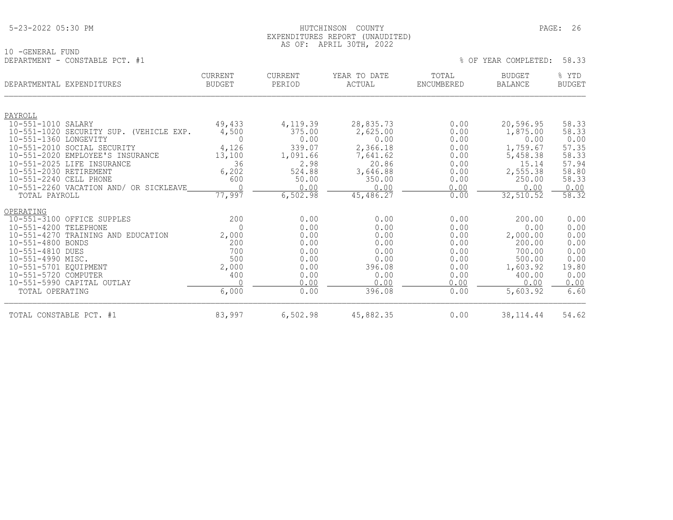## 5-23-2022 05:30 PM HUTCHINSON COUNTY PAGE: 26 EXPENDITURES REPORT (UNAUDITED) AS OF: APRIL 30TH, 2022

|                                | AU UI. ALIAL JUIII, 2022 |  |                            |  |
|--------------------------------|--------------------------|--|----------------------------|--|
| 10 -GENERAL FUND               |                          |  |                            |  |
| DEPARTMENT - CONSTABLE PCT. #1 |                          |  | % OF YEAR COMPLETED: 58.33 |  |

| DEPARTMENTAL EXPENDITURES                                        | <b>CURRENT</b><br><b>BUDGET</b> | <b>CURRENT</b><br>PERIOD | YEAR TO DATE<br>ACTUAL | TOTAL<br>ENCUMBERED | <b>BUDGET</b><br><b>BALANCE</b> | % YTD<br><b>BUDGET</b> |
|------------------------------------------------------------------|---------------------------------|--------------------------|------------------------|---------------------|---------------------------------|------------------------|
| PAYROLL                                                          |                                 |                          |                        |                     |                                 |                        |
| 10-551-1010 SALARY                                               | 49,433                          | 4,119.39                 | 28,835.73              | 0.00                | 20,596.95                       | 58.33                  |
| 10-551-1020 SECURITY SUP. (VEHICLE EXP.<br>10-551-1360 LONGEVITY | 4,500<br>$\Omega$               | 375.00<br>0.00           | 2,625.00<br>0.00       | 0.00<br>0.00        | 1,875.00<br>0.00                | 58.33<br>0.00          |
| 10-551-2010 SOCIAL SECURITY                                      | 4,126                           | 339.07                   | 2,366.18               | 0.00                | 1,759.67                        | 57.35                  |
| $10 - 551 - 2020$<br>EMPLOYEE'S INSURANCE                        | 13,100                          | 1,091.66                 | 7,641.62               | 0.00                | 5,458.38                        | 58.33                  |
| $10 - 551 - 2025$<br>LIFE INSURANCE                              | 36                              | 2.98                     | 20.86                  | 0.00                | 15.14                           | 57.94                  |
| 10-551-2030 RETIREMENT                                           | 6,202                           | 524.88                   | 3,646.88               | 0.00                | 2,555.38                        | 58.80                  |
| 10-551-2240 CELL PHONE                                           | 600                             | 50.00                    | 350.00                 | 0.00                | 250.00                          | 58.33                  |
| 10-551-2260 VACATION AND/ OR SICKLEAVE                           |                                 | 0.00                     | 0.00                   | 0.00                | 0.00                            | 0.00                   |
| TOTAL PAYROLL                                                    | 77,997                          | 6,502.98                 | 45,486.27              | 0.00                | 32,510.52                       | 58.32                  |
| OPERATING                                                        |                                 |                          |                        |                     |                                 |                        |
| 10-551-3100 OFFICE SUPPLES                                       | 200                             | 0.00                     | 0.00                   | 0.00                | 200.00                          | 0.00                   |
| 10-551-4200 TELEPHONE                                            | $\Omega$                        | 0.00                     | 0.00                   | 0.00                | 0.00                            | 0.00                   |
| 10-551-4270 TRAINING AND EDUCATION                               | 2,000                           | 0.00                     | 0.00                   | 0.00                | 2,000.00                        | 0.00                   |
| 10-551-4800 BONDS                                                | 200                             | 0.00                     | 0.00                   | 0.00                | 200.00                          | 0.00                   |
| 10-551-4810 DUES                                                 | 700                             | 0.00                     | 0.00                   | 0.00                | 700.00                          | 0.00                   |
| 10-551-4990 MISC.                                                | 500                             | 0.00                     | 0.00                   | 0.00                | 500.00                          | 0.00                   |
| 10-551-5701 EQUIPMENT                                            | 2,000                           | 0.00                     | 396.08                 | 0.00                | 1,603.92                        | 19.80                  |
| 10-551-5720 COMPUTER                                             | 400                             | 0.00<br>0.00             | 0.00<br>0.00           | 0.00<br>0.00        | 400.00<br>0.00                  | 0.00                   |
| 10-551-5990 CAPITAL OUTLAY                                       |                                 |                          |                        |                     |                                 | 0.00                   |
| TOTAL OPERATING                                                  | 6,000                           | 0.00                     | 396.08                 | 0.00                | 5,603.92                        | 6.60                   |
| TOTAL CONSTABLE PCT. #1                                          | 83,997                          | 6,502.98                 | 45,882.35              | 0.00                | 38, 114.44                      | 54.62                  |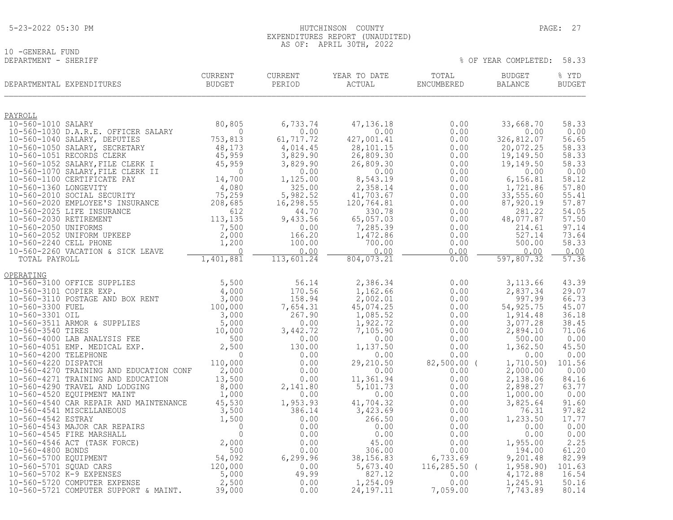|  | 5-23-2022 05:30 PM |  |
|--|--------------------|--|
|  |                    |  |

## 10 -GENERAL FUND<br>DEPARTMENT - SHERIFF

| DEPARTMENTAL EXPENDITURES                                           | <b>CURRENT</b><br><b>BUDGET</b>                                                           | <b>CURRENT</b><br>PERIOD | YEAR TO DATE<br>ACTUAL | TOTAL<br>ENCUMBERED | <b>BUDGET</b><br><b>BALANCE</b> | % YTD<br><b>BUDGET</b> |
|---------------------------------------------------------------------|-------------------------------------------------------------------------------------------|--------------------------|------------------------|---------------------|---------------------------------|------------------------|
| PAYROLL                                                             |                                                                                           |                          |                        |                     |                                 |                        |
| 10-560-1010 SALARY                                                  | 80,805                                                                                    | 6,733.74                 | 47, 136. 18            | 0.00                | 33,668.70                       | 58.33                  |
| 10-560-1030 D.A.R.E. OFFICER SALARY<br>10-560-1040 SALARY, DEPUTIES | $\Omega$<br>753,813                                                                       | 0.00<br>61,717.72        | 0.00<br>427,001.41     | 0.00<br>0.00        | 0.00<br>326,812.07              | 0.00<br>56.65          |
| 10-560-1050 SALARY, SECRETARY                                       | 48,173                                                                                    | 4,014.45                 | 28,101.15              | 0.00                | 20,072.25                       | 58.33                  |
| 10-560-1051 RECORDS CLERK                                           | 45,959                                                                                    | 3,829.90                 | 26,809.30              | 0.00                | 19,149.50                       | 58.33                  |
| 10-560-1052 SALARY, FILE CLERK I                                    | 45,959                                                                                    | 3,829.90                 | 26,809.30              | 0.00                | 19,149.50                       | 58.33                  |
| 10-560-1070 SALARY, FILE CLERK II                                   | $\Omega$                                                                                  | 0.00                     | 0.00                   | 0.00                | 0.00                            | 0.00                   |
| 10-560-1100 CERTIFICATE PAY<br>10-560-1360 LONGEVITY                | 14,700<br>4,080                                                                           | 1,125.00<br>325.00       | 8,543.19<br>2,358.14   | 0.00                | 6, 156.81<br>1,721.86           | 58.12<br>57.80         |
| 10-560-2010 SOCIAL SECURITY                                         | 75,259                                                                                    | 5,982.52                 | 41,703.67              | 0.00<br>0.00        | 33,555.60                       | 55.41                  |
| 10-560-2020 EMPLOYEE'S INSURANCE                                    | 208,685                                                                                   | 16, 298.55               | 120,764.81             | 0.00                | 87,920.19                       | 57.87                  |
| 10-560-2025 LIFE INSURANCE                                          | 612                                                                                       | 44.70                    | 330.78                 | 0.00                | 281.22                          | 54.05                  |
| 10-560-2030 RETIREMENT                                              | 113,135                                                                                   | 9,433.56                 | 65,057.03              | 0.00                | 48,077.87                       | 57.50                  |
| 10-560-2050 UNIFORMS<br>10-560-2052 UNIFORM UPKEEP                  | 7,500<br>2,000                                                                            | 0.00<br>166.20           | 7,285.39<br>1,472.86   | 0.00<br>0.00        | 214.61<br>527.14                | 97.14<br>73.64         |
| 10-560-2240 CELL PHONE                                              | 1,200                                                                                     | 100.00                   | 700.00                 | 0.00                | 500.00                          | 58.33                  |
| 10-560-2260 VACATION & SICK LEAVE                                   | $\mathbf 0$                                                                               | 0.00                     | 0.00                   | 0.00                | 0.00                            | 0.00                   |
| TOTAL PAYROLL                                                       | 1,401,881                                                                                 | 113,601.24               | 804,073.21             | 0.00                | 597,807.32                      | 57.36                  |
| OPERATING                                                           |                                                                                           |                          |                        |                     |                                 |                        |
| 10-560-3100 OFFICE SUPPLIES                                         | 5,500                                                                                     | 56.14                    | 2,386.34               | 0.00                | 3, 113.66                       | 43.39                  |
| 10-560-3101 COPIER EXP.                                             | 4,000                                                                                     | 170.56                   | 1,162.66               | 0.00                | 2,837.34                        | 29.07                  |
| 10-560-3110 POSTAGE AND BOX RENT                                    | 3,000                                                                                     | 158.94                   | 2,002.01               | 0.00                | 997.99                          | 66.73                  |
| 10-560-3300 FUEL<br>10-560-3301 OIL                                 | 100,000<br>3,000                                                                          | 7,654.31<br>267.90       | 45,074.25<br>1,085.52  | 0.00<br>0.00        | 54,925.75<br>1,914.48           | 45.07<br>36.18         |
| 10-560-3511 ARMOR & SUPPLIES                                        | 5,000                                                                                     | 0.00                     | 1,922.72               | 0.00                | 3,077.28                        | 38.45                  |
| 10-560-3540 TIRES                                                   | 10,000                                                                                    | 3,442.72                 | 7,105.90               | 0.00                | 2,894.10                        | 71.06                  |
| 10-560-4000 LAB ANALYSIS FEE                                        | 500                                                                                       | 0.00                     | 0.00                   | 0.00                | 500.00                          | 0.00                   |
| 10-560-4051 EMP. MEDICAL EXP.                                       | 2,500                                                                                     | 130.00                   | 1,137.50               | 0.00                | 1,362.50                        | 45.50                  |
| 10-560-4200 TELEPHONE<br>10-560-4220 DISPATCH                       | $\Omega$<br>110,000                                                                       | 0.00<br>0.00             | 0.00<br>29,210.50      | 0.00<br>82,500.00 ( | 0.00<br>1,710.50                | 0.00<br>101.56         |
| 10-560-4270 TRAINING AND EDUCATION CONF                             | 2,000                                                                                     | 0.00                     | 0.00                   | 0.00                | 2,000.00                        | 0.00                   |
| 10-560-4271 TRAINING AND EDUCATION                                  | 13,500                                                                                    | 0.00                     | 11,361.94              | 0.00                | 2,138.06                        | 84.16                  |
| 10-560-4290 TRAVEL AND LODGING                                      | 8,000                                                                                     | 2,141.80                 | 5,101.73               | 0.00                | 2,898.27                        | 63.77                  |
| 10-560-4520 EQUIPMENT MAINT                                         | 1,000                                                                                     | 0.00                     | 0.00                   | 0.00                | 1,000.00                        | 0.00                   |
| 10-560-4540 CAR REPAIR AND MAINTENANCE<br>10-560-4541 MISCELLANEOUS | 45,530                                                                                    | 1,953.93<br>386.14       | 41,704.32<br>3,423.69  | 0.00<br>0.00        | 3,825.64<br>76.31               | 91.60<br>97.82         |
| 10-560-4542 ESTRAY                                                  |                                                                                           | 0.00                     | 266.50                 | 0.00                | 1,233.50                        | 17.77                  |
| 10-560-4543 MAJOR CAR REPAIRS                                       |                                                                                           | 0.00                     | 0.00                   | 0.00                | 0.00                            | 0.00                   |
| 10-560-4545 FIRE MARSHALL                                           |                                                                                           | 0.00                     | 0.00                   | 0.00                | 0.00                            | 0.00                   |
| 10-560-4546 ACT (TASK FORCE)                                        |                                                                                           | 0.00                     | 45.00                  | 0.00                | 1,955.00                        | 2.25                   |
| 10-560-4800 BONDS<br>10-560-5700 EQUIPMENT                          |                                                                                           | 0.00<br>6,299.96         | 306.00<br>38, 156.83   | 0.00<br>6,733.69    | 194.00<br>9,201.48              | 61.20<br>82.99         |
| 10-560-5701 SQUAD CARS                                              |                                                                                           | 0.00                     | 5,673.40               | $116, 285.50$ (     | 1,958.90)                       | 101.63                 |
| 10-560-5702 K-9 EXPENSES                                            | MAINTENANCE<br>3,500<br>3,500<br>1,500<br>0<br>0<br>0<br>5,000<br>5,000<br>5,000<br>5,000 | 49.99                    | 827.12                 | 0.00                | 4,172.88                        | 16.54                  |
| 10-560-5720 COMPUTER EXPENSE                                        | 2,500                                                                                     | 0.00                     | 1,254.09               | 0.00                | 1,245.91                        | 50.16                  |
| 10-560-5721 COMPUTER SUPPORT & MAINT.                               | 39,000                                                                                    | 0.00                     | 24, 197. 11            | 7,059.00            | 7,743.89                        | 80.14                  |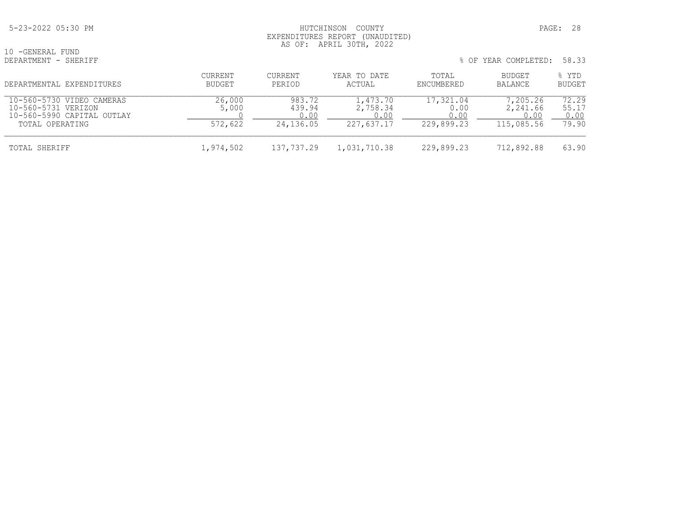## 5-23-2022 05:30 PM HUTCHINSON COUNTY PAGE: 28 EXPENDITURES REPORT (UNAUDITED) AS OF: APRIL 30TH, 2022

10 -GENERAL FUND<br>DEPARTMENT - SHERIFF

| DEPARTMENTAL EXPENDITURES                                                                         | CURRENT<br>BUDGET          | CURRENT<br>PERIOD             | YEAR TO DATE<br>ACTUAL                     | TOTAL<br>ENCUMBERED             | BUDGET<br>BALANCE                          | % YTD<br><b>BUDGET</b>          |
|---------------------------------------------------------------------------------------------------|----------------------------|-------------------------------|--------------------------------------------|---------------------------------|--------------------------------------------|---------------------------------|
| 10-560-5730 VIDEO CAMERAS<br>10-560-5731 VERIZON<br>10-560-5990 CAPITAL OUTLAY<br>TOTAL OPERATING | 26,000<br>5,000<br>572,622 | 983.72<br>439.94<br>24,136.05 | 1,473.70<br>2,758.34<br>0.00<br>227,637.17 | 17,321.04<br>0.00<br>229,899.23 | 7,205.26<br>2,241.66<br>0.00<br>115,085.56 | 72.29<br>55.17<br>0.00<br>79.90 |
| TOTAL SHERIFF                                                                                     | 1,974,502                  | 137,737.29                    | 1,031,710.38                               | 229,899.23                      | 712,892.88                                 | 63.90                           |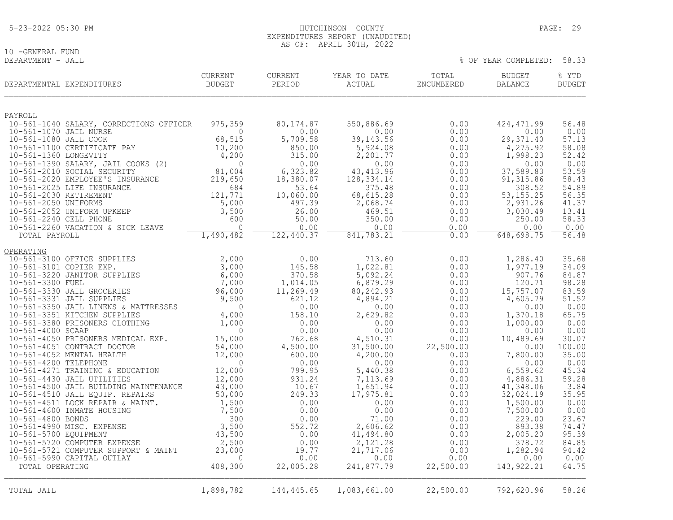## 10 -GENERAL FUND<br>DEPARTMENT - JAIL

| DEPARTMENTAL EXPENDITURES                                         | <b>CURRENT</b><br><b>BUDGET</b> | <b>CURRENT</b><br>PERIOD | YEAR TO DATE<br>ACTUAL | TOTAL<br>ENCUMBERED | <b>BUDGET</b><br><b>BALANCE</b> | % YTD<br><b>BUDGET</b> |
|-------------------------------------------------------------------|---------------------------------|--------------------------|------------------------|---------------------|---------------------------------|------------------------|
| PAYROLL                                                           |                                 |                          |                        |                     |                                 |                        |
| 10-561-1040 SALARY, CORRECTIONS OFFICER                           | 975,359                         | 80,174.87                | 550,886.69             | 0.00                | 424, 471.99                     | 56.48                  |
| 10-561-1070 JAIL NURSE                                            | $\Omega$                        | 0.00                     | 0.00                   | 0.00                | 0.00                            | 0.00                   |
| 10-561-1080 JAIL COOK                                             | 68,515                          | 5,709.58                 | 39, 143.56             | 0.00                | 29, 371.40                      | 57.13                  |
| 10-561-1100 CERTIFICATE PAY                                       | 10,200                          | 850.00                   | 5,924.08               | 0.00                | 4,275.92                        | 58.08                  |
| 10-561-1360 LONGEVITY                                             | 4,200                           | 315.00                   | 2,201.77               | 0.00                | 1,998.23                        | 52.42                  |
| 10-561-1390 SALARY, JAIL COOKS (2)<br>10-561-2010 SOCIAL SECURITY | $\Omega$<br>81,004              | 0.00<br>6,323.82         | 0.00<br>43, 413.96     | 0.00<br>0.00        | 0.00<br>37,589.83               | 0.00<br>53.59          |
| 10-561-2020 EMPLOYEE'S INSURANCE                                  | 219,650                         | 18,380.07                | 128,334.14             | 0.00                | 91, 315.86                      | 58.43                  |
| 10-561-2025 LIFE INSURANCE                                        | 684                             | 53.64                    | 375.48                 | 0.00                | 308.52                          | 54.89                  |
| 10-561-2030 RETIREMENT                                            | 121,771                         | 10,060.00                | 68,615.28              | 0.00                | 53, 155. 25                     | 56.35                  |
| 10-561-2050 UNIFORMS                                              | 5,000                           | 497.39                   | 2,068.74               | 0.00                | 2,931.26                        | 41.37                  |
| 10-561-2052 UNIFORM UPKEEP                                        | 3,500                           | 26.00                    | 469.51                 | 0.00                | 3,030.49                        | 13.41                  |
| 10-561-2240 CELL PHONE                                            | 600                             | 50.00                    | 350.00                 | 0.00                | 250.00                          | 58.33                  |
| 10-561-2260 VACATION & SICK LEAVE<br>TOTAL PAYROLL                | $\bigcap$<br>1,490,482          | 0.00<br>122,440.37       | 0.00<br>841,783.21     | 0.00<br>0.00        | 0.00<br>648,698.75              | 0.00<br>56.48          |
|                                                                   |                                 |                          |                        |                     |                                 |                        |
| OPERATING                                                         |                                 |                          |                        |                     |                                 |                        |
| 10-561-3100 OFFICE SUPPLIES                                       | 2,000                           | 0.00                     | 713.60                 | 0.00                | 1,286.40                        | 35.68                  |
| 10-561-3101 COPIER EXP.                                           | 3,000                           | 145.58                   | 1,022.81               | 0.00                | 1,977.19                        | 34.09                  |
| 10-561-3220 JANITOR SUPPLIES                                      | 6,000                           | 370.58                   | 5,092.24               | 0.00                | 907.76                          | 84.87                  |
| 10-561-3300 FUEL<br>10-561-3330 JAIL GROCERIES                    | 7,000                           | 1,014.05<br>11,269.49    | 6,879.29               | 0.00<br>0.00        | 120.71<br>15,757.07             | 98.28<br>83.59         |
| 10-561-3331 JAIL SUPPLIES                                         | 96,000<br>9,500                 | 621.12                   | 80,242.93<br>4,894.21  | 0.00                | 4,605.79                        | 51.52                  |
| 10-561-3350 JAIL LINENS & MATTRESSES                              | $\Omega$                        | 0.00                     | 0.00                   | 0.00                | 0.00                            | 0.00                   |
| 10-561-3351 KITCHEN SUPPLIES                                      | 4,000                           | 158.10                   | 2,629.82               | 0.00                | 1,370.18                        | 65.75                  |
| 10-561-3380 PRISONERS CLOTHING                                    | 1,000                           | 0.00                     | 0.00                   | 0.00                | 1,000.00                        | 0.00                   |
| 10-561-4000 SCAAP                                                 | $\Omega$                        | 0.00                     | 0.00                   | 0.00                | 0.00                            | 0.00                   |
| 10-561-4050 PRISONERS MEDICAL EXP.                                | 15,000                          | 762.68                   | 4,510.31               | 0.00                | 10,489.69                       | 30.07                  |
| 10-561-4051 CONTRACT DOCTOR                                       | 54,000                          | 4,500.00                 | 31,500.00              | 22,500.00           | 0.00                            | 100.00                 |
| 10-561-4052 MENTAL HEALTH<br>10-561-4200 TELEPHONE                | 12,000<br>$\Omega$              | 600.00<br>0.00           | 4,200.00<br>0.00       | 0.00<br>0.00        | 7,800.00<br>0.00                | 35.00<br>0.00          |
| 10-561-4271 TRAINING & EDUCATION                                  | 12,000                          | 799.95                   | 5,440.38               | 0.00                | 6, 559.62                       | 45.34                  |
| 10-561-4430 JAIL UTILITIES                                        | 12,000                          | 931.24                   | 7,113.69               | 0.00                | 4,886.31                        | 59.28                  |
| 10-561-4500 JAIL BUILDING MAINTENANCE                             | 43,000                          | 10.67                    | 1,651.94               | 0.00                | 41,348.06                       | 3.84                   |
| 10-561-4510 JAIL EQUIP. REPAIRS                                   | 50,000                          | 249.33                   | 17,975.81              | 0.00                | 32,024.19                       | 35.95                  |
| 10-561-4511 LOCK REPAIR & MAINT.                                  | 1,500                           | 0.00                     | 0.00                   | 0.00                | 1,500.00                        | 0.00                   |
| 10-561-4600 INMATE HOUSING                                        | 7,500                           | 0.00                     | 0.00                   | 0.00                | 7,500.00                        | 0.00                   |
| 10-561-4800 BONDS<br>10-561-4990 MISC. EXPENSE                    | 300<br>3,500                    | 0.00<br>552.72           | 71.00<br>2,606.62      | 0.00<br>0.00        | 229.00<br>893.38                | 23.67<br>74.47         |
| 10-561-5700 EQUIPMENT                                             | 43,500                          | 0.00                     | 41,494.80              | 0.00                | 2,005.20                        | 95.39                  |
| 10-561-5720 COMPUTER EXPENSE                                      | 2,500                           | 0.00                     | 2,121.28               | 0.00                | 378.72                          | 84.85                  |
| 10-561-5721 COMPUTER SUPPORT & MAINT                              | 23,000                          | 19.77                    | 21,717.06              | 0.00                | 1,282.94                        | 94.42                  |
| 10-561-5990 CAPITAL OUTLAY                                        | $\Omega$                        | 0.00                     | 0.00                   | 0.00                | 0.00                            | 0.00                   |
| TOTAL OPERATING                                                   | 408,300                         | 22,005.28                | 241,877.79             | 22,500.00           | 143, 922.21                     | 64.75                  |
|                                                                   |                                 |                          |                        |                     |                                 |                        |
| TOTAL JAIL                                                        | 1,898,782                       | 144,445.65               | 1,083,661.00           | 22,500.00           | 792,620.96                      | 58.26                  |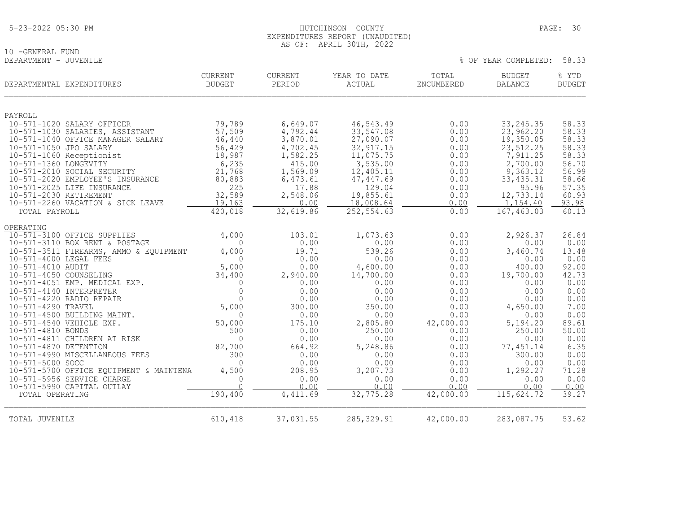## 10 -GENERAL FUND<br>DEPARTMENT - JUVENILE

| DEPARTMENTAL EXPENDITURES                      | <b>CURRENT</b><br><b>BUDGET</b> | <b>CURRENT</b><br>PERIOD | YEAR TO DATE<br>ACTUAL | TOTAL<br>ENCUMBERED | <b>BUDGET</b><br><b>BALANCE</b> | % YTD<br><b>BUDGET</b> |
|------------------------------------------------|---------------------------------|--------------------------|------------------------|---------------------|---------------------------------|------------------------|
| PAYROLL                                        |                                 |                          |                        |                     |                                 |                        |
| 10-571-1020 SALARY OFFICER                     | 79,789                          | 6,649.07                 | 46,543.49              | 0.00                | 33, 245.35                      | 58.33                  |
| 10-571-1030 SALARIES, ASSISTANT                | 57,509                          | 4,792.44                 | 33,547.08              | 0.00                | 23,962.20                       | 58.33                  |
| 10-571-1040 OFFICE MANAGER SALARY              | 46,440                          | 3,870.01                 | 27,090.07              | 0.00                | 19,350.05                       | 58.33                  |
| 10-571-1050 JPO SALARY                         | 56,429                          | 4,702.45                 | 32, 917.15             | 0.00                | 23,512.25                       | 58.33                  |
| 10-571-1060 Receptionist                       | 18,987                          | 1,582.25                 | 11,075.75              | 0.00                | 7,911.25                        | 58.33                  |
| 10-571-1360 LONGEVITY                          | 6,235                           | 415.00                   | 3,535.00               | 0.00                | 2,700.00                        | 56.70                  |
| 10-571-2010 SOCIAL SECURITY                    | 21,768                          | 1,569.09                 | 12,405.11              | 0.00                | 9,363.12                        | 56.99                  |
| 10-571-2020 EMPLOYEE'S INSURANCE               | 80,883                          | 6,473.61                 | 47,447.69              | 0.00                | 33, 435.31                      | 58.66                  |
| 10-571-2025 LIFE INSURANCE                     | 225                             | 17.88                    | 129.04                 | 0.00                | 95.96                           | 57.35                  |
| 10-571-2030 RETIREMENT                         | 32,589                          | 2,548.06                 | 19,855.61              | 0.00                | 12,733.14                       | 60.93                  |
| 10-571-2260 VACATION & SICK LEAVE              | 19,163                          | 0.00                     | 18,008.64              | 0.00                | 1,154.40                        | 93.98                  |
| TOTAL PAYROLL                                  | 420,018                         | 32,619.86                | 252,554.63             | 0.00                | 167,463.03                      | 60.13                  |
| OPERATING                                      |                                 |                          |                        |                     |                                 |                        |
| 10-571-3100 OFFICE SUPPLIES                    | 4,000                           | 103.01                   | 1,073.63               | 0.00                | 2,926.37                        | 26.84                  |
| 10-571-3110 BOX RENT & POSTAGE                 | $\Omega$                        | 0.00                     | 0.00                   | 0.00                | 0.00                            | 0.00                   |
| 10-571-3511 FIREARMS, AMMO & EQUIPMENT         | 4,000                           | 19.71                    | 539.26                 | 0.00                | 3,460.74                        | 13.48                  |
| 10-571-4000 LEGAL FEES                         | $\bigcap$                       | 0.00                     | 0.00                   | 0.00                | 0.00                            | 0.00                   |
| 10-571-4010 AUDIT                              | 5,000                           | 0.00                     | 4,600.00               | 0.00                | 400.00                          | 92.00                  |
| 10-571-4050 COUNSELING                         | 34,400                          | 2,940.00                 | 14,700.00              | 0.00                | 19,700.00                       | 42.73                  |
| 10-571-4051 EMP. MEDICAL EXP.                  | $\Omega$                        | 0.00                     | 0.00                   | 0.00                | 0.00                            | 0.00                   |
| 10-571-4140 INTERPRETER                        | $\Omega$                        | 0.00                     | 0.00                   | 0.00                | 0.00                            | 0.00                   |
| 10-571-4220 RADIO REPAIR<br>10-571-4290 TRAVEL | $\Omega$<br>5,000               | 0.00<br>300.00           | 0.00<br>350.00         | 0.00<br>0.00        | 0.00<br>4,650.00                | 0.00<br>7.00           |
| 10-571-4500 BUILDING MAINT.                    | $\Omega$                        | 0.00                     | 0.00                   | 0.00                | 0.00                            | 0.00                   |
| 10-571-4540 VEHICLE EXP.                       | 50,000                          | 175.10                   | 2,805.80               | 42,000.00           | 5,194.20                        | 89.61                  |
| 10-571-4810 BONDS                              | 500                             | 0.00                     | 250.00                 | 0.00                | 250.00                          | 50.00                  |
| 10-571-4811 CHILDREN AT RISK                   | $\Omega$                        | 0.00                     | 0.00                   | 0.00                | 0.00                            | 0.00                   |
| 10-571-4870 DETENTION                          | 82,700                          | 664.92                   | 5,248.86               | 0.00                | 77,451.14                       | 6.35                   |
| 10-571-4990 MISCELLANEOUS FEES                 | 300                             | 0.00                     | 0.00                   | 0.00                | 300.00                          | 0.00                   |
| 10-571-5000 SOCC                               | $\Omega$                        | 0.00                     | 0.00                   | 0.00                | 0.00                            | 0.00                   |
| 10-571-5700 OFFICE EQUIPMENT & MAINTENA        | 4,500                           | 208.95                   | 3,207.73               | 0.00                | 1,292.27                        | 71.28                  |
| 10-571-5956 SERVICE CHARGE                     | $\Omega$                        | 0.00                     | 0.00                   | 0.00                | 0.00                            | 0.00                   |
| 10-571-5990 CAPITAL OUTLAY                     | $\cap$                          | 0.00                     | 0.00                   | 0.00                | 0.00                            | 0.00                   |
| TOTAL OPERATING                                | 190,400                         | 4,411.69                 | 32, 775.28             | 42,000.00           | 115, 624.72                     | 39.27                  |
|                                                |                                 |                          |                        |                     |                                 |                        |
| TOTAL JUVENILE                                 | 610,418                         | 37,031.55                | 285, 329.91            | 42,000.00           | 283,087.75                      | 53.62                  |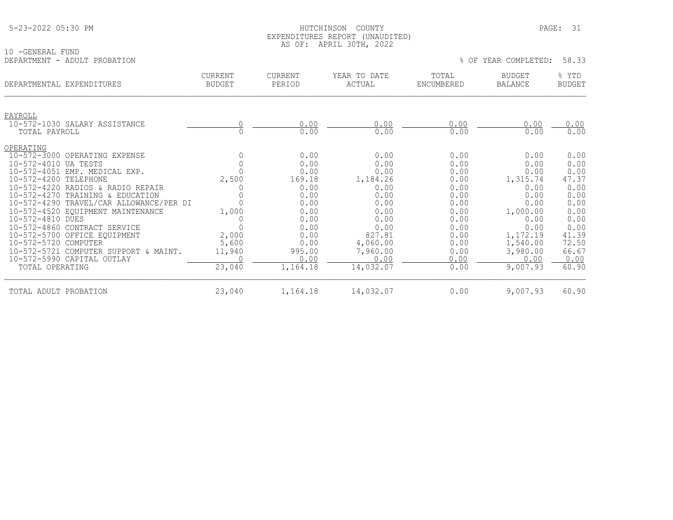|  | 5-23-2022 05:30 PM |  |  |
|--|--------------------|--|--|
|--|--------------------|--|--|

## 5-23-2022 05:30 PM HUTCHINSON COUNTY PAGE: 31 EXPENDITURES REPORT (UNAUDITED) AS OF: APRIL 30TH, 2022

| 10 -GENERAL FUND                         |                                 |                          |                        |                     |                          |                        |
|------------------------------------------|---------------------------------|--------------------------|------------------------|---------------------|--------------------------|------------------------|
| DEPARTMENT - ADULT PROBATION             |                                 |                          |                        |                     | % OF YEAR COMPLETED:     | 58.33                  |
| DEPARTMENTAL EXPENDITURES                | <b>CURRENT</b><br><b>BUDGET</b> | <b>CURRENT</b><br>PERIOD | YEAR TO DATE<br>ACTUAL | TOTAL<br>ENCUMBERED | BUDGET<br><b>BALANCE</b> | % YTD<br><b>BUDGET</b> |
| PAYROLL<br>10-572-1030 SALARY ASSISTANCE |                                 | 0.00                     | 0.00                   | 0.00                | 0.00                     | 0.00                   |
| TOTAL PAYROLL                            |                                 | 0.00                     | 0.00                   | 0.00                | 0.00                     | 0.00                   |
| OPERATING                                |                                 |                          |                        |                     |                          |                        |
| 10-572-3000 OPERATING EXPENSE            |                                 | 0.00                     | 0.00                   | 0.00                | 0.00                     | 0.00                   |
| 10-572-4010 UA TESTS                     |                                 | 0.00                     | 0.00                   | 0.00                | 0.00                     | 0.00                   |
| 10-572-4051 EMP. MEDICAL EXP.            |                                 | 0.00                     | 0.00                   | 0.00                | 0.00                     | 0.00                   |
| 10-572-4200 TELEPHONE                    | 2,500                           | 169.18                   | 1,184.26               | 0.00                | 1,315.74                 | 47.37                  |
| 10-572-4220 RADIOS & RADIO REPAIR        |                                 | 0.00                     | 0.00                   | 0.00                | 0.00                     | 0.00                   |
| 10-572-4270 TRAINING & EDUCATION         |                                 | 0.00                     | 0.00                   | 0.00                | 0.00                     | 0.00                   |
| 10-572-4290 TRAVEL/CAR ALLOWANCE/PER DI  |                                 | 0.00                     | 0.00                   | 0.00                | 0.00                     | 0.00                   |
| 10-572-4520 EQUIPMENT MAINTENANCE        | 1,000                           | 0.00                     | 0.00                   | 0.00                | 1,000.00                 | 0.00                   |
| 10-572-4810 DUES                         |                                 | 0.00                     | 0.00                   | 0.00                | 0.00                     | 0.00                   |
| 10-572-4860 CONTRACT SERVICE             |                                 | 0.00                     | 0.00                   | 0.00                | 0.00                     | 0.00                   |
| 10-572-5700 OFFICE EQUIPMENT             | 2,000                           | 0.00                     | 827.81                 | 0.00                | 1,172.19                 | 41.39                  |
| 10-572-5720 COMPUTER                     | 5,600                           | 0.00                     | 4,060.00               | 0.00                | 1,540.00                 | 72.50                  |
| 10-572-5721 COMPUTER SUPPORT & MAINT.    | 11,940                          | 995.00                   | 7,960.00               | 0.00                | 3,980.00                 | 66.67                  |
| 10-572-5990 CAPITAL OUTLAY               |                                 | 0.00                     | 0.00                   | 0.00                | 0.00                     | 0.00                   |

| TOTAL<br>OPERATING            | ,040   | $164 - 16$<br>. U                      | 4 (132)   | $.00\,$ | ,007<br>– Q 2<br>. | 60.90 |
|-------------------------------|--------|----------------------------------------|-----------|---------|--------------------|-------|
| TOTAL<br>ADULT .<br>PROBATION | 23,040 | 16418<br>$+$ , $+$ $+$ $+$ $+$ $+$ $+$ | 17 USS UI | $.00\,$ | 9,007.93           | 60.90 |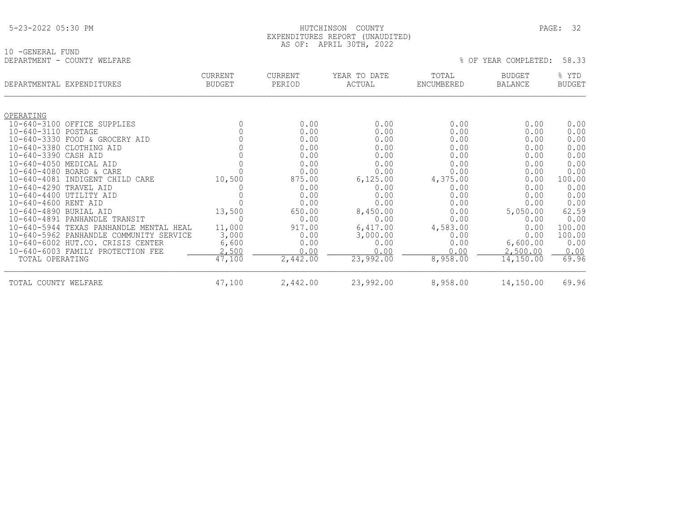|--|

## HUTCHINSON COUNTY PAGE: 32 EXPENDITURES REPORT (UNAUDITED) AS OF: APRIL 30TH, 2022

10 -GENERAL FUND<br>DEPARTMENT - COUNTY WELFARE

| DEPARTMENTAL EXPENDITURES |                                         | <b>CURRENT</b><br><b>BUDGET</b> | <b>CURRENT</b><br>PERIOD | YEAR TO DATE<br>ACTUAL | TOTAL<br>ENCUMBERED | <b>BUDGET</b><br>BALANCE | % YTD<br><b>BUDGET</b> |
|---------------------------|-----------------------------------------|---------------------------------|--------------------------|------------------------|---------------------|--------------------------|------------------------|
|                           |                                         |                                 |                          |                        |                     |                          |                        |
| OPERATING                 | 10-640-3100 OFFICE SUPPLIES             | 0                               | 0.00                     | 0.00                   | 0.00                | 0.00                     | 0.00                   |
| 10-640-3110 POSTAGE       |                                         | 0                               | 0.00                     | 0.00                   | 0.00                | 0.00                     | 0.00                   |
|                           | 10-640-3330 FOOD & GROCERY AID          |                                 | 0.00                     | 0.00                   | 0.00                | 0.00                     | 0.00                   |
|                           | 10-640-3380 CLOTHING AID                |                                 | 0.00                     | 0.00                   | 0.00                | 0.00                     | 0.00                   |
| 10-640-3390 CASH AID      |                                         | 0                               | 0.00                     | 0.00                   | 0.00                | 0.00                     | 0.00                   |
| 10-640-4050 MEDICAL AID   |                                         |                                 | 0.00                     | 0.00                   | 0.00                | 0.00                     | 0.00                   |
|                           | 10-640-4080 BOARD & CARE                |                                 | 0.00                     | 0.00                   | 0.00                | 0.00                     | 0.00                   |
| $10 - 640 - 4081$         | INDIGENT CHILD CARE                     | 10,500                          | 875.00                   | 6, 125.00              | 4,375.00            | 0.00                     | 100.00                 |
| 10-640-4290 TRAVEL AID    |                                         |                                 | 0.00                     | 0.00                   | 0.00                | 0.00                     | 0.00                   |
| 10-640-4400 UTILITY AID   |                                         |                                 | 0.00                     | 0.00                   | 0.00                | 0.00                     | 0.00                   |
| 10-640-4600 RENT AID      |                                         |                                 | 0.00                     | 0.00                   | 0.00                | 0.00                     | 0.00                   |
| 10-640-4890 BURIAL AID    |                                         | 13,500                          | 650.00                   | 8,450.00               | 0.00                | 5,050.00                 | 62.59                  |
| $10 - 640 - 4891$         | PANHANDLE TRANSIT                       |                                 | 0.00                     | 0.00                   | 0.00                | 0.00                     | 0.00                   |
| $10 - 640 - 5944$         | TEXAS PANHANDLE MENTAL HEAL             | 11,000                          | 917.00                   | 6,417.00               | 4,583.00            | 0.00                     | 100.00                 |
|                           | 10-640-5962 PANHANDLE COMMUNITY SERVICE | 3,000                           | 0.00                     | 3,000.00               | 0.00                | 0.00                     | 100.00                 |
|                           | 10-640-6002 HUT.CO. CRISIS CENTER       | 6,600                           | 0.00                     | 0.00                   | 0.00                | 6,600.00                 | 0.00                   |
|                           | 10-640-6003 FAMILY PROTECTION FEE       | 2,500                           | 0.00                     | 0.00                   | 0.00                | 2,500.00                 | 0.00                   |
| TOTAL OPERATING           |                                         | 47,100                          | 2,442.00                 | 23,992.00              | 8,958.00            | 14,150.00                | 69.96                  |
| TOTAL COUNTY WELFARE      |                                         | 47,100                          | 2,442.00                 | 23,992.00              | 8,958.00            | 14,150.00                | 69.96                  |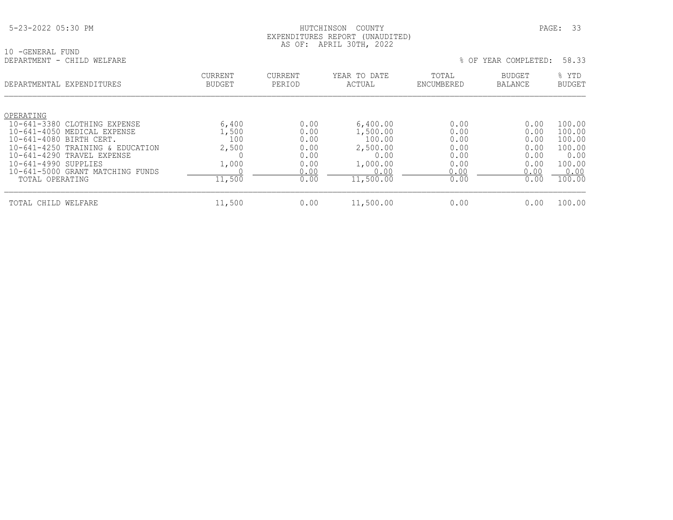## HUTCHINSON COUNTY PAGE: 33 EXPENDITURES REPORT (UNAUDITED) AS OF: APRIL 30TH, 2022

| 10 - GENERAL FUND          |  |  |
|----------------------------|--|--|
| DEPARTMENT - CHILD WELFARE |  |  |

| DEPARTMENTAL EXPENDITURES                                                                                                                                                                                                                            | <b>CURRENT</b><br><b>BUDGET</b>                   | <b>CURRENT</b><br>PERIOD                                     | YEAR TO DATE<br>ACTUAL                                                              | TOTAL<br>ENCUMBERED                                          | BUDGET<br>BALANCE                                            | % YTD<br><b>BUDGET</b>                                                   |
|------------------------------------------------------------------------------------------------------------------------------------------------------------------------------------------------------------------------------------------------------|---------------------------------------------------|--------------------------------------------------------------|-------------------------------------------------------------------------------------|--------------------------------------------------------------|--------------------------------------------------------------|--------------------------------------------------------------------------|
| OPERATING<br>10-641-3380 CLOTHING EXPENSE<br>10-641-4050 MEDICAL EXPENSE<br>10-641-4080 BIRTH CERT.<br>10-641-4250 TRAINING & EDUCATION<br>10-641-4290 TRAVEL EXPENSE<br>10-641-4990 SUPPLIES<br>10-641-5000 GRANT MATCHING FUNDS<br>TOTAL OPERATING | 6,400<br>1,500<br>100<br>2,500<br>1,000<br>11,500 | 0.00<br>0.00<br>0.00<br>0.00<br>0.00<br>0.00<br>0.00<br>0.00 | 6,400.00<br>1,500.00<br>100.00<br>2,500.00<br>0.00<br>1,000.00<br>0.00<br>11,500.00 | 0.00<br>0.00<br>0.00<br>0.00<br>0.00<br>0.00<br>0.00<br>0.00 | 0.00<br>0.00<br>0.00<br>0.00<br>0.00<br>0.00<br>0.00<br>0.00 | 100.00<br>100.00<br>100.00<br>100.00<br>0.00<br>100.00<br>0.00<br>100.00 |
| TOTAL CHILD WELFARE                                                                                                                                                                                                                                  | 11,500                                            | 0.00                                                         | 11,500.00                                                                           | 0.00                                                         | 0.00                                                         | 100.00                                                                   |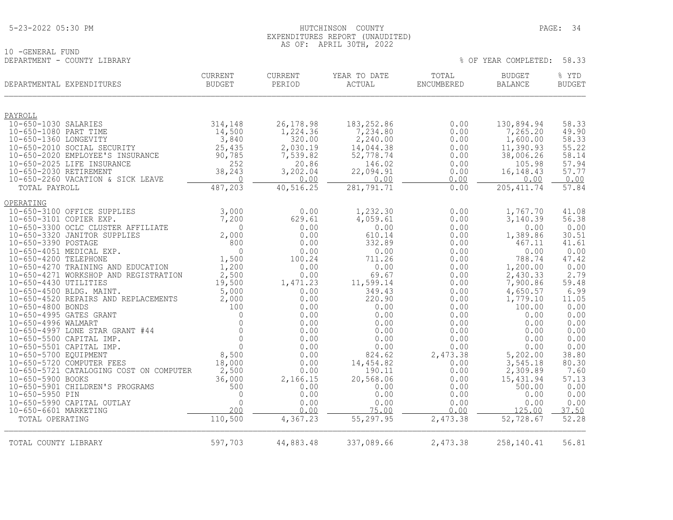10 -GENERAL FUND<br>DEPARTMENT - COUNTY LIBRARY

## HUTCHINSON COUNTY PAGE: 34 EXPENDITURES REPORT (UNAUDITED) AS OF: APRIL 30TH, 2022

|                                                | DEPARTMENTAL EXPENDITURES                                                   | <b>CURRENT</b><br><b>BUDGET</b> | <b>CURRENT</b><br>PERIOD | YEAR TO DATE<br>ACTUAL | TOTAL<br>ENCUMBERED | <b>BUDGET</b><br><b>BALANCE</b> | % YTD<br><b>BUDGET</b> |
|------------------------------------------------|-----------------------------------------------------------------------------|---------------------------------|--------------------------|------------------------|---------------------|---------------------------------|------------------------|
| PAYROLL                                        |                                                                             |                                 |                          |                        |                     |                                 |                        |
| 10-650-1030 SALARIES                           |                                                                             | 314,148                         | 26, 178.98               | 183, 252.86            | 0.00                | 130,894.94                      | 58.33                  |
| 10-650-1080 PART TIME                          |                                                                             | 14,500                          | 1,224.36                 | 7,234.80               | 0.00                | 7,265.20                        | 49.90                  |
| 10-650-1360 LONGEVITY                          | 10-650-2010 SOCIAL SECURITY                                                 | 3,840<br>25,435                 | 320.00<br>2,030.19       | 2,240.00<br>14,044.38  | 0.00<br>0.00        | 1,600.00<br>11,390.93           | 58.33<br>55.22         |
|                                                | 10-650-2020 EMPLOYEE'S INSURANCE                                            | 90,785                          | 7,539.82                 | 52,778.74              | 0.00                | 38,006.26                       | 58.14                  |
|                                                | 10-650-2025 LIFE INSURANCE                                                  | 252                             | 20.86                    | 146.02                 | 0.00                | 105.98                          | 57.94                  |
| 10-650-2030 RETIREMENT                         |                                                                             | 38,243                          | 3,202.04                 | 22,094.91              | 0.00                | 16, 148. 43                     | 57.77                  |
| TOTAL PAYROLL                                  | 10-650-2260 VACATION & SICK LEAVE                                           | 0<br>487,203                    | 0.00<br>40,516.25        | 0.00<br>281,791.71     | 0.00<br>0.00        | 0.00<br>205, 411.74             | 0.00<br>57.84          |
|                                                |                                                                             |                                 |                          |                        |                     |                                 |                        |
| OPERATING                                      |                                                                             |                                 |                          |                        |                     |                                 |                        |
|                                                | 10-650-3100 OFFICE SUPPLIES                                                 | 3,000                           | 0.00                     | 1,232.30               | 0.00                | 1,767.70                        | 41.08                  |
| 10-650-3101 COPIER EXP.                        |                                                                             | 7,200                           | 629.61                   | 4,059.61               | 0.00                | 3,140.39                        | 56.38                  |
|                                                | 10-650-3300 OCLC CLUSTER AFFILIATE<br>10-650-3320 JANITOR SUPPLIES          | $\Omega$<br>2,000               | 0.00<br>0.00             | 0.00<br>610.14         | 0.00<br>0.00        | 0.00<br>1,389.86                | 0.00<br>30.51          |
| 10-650-3390 POSTAGE                            |                                                                             | 800                             | 0.00                     | 332.89                 | 0.00                | 467.11                          | 41.61                  |
|                                                | 10-650-4051 MEDICAL EXP.                                                    | $\mathbf 0$                     | 0.00                     | 0.00                   | 0.00                | 0.00                            | 0.00                   |
| 10-650-4200 TELEPHONE                          |                                                                             | 1,500                           | 100.24                   | 711.26                 | 0.00                | 788.74                          | 47.42                  |
|                                                | 10-650-4270 TRAINING AND EDUCATION<br>10-650-4271 WORKSHOP AND REGISTRATION | 1,200<br>2,500                  | 0.00<br>0.00             | 0.00<br>69.67          | 0.00<br>0.00        | 1,200.00<br>2,430.33            | 0.00<br>2.79           |
| 10-650-4430 UTILITIES                          |                                                                             | 19,500                          | 1,471.23                 | 11,599.14              | 0.00                | 7,900.86                        | 59.48                  |
|                                                | 10-650-4500 BLDG. MAINT.                                                    | 5,000                           | 0.00                     | 349.43                 | 0.00                | 4,650.57                        | 6.99                   |
|                                                | 10-650-4520 REPAIRS AND REPLACEMENTS                                        | 2,000                           | 0.00                     | 220.90                 | 0.00                | 1,779.10                        | 11.05                  |
| 10-650-4800 BONDS                              |                                                                             | 100<br>$\mathbf 0$              | 0.00                     | 0.00                   | 0.00                | 100.00                          | 0.00                   |
| 10-650-4995 GATES GRANT<br>10-650-4996 WALMART |                                                                             | $\Omega$                        | 0.00<br>0.00             | 0.00<br>0.00           | 0.00<br>0.00        | 0.00<br>0.00                    | 0.00<br>0.00           |
|                                                | 10-650-4997 LONE STAR GRANT #44                                             | $\mathbf 0$                     | 0.00                     | 0.00                   | 0.00                | 0.00                            | 0.00                   |
|                                                | 10-650-5500 CAPITAL IMP.                                                    | $\Omega$                        | 0.00                     | 0.00                   | 0.00                | 0.00                            | 0.00                   |
|                                                | 10-650-5501 CAPITAL IMP.                                                    | $\mathbf{0}$                    | 0.00                     | 0.00                   | 0.00                | 0.00                            | 0.00                   |
| 10-650-5700 EQUIPMENT                          | 10-650-5720 COMPUTER FEES                                                   | 8,500<br>18,000                 | 0.00<br>0.00             | 824.62<br>14,454.82    | 2,473.38<br>0.00    | 5,202.00<br>3,545.18            | 38.80<br>80.30         |
|                                                | 10-650-5721 CATALOGING COST ON COMPUTER                                     | 2,500                           | 0.00                     | 190.11                 | 0.00                | 2,309.89                        | 7.60                   |
| 10-650-5900 BOOKS                              |                                                                             | 36,000                          | 2,166.15                 | 20,568.06              | 0.00                | 15,431.94                       | 57.13                  |
|                                                | 10-650-5901 CHILDREN'S PROGRAMS                                             | 500                             | 0.00                     | 0.00                   | 0.00                | 500.00                          | 0.00                   |
| 10-650-5950 PIN                                | 10-650-5990 CAPITAL OUTLAY                                                  | 0<br>$\mathbf 0$                | 0.00<br>0.00             | 0.00                   | 0.00<br>0.00        | 0.00<br>0.00                    | 0.00<br>0.00           |
| 10-650-6601 MARKETING                          |                                                                             | 200                             | 0.00                     | 0.00<br>75.00          | 0.00                | 125.00                          | 37.50                  |
| TOTAL OPERATING                                |                                                                             | 110,500                         | 4,367.23                 | 55,297.95              | 2,473.38            | 52,728.67                       | 52.28                  |
| TOTAL COUNTY LIBRARY                           |                                                                             | 597,703                         | 44,883.48                | 337,089.66             | 2,473.38            | 258,140.41                      | 56.81                  |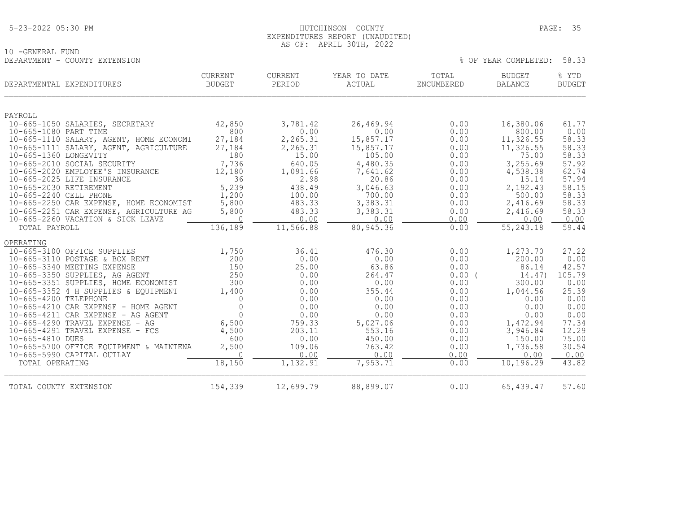## HUTCHINSON COUNTY PAGE: 35 EXPENDITURES REPORT (UNAUDITED) AS OF: APRIL 30TH, 2022

10 -GENERAL FUND DEPARTMENT - COUNTY EXTENSION % OF YEAR COMPLETED: 58.33

|                        | DEPARTMENTAL EXPENDITURES                                                    | <b>CURRENT</b><br><b>BUDGET</b> | <b>CURRENT</b><br>PERIOD | YEAR TO DATE<br>ACTUAL | TOTAL<br>ENCUMBERED | <b>BUDGET</b><br><b>BALANCE</b> | % YTD<br><b>BUDGET</b> |
|------------------------|------------------------------------------------------------------------------|---------------------------------|--------------------------|------------------------|---------------------|---------------------------------|------------------------|
| PAYROLL                |                                                                              |                                 |                          |                        |                     |                                 |                        |
|                        | 10-665-1050 SALARIES, SECRETARY                                              | 42,850                          | 3,781.42                 | 26,469.94              | 0.00                | 16,380.06                       | 61.77                  |
| 10-665-1080 PART TIME  |                                                                              | 800                             | 0.00                     | 0.00                   | 0.00                | 800.00                          | 0.00                   |
|                        | 10-665-1110 SALARY, AGENT, HOME ECONOMI                                      | 27,184                          | 2,265.31                 | 15,857.17              | 0.00                | 11,326.55                       | 58.33                  |
|                        | 10-665-1111 SALARY, AGENT, AGRICULTURE                                       | 27,184                          | 2,265.31                 | 15,857.17              | 0.00                | 11,326.55                       | 58.33                  |
| 10-665-1360 LONGEVITY  |                                                                              | 180                             | 15.00                    | 105.00                 | 0.00                | 75.00                           | 58.33                  |
|                        | 10-665-2010 SOCIAL SECURITY                                                  | 7,736                           | 640.05                   | 4,480.35               | 0.00                | 3,255.69                        | 57.92                  |
|                        | 10-665-2020 EMPLOYEE'S INSURANCE                                             | 12,180                          | 1,091.66                 | 7,641.62               | 0.00                | 4,538.38                        | 62.74                  |
|                        | 10-665-2025 LIFE INSURANCE                                                   | 36                              | 2.98                     | 20.86                  | 0.00                | 15.14                           | 57.94                  |
| 10-665-2030 RETIREMENT |                                                                              | 5,239                           | 438.49                   | 3,046.63               | 0.00                | 2,192.43                        | 58.15                  |
| 10-665-2240 CELL PHONE |                                                                              | 1,200                           | 100.00                   | 700.00                 | 0.00                | 500.00                          | 58.33                  |
|                        | 10-665-2250 CAR EXPENSE, HOME ECONOMIST                                      | 5,800                           | 483.33                   | 3,383.31               | 0.00                | 2,416.69                        | 58.33                  |
|                        | 10-665-2251 CAR EXPENSE, AGRICULTURE AG<br>10-665-2260 VACATION & SICK LEAVE | 5,800<br>$\Omega$               | 483.33<br>0.00           | 3,383.31<br>0.00       | 0.00<br>0.00        | 2,416.69<br>0.00                | 58.33<br>0.00          |
| TOTAL PAYROLL          |                                                                              | 136,189                         | 11,566.88                | 80,945.36              | 0.00                | 55,243.18                       | 59.44                  |
|                        |                                                                              |                                 |                          |                        |                     |                                 |                        |
| OPERATING              |                                                                              |                                 |                          |                        |                     |                                 |                        |
|                        | 10-665-3100 OFFICE SUPPLIES                                                  | 1,750                           | 36.41                    | 476.30                 | 0.00                | 1,273.70                        | 27.22                  |
|                        | 10-665-3110 POSTAGE & BOX RENT                                               | 200                             | 0.00                     | 0.00                   | 0.00                | 200.00                          | 0.00                   |
|                        | 10-665-3340 MEETING EXPENSE                                                  | 150                             | 25.00                    | 63.86                  | 0.00                | 86.14                           | 42.57                  |
|                        | 10-665-3350 SUPPLIES, AG AGENT                                               | 250                             | 0.00                     | 264.47                 | 0.00                | 14.47)                          | 105.79                 |
|                        | 10-665-3351 SUPPLIES, HOME ECONOMIST                                         | 300                             | 0.00                     | 0.00                   | 0.00                | 300.00                          | 0.00                   |
|                        | 10-665-3352 4 H SUPPLIES & EQUIPMENT                                         | 1,400                           | 0.00                     | 355.44                 | 0.00                | 1,044.56                        | 25.39                  |
| 10-665-4200 TELEPHONE  |                                                                              | $\Omega$                        | 0.00                     | 0.00                   | 0.00                | 0.00                            | 0.00                   |
|                        | 10-665-4210 CAR EXPENSE - HOME AGENT                                         | $\mathbf{0}$                    | 0.00                     | 0.00                   | 0.00                | 0.00                            | 0.00                   |
|                        | $10-665-4211$ CAR EXPENSE - AG AGENT                                         | $\Omega$                        | 0.00                     | 0.00                   | 0.00                | 0.00                            | 0.00                   |
|                        | 10-665-4290 TRAVEL EXPENSE - AG                                              | 6,500                           | 759.33                   | 5,027.06               | 0.00                | 1,472.94                        | 77.34                  |
|                        | $10-665-4291$ TRAVEL EXPENSE - FCS                                           | 4,500                           | 203.11                   | 553.16                 | 0.00                | 3,946.84                        | 12.29                  |
| 10-665-4810 DUES       |                                                                              | 600                             | 0.00                     | 450.00                 | 0.00                | 150.00                          | 75.00                  |
|                        | 10-665-5700 OFFICE EQUIPMENT & MAINTENA                                      | 2,500<br>$\bigcap$              | 109.06                   | 763.42                 | 0.00                | 1,736.58                        | 30.54                  |
| TOTAL OPERATING        | 10-665-5990 CAPITAL OUTLAY                                                   | 18,150                          | 0.00<br>1,132.91         | 0.00<br>7,953.71       | 0.00<br>0.00        | 0.00<br>10,196.29               | 0.00<br>43.82          |
|                        |                                                                              |                                 |                          |                        |                     |                                 |                        |
| TOTAL COUNTY EXTENSION |                                                                              | 154,339                         | 12,699.79                | 88,899.07              | 0.00                | 65,439.47                       | 57.60                  |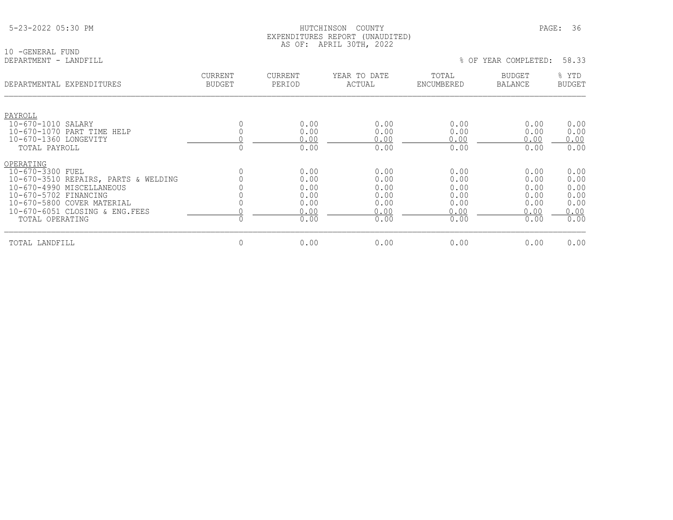|  |  |  | 5-23-2022 05:30 PM |  |
|--|--|--|--------------------|--|
|--|--|--|--------------------|--|

10 -GENERAL FUND<br>DEPARTMENT - LANDFILL

## HUTCHINSON COUNTY PAGE: 36 EXPENDITURES REPORT (UNAUDITED) AS OF: APRIL 30TH, 2022

| DEPARTMENTAL EXPENDITURES            | <b>CURRENT</b><br><b>BUDGET</b> | <b>CURRENT</b><br>PERIOD | YEAR TO DATE<br>ACTUAL | TOTAL<br>ENCUMBERED | <b>BUDGET</b><br><b>BALANCE</b> | % YTD<br><b>BUDGET</b> |
|--------------------------------------|---------------------------------|--------------------------|------------------------|---------------------|---------------------------------|------------------------|
| PAYROLL                              |                                 |                          |                        |                     |                                 |                        |
| 10-670-1010 SALARY                   |                                 | 0.00                     | 0.00                   | 0.00                | 0.00                            | 0.00                   |
| 10-670-1070 PART TIME HELP           |                                 | 0.00                     | 0.00                   | 0.00                | 0.00                            | 0.00                   |
| 10-670-1360 LONGEVITY                |                                 | 0.00                     | 0.00                   | 0.00                | 0.00                            | 0.00                   |
| TOTAL PAYROLL                        |                                 | 0.00                     | 0.00                   | 0.00                | 0.00                            | 0.00                   |
| OPERATING                            |                                 |                          |                        |                     |                                 |                        |
| 10-670-3300 FUEL                     |                                 | 0.00                     | 0.00                   | 0.00                | 0.00                            | 0.00                   |
| 10-670-3510 REPAIRS, PARTS & WELDING |                                 | 0.00                     | 0.00                   | 0.00                | 0.00                            | 0.00                   |
| 10-670-4990 MISCELLANEOUS            |                                 | 0.00                     | 0.00                   | 0.00                | 0.00                            | 0.00                   |
| 10-670-5702 FINANCING                |                                 | 0.00                     | 0.00                   | 0.00                | 0.00                            | 0.00                   |
| 10-670-5800 COVER MATERIAL           |                                 | 0.00                     | 0.00                   | 0.00                | 0.00                            | 0.00                   |
| 10-670-6051 CLOSING & ENG. FEES      |                                 | 0.00                     | 0.00                   | 0.00                | 0.00                            | 0.00                   |
| TOTAL OPERATING                      |                                 | 0.00                     | 0.00                   | 0.00                | 0.00                            | 0.00                   |
| TOTAL LANDFILL                       | 0                               | 0.00                     | 0.00                   | 0.00                | 0.00                            | 0.00                   |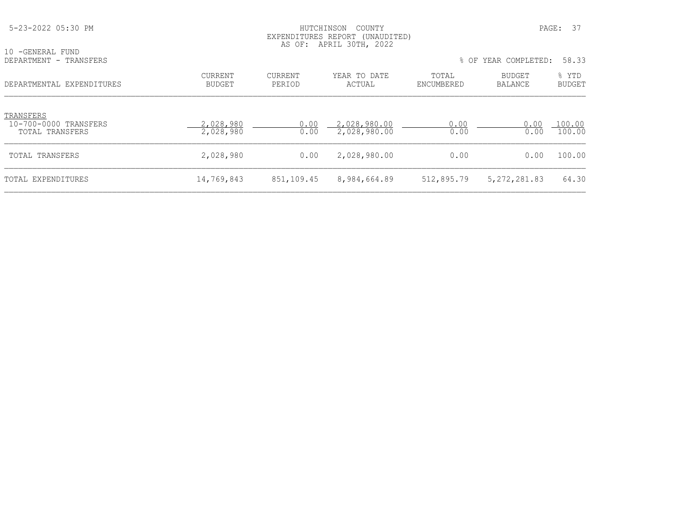| 5-23-2022 05:30 PM                                    |                          | HUTCHINSON<br>COUNTY<br>EXPENDITURES REPORT (UNAUDITED)<br>AS OF: APRIL 30TH, 2022 |                              |                     |                      |                        |
|-------------------------------------------------------|--------------------------|------------------------------------------------------------------------------------|------------------------------|---------------------|----------------------|------------------------|
| 10 -GENERAL FUND<br>DEPARTMENT - TRANSFERS            |                          |                                                                                    |                              |                     | % OF YEAR COMPLETED: | 58.33                  |
| DEPARTMENTAL EXPENDITURES                             | CURRENT<br><b>BUDGET</b> | CURRENT<br>PERIOD                                                                  | YEAR TO DATE<br>ACTUAL       | TOTAL<br>ENCUMBERED | BUDGET<br>BALANCE    | % YTD<br><b>BUDGET</b> |
| TRANSFERS<br>10-700-0000 TRANSFERS<br>TOTAL TRANSFERS | 2,028,980<br>2,028,980   | 0.00<br>0.00                                                                       | 2,028,980.00<br>2,028,980.00 | 0.00<br>0.00        | 0.00<br>0.00         | 100.00<br>100.00       |
| TOTAL TRANSFERS                                       | 2,028,980                | 0.00                                                                               | 2,028,980.00                 | 0.00                | 0.00                 | 100.00                 |
| TOTAL EXPENDITURES                                    | 14,769,843               | 851,109.45                                                                         | 8,984,664.89                 | 512,895.79          | 5, 272, 281.83       | 64.30                  |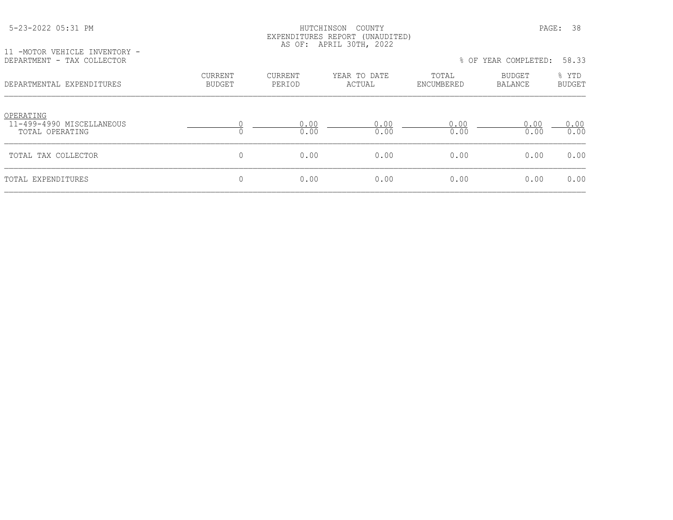#### HUTCHINSON COUNTY PAGE: 38 EXPENDITURES REPORT (UNAUDITED) AS OF: APRIL 30TH, 2022

11 -MOTOR VEHICLE INVENTORY -<br>DEPARTMENT - TAX COLLECTOR

| DEPARTMENT - TAX COLLECTOR                                |                          |                   |                        | % OF YEAR COMPLETED: |                   | 58.33                  |  |
|-----------------------------------------------------------|--------------------------|-------------------|------------------------|----------------------|-------------------|------------------------|--|
| DEPARTMENTAL EXPENDITURES                                 | CURRENT<br><b>BUDGET</b> | CURRENT<br>PERIOD | YEAR TO DATE<br>ACTUAL | TOTAL<br>ENCUMBERED  | BUDGET<br>BALANCE | % YTD<br><b>BUDGET</b> |  |
| OPERATING<br>11-499-4990 MISCELLANEOUS<br>TOTAL OPERATING |                          | 0.00<br>0.00      | 0.00<br>0.00           | 0.00<br>0.00         | 0.00<br>0.00      | 0.00<br>0.00           |  |
| TOTAL TAX COLLECTOR                                       |                          | 0.00              | 0.00                   | 0.00                 | 0.00              | 0.00                   |  |
| TOTAL EXPENDITURES                                        |                          | 0.00              | 0.00                   | 0.00                 | 0.00              | 0.00                   |  |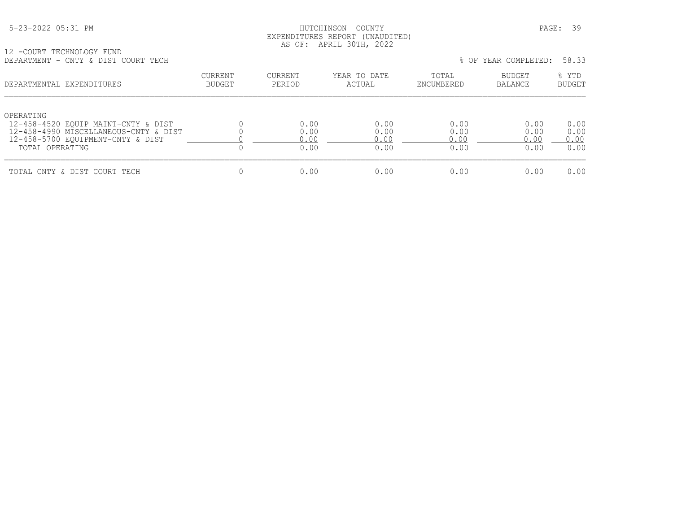# HUTCHINSON COUNTY **Example 2022** PAGE: 39 EXPENDITURES REPORT (UNAUDITED) AS OF: APRIL 30TH, 2022

12 -COURT TECHNOLOGY FUND DEPARTMENT - CNTY & DIST COURT TECH % OF YEAR COMPLETED: 58.33

| णामारारामानार<br>CITLE & DIDI COONI ILCH                                                                                                          |                          |                              |                              |                              | 0 OL ILIN CONILILILU         | .                            |
|---------------------------------------------------------------------------------------------------------------------------------------------------|--------------------------|------------------------------|------------------------------|------------------------------|------------------------------|------------------------------|
| DEPARTMENTAL EXPENDITURES                                                                                                                         | CURRENT<br><b>BUDGET</b> | CURRENT<br>PERIOD            | YEAR TO DATE<br>ACTUAL       | TOTAL<br>ENCUMBERED          | <b>BUDGET</b><br>BALANCE     | % YTD<br><b>BUDGET</b>       |
| OPERATING<br>12-458-4520 EOUIP MAINT-CNTY & DIST<br>12-458-4990 MISCELLANEOUS-CNTY & DIST<br>12-458-5700 EQUIPMENT-CNTY & DIST<br>TOTAL OPERATING |                          | 0.00<br>0.00<br>0.00<br>0.00 | 0.00<br>0.00<br>0.00<br>0.00 | 0.00<br>0.00<br>0.00<br>0.00 | 0.00<br>0.00<br>0.00<br>0.00 | 0.00<br>0.00<br>0.00<br>0.00 |
| TOTAL CNTY & DIST COURT TECH                                                                                                                      |                          | 0.00                         | 0.00                         | 0.00                         | 0.00                         | 0.00                         |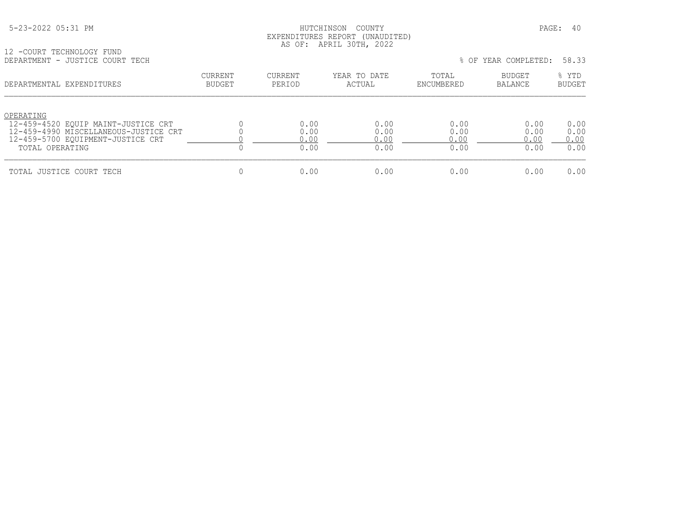# HUTCHINSON COUNTY PAGE: 40 EXPENDITURES REPORT (UNAUDITED) AS OF: APRIL 30TH, 2022

|  | 12 -COURT TECHNOLOGY FUND       |  |
|--|---------------------------------|--|
|  | DEPARTMENT - JUSTICE COURT TECH |  |

| DEPARTMENT - JUSTICE COURT TECH                                                                                                                   |                          |                              |                              |                              | % OF YEAR COMPLETED:         | 58.33                        |
|---------------------------------------------------------------------------------------------------------------------------------------------------|--------------------------|------------------------------|------------------------------|------------------------------|------------------------------|------------------------------|
| DEPARTMENTAL EXPENDITURES                                                                                                                         | <b>CURRENT</b><br>BUDGET | <b>CURRENT</b><br>PERIOD     | YEAR TO DATE<br>ACTUAL       | TOTAL<br>ENCUMBERED          | BUDGET<br>BALANCE            | % YTD<br><b>BUDGET</b>       |
| OPERATING<br>12-459-4520 EOUIP MAINT-JUSTICE CRT<br>12-459-4990 MISCELLANEOUS-JUSTICE CRT<br>12-459-5700 EQUIPMENT-JUSTICE CRT<br>TOTAL OPERATING |                          | 0.00<br>0.00<br>0.00<br>0.00 | 0.00<br>0.00<br>0.00<br>0.00 | 0.00<br>0.00<br>0.00<br>0.00 | 0.00<br>0.00<br>0.00<br>0.00 | 0.00<br>0.00<br>0.00<br>0.00 |
| TOTAL JUSTICE COURT TECH                                                                                                                          |                          | 0.00                         | 0.00                         | 0.00                         | 0.00                         | 0.00                         |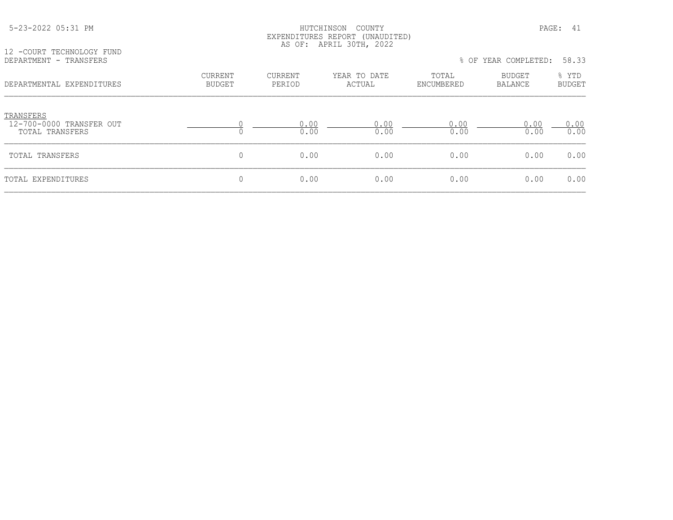| 5-23-2022 05:31 PM<br>12 -COURT TECHNOLOGY FUND          |                                 |                          | PAGE: 41               |                     |                          |                        |
|----------------------------------------------------------|---------------------------------|--------------------------|------------------------|---------------------|--------------------------|------------------------|
| DEPARTMENT - TRANSFERS                                   |                                 |                          |                        |                     | % OF YEAR COMPLETED:     | 58.33                  |
| DEPARTMENTAL EXPENDITURES                                | <b>CURRENT</b><br><b>BUDGET</b> | <b>CURRENT</b><br>PERIOD | YEAR TO DATE<br>ACTUAL | TOTAL<br>ENCUMBERED | BUDGET<br><b>BALANCE</b> | % YTD<br><b>BUDGET</b> |
| TRANSFERS<br>12-700-0000 TRANSFER OUT<br>TOTAL TRANSFERS |                                 | 0.00<br>0.00             | 0.00<br>0.00           | 0.00<br>0.00        | 0.00<br>0.00             | 0.00<br>0.00           |
| TOTAL TRANSFERS                                          | 0                               | 0.00                     | 0.00                   | 0.00                | 0.00                     | 0.00                   |
| TOTAL EXPENDITURES                                       | 0                               | 0.00                     | 0.00                   | 0.00                | 0.00                     | 0.00                   |
|                                                          |                                 |                          |                        |                     |                          |                        |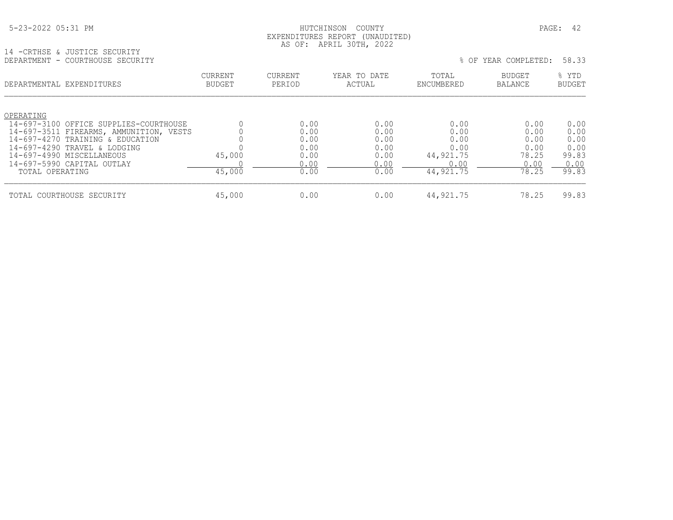| 5-23-2022 05:31 PM |
|--------------------|
|--------------------|

# HUTCHINSON COUNTY PAGE: 42 EXPENDITURES REPORT (UNAUDITED) AS OF: APRIL 30TH, 2022

14 -CRTHSE & JUSTICE SECURITY DEPARTMENT - COURTHOUSE SECURITY % OF YEAR COMPLETED: 58.33

| --------------<br>COONTING ON DUCCINITY |                                 |                   |                        |                     | $\circ$ of think communities. | -----                  |
|-----------------------------------------|---------------------------------|-------------------|------------------------|---------------------|-------------------------------|------------------------|
| DEPARTMENTAL EXPENDITURES               | <b>CURRENT</b><br><b>BUDGET</b> | CURRENT<br>PERIOD | YEAR TO DATE<br>ACTUAL | TOTAL<br>ENCUMBERED | <b>BUDGET</b><br>BALANCE      | % YTD<br><b>BUDGET</b> |
| OPERATING                               |                                 |                   |                        |                     |                               |                        |
| 14-697-3100 OFFICE SUPPLIES-COURTHOUSE  |                                 | 0.00              | 0.00                   | 0.00                | 0.00                          | 0.00                   |
| 14-697-3511 FIREARMS, AMMUNITION, VESTS |                                 | 0.00              | 0.00                   | 0.00                | 0.00                          | 0.00                   |
| 14-697-4270 TRAINING & EDUCATION        |                                 | 0.00              | 0.00                   | 0.00                | 0.00                          | 0.00                   |
| 14-697-4290 TRAVEL & LODGING            |                                 | 0.00              | 0.00                   | 0.00                | 0.00                          | 0.00                   |
| 14-697-4990 MISCELLANEOUS               | 45,000                          | 0.00              | 0.00                   | 44,921.75           | 78.25                         | 99.83                  |
| 14-697-5990 CAPITAL OUTLAY              |                                 | 0.00              | 0.00                   | 0.00                | 0.00                          | 0.00                   |
| TOTAL OPERATING                         | 45,000                          | 0.00              | 0.00                   | 44,921.75           | 78.25                         | 99.83                  |
| TOTAL COURTHOUSE SECURITY               | 45,000                          | 0.00              | 0.00                   | 44,921.75           | 78.25                         | 99.83                  |
|                                         |                                 |                   |                        |                     |                               |                        |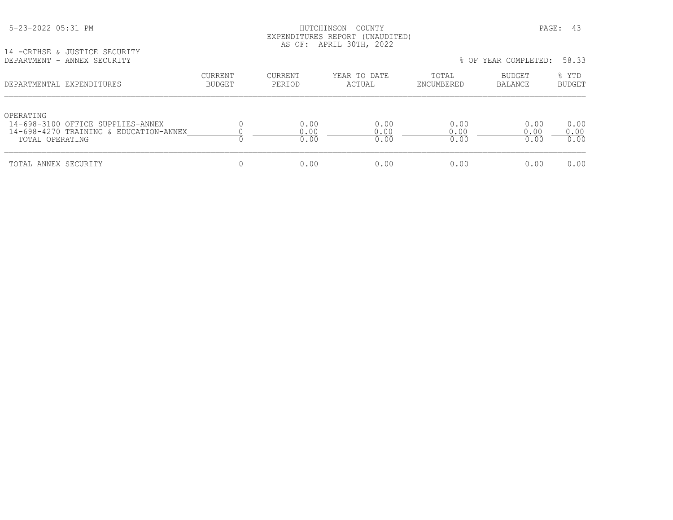| 5-23-2022 05:31 PM |  |
|--------------------|--|
|                    |  |

# HUTCHINSON COUNTY PAGE: 43 EXPENDITURES REPORT (UNAUDITED) AS OF: APRIL 30TH, 2022

14 -CRTHSE & JUSTICE SECURITY

| DEPARTMENT - ANNEX SECURITY                                                                                 |                          |                      |                        |                      | % OF YEAR COMPLETED: | 58.33                  |
|-------------------------------------------------------------------------------------------------------------|--------------------------|----------------------|------------------------|----------------------|----------------------|------------------------|
| DEPARTMENTAL EXPENDITURES                                                                                   | CURRENT<br><b>BUDGET</b> | CURRENT<br>PERIOD    | YEAR TO DATE<br>ACTUAL | TOTAL<br>ENCUMBERED  | BUDGET<br>BALANCE    | % YTD<br><b>BUDGET</b> |
| OPERATING<br>14-698-3100 OFFICE SUPPLIES-ANNEX<br>14-698-4270 TRAINING & EDUCATION-ANNEX<br>TOTAL OPERATING |                          | 0.00<br>0.00<br>0.00 | 0.00<br>0.00<br>0.00   | 0.00<br>0.00<br>0.00 | 0.00<br>0.00<br>0.00 | 0.00<br>0.00<br>0.00   |
| TOTAL ANNEX SECURITY                                                                                        |                          | 0.00                 | 0.00                   | 0.00                 | 0.00                 | 0.00                   |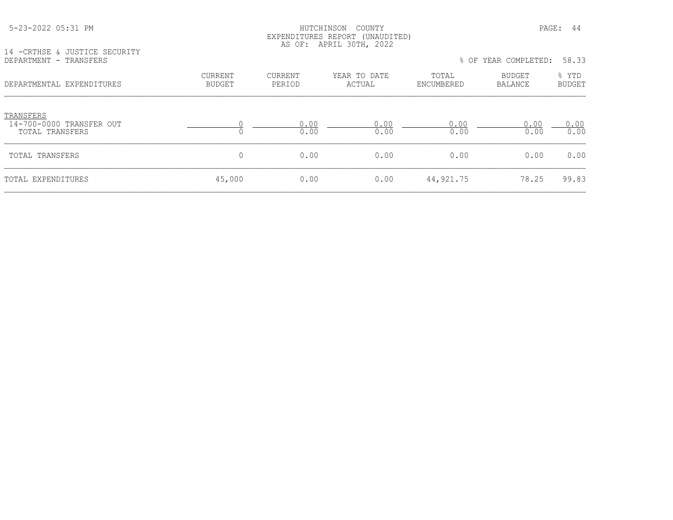TRANSFERS<br>14-700-0000

#### HUTCHINSON COUNTY PAGE: 44 EXPENDITURES REPORT (UNAUDITED) AS OF: APRIL 30TH, 2022

14 -CRTHSE & JUSTICE SECURITY<br>DEPARTMENT - TRANSFERS

| DEPARTMENT - TRANSFERS                                   |                   |                   |                        |                     | % OF YEAR COMPLETED: | 58.33                  |
|----------------------------------------------------------|-------------------|-------------------|------------------------|---------------------|----------------------|------------------------|
| DEPARTMENTAL EXPENDITURES                                | CURRENT<br>BUDGET | CURRENT<br>PERIOD | YEAR TO DATE<br>ACTUAL | TOTAL<br>ENCUMBERED | BUDGET<br>BALANCE    | % YTD<br><b>BUDGET</b> |
| TRANSFERS<br>14-700-0000 TRANSFER OUT<br>TOTAL TRANSFERS |                   | 0.00<br>0.00      | 0.00<br>0.00           | 0.00<br>0.00        | 0.00<br>0.00         | 0.00<br>0.00           |
| TOTAL TRANSFERS                                          | 0                 | 0.00              | 0.00                   | 0.00                | 0.00                 | 0.00                   |
| TOTAL EXPENDITURES                                       | 45,000            | 0.00              | 0.00                   | 44,921.75           | 78.25                | 99.83                  |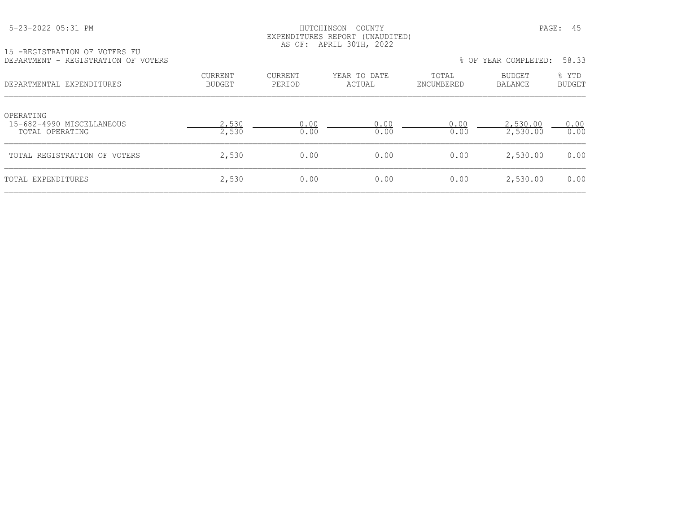#### HUTCHINSON COUNTY PAGE: 45 EXPENDITURES REPORT (UNAUDITED) AS OF: APRIL 30TH, 2022

| 15 -REGISTRATION OF VOTERS FU       |
|-------------------------------------|
| DEPARTMENT - REGISTRATION OF VOTERS |

| TA TUDIDITATITION AT MATHIMATIA<br>DEPARTMENT - REGISTRATION OF VOTERS |                   |                   |                        |                     | % OF YEAR COMPLETED: 58.33 |                 |
|------------------------------------------------------------------------|-------------------|-------------------|------------------------|---------------------|----------------------------|-----------------|
| DEPARTMENTAL EXPENDITURES                                              | CURRENT<br>BUDGET | CURRENT<br>PERIOD | YEAR TO DATE<br>ACTUAL | TOTAL<br>ENCUMBERED | BUDGET<br>BALANCE          | ዱ YTD<br>BUDGET |

| OPERATING<br>15-682-4990 MISCELLANEOUS<br>TOTAL OPERATING | .530<br>2,530 | 0.00 | _ റ റ<br>0.00 | 0.00<br>0.00 | 2,530.00<br>2,530.00 | 0.00<br>0.00 |
|-----------------------------------------------------------|---------------|------|---------------|--------------|----------------------|--------------|
| TOTAL REGISTRATION OF VOTERS                              | 2,530         | 0.00 | 0.00          | 0.00         | 2,530.00             | 0.00         |
| TOTAL EXPENDITURES                                        | 2,530         | 0.00 | 0.00          | 0.00         | 2,530.00             | 0.00         |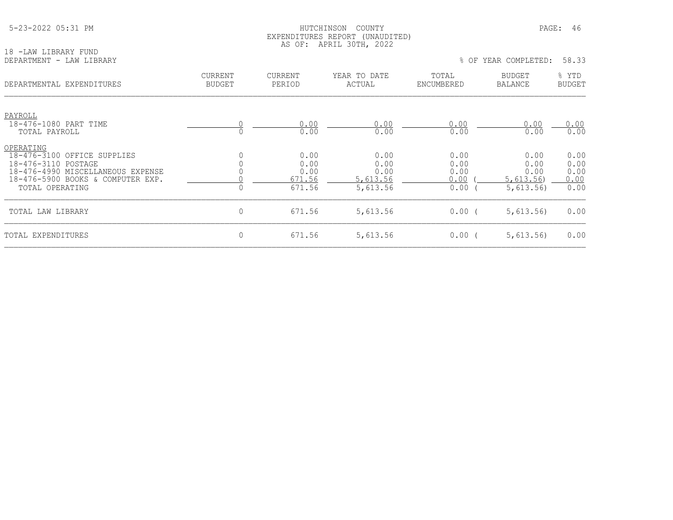|  | 5-23-2022 05:31 PM |  |
|--|--------------------|--|
|  |                    |  |

#### 5-23-2022 05:31 PM HUTCHINSON COUNTY PAGE: 46 EXPENDITURES REPORT (UNAUDITED) AS OF: APRIL 30TH, 2022

18 -LAW LIBRARY FUND

| $\perp$ $\cup$<br>LAN PIPRANI LUND<br>DEPARTMENT - LAW LIBRARY |                                 |                          |                        |                     | % OF YEAR COMPLETED:            | 58.33                  |
|----------------------------------------------------------------|---------------------------------|--------------------------|------------------------|---------------------|---------------------------------|------------------------|
| DEPARTMENTAL EXPENDITURES                                      | <b>CURRENT</b><br><b>BUDGET</b> | <b>CURRENT</b><br>PERIOD | YEAR TO DATE<br>ACTUAL | TOTAL<br>ENCUMBERED | <b>BUDGET</b><br><b>BALANCE</b> | % YTD<br><b>BUDGET</b> |
| PAYROLL<br>18-476-1080 PART TIME                               |                                 | 0.00                     | 0.00                   | 0.00                | 0.00                            | 0.00                   |
| TOTAL PAYROLL                                                  |                                 | 0.00                     | 0.00                   | 0.00                | 0.00                            | 0.00                   |
| OPERATING                                                      |                                 |                          |                        |                     |                                 |                        |
| 18-476-3100 OFFICE SUPPLIES                                    |                                 | 0.00                     | 0.00                   | 0.00                | 0.00                            | 0.00                   |
| 18-476-3110 POSTAGE                                            |                                 | 0.00                     | 0.00                   | 0.00                | 0.00                            | 0.00                   |
| 18-476-4990 MISCELLANEOUS EXPENSE                              |                                 | 0.00                     | 0.00                   | 0.00                | 0.00                            | 0.00                   |
| 18-476-5900 BOOKS & COMPUTER EXP.                              |                                 | 671.56                   | 5,613.56               | 0.00                | 5,613.56                        | 0.00                   |
| TOTAL OPERATING                                                |                                 | 671.56                   | 5,613.56               | 0.00                | 5,613.56                        | 0.00                   |

TOTAL LAW LIBRARY 6.00 (1992) 0 671.56 5,613.56 0.00 (5,613.56) 0.00

TOTAL EXPENDITURES 0 671.56 5,613.56 0.00 ( 5,613.56) 0.00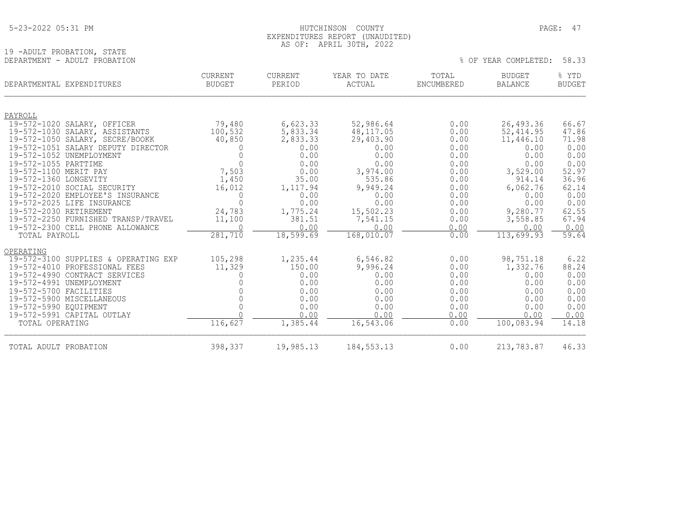# HUTCHINSON COUNTY PAGE: 47 EXPENDITURES REPORT (UNAUDITED) AS OF: APRIL 30TH, 2022

|                              | and the contract of the contract of the contract of the contract of the contract of the contract of the contract of |  |  |                            |  |
|------------------------------|---------------------------------------------------------------------------------------------------------------------|--|--|----------------------------|--|
| 19 -ADULT PROBATION, STATE   |                                                                                                                     |  |  |                            |  |
| DEPARTMENT - ADULT PROBATION |                                                                                                                     |  |  | % OF YEAR COMPLETED: 58.33 |  |

| DEPARTMENTAL EXPENDITURES                                     | <b>CURRENT</b><br><b>BUDGET</b> | <b>CURRENT</b><br>PERIOD | YEAR TO DATE<br>ACTUAL  | TOTAL<br><b>ENCUMBERED</b> | <b>BUDGET</b><br><b>BALANCE</b> | % YTD<br><b>BUDGET</b> |
|---------------------------------------------------------------|---------------------------------|--------------------------|-------------------------|----------------------------|---------------------------------|------------------------|
|                                                               |                                 |                          |                         |                            |                                 |                        |
| PAYROLL                                                       |                                 |                          |                         | 0.00                       | 26,493.36                       | 66.67                  |
| 19-572-1020 SALARY, OFFICER<br>19-572-1030 SALARY, ASSISTANTS | 79,480<br>100,532               | 6,623.33<br>5,833.34     | 52,986.64<br>48, 117.05 | 0.00                       | 52, 414.95                      | 47.86                  |
| 19-572-1050 SALARY, SECRE/BOOKK                               | 40,850                          | 2,833.33                 | 29,403.90               | 0.00                       | 11,446.10                       | 71.98                  |
| 19-572-1051 SALARY DEPUTY DIRECTOR                            | $\Omega$                        | 0.00                     | 0.00                    | 0.00                       | 0.00                            | 0.00                   |
| 19-572-1052 UNEMPLOYMENT                                      | $\Omega$                        | 0.00                     | 0.00                    | 0.00                       | 0.00                            | 0.00                   |
| 19-572-1055 PARTTIME                                          | $\Omega$                        | 0.00                     | 0.00                    | 0.00                       | 0.00                            | 0.00                   |
| 19-572-1100 MERIT PAY                                         | 7,503                           | 0.00                     | 3,974.00                | 0.00                       | 3,529.00                        | 52.97                  |
| 19-572-1360 LONGEVITY                                         | 1,450                           | 35.00                    | 535.86                  | 0.00                       | 914.14                          | 36.96                  |
| 19-572-2010 SOCIAL SECURITY                                   | 16,012                          | 1,117.94                 | 9,949.24                | 0.00                       | 6,062.76                        | 62.14                  |
| 19-572-2020<br>EMPLOYEE'S INSURANCE                           | $\Omega$                        | 0.00                     | 0.00                    | 0.00                       | 0.00                            | 0.00                   |
| 19-572-2025 LIFE INSURANCE                                    | $\Omega$                        | 0.00                     | 0.00                    | 0.00                       | 0.00                            | 0.00                   |
| 19-572-2030 RETIREMENT                                        | 24,783                          | 1,775.24                 | 15,502.23               | 0.00                       | 9,280.77                        | 62.55                  |
| 19-572-2250 FURNISHED TRANSP/TRAVEL                           | 11,100                          | 381.51                   | 7,541.15                | 0.00                       | 3,558.85                        | 67.94                  |
| 19-572-2300 CELL PHONE ALLOWANCE                              | $\Omega$                        | 0.00                     | 0.00                    | 0.00                       | 0.00                            | 0.00                   |
| TOTAL PAYROLL                                                 | 281,710                         | 18,599.69                | 168, 010.07             | 0.00                       | 113,699.93                      | 59.64                  |
| OPERATING                                                     |                                 |                          |                         |                            |                                 |                        |
| 19-572-3100<br>SUPPLIES & OPERATING EXP                       | 105,298                         | 1,235.44                 | 6,546.82                | 0.00                       | 98,751.18                       | 6.22                   |
| 19-572-4010<br>PROFESSIONAL FEES                              | 11,329                          | 150.00                   | 9,996.24                | 0.00                       | 1,332.76                        | 88.24                  |
| 19-572-4990<br>CONTRACT SERVICES                              |                                 | 0.00                     | 0.00                    | 0.00                       | 0.00                            | 0.00                   |
| 19-572-4991 UNEMPLOYMENT                                      |                                 | 0.00                     | 0.00                    | 0.00                       | 0.00                            | 0.00                   |
| 19-572-5700 FACILITIES                                        |                                 | 0.00                     | 0.00                    | 0.00                       | 0.00                            | 0.00                   |
| 19-572-5900 MISCELLANEOUS                                     |                                 | 0.00                     | 0.00                    | 0.00                       | 0.00                            | 0.00                   |
| 19-572-5990 EQUIPMENT<br>19-572-5991 CAPITAL OUTLAY           |                                 | 0.00<br>0.00             | 0.00<br>0.00            | 0.00<br>0.00               | 0.00<br>0.00                    | 0.00<br>0.00           |
| TOTAL OPERATING                                               | 116,627                         | 1,385.44                 | 16, 543.06              | 0.00                       | 100,083.94                      | 14.18                  |
|                                                               |                                 |                          |                         |                            |                                 |                        |
| TOTAL ADULT PROBATION                                         | 398,337                         | 19,985.13                | 184, 553. 13            | 0.00                       | 213,783.87                      | 46.33                  |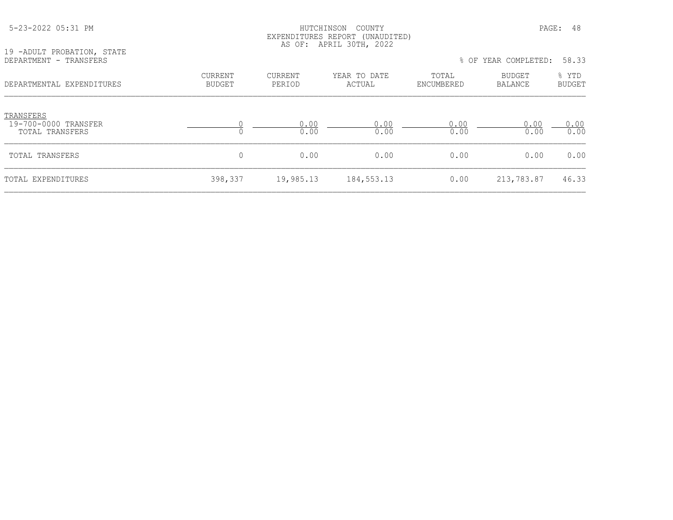| 19 -ADULT PROBATION, STATE                           | LAPLNDIIUKLS KLPUKI (UNAUDIILD)<br>AS OF: APRIL 30TH, 2022 |                          |                        |                     |                      |                        |
|------------------------------------------------------|------------------------------------------------------------|--------------------------|------------------------|---------------------|----------------------|------------------------|
| DEPARTMENT - TRANSFERS                               |                                                            |                          |                        |                     | % OF YEAR COMPLETED: | 58.33                  |
| DEPARTMENTAL EXPENDITURES                            | CURRENT<br><b>BUDGET</b>                                   | <b>CURRENT</b><br>PERIOD | YEAR TO DATE<br>ACTUAL | TOTAL<br>ENCUMBERED | BUDGET<br>BALANCE    | % YTD<br><b>BUDGET</b> |
| TRANSFERS<br>19-700-0000 TRANSFER<br>TOTAL TRANSFERS |                                                            | 0.00<br>0.00             | 0.00<br>0.00           | 0.00<br>0.00        | 0.00<br>0.00         | 0.00<br>0.00           |
| TOTAL TRANSFERS                                      | 0                                                          | 0.00                     | 0.00                   | 0.00                | 0.00                 | 0.00                   |
| TOTAL EXPENDITURES                                   | 398,337                                                    | 19,985.13                | 184, 553. 13           | 0.00                | 213,783.87           | 46.33                  |

 5-23-2022 05:31 PM HUTCHINSON COUNTY PAGE: 48 EXPENDITURES REPORT (UNAUDITED)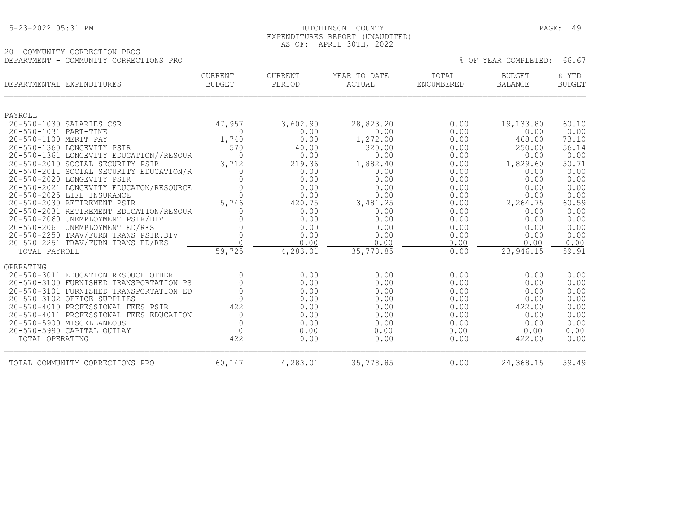|  | 5-23-2022 05:31 PM |  |
|--|--------------------|--|
|  |                    |  |

#### 5-23-2022 05:31 PM HUTCHINSON COUNTY PAGE: 49 EXPENDITURES REPORT (UNAUDITED) AS OF: APRIL 30TH, 2022

# 20 -COMMUNITY CORRECTION PROG DEPARTMENT - COMMUNITY CORRECTIONS PRO % OF YEAR COMPLETED: 66.67

| DEPARTMENTAL EXPENDITURES |                                                                       | <b>CURRENT</b><br><b>BUDGET</b> | <b>CURRENT</b><br>PERIOD | YEAR TO DATE<br>ACTUAL | TOTAL<br><b>ENCUMBERED</b> | <b>BUDGET</b><br><b>BALANCE</b> | % YTD<br><b>BUDGET</b> |
|---------------------------|-----------------------------------------------------------------------|---------------------------------|--------------------------|------------------------|----------------------------|---------------------------------|------------------------|
|                           |                                                                       |                                 |                          |                        |                            |                                 |                        |
| PAYROLL                   |                                                                       |                                 |                          |                        |                            |                                 |                        |
|                           | 20-570-1030 SALARIES CSR                                              | 47,957                          | 3,602.90                 | 28,823.20              | 0.00                       | 19,133.80                       | 60.10                  |
| 20-570-1031 PART-TIME     |                                                                       | $\Omega$                        | 0.00                     | 0.00                   | 0.00                       | 0.00                            | 0.00                   |
| 20-570-1100 MERIT PAY     |                                                                       | 1,740                           | 0.00                     | 1,272.00               | 0.00                       | 468.00                          | 73.10                  |
|                           | 20-570-1360 LONGEVITY PSIR                                            | 570                             | 40.00                    | 320.00                 | 0.00                       | 250.00                          | 56.14                  |
|                           | 20-570-1361 LONGEVITY EDUCATION//RESOUR                               | $\Omega$                        | 0.00                     | 0.00                   | 0.00                       | 0.00                            | 0.00                   |
|                           | 20-570-2010 SOCIAL SECURITY PSIR                                      | 3,712                           | 219.36                   | 1,882.40               | 0.00                       | 1,829.60                        | 50.71                  |
|                           | 20-570-2011 SOCIAL SECURITY EDUCATION/R                               |                                 | 0.00                     | 0.00                   | 0.00                       | 0.00                            | 0.00                   |
|                           | 20-570-2020 LONGEVITY PSIR<br>20-570-2021 LONGEVITY EDUCATON/RESOURCE |                                 | 0.00                     | 0.00                   | 0.00                       | 0.00                            | 0.00<br>0.00           |
|                           | 20-570-2025 LIFE INSURANCE                                            | $\cap$                          | 0.00<br>0.00             | 0.00<br>0.00           | 0.00<br>0.00               | 0.00<br>0.00                    | 0.00                   |
|                           | 20-570-2030 RETIREMENT PSIR                                           | 5,746                           | 420.75                   | 3,481.25               | 0.00                       | 2,264.75                        | 60.59                  |
|                           | 20-570-2031 RETIREMENT EDUCATION/RESOUR                               |                                 | 0.00                     | 0.00                   | 0.00                       | 0.00                            | 0.00                   |
|                           | 20-570-2060 UNEMPLOYMENT PSIR/DIV                                     |                                 | 0.00                     | 0.00                   | 0.00                       | 0.00                            | 0.00                   |
|                           | 20-570-2061 UNEMPLOYMENT ED/RES                                       |                                 | 0.00                     | 0.00                   | 0.00                       | 0.00                            | 0.00                   |
|                           | 20-570-2250 TRAV/FURN TRANS PSIR.DIV                                  |                                 | 0.00                     | 0.00                   | 0.00                       | 0.00                            | 0.00                   |
|                           | 20-570-2251 TRAV/FURN TRANS ED/RES                                    |                                 | 0.00                     | 0.00                   | 0.00                       | 0.00                            | 0.00                   |
| TOTAL PAYROLL             |                                                                       | 59,725                          | 4,283.01                 | 35,778.85              | 0.00                       | 23,946.15                       | 59.91                  |
| OPERATING                 |                                                                       |                                 |                          |                        |                            |                                 |                        |
|                           | 20-570-3011 EDUCATION RESOUCE OTHER                                   | 0                               | 0.00                     | 0.00                   | 0.00                       | 0.00                            | 0.00                   |
|                           | 20-570-3100 FURNISHED TRANSPORTATION PS                               |                                 | 0.00                     | 0.00                   | 0.00                       | 0.00                            | 0.00                   |
|                           | 20-570-3101 FURNISHED TRANSPORTATION ED                               |                                 | 0.00                     | 0.00                   | 0.00                       | 0.00                            | 0.00                   |
|                           | 20-570-3102 OFFICE SUPPLIES                                           |                                 | 0.00                     | 0.00                   | 0.00                       | 0.00                            | 0.00                   |
|                           | 20-570-4010 PROFESSIONAL FEES PSIR                                    | 422                             | 0.00                     | 0.00                   | 0.00                       | 422.00                          | 0.00                   |
|                           | 20-570-4011 PROFESSIONAL FEES EDUCATION                               | 0                               | 0.00                     | 0.00                   | 0.00                       | 0.00                            | 0.00                   |
|                           | 20-570-5900 MISCELLANEOUS                                             |                                 | 0.00                     | 0.00                   | 0.00                       | 0.00                            | 0.00                   |
|                           | 20-570-5990 CAPITAL OUTLAY                                            |                                 | 0.00                     | 0.00                   | 0.00                       | 0.00                            | 0.00                   |
| TOTAL OPERATING           |                                                                       | 422                             | 0.00                     | 0.00                   | 0.00                       | 422.00                          | 0.00                   |
|                           | TOTAL COMMUNITY CORRECTIONS PRO                                       | 60,147                          | 4,283.01                 | 35,778.85              | 0.00                       | 24,368.15                       | 59.49                  |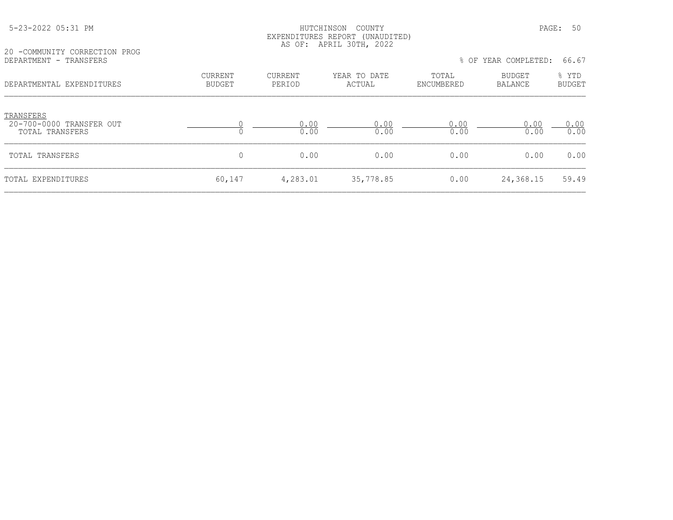#### 5-23-2022 05:31 PM HUTCHINSON COUNTY PAGE: 50 EXPENDITURES REPORT (UNAUDITED) AS OF: APRIL 30TH, 2022

20 -COMMUNITY CORRECTION PROG<br>DEPARTMENT - TRANSFERS

% OF YEAR COMPLETED: 66.67 CURRENT CURRENT TEAR TO DATE TOTAL BUDGET  $\frac{1}{2}$  BUDGET  $\frac{1}{2}$  PERIOD ACTUAL BIOCUMBERED BALANCE BUDGET DEPARTMENTAL EXPENDITURES BUDGET PERIOD ACTUAL ENCUMBERED BALANCE BUDGET

| TRANSFERS<br>20-700-0000 TRANSFER OUT<br>TOTAL TRANSFERS |        | $\cap$<br>0.00 | 0.00<br>0.00 | 0.00<br>0.00 | 0.00<br>0.00 | ). 00<br>0.00 |
|----------------------------------------------------------|--------|----------------|--------------|--------------|--------------|---------------|
| TOTAL TRANSFERS                                          |        | 0.00           | 0.00         | 0.00         | 0.00         | 0.00          |
| TOTAL EXPENDITURES                                       | 60,147 | 4,283.01       | 35,778.85    | 0.00         | 24,368.15    | 59.49         |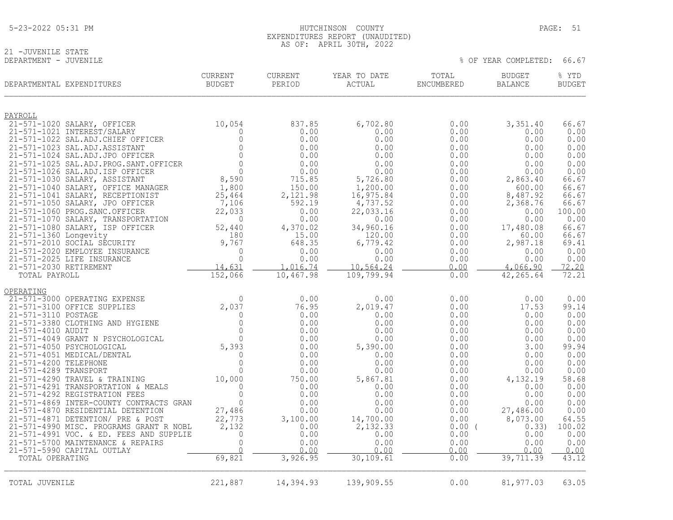# 21 -JUVENILE STATE<br>DEPARTMENT - JUVENILE

% OF YEAR COMPLETED: 66.67

| DEPARTMENTAL EXPENDITURES                                                | <b>CURRENT</b><br><b>BUDGET</b> | <b>CURRENT</b><br>PERIOD | YEAR TO DATE<br>ACTUAL  | TOTAL<br>ENCUMBERED | <b>BUDGET</b><br><b>BALANCE</b> | % YTD<br><b>BUDGET</b> |
|--------------------------------------------------------------------------|---------------------------------|--------------------------|-------------------------|---------------------|---------------------------------|------------------------|
| PAYROLL                                                                  |                                 |                          |                         |                     |                                 |                        |
| 21-571-1020 SALARY, OFFICER<br>21-571-1021 INTEREST/SALARY               | 10,054<br>$\Omega$              | 837.85<br>0.00           | 6,702.80<br>0.00        | 0.00<br>0.00        | 3,351.40<br>0.00                | 66.67<br>0.00          |
| 21-571-1022 SAL.ADJ.CHIEF OFFICER                                        | $\mathbf 0$                     | 0.00                     | 0.00                    | 0.00                | 0.00                            | 0.00                   |
| 21-571-1023 SAL.ADJ.ASSISTANT                                            | $\overline{0}$                  | 0.00                     | 0.00                    | 0.00                | 0.00                            | 0.00                   |
| 21-571-1024 SAL.ADJ.JPO OFFICER                                          | $\Omega$                        | 0.00                     | 0.00                    | 0.00                | 0.00                            | 0.00                   |
| 21-571-1025 SAL.ADJ.PROG.SANT.OFFICER                                    | $\circ$<br>$\overline{0}$       | 0.00                     | 0.00                    | 0.00                | 0.00                            | 0.00                   |
| 21-571-1026 SAL.ADJ.ISP OFFICER<br>21-571-1030 SALARY, ASSISTANT         | 8,590                           | 0.00<br>715.85           | 0.00<br>5,726.80        | 0.00<br>0.00        | 0.00<br>2,863.40                | 0.00<br>66.67          |
| 21-571-1040 SALARY, OFFICE MANAGER                                       | 1,800                           | 150.00                   | 1,200.00                | 0.00                | 600.00                          | 66.67                  |
| 21-571-1041 SALARY, RECEPTIONIST                                         | 25,464                          | 2,121.98                 | 16,975.84               | 0.00                | 8,487.92                        | 66.67                  |
| 21-571-1050 SALARY, JPO OFFICER                                          | 7,106                           | 592.19                   | 4,737.52                | 0.00                | 2,368.76                        | 66.67                  |
| 21-571-1060 PROG. SANC. OFFICER                                          | 22,033                          | 0.00                     | 22,033.16               | 0.00                | 0.00                            | 100.00                 |
| 21-571-1070 SALARY, TRANSPORTATION<br>21-571-1080 SALARY, ISP OFFICER    |                                 | 0.00<br>4,370.02         | 0.00<br>34,960.16       | 0.00<br>0.00        | 0.00<br>17,480.08               | 0.00<br>66.67          |
| 21-571-1360 Longevity                                                    |                                 | 15.00                    | 120.00                  | 0.00                | 60.00                           | 66.67                  |
| 21-571-2010 SOCIAL SECURITY                                              |                                 | 648.35                   | 6,779.42                | 0.00                | 2,987.18                        | 69.41                  |
| 21-571-2020 EMPLOYEE INSURANCE                                           |                                 | 0.00                     | 0.00                    | 0.00                | 0.00                            | 0.00                   |
| 21-571-2025 LIFE INSURANCE                                               |                                 | 0.00                     | 0.00                    | 0.00                | 0.00                            | 0.00                   |
| 21-571-2030 RETIREMENT<br>TOTAL PAYROLL                                  | $52, 4$<br>$18, 9, 767$         | 1,016.74<br>10,467.98    | 10,564.24<br>109,799.94 | 0.00<br>0.00        | 4,066.90<br>42,265.64           | 72.20<br>72.21         |
|                                                                          |                                 |                          |                         |                     |                                 |                        |
| OPERATING                                                                |                                 |                          |                         |                     |                                 |                        |
| 21-571-3000 OPERATING EXPENSE                                            | $\Omega$<br>2,037               | 0.00<br>76.95            | 0.00<br>2,019.47        | 0.00                | 0.00<br>17.53                   | 0.00<br>99.14          |
| 21-571-3100 OFFICE SUPPLIES<br>21-571-3110 POSTAGE                       | $\overline{0}$                  | 0.00                     | 0.00                    | 0.00<br>0.00        | 0.00                            | 0.00                   |
| 21-571-3380 CLOTHING AND HYGIENE                                         | $\overline{0}$                  | 0.00                     | 0.00                    | 0.00                | 0.00                            | 0.00                   |
| 21-571-4010 AUDIT                                                        | $\mathbf{0}$                    | 0.00                     | 0.00                    | 0.00                | 0.00                            | 0.00                   |
| 21-571-4049 GRANT N PSYCHOLOGICAL                                        | $\bigcap$                       | 0.00                     | 0.00                    | 0.00                | 0.00                            | 0.00                   |
| 21-571-4050 PSYCHOLOGICAL<br>21-571-4051 MEDICAL/DENTAL                  | 5,393                           | 0.00                     | 5,390.00                | 0.00                | 3.00                            | 99.94                  |
| 21-571-4200 TELEPHONE                                                    | $\mathbf 0$<br>$\Omega$         | 0.00<br>0.00             | 0.00<br>0.00            | 0.00<br>0.00        | 0.00<br>0.00                    | 0.00<br>0.00           |
| 21-571-4289 TRANSPORT                                                    | $\Omega$                        | 0.00                     | 0.00                    | 0.00                | 0.00                            | 0.00                   |
| 21-571-4290 TRAVEL & TRAINING                                            | 10,000                          | 750.00                   | 5,867.81                | 0.00                | 4,132.19                        | 58.68                  |
| 21-571-4291 TRANSPORTATION & MEALS                                       | $\Omega$                        | 0.00                     | 0.00                    | 0.00                | 0.00                            | 0.00                   |
| 21-571-4292 REGISTRATION FEES<br>21-571-4869 INTER-COUNTY CONTRACTS GRAN | $\mathbf{0}$<br>$\mathbf{0}$    | 0.00<br>0.00             | 0.00<br>0.00            | 0.00<br>0.00        | 0.00<br>0.00                    | 0.00<br>0.00           |
| 21-571-4870 RESIDENTIAL DETENTION                                        | 27,486                          | 0.00                     | 0.00                    | 0.00                | 27,486.00                       | 0.00                   |
| 21-571-4871 DETENTION/ PRE & POST                                        | 22,773                          | 3,100.00                 | 14,700.00               | 0.00                | 8,073.00                        | 64.55                  |
| 21-571-4990 MISC. PROGRAMS GRANT R NOBL                                  | 2,132                           | 0.00                     | 2,132.33                | $0.00$ (            | 0.33)                           | 100.02                 |
| 21-571-4991 VOC. & ED. FEES AND SUPPLIE                                  | $\mathbf 0$                     | 0.00                     | 0.00                    | 0.00                | 0.00                            | 0.00                   |
| 21-571-5700 MAINTENANCE & REPAIRS<br>21-571-5990 CAPITAL OUTLAY          | $\overline{0}$                  | 0.00<br>0.00             | 0.00<br>0.00            | 0.00<br>0.00        | 0.00<br>0.00                    | 0.00<br>0.00           |
| TOTAL OPERATING                                                          | 69,821                          | 3,926.95                 | 30, 109.61              | 0.00                | 39,711.39                       | 43.12                  |
|                                                                          |                                 |                          |                         |                     |                                 |                        |
| TOTAL JUVENILE                                                           | 221,887                         | 14,394.93                | 139,909.55              | 0.00                | 81,977.03                       | 63.05                  |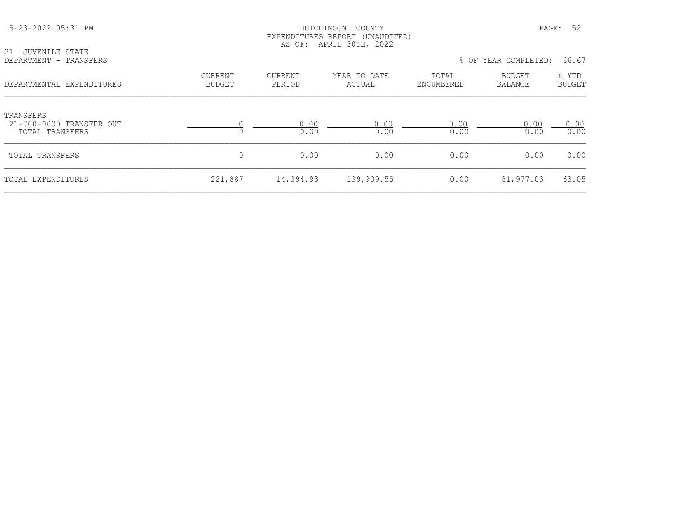|                                                          |                          |                          | EXPENDITURES REPORT (UNAUDITED)<br>AS OF: APRIL 30TH, 2022 |                     |                      |                        |
|----------------------------------------------------------|--------------------------|--------------------------|------------------------------------------------------------|---------------------|----------------------|------------------------|
| 21 -JUVENILE STATE<br>DEPARTMENT - TRANSFERS             |                          |                          |                                                            |                     | % OF YEAR COMPLETED: | 66.67                  |
| DEPARTMENTAL EXPENDITURES                                | CURRENT<br><b>BUDGET</b> | <b>CURRENT</b><br>PERIOD | YEAR TO DATE<br>ACTUAL                                     | TOTAL<br>ENCUMBERED | BUDGET<br>BALANCE    | % YTD<br><b>BUDGET</b> |
| TRANSFERS<br>21-700-0000 TRANSFER OUT<br>TOTAL TRANSFERS |                          | 0.00<br>0.00             | 0.00<br>0.00                                               | 0.00<br>0.00        | 0.00<br>0.00         | 0.00<br>0.00           |
| TOTAL TRANSFERS                                          | $\mathbf 0$              | 0.00                     | 0.00                                                       | 0.00                | 0.00                 | 0.00                   |
| TOTAL EXPENDITURES                                       | 221,887                  | 14,394.93                | 139,909.55                                                 | 0.00                | 81,977.03            | 63.05                  |

5-23-2022 05:31 PM HUTCHINSON COUNTY PAGE: 52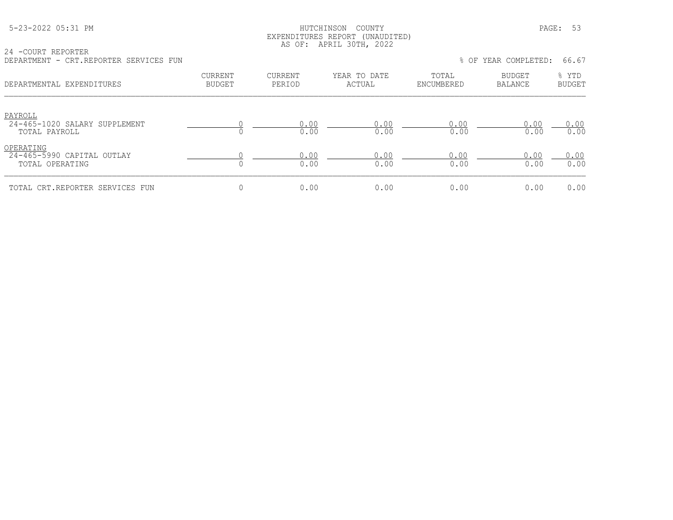## HUTCHINSON COUNTY PAGE: 53 EXPENDITURES REPORT (UNAUDITED) AS OF: APRIL 30TH, 2022

| 24 -COURT REPORTER                     |  |  |  |
|----------------------------------------|--|--|--|
| DEPARTMENT - CRT.REPORTER SERVICES FUN |  |  |  |

| DEPARTMENT - CRT.REPORTER SERVICES FUN                       |                                 |                   |                        |                     | % OF YEAR COMPLETED: | 66.67                  |
|--------------------------------------------------------------|---------------------------------|-------------------|------------------------|---------------------|----------------------|------------------------|
| DEPARTMENTAL EXPENDITURES                                    | <b>CURRENT</b><br><b>BUDGET</b> | CURRENT<br>PERIOD | YEAR TO DATE<br>ACTUAL | TOTAL<br>ENCUMBERED | BUDGET<br>BALANCE    | % YTD<br><b>BUDGET</b> |
| PAYROLL<br>24-465-1020 SALARY SUPPLEMENT<br>TOTAL PAYROLL    |                                 | 0.00<br>0.00      | 0.00<br>0.00           | 0.00<br>0.00        | 0.00<br>0.00         | 0.00<br>0.00           |
| OPERATING<br>$24-465-5990$ CAPITAL OUTLAY<br>TOTAL OPERATING |                                 | 0.00<br>0.00      | 0.00<br>0.00           | 0.00<br>0.00        | 0.00<br>0.00         | 0.00<br>0.00           |
| TOTAL CRT.REPORTER SERVICES FUN                              | 0                               | 0.00              | 0.00                   | 0.00                | 0.00                 | 0.00                   |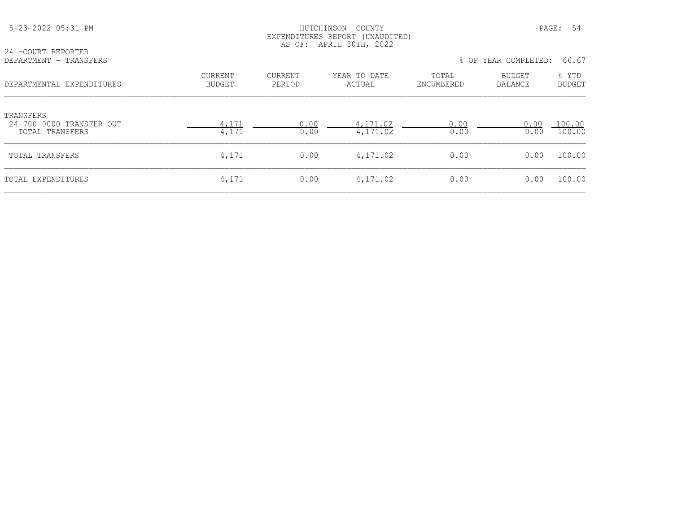| 5-23-2022 05:31 PM                                       |                                 |                          | HUTCHINSON<br>COUNTY<br>EXPENDITURES REPORT (UNAUDITED)<br>AS OF: APRIL 30TH, 2022 |                     |                          | PAGE:<br>-54           |
|----------------------------------------------------------|---------------------------------|--------------------------|------------------------------------------------------------------------------------|---------------------|--------------------------|------------------------|
| 24 - COURT REPORTER<br>DEPARTMENT - TRANSFERS            |                                 |                          |                                                                                    | % OF                | YEAR COMPLETED:          | 66.67                  |
| DEPARTMENTAL EXPENDITURES                                | <b>CURRENT</b><br><b>BUDGET</b> | <b>CURRENT</b><br>PERIOD | YEAR TO DATE<br>ACTUAL                                                             | TOTAL<br>ENCUMBERED | BUDGET<br><b>BALANCE</b> | % YTD<br><b>BUDGET</b> |
| TRANSFERS<br>24-700-0000 TRANSFER OUT<br>TOTAL TRANSFERS | 4,171<br>4,171                  | 0.00<br>0.00             | 4,171.02<br>4,171.02                                                               | 0.00<br>0.00        | 0.00<br>0.00             | 100.00<br>100.00       |
| TOTAL TRANSFERS                                          | 4,171                           | 0.00                     | 4,171.02                                                                           | 0.00                | 0.00                     | 100.00                 |
| TOTAL EXPENDITURES                                       | 4,171                           | 0.00                     | 4,171.02                                                                           | 0.00                | 0.00                     | 100.00                 |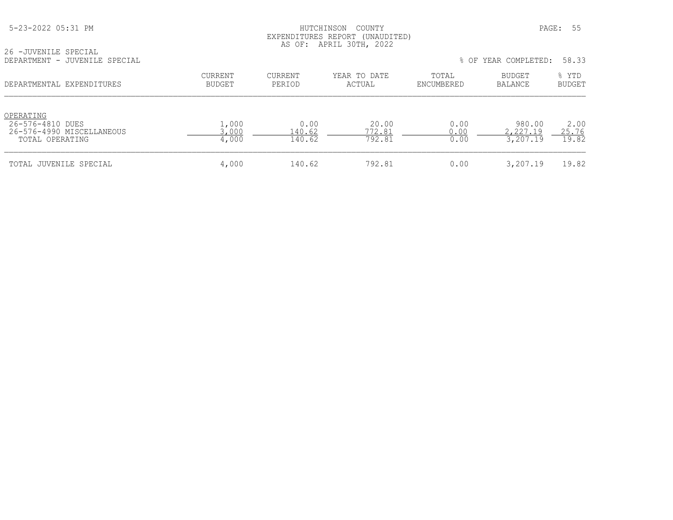|  | 5-23-2022 05:31 PM |  |
|--|--------------------|--|
|  |                    |  |

# HUTCHINSON COUNTY PAGE: 55 EXPENDITURES REPORT (UNAUDITED) AS OF: APRIL 30TH, 2022

|                               | AS OF. | A P R I I.<br>3 U T H<br>2022 |                          |  |
|-------------------------------|--------|-------------------------------|--------------------------|--|
| 26 -JUVENILE SPECIAL          |        |                               |                          |  |
| DEPARTMENT - JUVENILE SPECIAL |        |                               | OF YEAR COMPLETED: 58.33 |  |

| DEPARTMENTAL EXPENDITURES                                                     | <b>CURRENT</b><br>BUDGET | CURRENT<br>PERIOD        | YEAR TO DATE<br>ACTUAL    | TOTAL<br>ENCUMBERED  | BUDGET<br>BALANCE              | % YTD<br><b>BUDGET</b> |
|-------------------------------------------------------------------------------|--------------------------|--------------------------|---------------------------|----------------------|--------------------------------|------------------------|
| OPERATING<br>26-576-4810 DUES<br>26-576-4990 MISCELLANEOUS<br>TOTAL OPERATING | 1,000<br>3,000<br>4,000  | 0.00<br>140.62<br>140.62 | 20.00<br>772.81<br>792.81 | 0.00<br>0.00<br>0.00 | 980.00<br>2,227.19<br>3,207.19 | 2.00<br>25.76<br>19.82 |
| TOTAL JUVENILE SPECIAL                                                        | 4,000                    | 140.62                   | 792.81                    | 0.00                 | 3,207.19                       | 19.82                  |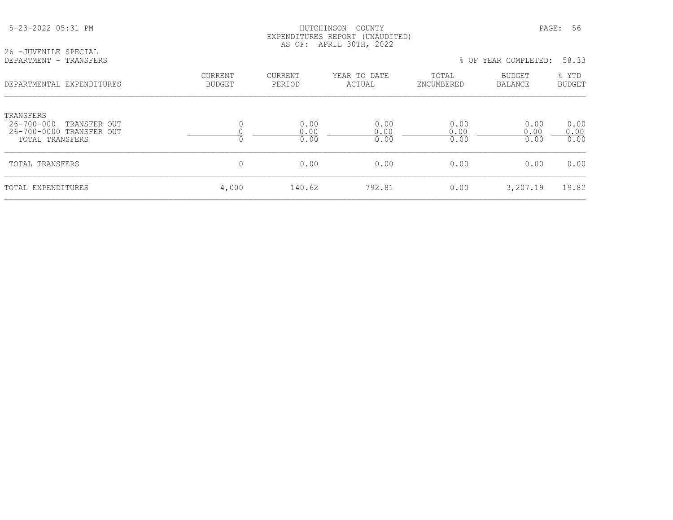|                                                                                              |                          |                          | EXPENDITURES REPORT (UNAUDITED)<br>AS OF: APRIL 30TH, 2022 |                      |                          |                        |
|----------------------------------------------------------------------------------------------|--------------------------|--------------------------|------------------------------------------------------------|----------------------|--------------------------|------------------------|
| 26 - JUVENILE SPECIAL<br>DEPARTMENT - TRANSFERS                                              |                          |                          |                                                            |                      | % OF YEAR COMPLETED:     | 58.33                  |
| DEPARTMENTAL EXPENDITURES                                                                    | CURRENT<br><b>BUDGET</b> | <b>CURRENT</b><br>PERIOD | YEAR TO DATE<br>ACTUAL                                     | TOTAL<br>ENCUMBERED  | BUDGET<br><b>BALANCE</b> | % YTD<br><b>BUDGET</b> |
| TRANSFERS<br>$26 - 700 - 000$<br>TRANSFER OUT<br>26-700-0000 TRANSFER OUT<br>TOTAL TRANSFERS |                          | 0.00<br>0.00<br>0.00     | 0.00<br>0.00<br>0.00                                       | 0.00<br>0.00<br>0.00 | 0.00<br>0.00<br>0.00     | 0.00<br>0.00<br>0.00   |
| TOTAL TRANSFERS                                                                              | 0                        | 0.00                     | 0.00                                                       | 0.00                 | 0.00                     | 0.00                   |
| TOTAL EXPENDITURES                                                                           | 4,000                    | 140.62                   | 792.81                                                     | 0.00                 | 3,207.19                 | 19.82                  |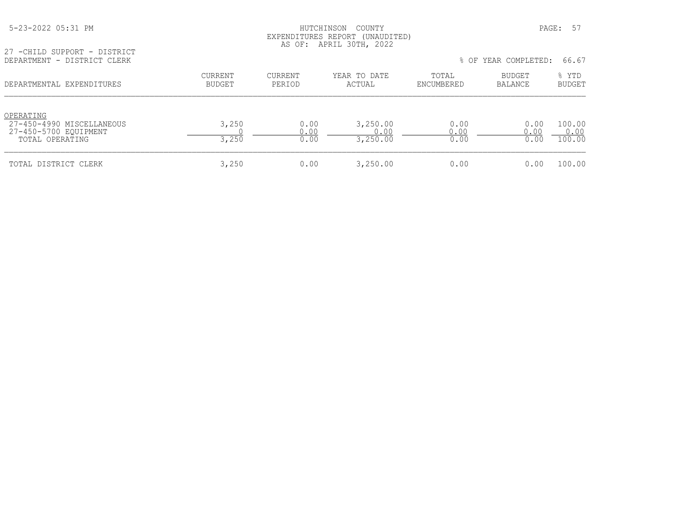| 5-23-2022 05:31 PM |  |  |
|--------------------|--|--|
|--------------------|--|--|

# HUTCHINSON COUNTY PAGE: 57 EXPENDITURES REPORT (UNAUDITED) AS OF: APRIL 30TH, 2022

27 -CHILD SUPPORT - DISTRICT<br>DEPARTMENT - DISTRICT CLERK

| DEPARTMENT - DISTRICT CLERK                                                        |                          |                      |                              | % OF YEAR COMPLETED: |                          | 66.67                    |  |
|------------------------------------------------------------------------------------|--------------------------|----------------------|------------------------------|----------------------|--------------------------|--------------------------|--|
| DEPARTMENTAL EXPENDITURES                                                          | CURRENT<br><b>BUDGET</b> | CURRENT<br>PERIOD    | YEAR TO DATE<br>ACTUAL       | TOTAL<br>ENCUMBERED  | <b>BUDGET</b><br>BALANCE | % YTD<br><b>BUDGET</b>   |  |
| OPERATING<br>27-450-4990 MISCELLANEOUS<br>27-450-5700 EQUIPMENT<br>TOTAL OPERATING | 3,250<br>3,250           | 0.00<br>0.00<br>0.00 | 3,250.00<br>0.00<br>3,250.00 | 0.00<br>0.00<br>0.00 | 0.00<br>0.00<br>0.00     | 100.00<br>0.00<br>100.00 |  |
| TOTAL DISTRICT CLERK                                                               | 3,250                    | 0.00                 | 3,250.00                     | 0.00                 | 0.00                     | 100.00                   |  |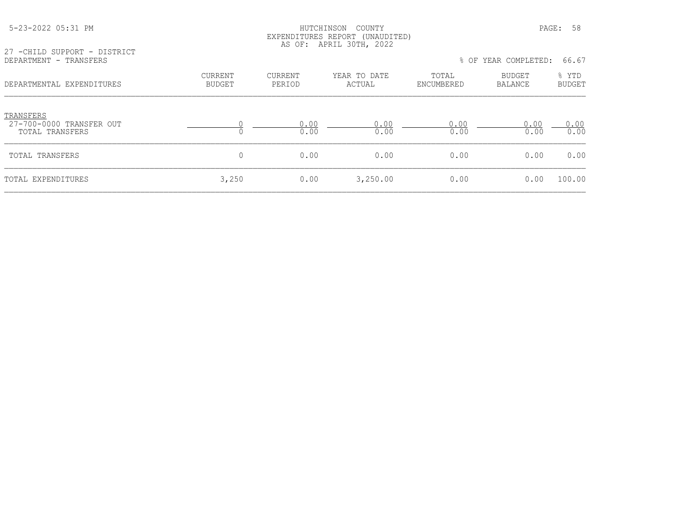| 27 - CHILD SUPPORT - DISTRICT<br>DEPARTMENT - TRANSFERS         |                          |                   |                        |                     | % OF YEAR COMPLETED: | 66.67           |
|-----------------------------------------------------------------|--------------------------|-------------------|------------------------|---------------------|----------------------|-----------------|
| DEPARTMENTAL EXPENDITURES                                       | CURRENT<br><b>BUDGET</b> | CURRENT<br>PERIOD | YEAR TO DATE<br>ACTUAL | TOTAL<br>ENCUMBERED | BUDGET<br>BALANCE    | % YTD<br>BUDGET |
| <b>TRANSFERS</b><br>27-700-0000 TRANSFER OUT<br>TOTAL TRANSFERS |                          | 0.00<br>0.00      | 0.00<br>0.00           | 0.00<br>0.00        | 0.00<br>0.00         | 0.00<br>0.00    |
| TOTAL TRANSFERS                                                 | $\Omega$                 | 0.00              | 0.00                   | 0.00                | 0.00                 | 0.00            |
| TOTAL EXPENDITURES                                              | 3,250                    | 0.00              | 3,250.00               | 0.00                | 0.00                 | 100.00          |

5-23-2022 05:31 PM HUTCHINSON COUNTY PAGE: 58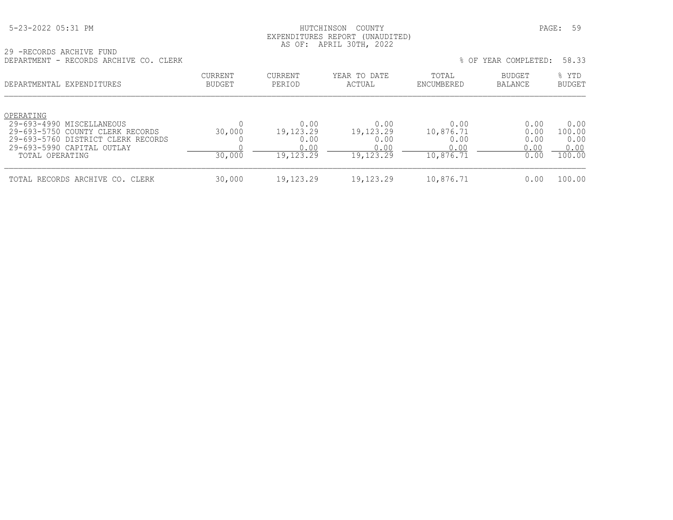|  | 5-23-2022 05:31 PM |  |
|--|--------------------|--|
|  |                    |  |

# HUTCHINSON COUNTY PAGE: 59 EXPENDITURES REPORT (UNAUDITED) AS OF: APRIL 30TH, 2022

29 -RECORDS ARCHIVE FUND

| DEPARTMENT - RECORDS ARCHIVE CO. CLERK                                                                                                                            |                          |                                                |                                                |                                                | % OF YEAR COMPLETED:                 | 58.33                                    |
|-------------------------------------------------------------------------------------------------------------------------------------------------------------------|--------------------------|------------------------------------------------|------------------------------------------------|------------------------------------------------|--------------------------------------|------------------------------------------|
| DEPARTMENTAL EXPENDITURES                                                                                                                                         | CURRENT<br><b>BUDGET</b> | CURRENT<br>PERIOD                              | YEAR TO DATE<br>ACTUAL                         | TOTAL<br>ENCUMBERED                            | <b>BUDGET</b><br>BALANCE             | % YTD<br><b>BUDGET</b>                   |
| OPERATING<br>29-693-4990 MISCELLANEOUS<br>29-693-5750 COUNTY CLERK RECORDS<br>29-693-5760 DISTRICT CLERK RECORDS<br>29-693-5990 CAPITAL OUTLAY<br>TOTAL OPERATING | 30,000<br>30,000         | 0.00<br>19,123.29<br>0.00<br>0.00<br>19,123.29 | 0.00<br>19,123.29<br>0.00<br>0.00<br>19,123.29 | 0.00<br>10,876.71<br>0.00<br>0.00<br>10,876.71 | 0.00<br>0.00<br>0.00<br>0.00<br>0.00 | 0.00<br>100.00<br>0.00<br>0.00<br>100.00 |
| TOTAL RECORDS ARCHIVE CO. CLERK                                                                                                                                   | 30,000                   | 19,123.29                                      | 19,123.29                                      | 10,876.71                                      | 0.00                                 | 100.00                                   |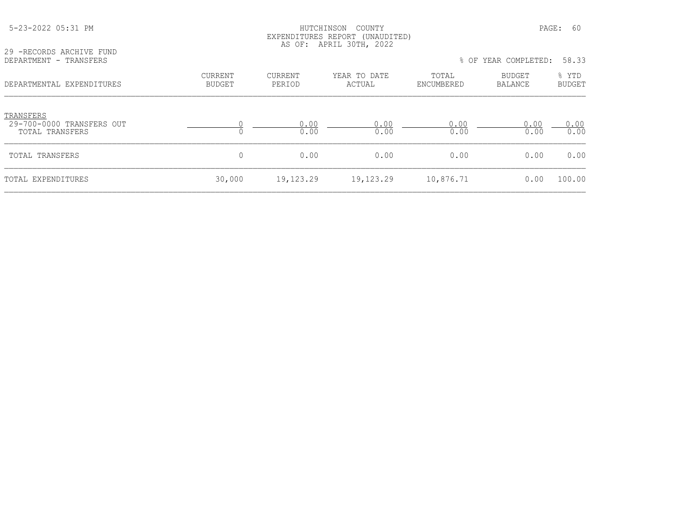|                                                           | EXPENDITURES REPORT (UNAUDITED)<br>AS OF: APRIL 30TH, 2022 |                   |                        |                     |                      |                        |
|-----------------------------------------------------------|------------------------------------------------------------|-------------------|------------------------|---------------------|----------------------|------------------------|
| 29 - RECORDS ARCHIVE FUND<br>DEPARTMENT - TRANSFERS       |                                                            |                   |                        |                     | % OF YEAR COMPLETED: | 58.33                  |
| DEPARTMENTAL EXPENDITURES                                 | <b>CURRENT</b><br><b>BUDGET</b>                            | CURRENT<br>PERIOD | YEAR TO DATE<br>ACTUAL | TOTAL<br>ENCUMBERED | BUDGET<br>BALANCE    | % YTD<br><b>BUDGET</b> |
| TRANSFERS<br>29-700-0000 TRANSFERS OUT<br>TOTAL TRANSFERS |                                                            | 0.00<br>0.00      | 0.00<br>0.00           | 0.00<br>0.00        | 0.00<br>0.00         | 0.00<br>0.00           |
| TOTAL TRANSFERS                                           | $\mathbf{0}$                                               | 0.00              | 0.00                   | 0.00                | 0.00                 | 0.00                   |
| TOTAL EXPENDITURES                                        | 30,000                                                     | 19,123.29         | 19,123.29              | 10,876.71           | 0.00                 | 100.00                 |

5-23-2022 05:31 PM HUTCHINSON COUNTY PAGE: 60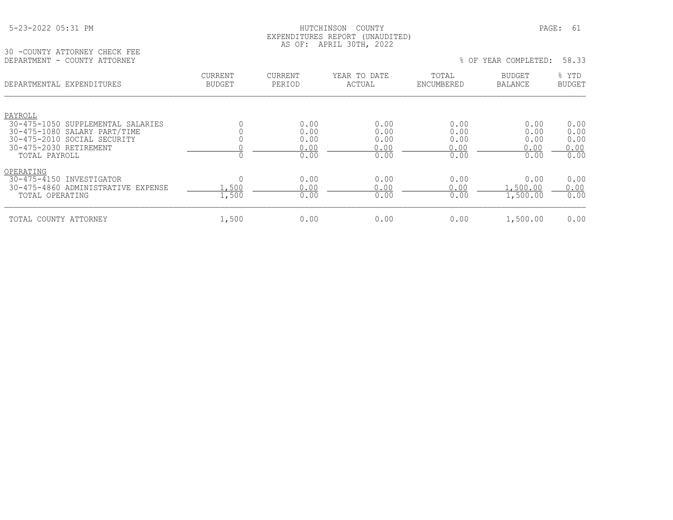# HUTCHINSON COUNTY PAGE: 61 EXPENDITURES REPORT (UNAUDITED) AS OF: APRIL 30TH, 2022

30 -COUNTY ATTORNEY CHECK FEE DEPARTMENT - COUNTY ATTORNEY

|  |  |  | % OF YEAR COMPLETED: | 58.33 |  |
|--|--|--|----------------------|-------|--|
|--|--|--|----------------------|-------|--|

| DEPARTMENTAL EXPENDITURES                                                                                                                              | CURRENT<br><b>BUDGET</b> | <b>CURRENT</b><br>PERIOD             | YEAR TO DATE<br>ACTUAL               | TOTAL<br>ENCUMBERED                  | <b>BUDGET</b><br><b>BALANCE</b>      | % YTD<br><b>BUDGET</b>               |
|--------------------------------------------------------------------------------------------------------------------------------------------------------|--------------------------|--------------------------------------|--------------------------------------|--------------------------------------|--------------------------------------|--------------------------------------|
| PAYROLL<br>30-475-1050 SUPPLEMENTAL SALARIES<br>30-475-1080 SALARY PART/TIME<br>30-475-2010 SOCIAL SECURITY<br>30-475-2030 RETIREMENT<br>TOTAL PAYROLL |                          | 0.00<br>0.00<br>0.00<br>0.00<br>0.00 | 0.00<br>0.00<br>0.00<br>0.00<br>0.00 | 0.00<br>0.00<br>0.00<br>0.00<br>0.00 | 0.00<br>0.00<br>0.00<br>0.00<br>0.00 | 0.00<br>0.00<br>0.00<br>0.00<br>0.00 |
| OPERATING<br>30-475-4150 INVESTIGATOR<br>30-475-4860 ADMINISTRATIVE EXPENSE<br>TOTAL OPERATING                                                         | .500<br>1,500            | 0.00<br>0.00<br>0.00                 | 0.00<br>0.00<br>0.00                 | 0.00<br>0.00<br>0.00                 | 0.00<br>.500.00<br>1,500.00          | 0.00<br>0.00<br>0.00                 |
| TOTAL COUNTY ATTORNEY                                                                                                                                  | 1,500                    | 0.00                                 | 0.00                                 | 0.00                                 | 1,500.00                             | 0.00                                 |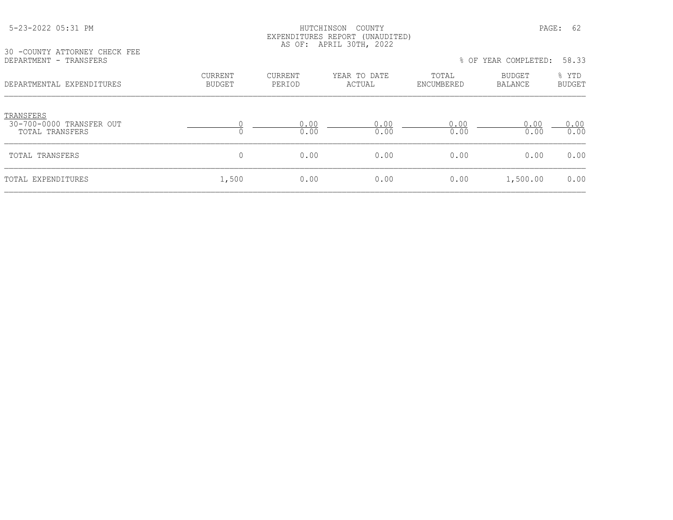#### HUTCHINSON COUNTY PAGE: 62 EXPENDITURES REPORT (UNAUDITED) AS OF: APRIL 30TH, 2022

30 -COUNTY ATTORNEY CHECK FEE<br>DEPARTMENT - TRANSFERS

| 30 -COUNTY ATTORNEY CHECK FEE<br>DEPARTMENT - TRANSFERS  |                                 |                          |                        | 58.33<br>% OF YEAR COMPLETED: |                          |                        |
|----------------------------------------------------------|---------------------------------|--------------------------|------------------------|-------------------------------|--------------------------|------------------------|
| DEPARTMENTAL EXPENDITURES                                | <b>CURRENT</b><br><b>BUDGET</b> | <b>CURRENT</b><br>PERIOD | YEAR TO DATE<br>ACTUAL | TOTAL<br>ENCUMBERED           | <b>BUDGET</b><br>BALANCE | % YTD<br><b>BUDGET</b> |
| TRANSFERS<br>30-700-0000 TRANSFER OUT<br>TOTAL TRANSFERS |                                 | 0.00<br>0.00             | 0.00<br>0.00           | 0.00<br>0.00                  | 0.00<br>0.00             | 0.00<br>0.00           |
| TOTAL TRANSFERS                                          | 0                               | 0.00                     | 0.00                   | 0.00                          | 0.00                     | 0.00                   |
| TOTAL EXPENDITURES                                       | 1,500                           | 0.00                     | 0.00                   | 0.00                          | 1,500.00                 | 0.00                   |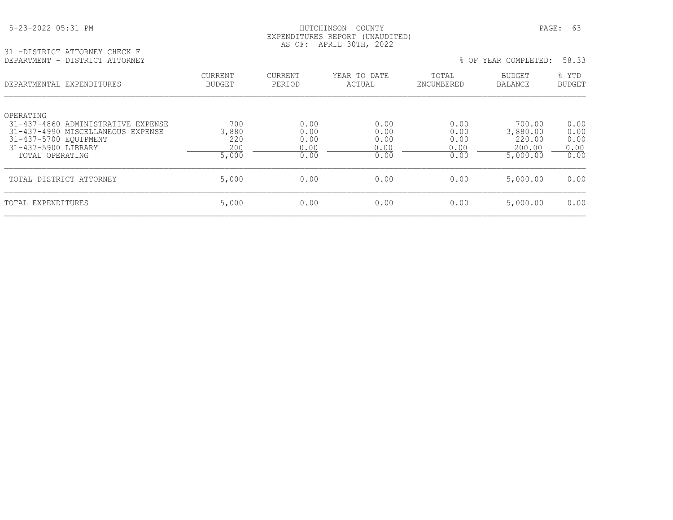# HUTCHINSON COUNTY PAGE: 63 EXPENDITURES REPORT (UNAUDITED) AS OF: APRIL 30TH, 2022

31 -DISTRICT ATTORNEY CHECK F DEPARTMENT - DISTRICT ATTORNEY % OF YEAR COMPLETED: 58.33

| DEPARTMENTAL EXPENDITURES                                                                                                                               | <b>CURRENT</b><br><b>BUDGET</b>     | CURRENT<br>PERIOD                    | YEAR TO DATE<br>ACTUAL               | TOTAL<br>ENCUMBERED                  | <b>BUDGET</b><br>BALANCE                           | % YTD<br><b>BUDGET</b>               |
|---------------------------------------------------------------------------------------------------------------------------------------------------------|-------------------------------------|--------------------------------------|--------------------------------------|--------------------------------------|----------------------------------------------------|--------------------------------------|
| OPERATING<br>31-437-4860 ADMINISTRATIVE EXPENSE<br>31-437-4990 MISCELLANEOUS EXPENSE<br>31-437-5700 EOUIPMENT<br>31-437-5900 LIBRARY<br>TOTAL OPERATING | 700<br>3,880<br>220<br>200<br>5,000 | 0.00<br>0.00<br>0.00<br>0.00<br>0.00 | 0.00<br>0.00<br>0.00<br>0.00<br>0.00 | 0.00<br>0.00<br>0.00<br>0.00<br>0.00 | 700.00<br>3,880.00<br>220.00<br>200.00<br>5,000.00 | 0.00<br>0.00<br>0.00<br>0.00<br>0.00 |
| TOTAL DISTRICT ATTORNEY                                                                                                                                 | 5,000                               | 0.00                                 | 0.00                                 | 0.00                                 | 5,000.00                                           | 0.00                                 |
| TOTAL EXPENDITURES                                                                                                                                      | 5,000                               | 0.00                                 | 0.00                                 | 0.00                                 | 5,000.00                                           | 0.00                                 |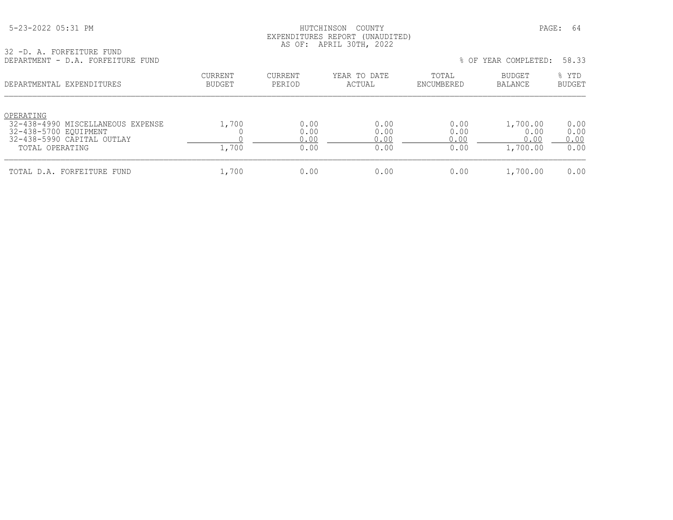# HUTCHINSON COUNTY PAGE: 64 EXPENDITURES REPORT (UNAUDITED) AS OF: APRIL 30TH, 2022

32 -D. A. FORFEITURE FUND DEPARTMENT - D.A. FORFEITURE FUND % OF YEAR COMPLETED: 58.33

| 2.11. LVIN BILD BUND                                                                                                     |                                 |                              |                              |                              | <u> 91 1911 9911 991 - 19</u>        | -----                        |
|--------------------------------------------------------------------------------------------------------------------------|---------------------------------|------------------------------|------------------------------|------------------------------|--------------------------------------|------------------------------|
| DEPARTMENTAL EXPENDITURES                                                                                                | <b>CURRENT</b><br><b>BUDGET</b> | CURRENT<br>PERIOD            | YEAR TO DATE<br>ACTUAL       | TOTAL<br>ENCUMBERED          | <b>BUDGET</b><br>BALANCE             | % YTD<br><b>BUDGET</b>       |
| OPERATING<br>32-438-4990 MISCELLANEOUS EXPENSE<br>32-438-5700 EQUIPMENT<br>32-438-5990 CAPITAL OUTLAY<br>TOTAL OPERATING | 1,700<br>1,700                  | 0.00<br>0.00<br>0.00<br>0.00 | 0.00<br>0.00<br>0.00<br>0.00 | 0.00<br>0.00<br>0.00<br>0.00 | 1,700.00<br>0.00<br>0.00<br>1,700.00 | 0.00<br>0.00<br>0.00<br>0.00 |
| TOTAL D.A. FORFEITURE FUND                                                                                               | 1,700                           | 0.00                         | 0.00                         | 0.00                         | 1,700.00                             | 0.00                         |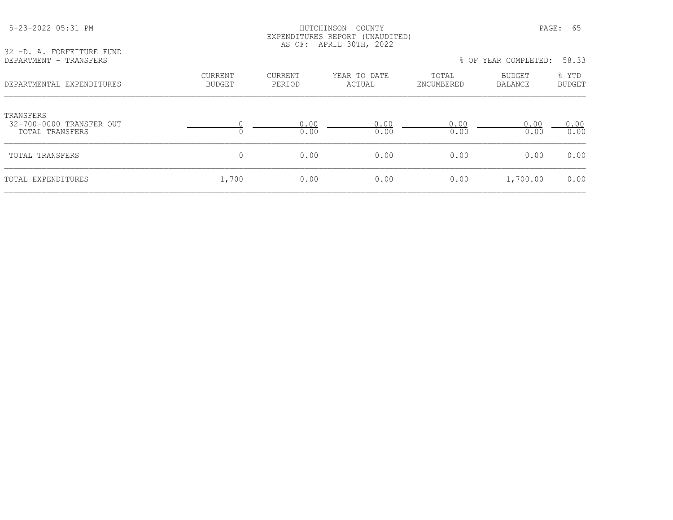| 32 -D. A. FORFEITURE FUND<br>DEPARTMENT - TRANSFERS      |                          |                   | EXPENDITURES REPORT (UNAUDITED)<br>AS OF: APRIL 30TH, 2022 |                     | % OF YEAR COMPLETED: | 58.33                  |
|----------------------------------------------------------|--------------------------|-------------------|------------------------------------------------------------|---------------------|----------------------|------------------------|
| DEPARTMENTAL EXPENDITURES                                | CURRENT<br><b>BUDGET</b> | CURRENT<br>PERIOD | YEAR TO DATE<br>ACTUAL                                     | TOTAL<br>ENCUMBERED | BUDGET<br>BALANCE    | % YTD<br><b>BUDGET</b> |
| TRANSFERS<br>32-700-0000 TRANSFER OUT<br>TOTAL TRANSFERS | 0                        | 0.00<br>0.00      | 0.00<br>0.00                                               | 0.00<br>0.00        | 0.00<br>0.00         | 0.00<br>0.00           |
| TOTAL TRANSFERS                                          | 0                        | 0.00              | 0.00                                                       | 0.00                | 0.00                 | 0.00                   |
| TOTAL EXPENDITURES                                       | 1,700                    | 0.00              | 0.00                                                       | 0.00                | 1,700.00             | 0.00                   |

5-23-2022 05:31 PM HUTCHINSON COUNTY PAGE: 65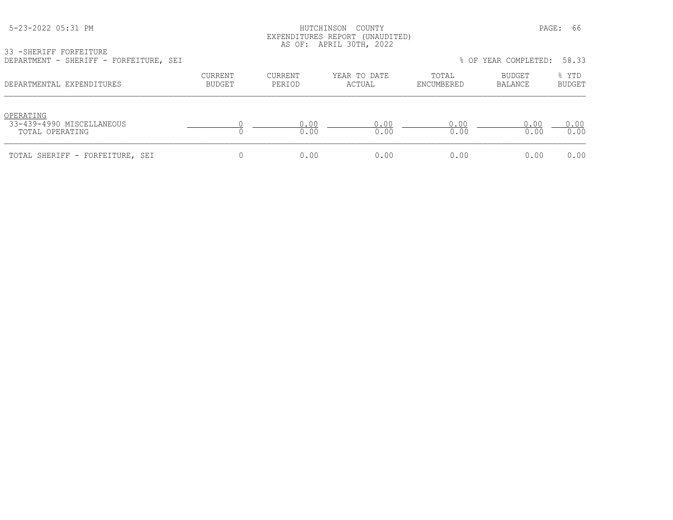# HUTCHINSON COUNTY PAGE: 66 EXPENDITURES REPORT (UNAUDITED) AS OF: APRIL 30TH, 2022

33 -SHERIFF FORFEITURE

| DEPARTMENT - SHERIFF - FORFEITURE, SEI                    |                          |                   |                        |                     | % OF YEAR COMPLETED: | 58.33                  |
|-----------------------------------------------------------|--------------------------|-------------------|------------------------|---------------------|----------------------|------------------------|
| DEPARTMENTAL EXPENDITURES                                 | CURRENT<br><b>BUDGET</b> | CURRENT<br>PERIOD | YEAR TO DATE<br>ACTUAL | TOTAL<br>ENCUMBERED | BUDGET<br>BALANCE    | % YTD<br><b>BUDGET</b> |
| OPERATING<br>33-439-4990 MISCELLANEOUS<br>TOTAL OPERATING |                          | 0.00<br>0.00      | 0.00<br>0.00           | 0.00<br>0.00        | 0.00<br>0.00         | 0.00<br>0.00           |
| TOTAL SHERIFF - FORFEITURE, SEI                           |                          | 0.00              | 0.00                   | 0.00                | 0.00                 | 0.00                   |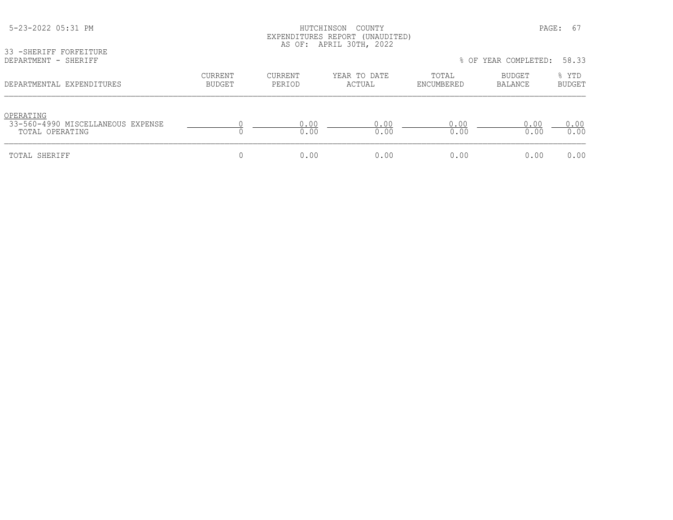|                                                                   |                   |                          | EXPENDITURES REPORT (UNAUDITED)<br>AS OF: APRIL 30TH, 2022 |                     |                            |                 |
|-------------------------------------------------------------------|-------------------|--------------------------|------------------------------------------------------------|---------------------|----------------------------|-----------------|
| 33 - SHERIFF FORFEITURE<br>DEPARTMENT - SHERIFF                   |                   |                          |                                                            |                     | % OF YEAR COMPLETED: 58.33 |                 |
| DEPARTMENTAL EXPENDITURES                                         | CURRENT<br>BUDGET | <b>CURRENT</b><br>PERIOD | YEAR TO DATE<br>ACTUAL                                     | TOTAL<br>ENCUMBERED | BUDGET<br>BALANCE          | % YTD<br>BUDGET |
| OPERATING<br>33-560-4990 MISCELLANEOUS EXPENSE<br>TOTAL OPERATING |                   | 0.00<br>0.00             | 0.00<br>0.00                                               | 0.00<br>0.00        | 0.00<br>0.00               | 0.00<br>0.00    |
| TOTAL SHERIFF                                                     |                   | 0.00                     | 0.00                                                       | 0.00                | 0.00                       | 0.00            |

5-23-2022 05:31 PM PAGE: 67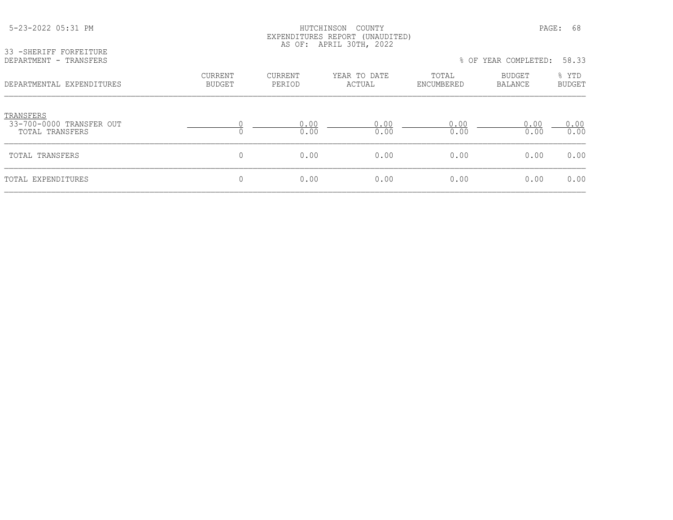| 33 - SHERIFF FORFEITURE                                  | EXPENDITURES REPORT (UNAUDITED)<br>AS OF: APRIL 30TH, 2022 |                   |                        |                     |                          |                        |  |
|----------------------------------------------------------|------------------------------------------------------------|-------------------|------------------------|---------------------|--------------------------|------------------------|--|
| DEPARTMENT - TRANSFERS                                   |                                                            |                   |                        |                     | % OF YEAR COMPLETED:     | 58.33                  |  |
| DEPARTMENTAL EXPENDITURES                                | <b>CURRENT</b><br><b>BUDGET</b>                            | CURRENT<br>PERIOD | YEAR TO DATE<br>ACTUAL | TOTAL<br>ENCUMBERED | BUDGET<br><b>BALANCE</b> | % YTD<br><b>BUDGET</b> |  |
| TRANSFERS<br>33-700-0000 TRANSFER OUT<br>TOTAL TRANSFERS | $\Omega$                                                   | 0.00<br>0.00      | 0.00<br>0.00           | 0.00<br>0.00        | 0.00<br>0.00             | 0.00<br>0.00           |  |
| TOTAL TRANSFERS                                          | 0                                                          | 0.00              | 0.00                   | 0.00                | 0.00                     | 0.00                   |  |
| TOTAL EXPENDITURES                                       | $\overline{0}$                                             | 0.00              | 0.00                   | 0.00                | 0.00                     | 0.00                   |  |

 5-23-2022 05:31 PM HUTCHINSON COUNTY PAGE: 68 EXPENDITURES REPORT (UNAUDITURE)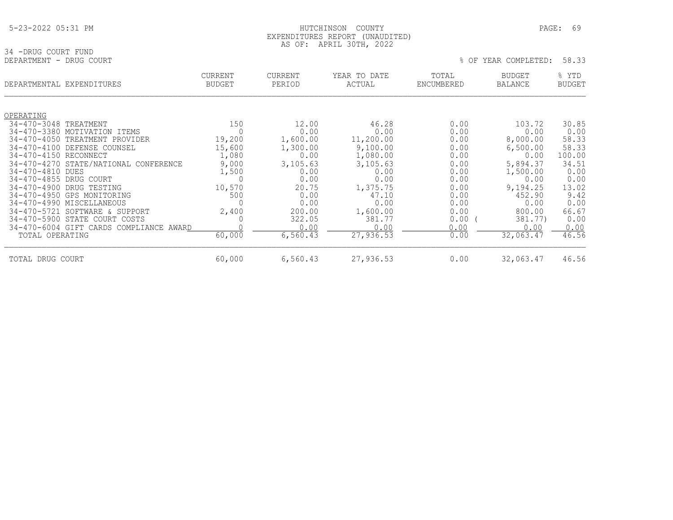#### 5-23-2022 05:31 PM HUTCHINSON COUNTY PAGE: 69 EXPENDITURES REPORT (UNAUDITED) AS OF: APRIL 30TH, 2022

34 -DRUG COURT FUND<br>DEPARTMENT - DRUG COURT

| DEPARTMENT - DRUG COURT |                                         |                                 |                          |                        | % OF                | YEAR COMPLETED:                 | 58.33                  |
|-------------------------|-----------------------------------------|---------------------------------|--------------------------|------------------------|---------------------|---------------------------------|------------------------|
|                         | DEPARTMENTAL EXPENDITURES               | <b>CURRENT</b><br><b>BUDGET</b> | <b>CURRENT</b><br>PERIOD | YEAR TO DATE<br>ACTUAL | TOTAL<br>ENCUMBERED | <b>BUDGET</b><br><b>BALANCE</b> | % YTD<br><b>BUDGET</b> |
| OPERATING               |                                         |                                 |                          |                        |                     |                                 |                        |
| 34-470-3048 TREATMENT   |                                         | 150                             | 12.00                    | 46.28                  | 0.00                | 103.72                          | 30.85                  |
|                         | 34-470-3380 MOTIVATION ITEMS            | $\Omega$                        | 0.00                     | 0.00                   | 0.00                | 0.00                            | 0.00                   |
|                         | 34-470-4050 TREATMENT PROVIDER          | 19,200                          | 1,600.00                 | 11,200.00              | 0.00                | 8,000.00                        | 58.33                  |
|                         | 34-470-4100 DEFENSE COUNSEL             | 15,600                          | 1,300.00                 | 9,100.00               | 0.00                | 6,500.00                        | 58.33                  |
| 34-470-4150 RECONNECT   |                                         | 1,080                           | 0.00                     | 1,080.00               | 0.00                | 0.00                            | 100.00                 |
|                         | 34-470-4270 STATE/NATIONAL CONFERENCE   | 9,000                           | 3,105.63                 | 3,105.63               | 0.00                | 5,894.37                        | 34.51                  |
| 34-470-4810 DUES        |                                         | 1,500                           | 0.00                     | 0.00                   | 0.00                | 1,500.00                        | 0.00                   |
| 34-470-4855 DRUG COURT  |                                         | 0                               | 0.00                     | 0.00                   | 0.00                | 0.00                            | 0.00                   |
|                         | 34-470-4900 DRUG TESTING                | 10,570                          | 20.75                    | 1,375.75               | 0.00                | 9,194.25                        | 13.02                  |
|                         | 34-470-4950 GPS MONITORING              | 500                             | 0.00                     | 47.10                  | 0.00                | 452.90                          | 9.42                   |
|                         | 34-470-4990 MISCELLANEOUS               |                                 | 0.00                     | 0.00                   | 0.00                | 0.00                            | 0.00                   |
|                         | 34-470-5721 SOFTWARE & SUPPORT          | 2,400                           | 200.00                   | 1,600.00               | 0.00                | 800.00                          | 66.67                  |
|                         | 34-470-5900 STATE COURT COSTS           | 0                               | 322.05                   | 381.77                 | 0.00                | 381.77)                         | 0.00                   |
|                         | 34-470-6004 GIFT CARDS COMPLIANCE AWARD |                                 | 0.00                     | 0.00                   | 0.00                | 0.00                            | 0.00                   |
| TOTAL OPERATING         |                                         | 60,000                          | 6,560.43                 | 27,936.53              | 0.00                | 32,063.47                       | 46.56                  |
| TOTAL DRUG COURT        |                                         | 60,000                          | 6,560.43                 | 27,936.53              | 0.00                | 32,063.47                       | 46.56                  |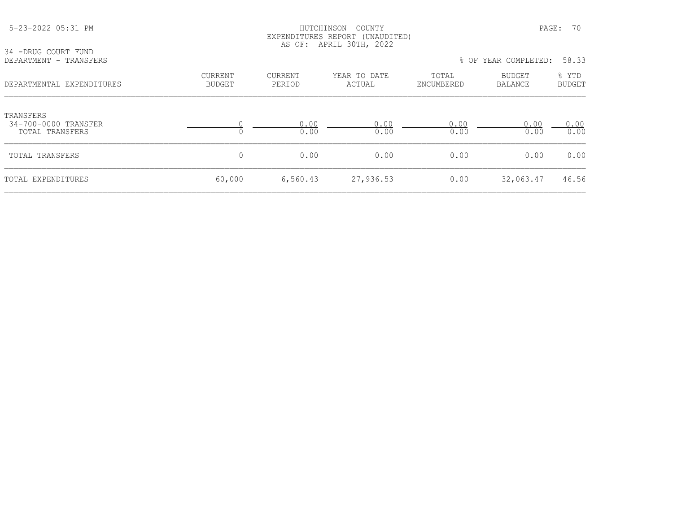| 34 -DRUG COURT FUND                                  |                                 |                          | EXPENDITURES REPORT (UNAUDITED)<br>AS OF: APRIL 30TH, 2022 |                     |                               |                        |  |
|------------------------------------------------------|---------------------------------|--------------------------|------------------------------------------------------------|---------------------|-------------------------------|------------------------|--|
| DEPARTMENT - TRANSFERS                               |                                 |                          |                                                            |                     | % OF YEAR COMPLETED:<br>58.33 |                        |  |
| DEPARTMENTAL EXPENDITURES                            | <b>CURRENT</b><br><b>BUDGET</b> | <b>CURRENT</b><br>PERIOD | YEAR TO DATE<br>ACTUAL                                     | TOTAL<br>ENCUMBERED | <b>BUDGET</b><br>BALANCE      | % YTD<br><b>BUDGET</b> |  |
| TRANSFERS<br>34-700-0000 TRANSFER<br>TOTAL TRANSFERS |                                 | 0.00<br>0.00             | 0.00<br>0.00                                               | 0.00<br>0.00        | 0.00<br>0.00                  | 0.00<br>0.00           |  |
| TOTAL TRANSFERS                                      | 0                               | 0.00                     | 0.00                                                       | 0.00                | 0.00                          | 0.00                   |  |
| TOTAL EXPENDITURES                                   | 60,000                          | 6,560.43                 | 27,936.53                                                  | 0.00                | 32,063.47                     | 46.56                  |  |

5-23-2022 05:31 PM HUTCHINSON COUNTY PAGE: 70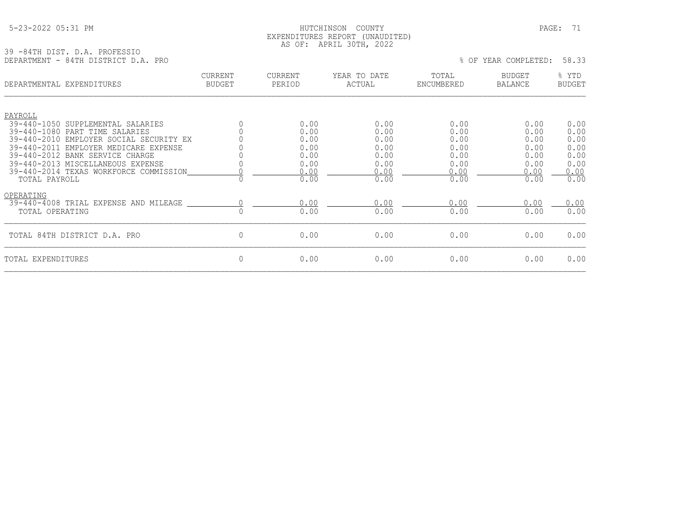## 5-23-2022 05:31 PM HUTCHINSON COUNTY PAGE: 71 EXPENDITURES REPORT (UNAUDITED) AS OF: APRIL 30TH, 2022

39 -84TH DIST. D.A. PROFESSIO

| 39 -841H DIST. D.A. PROPESSIO<br>DEPARTMENT - 84TH DISTRICT D.A. PRO      |                          |                          |                        |                     | % OF YEAR COMPLETED:            | 58.33                  |
|---------------------------------------------------------------------------|--------------------------|--------------------------|------------------------|---------------------|---------------------------------|------------------------|
| DEPARTMENTAL EXPENDITURES                                                 | CURRENT<br><b>BUDGET</b> | <b>CURRENT</b><br>PERIOD | YEAR TO DATE<br>ACTUAL | TOTAL<br>ENCUMBERED | <b>BUDGET</b><br><b>BALANCE</b> | % YTD<br><b>BUDGET</b> |
| PAYROLL                                                                   |                          |                          |                        |                     |                                 |                        |
| 39-440-1050 SUPPLEMENTAL SALARIES                                         |                          | 0.00                     | 0.00                   | 0.00                | 0.00                            | 0.00                   |
| 39-440-1080 PART TIME SALARIES<br>39-440-2010 EMPLOYER SOCIAL SECURITY EX |                          | 0.00<br>0.00             | 0.00<br>0.00           | 0.00<br>0.00        | 0.00<br>0.00                    | 0.00<br>0.00           |
| 39-440-2011 EMPLOYER MEDICARE EXPENSE                                     |                          | 0.00                     | 0.00                   | 0.00                | 0.00                            | 0.00                   |
| 39-440-2012 BANK SERVICE CHARGE                                           |                          | 0.00                     | 0.00                   | 0.00                | 0.00                            | 0.00                   |
| 39-440-2013 MISCELLANEOUS EXPENSE                                         |                          | 0.00                     | 0.00                   | 0.00                | 0.00                            | 0.00                   |
| 39-440-2014 TEXAS WORKFORCE COMMISSION<br>TOTAL PAYROLL                   | $\Omega$                 | 0.00<br>0.00             | 0.00<br>0.00           | 0.00<br>0.00        | 0.00<br>0.00                    | 0.00<br>0.00           |
| OPERATING                                                                 |                          |                          |                        |                     |                                 |                        |
| 39-440-4008 TRIAL EXPENSE AND MILEAGE                                     |                          | 0.00                     | 0.00                   | 0.00                | 0.00                            | 0.00                   |
| TOTAL OPERATING                                                           | $\Omega$                 | 0.00                     | 0.00                   | 0.00                | 0.00                            | 0.00                   |
| TOTAL 84TH DISTRICT D.A. PRO                                              | 0                        | 0.00                     | 0.00                   | 0.00                | 0.00                            | 0.00                   |
| TOTAL EXPENDITURES                                                        | 0                        | 0.00                     | 0.00                   | 0.00                | 0.00                            | 0.00                   |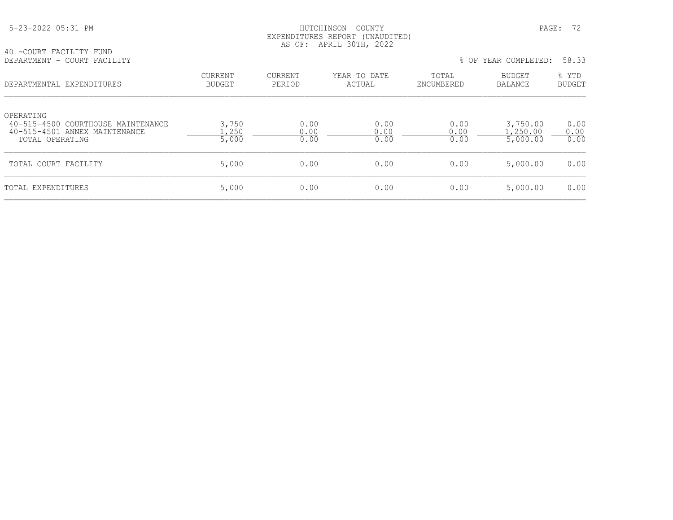# HUTCHINSON COUNTY PAGE: 72 EXPENDITURES REPORT (UNAUDITED) AS OF: APRIL 30TH, 2022

40 -COURT FACILITY FUND<br>DEPARTMENT - COURT FACILITY

% OF YEAR COMPLETED: 58.33

| DEPARTMENTAL EXPENDITURES                                                                           | <b>CURRENT</b><br><b>BUDGET</b> | CURRENT<br>PERIOD    | YEAR TO DATE<br>ACTUAL | TOTAL<br>ENCUMBERED  | <b>BUDGET</b><br>BALANCE        | % YTD<br>BUDGET      |
|-----------------------------------------------------------------------------------------------------|---------------------------------|----------------------|------------------------|----------------------|---------------------------------|----------------------|
| OPERATING<br>40-515-4500 COURTHOUSE MAINTENANCE<br>40-515-4501 ANNEX MAINTENANCE<br>TOTAL OPERATING | 3,750<br>,250<br>5,000          | 0.00<br>0.00<br>0.00 | 0.00<br>0.00<br>0.00   | 0.00<br>0.00<br>0.00 | 3,750.00<br>.250.00<br>5,000.00 | 0.00<br>0.00<br>0.00 |
| TOTAL COURT FACILITY                                                                                | 5,000                           | 0.00                 | 0.00                   | 0.00                 | 5,000.00                        | 0.00                 |
| TOTAL EXPENDITURES                                                                                  | 5,000                           | 0.00                 | 0.00                   | 0.00                 | 5,000.00                        | 0.00                 |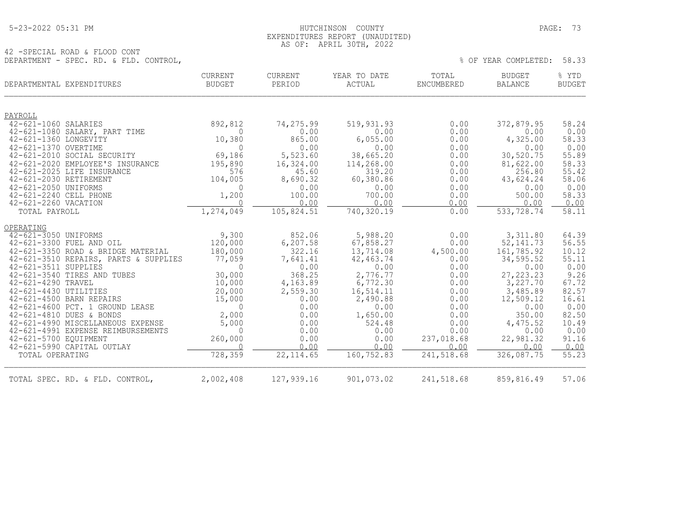## 5-23-2022 05:31 PM HUTCHINSON COUNTY PAGE: 73 EXPENDITURES REPORT (UNAUDITED) AS OF: APRIL 30TH, 2022

42 -SPECIAL ROAD & FLOOD CONT DEPARTMENT - SPEC. RD. & FLD. CONTROL,  $\frac{1}{3}$  OF YEAR COMPLETED: 58.33

| DEPARTMENTAL EXPENDITURES                                               | CURRENT<br>BUDGET   | <b>CURRENT</b><br>PERIOD | YEAR TO DATE<br>ACTUAL | TOTAL<br>ENCUMBERED | <b>BUDGET</b><br><b>BALANCE</b> | % YTD<br><b>BUDGET</b> |
|-------------------------------------------------------------------------|---------------------|--------------------------|------------------------|---------------------|---------------------------------|------------------------|
| PAYROLL                                                                 |                     |                          |                        |                     |                                 |                        |
| 42-621-1060 SALARIES                                                    | 892,812             | 74,275.99                | 519,931.93             | 0.00                | 372,879.95                      | 58.24                  |
| 42-621-1080 SALARY, PART TIME                                           | $\Omega$            | 0.00                     | 0.00                   | 0.00                | 0.00                            | 0.00                   |
| 42-621-1360 LONGEVITY                                                   | 10,380              | 865.00                   | 6,055.00               | 0.00                | 4,325.00                        | 58.33                  |
| 42-621-1370 OVERTIME<br>42-621-2010 SOCIAL SECURITY                     | $\Omega$<br>69,186  | 0.00<br>5,523.60         | 0.00<br>38,665.20      | 0.00<br>0.00        | 0.00<br>30,520.75               | 0.00<br>55.89          |
| 42-621-2020 EMPLOYEE'S INSURANCE                                        | 195,890             | 16,324.00                | 114,268.00             | 0.00                | 81,622.00                       | 58.33                  |
| 42-621-2025 LIFE INSURANCE                                              | 576                 | 45.60                    | 319.20                 | 0.00                | 256.80                          | 55.42                  |
| 42-621-2030 RETIREMENT                                                  | 104,005             | 8,690.32                 | 60,380.86              | 0.00                | 43,624.24                       | 58.06                  |
| 42-621-2050 UNIFORMS                                                    | $\Omega$            | 0.00                     | 0.00                   | 0.00                | 0.00                            | 0.00                   |
| 42-621-2240 CELL PHONE                                                  | 1,200               | 100.00                   | 700.00                 | 0.00                | 500.00                          | 58.33                  |
| 42-621-2260 VACATION                                                    | $\Omega$            | 0.00                     | 0.00                   | 0.00                | 0.00                            | 0.00                   |
| TOTAL PAYROLL                                                           | 1,274,049           | 105,824.51               | 740,320.19             | 0.00                | 533,728.74                      | 58.11                  |
| OPERATING                                                               |                     |                          |                        |                     |                                 |                        |
| 42-621-3050 UNIFORMS                                                    | 9,300               | 852.06                   | 5,988.20               | 0.00                | 3,311.80                        | 64.39                  |
| 42-621-3300 FUEL AND OIL                                                | 120,000             | 6,207.58                 | 67,858.27              | 0.00                | 52, 141.73                      | 56.55                  |
| 42-621-3350 ROAD & BRIDGE MATERIAL                                      | 180,000             | 322.16                   | 13,714.08              | 4,500.00            | 161,785.92                      | 10.12                  |
| 42-621-3510 REPAIRS, PARTS & SUPPLIES<br>42-621-3511 SUPPLIES           | 77,059<br>$\bigcap$ | 7,641.41<br>0.00         | 42, 463.74<br>0.00     | 0.00<br>0.00        | 34, 595.52<br>0.00              | 55.11<br>0.00          |
| 42-621-3540 TIRES AND TUBES                                             | 30,000              | 368.25                   | 2,776.77               | 0.00                | 27, 223. 23                     | 9.26                   |
| 42-621-4290 TRAVEL                                                      | 10,000              | 4,163.89                 | 6,772.30               | 0.00                | 3,227.70                        | 67.72                  |
| 42-621-4430 UTILITIES                                                   | 20,000              | 2,559.30                 | 16,514.11              | 0.00                | 3,485.89                        | 82.57                  |
| 42-621-4500 BARN REPAIRS                                                | 15,000              | 0.00                     | 2,490.88               | 0.00                | 12,509.12                       | 16.61                  |
| 42-621-4600 PCT. 1 GROUND LEASE                                         | $\Omega$            | 0.00                     | 0.00                   | 0.00                | 0.00                            | 0.00                   |
| 42-621-4810 DUES & BONDS                                                | 2,000               | 0.00                     | 1,650.00               | 0.00                | 350.00                          | 82.50                  |
| 42-621-4990 MISCELLANEOUS EXPENSE<br>42-621-4991 EXPENSE REIMBURSEMENTS | 5,000<br>$\Omega$   | 0.00<br>0.00             | 524.48<br>0.00         | 0.00<br>0.00        | 4,475.52<br>0.00                | 10.49<br>0.00          |
| 42-621-5700 EQUIPMENT                                                   | 260,000             | 0.00                     | 0.00                   | 237,018.68          | 22,981.32                       | 91.16                  |
| 42-621-5990 CAPITAL OUTLAY                                              | $\Omega$            | 0.00                     | 0.00                   | 0.00                | 0.00                            | 0.00                   |
| TOTAL OPERATING                                                         | 728,359             | 22, 114.65               | 160,752.83             | 241,518.68          | 326,087.75                      | 55.23                  |
| TOTAL SPEC. RD. & FLD. CONTROL,                                         | 2,002,408           | 127,939.16               | 901,073.02             | 241,518.68          | 859,816.49                      | 57.06                  |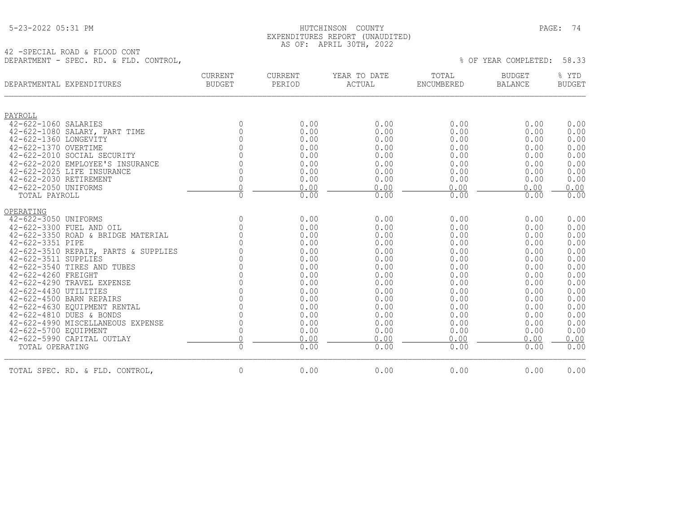|  | 5-23-2022 05:31 PM |  |
|--|--------------------|--|
|  |                    |  |

## HUTCHINSON COUNTY PAGE: 74 EXPENDITURES REPORT (UNAUDITED) AS OF: APRIL 30TH, 2022

42 -SPECIAL ROAD & FLOOD CONT DEPARTMENT - SPEC. RD. & FLD. CONTROL, % OF YEAR COMPLETED: 58.33

| DEPARTMENTAL EXPENDITURES                                      | CURRENT<br><b>BUDGET</b> | CURRENT<br>PERIOD | YEAR TO DATE<br>ACTUAL | TOTAL<br>ENCUMBERED | <b>BUDGET</b><br><b>BALANCE</b> | % YTD<br><b>BUDGET</b> |
|----------------------------------------------------------------|--------------------------|-------------------|------------------------|---------------------|---------------------------------|------------------------|
| PAYROLL                                                        |                          |                   |                        |                     |                                 |                        |
| 42-622-1060 SALARIES                                           | $\mathbf{0}$             | 0.00              | 0.00                   | 0.00                | 0.00                            | 0.00                   |
| 42-622-1080 SALARY, PART TIME                                  | 0                        | 0.00              | 0.00                   | 0.00                | 0.00                            | 0.00                   |
| 42-622-1360 LONGEVITY                                          | $\Omega$                 | 0.00              | 0.00                   | 0.00                | 0.00                            | 0.00                   |
| 42-622-1370 OVERTIME                                           | $\Omega$                 | 0.00              | 0.00                   | 0.00                | 0.00                            | 0.00                   |
| 42-622-2010 SOCIAL SECURITY                                    |                          | 0.00              | 0.00                   | 0.00                | 0.00                            | 0.00                   |
| 42-622-2020 EMPLOYEE'S INSURANCE<br>42-622-2025 LIFE INSURANCE | $\Omega$                 | 0.00<br>0.00      | 0.00<br>0.00           | 0.00<br>0.00        | 0.00<br>0.00                    | 0.00<br>0.00           |
| 42-622-2030 RETIREMENT                                         | $\Omega$                 | 0.00              | 0.00                   | 0.00                | 0.00                            | 0.00                   |
| 42-622-2050 UNIFORMS                                           | $\Omega$                 | 0.00              | 0.00                   | 0.00                | 0.00                            | 0.00                   |
| TOTAL PAYROLL                                                  | $\Omega$                 | 0.00              | 0.00                   | 0.00                | 0.00                            | 0.00                   |
| OPERATING                                                      |                          |                   |                        |                     |                                 |                        |
| 42-622-3050 UNIFORMS                                           | $\overline{0}$           | 0.00              | 0.00                   | 0.00                | 0.00                            | 0.00                   |
| 42-622-3300 FUEL AND OIL                                       | $\mathbf{0}$             | 0.00              | 0.00                   | 0.00                | 0.00                            | 0.00                   |
| 42-622-3350 ROAD & BRIDGE MATERIAL                             | $\overline{0}$           | 0.00              | 0.00                   | 0.00                | 0.00                            | 0.00                   |
| 42-622-3351 PIPE                                               | $\Omega$                 | 0.00              | 0.00                   | 0.00                | 0.00                            | 0.00                   |
| 42-622-3510 REPAIR, PARTS & SUPPLIES                           | $\Omega$                 | 0.00              | 0.00                   | 0.00                | 0.00                            | 0.00                   |
| 42-622-3511 SUPPLIES                                           | $\Omega$                 | 0.00              | 0.00                   | 0.00                | 0.00                            | 0.00                   |
| 42-622-3540 TIRES AND TUBES                                    |                          | 0.00              | 0.00                   | 0.00                | 0.00                            | 0.00                   |
| 42-622-4260 FREIGHT                                            | $\Omega$                 | 0.00              | 0.00                   | 0.00                | 0.00                            | 0.00                   |
| 42-622-4290 TRAVEL EXPENSE                                     |                          | 0.00              | 0.00                   | 0.00                | 0.00                            | 0.00                   |
| 42-622-4430 UTILITIES                                          |                          | 0.00              | 0.00                   | 0.00                | 0.00                            | 0.00                   |
| 42-622-4500 BARN REPAIRS                                       | $\Omega$                 | 0.00              | 0.00                   | 0.00                | 0.00                            | 0.00                   |
| 42-622-4630 EOUIPMENT RENTAL                                   | $\Omega$                 | 0.00              | 0.00                   | 0.00                | 0.00                            | 0.00                   |
| 42-622-4810 DUES & BONDS                                       | $\Omega$                 | 0.00              | 0.00                   | 0.00                | 0.00                            | 0.00                   |
| 42-622-4990 MISCELLANEOUS EXPENSE                              | $\Omega$                 | 0.00              | 0.00                   | 0.00                | 0.00                            | 0.00                   |
| 42-622-5700 EQUIPMENT                                          | $\mathbf{0}$             | 0.00              | 0.00                   | 0.00                | 0.00                            | 0.00                   |
| 42-622-5990 CAPITAL OUTLAY                                     | $\overline{0}$           | 0.00              | 0.00                   | 0.00                | 0.00                            | 0.00                   |
| TOTAL OPERATING                                                | $\overline{0}$           | 0.00              | 0.00                   | 0.00                | 0.00                            | 0.00                   |
| TOTAL SPEC. RD. & FLD. CONTROL,                                | $\mathbf{0}$             | 0.00              | 0.00                   | 0.00                | 0.00                            | 0.00                   |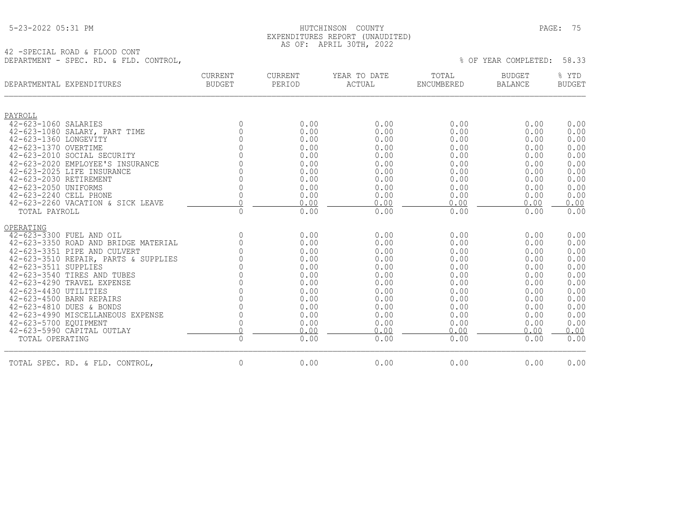|  | 5-23-2022 05:31 PM |  |
|--|--------------------|--|
|  |                    |  |

## HUTCHINSON COUNTY PAGE: 75 EXPENDITURES REPORT (UNAUDITED) AS OF: APRIL 30TH, 2022

42 -SPECIAL ROAD & FLOOD CONT DEPARTMENT - SPEC. RD. & FLD. CONTROL,

| DEPARTMENTAL EXPENDITURES            | CURRENT<br><b>BUDGET</b> | CURRENT<br>PERIOD | YEAR TO DATE<br>ACTUAL | TOTAL<br>ENCUMBERED | <b>BUDGET</b><br><b>BALANCE</b> | % YTD<br><b>BUDGET</b> |
|--------------------------------------|--------------------------|-------------------|------------------------|---------------------|---------------------------------|------------------------|
| PAYROLL                              |                          |                   |                        |                     |                                 |                        |
| 42-623-1060 SALARIES                 | $\Omega$                 | 0.00              | 0.00                   | 0.00                | 0.00                            | 0.00                   |
| 42-623-1080 SALARY, PART TIME        | $\overline{0}$           | 0.00              | 0.00                   | 0.00                | 0.00                            | 0.00                   |
| 42-623-1360 LONGEVITY                | $\Omega$                 | 0.00              | 0.00                   | 0.00                | 0.00                            | 0.00                   |
| 42-623-1370 OVERTIME                 | $\Omega$                 | 0.00              | 0.00                   | 0.00                | 0.00                            | 0.00                   |
| 42-623-2010 SOCIAL SECURITY          | $\Omega$                 | 0.00              | 0.00                   | 0.00                | 0.00                            | 0.00                   |
| 42-623-2020 EMPLOYEE'S INSURANCE     | $\Omega$                 | 0.00              | 0.00                   | 0.00                | 0.00                            | 0.00                   |
| 42-623-2025 LIFE INSURANCE           | $\Omega$                 | 0.00              | 0.00                   | 0.00                | 0.00                            | 0.00                   |
| 42-623-2030 RETIREMENT               | $\overline{0}$           | 0.00              | 0.00                   | 0.00                | 0.00                            | 0.00                   |
| 42-623-2050 UNIFORMS                 | $\mathbb O$              | 0.00              | 0.00                   | 0.00                | 0.00                            | 0.00                   |
| 42-623-2240 CELL PHONE               | $\mathbb O$              | 0.00              | 0.00                   | 0.00                | 0.00                            | 0.00                   |
| 42-623-2260 VACATION & SICK LEAVE    | $\cap$                   | 0.00              | 0.00                   | 0.00                | 0.00                            | 0.00                   |
| TOTAL PAYROLL                        | $\overline{0}$           | 0.00              | 0.00                   | 0.00                | 0.00                            | 0.00                   |
| OPERATING                            |                          |                   |                        |                     |                                 |                        |
| 42-623-3300 FUEL AND OIL             | $\mathbf{0}$             | 0.00              | 0.00                   | 0.00                | 0.00                            | 0.00                   |
| 42-623-3350 ROAD AND BRIDGE MATERIAL | $\overline{0}$           | 0.00              | 0.00                   | 0.00                | 0.00                            | 0.00                   |
| 42-623-3351 PIPE AND CULVERT         | $\overline{0}$           | 0.00              | 0.00                   | 0.00                | 0.00                            | 0.00                   |
| 42-623-3510 REPAIR, PARTS & SUPPLIES | $\mathbf{0}$             | 0.00              | 0.00                   | 0.00                | 0.00                            | 0.00                   |
| 42-623-3511 SUPPLIES                 | $\Omega$                 | 0.00              | 0.00                   | 0.00                | 0.00                            | 0.00                   |
| 42-623-3540 TIRES AND TUBES          | $\mathbf 0$              | 0.00              | 0.00                   | 0.00                | 0.00                            | 0.00                   |
| 42-623-4290 TRAVEL EXPENSE           | $\mathbf{0}$             | 0.00              | 0.00                   | 0.00                | 0.00                            | 0.00                   |
| 42-623-4430 UTILITIES                | $\overline{0}$           | 0.00              | 0.00                   | 0.00                | 0.00                            | 0.00                   |
| 42-623-4500 BARN REPAIRS             | $\mathbb O$              | 0.00              | 0.00                   | 0.00                | 0.00                            | 0.00                   |
| 42-623-4810 DUES & BONDS             | $\mathbf{0}$             | 0.00              | 0.00                   | 0.00                | 0.00                            | 0.00                   |
| 42-623-4990 MISCELLANEOUS EXPENSE    | $\mathbb O$              | 0.00              | 0.00                   | 0.00                | 0.00                            | 0.00                   |
| 42-623-5700 EQUIPMENT                | $\mathbf 0$              | 0.00              | 0.00                   | 0.00                | 0.00                            | 0.00                   |
| 42-623-5990 CAPITAL OUTLAY           | $\Omega$                 | 0.00              | 0.00                   | 0.00                | 0.00                            | 0.00                   |
| TOTAL OPERATING                      | $\Omega$                 | 0.00              | 0.00                   | 0.00                | 0.00                            | 0.00                   |
| TOTAL SPEC. RD. & FLD. CONTROL,      | $\mathbf{0}$             | 0.00              | 0.00                   | 0.00                | 0.00                            | 0.00                   |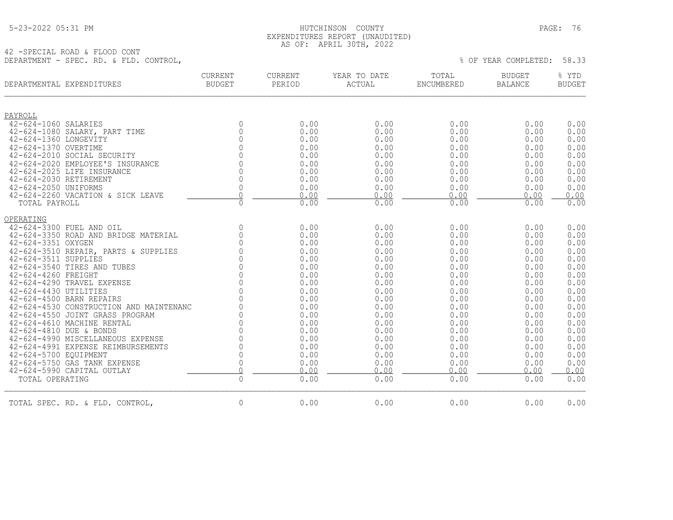|  | 5-23-2022 05:31 PM |  |
|--|--------------------|--|
|  |                    |  |

## HUTCHINSON COUNTY PAGE: 76 EXPENDITURES REPORT (UNAUDITED) AS OF: APRIL 30TH, 2022

42 -SPECIAL ROAD & FLOOD CONT DEPARTMENT - SPEC. RD. & FLD. CONTROL,

| DEPARTMENTAL EXPENDITURES                                     | <b>CURRENT</b><br><b>BUDGET</b> | CURRENT<br>PERIOD | YEAR TO DATE<br>ACTUAL | TOTAL<br>ENCUMBERED | <b>BUDGET</b><br><b>BALANCE</b> | % YTD<br><b>BUDGET</b> |
|---------------------------------------------------------------|---------------------------------|-------------------|------------------------|---------------------|---------------------------------|------------------------|
| PAYROLL                                                       |                                 |                   |                        |                     |                                 |                        |
| 42-624-1060 SALARIES                                          | $\mathbf{0}$                    | 0.00              | 0.00                   | 0.00                | 0.00                            | 0.00                   |
| 42-624-1080 SALARY, PART TIME                                 | $\circ$                         | 0.00              | 0.00                   | 0.00                | 0.00                            | 0.00                   |
| 42-624-1360 LONGEVITY                                         | $\overline{0}$                  | 0.00              | 0.00                   | 0.00                | 0.00                            | 0.00                   |
| 42-624-1370 OVERTIME                                          | $\Omega$                        | 0.00              | 0.00                   | 0.00                | 0.00                            | 0.00                   |
| 42-624-2010 SOCIAL SECURITY                                   | $\Omega$                        | 0.00              | 0.00                   | 0.00                | 0.00                            | 0.00                   |
| 42-624-2020 EMPLOYEE'S INSURANCE                              | $\Omega$                        | 0.00              | 0.00                   | 0.00                | 0.00                            | 0.00                   |
| 42-624-2025 LIFE INSURANCE                                    | $\mathbf{0}$                    | 0.00              | 0.00                   | 0.00                | 0.00                            | 0.00                   |
| 42-624-2030 RETIREMENT                                        | 0                               | 0.00              | 0.00                   | 0.00                | 0.00                            | 0.00                   |
| 42-624-2050 UNIFORMS                                          | $\mathbb O$                     | 0.00              | 0.00                   | 0.00                | 0.00                            | 0.00                   |
| 42-624-2260 VACATION & SICK LEAVE                             | $\bigcap$                       | 0.00              | 0.00                   | 0.00                | 0.00                            | 0.00                   |
| TOTAL PAYROLL                                                 | $\mathbf 0$                     | 0.00              | 0.00                   | 0.00                | 0.00                            | 0.00                   |
| OPERATING                                                     |                                 |                   |                        |                     |                                 |                        |
| 42-624-3300 FUEL AND OIL                                      | $\overline{0}$                  | 0.00              | 0.00                   | 0.00                | 0.00                            | 0.00                   |
| 42-624-3350 ROAD AND BRIDGE MATERIAL                          | $\mathbb O$                     | 0.00              | 0.00                   | 0.00                | 0.00                            | 0.00                   |
| 42-624-3351 OXYGEN                                            | $\Omega$                        | 0.00              | 0.00                   | 0.00                | 0.00                            | 0.00                   |
| 42-624-3510 REPAIR, PARTS & SUPPLIES                          | $\Omega$                        | 0.00              | 0.00                   | 0.00                | 0.00                            | 0.00                   |
| 42-624-3511 SUPPLIES                                          | $\Omega$                        | 0.00              | 0.00                   | 0.00                | 0.00                            | 0.00                   |
| 42-624-3540 TIRES AND TUBES                                   | $\mathbb O$                     | 0.00              | 0.00                   | 0.00                | 0.00                            | 0.00                   |
| 42-624-4260 FREIGHT                                           | $_{0}^{0}$                      | 0.00              | 0.00                   | 0.00                | 0.00                            | 0.00                   |
| 42-624-4290 TRAVEL EXPENSE                                    |                                 | 0.00              | 0.00                   | 0.00                | 0.00                            | 0.00                   |
| 42-624-4430 UTILITIES                                         | $\bigcap$                       | 0.00              | 0.00                   | 0.00                | 0.00                            | 0.00                   |
| 42-624-4500 BARN REPAIRS                                      | $\Omega$<br>$\Omega$            | 0.00              | 0.00                   | 0.00                | 0.00                            | 0.00                   |
| 42-624-4530 CONSTRUCTION AND MAINTENANC                       | $\Omega$                        | 0.00              | 0.00                   | 0.00                | 0.00                            | 0.00                   |
| 42-624-4550 JOINT GRASS PROGRAM<br>42-624-4610 MACHINE RENTAL | $\overline{0}$                  | 0.00<br>0.00      | 0.00<br>0.00           | 0.00<br>0.00        | 0.00<br>0.00                    | 0.00<br>0.00           |
| 42-624-4810 DUE & BONDS                                       | $\mathbb O$                     | 0.00              | 0.00                   | 0.00                | 0.00                            | 0.00                   |
| 42-624-4990 MISCELLANEOUS EXPENSE                             | $\mathbb O$                     | 0.00              | 0.00                   | 0.00                | 0.00                            | 0.00                   |
| 42-624-4991 EXPENSE REIMBURSEMENTS                            | $\Omega$                        | 0.00              | 0.00                   | 0.00                | 0.00                            | 0.00                   |
| 42-624-5700 EQUIPMENT                                         | $\mathbf 0$                     | 0.00              | 0.00                   | 0.00                | 0.00                            | 0.00                   |
| 42-624-5750 GAS TANK EXPENSE                                  | $\mathbf 0$                     | 0.00              | 0.00                   | 0.00                | 0.00                            | 0.00                   |
| 42-624-5990 CAPITAL OUTLAY                                    | $\overline{0}$                  | 0.00              | 0.00                   | 0.00                | 0.00                            | 0.00                   |
| TOTAL OPERATING                                               | $\mathbf 0$                     | 0.00              | 0.00                   | 0.00                | 0.00                            | 0.00                   |
| TOTAL SPEC. RD. & FLD. CONTROL,                               | $\overline{0}$                  | 0.00              | 0.00                   | 0.00                | 0.00                            | 0.00                   |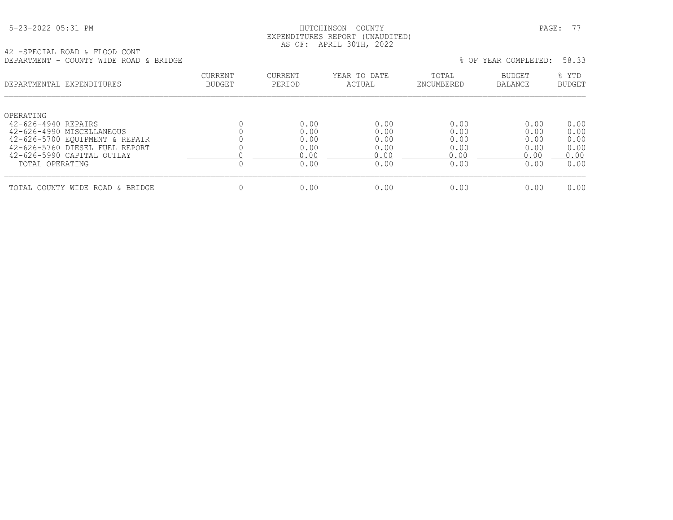|  | 5-23-2022 05:31 PM |  |
|--|--------------------|--|
|  |                    |  |

## HUTCHINSON COUNTY PAGE: 77 EXPENDITURES REPORT (UNAUDITED) AS OF: APRIL 30TH, 2022

42 -SPECIAL ROAD & FLOOD CONT DEPARTMENT - COUNTY WIDE ROAD & BRIDGE % OF YEAR COMPLETED: 58.33

| DSEANIMSNI - COUNII WIDS NOAD & DNIDGS                                                          |                          |                      |                        |                      | 0 UP IBAN COMEBBIBD.     | JU . JJ                |
|-------------------------------------------------------------------------------------------------|--------------------------|----------------------|------------------------|----------------------|--------------------------|------------------------|
| DEPARTMENTAL EXPENDITURES                                                                       | CURRENT<br><b>BUDGET</b> | CURRENT<br>PERIOD    | YEAR TO DATE<br>ACTUAL | TOTAL<br>ENCUMBERED  | <b>BUDGET</b><br>BALANCE | % YTD<br><b>BUDGET</b> |
| OPERATING<br>42-626-4940 REPAIRS<br>42-626-4990 MISCELLANEOUS<br>42-626-5700 EQUIPMENT & REPAIR |                          | 0.00<br>0.00<br>0.00 | 0.00<br>0.00<br>0.00   | 0.00<br>0.00<br>0.00 | 0.00<br>0.00<br>0.00     | 0.00<br>0.00<br>0.00   |
| 42-626-5760 DIESEL FUEL REPORT<br>42-626-5990 CAPITAL OUTLAY<br>TOTAL OPERATING                 |                          | 0.00<br>0.00<br>0.00 | 0.00<br>0.00<br>0.00   | 0.00<br>0.00<br>0.00 | 0.00<br>0.00<br>0.00     | 0.00<br>0.00<br>0.00   |
| TOTAL COUNTY WIDE ROAD & BRIDGE                                                                 |                          | 0.00                 | 0.00                   | 0.00                 | 0.00                     | 0.00                   |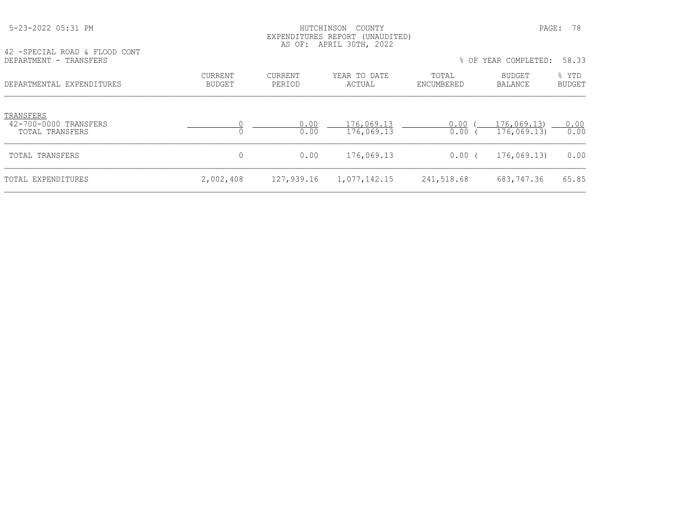| 42 - SPECIAL ROAD & FLOOD CONT                        |                          |                          | AS OF: APRIL 30TH, 2022  |                     |                           |                 |
|-------------------------------------------------------|--------------------------|--------------------------|--------------------------|---------------------|---------------------------|-----------------|
| DEPARTMENT - TRANSFERS                                |                          |                          |                          |                     | % OF YEAR COMPLETED:      | 58.33           |
| DEPARTMENTAL EXPENDITURES                             | CURRENT<br><b>BUDGET</b> | <b>CURRENT</b><br>PERIOD | YEAR TO DATE<br>ACTUAL   | TOTAL<br>ENCUMBERED | BUDGET<br>BALANCE         | % YTD<br>BUDGET |
| TRANSFERS<br>42-700-0000 TRANSFERS<br>TOTAL TRANSFERS |                          | 0.00<br>0.00             | 176,069.13<br>176,069.13 | 0.00<br>0.00        | 176,069.13<br>176,069.13) | 0.00<br>0.00    |
| TOTAL TRANSFERS                                       | 0                        | 0.00                     | 176,069.13               | $0.00$ (            | 176,069.13)               | 0.00            |
| TOTAL EXPENDITURES                                    | 2,002,408                | 127,939.16               | 1,077,142.15             | 241,518.68          | 683,747.36                | 65.85           |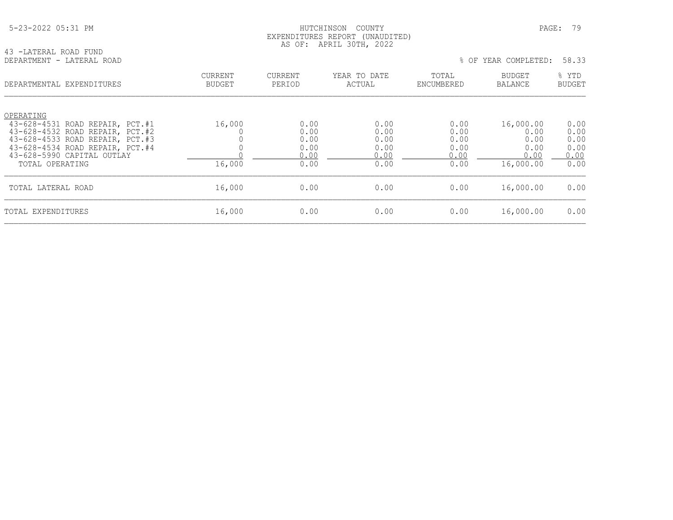| 5-23-2022 05:31 PM |
|--------------------|
|--------------------|

## HUTCHINSON COUNTY PAGE: 79 EXPENDITURES REPORT (UNAUDITED) AS OF: APRIL 30TH, 2022

| 43 -LATERAL ROAD FUND     |  |  |
|---------------------------|--|--|
|                           |  |  |
| DEPARTMENT - LATERAL ROAD |  |  |

| DEPARTMENT - LATERAL ROAD | OF YEAR COMPLETED: 58.33 |
|---------------------------|--------------------------|

| DEPARTMENTAL EXPENDITURES                                          | <b>CURRENT</b><br><b>BUDGET</b> | <b>CURRENT</b><br>PERIOD | YEAR TO DATE<br>ACTUAL | TOTAL<br>ENCUMBERED | <b>BUDGET</b><br>BALANCE | % YTD<br><b>BUDGET</b> |
|--------------------------------------------------------------------|---------------------------------|--------------------------|------------------------|---------------------|--------------------------|------------------------|
| OPERATING                                                          |                                 |                          |                        |                     |                          |                        |
| 43-628-4531 ROAD REPAIR, PCT.#1<br>43-628-4532 ROAD REPAIR, PCT.#2 | 16,000                          | 0.00<br>0.00             | 0.00<br>0.00           | 0.00<br>0.00        | 16,000.00<br>0.00        | 0.00<br>0.00           |
| 43-628-4533 ROAD REPAIR, PCT.#3                                    |                                 | 0.00                     | 0.00                   | 0.00                | 0.00                     | 0.00                   |
| 43-628-4534 ROAD REPAIR, PCT.#4                                    |                                 | 0.00                     | 0.00                   | 0.00                | 0.00                     | 0.00                   |
| 43-628-5990 CAPITAL OUTLAY                                         |                                 | 0.00                     | 0.00                   | 0.00                | 0.00                     | 0.00                   |
| TOTAL OPERATING                                                    | 16,000                          | 0.00                     | 0.00                   | 0.00                | 16,000.00                | 0.00                   |
| TOTAL LATERAL ROAD                                                 | 16,000                          | 0.00                     | 0.00                   | 0.00                | 16,000.00                | 0.00                   |
| TOTAL EXPENDITURES                                                 | 16,000                          | 0.00                     | 0.00                   | 0.00                | 16,000.00                | 0.00                   |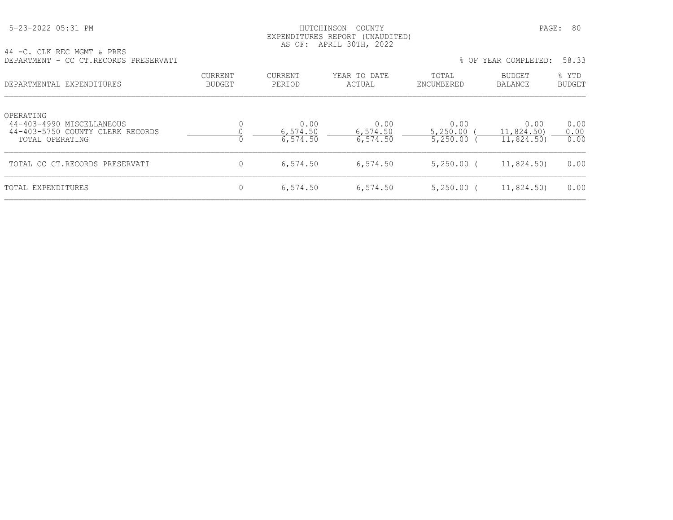## HUTCHINSON COUNTY PAGE: 80 EXPENDITURES REPORT (UNAUDITED) AS OF: APRIL 30TH, 2022

|  |  | 44 -C. CLK REC MGMT & PRES |  |                                      |
|--|--|----------------------------|--|--------------------------------------|
|  |  |                            |  | DEPARTMENT - CC CT.RECORDS PRESERVAT |

| DEPARTMENT - CC CT.RECORDS PRESERVATI                                                         |                          |                              |                              |                              | % OF YEAR COMPLETED:             | 58.33                  |
|-----------------------------------------------------------------------------------------------|--------------------------|------------------------------|------------------------------|------------------------------|----------------------------------|------------------------|
| DEPARTMENTAL EXPENDITURES                                                                     | <b>CURRENT</b><br>BUDGET | CURRENT<br>PERIOD            | YEAR TO DATE<br>ACTUAL       | TOTAL<br>ENCUMBERED          | BUDGET<br>BALANCE                | % YTD<br><b>BUDGET</b> |
| OPERATING<br>44-403-4990 MISCELLANEOUS<br>44-403-5750 COUNTY CLERK RECORDS<br>TOTAL OPERATING |                          | 0.00<br>6,574.50<br>6,574.50 | 0.00<br>6,574.50<br>6,574.50 | 0.00<br>5,250.00<br>5,250.00 | 0.00<br>11,824.50)<br>11,824.50) | 0.00<br>0.00<br>0.00   |
| TOTAL CC CT.RECORDS PRESERVATI                                                                |                          | 6,574.50                     | 6,574.50                     | $5,250.00$ (                 | 11,824.50)                       | 0.00                   |
| TOTAL EXPENDITURES                                                                            |                          | 6,574.50                     | 6,574.50                     | $5,250.00$ (                 | 11,824.50)                       | 0.00                   |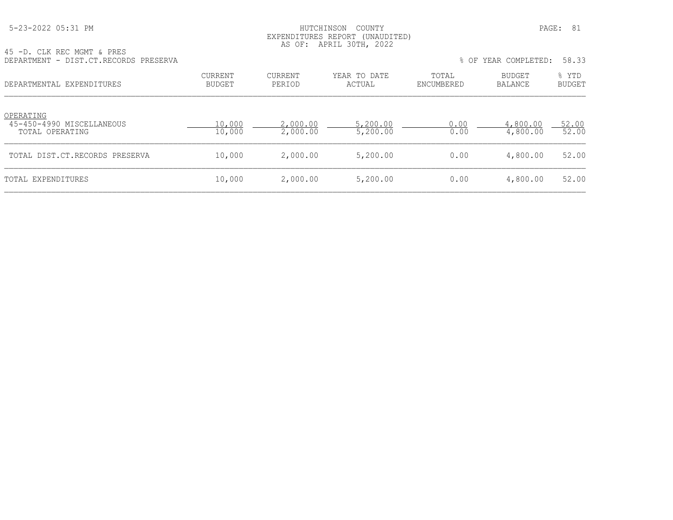#### HUTCHINSON COUNTY PAGE: 81 EXPENDITURES REPORT (UNAUDITED) AS OF: APRIL 30TH, 2022

| 45 -D. CLK REC MGMT & PRES<br>DEPARTMENT - DIST.CT.RECORDS PRESERVA |                          |                      |                        |                     | % OF YEAR COMPLETED: | 58.33                  |
|---------------------------------------------------------------------|--------------------------|----------------------|------------------------|---------------------|----------------------|------------------------|
| DEPARTMENTAL EXPENDITURES                                           | <b>CURRENT</b><br>BUDGET | CURRENT<br>PERIOD    | YEAR TO DATE<br>ACTUAL | TOTAL<br>ENCUMBERED | BUDGET<br>BALANCE    | % YTD<br><b>BUDGET</b> |
| OPERATING<br>45-450-4990 MISCELLANEOUS<br>TOTAL OPERATING           | 10,000<br>10,000         | 2,000.00<br>2,000.00 | 5,200.00<br>5,200.00   | 0.00<br>0.00        | 4,800.00<br>4,800.00 | 52.00<br>52.00         |
| TOTAL DIST.CT.RECORDS PRESERVA                                      | 10,000                   | 2,000.00             | 5,200.00               | 0.00                | 4,800.00             | 52.00                  |
|                                                                     |                          |                      |                        |                     |                      |                        |

TOTAL EXPENDITURES 60 000 10,000 2,000.00 5,200.00 0.00 0.00 4,800.00 52.00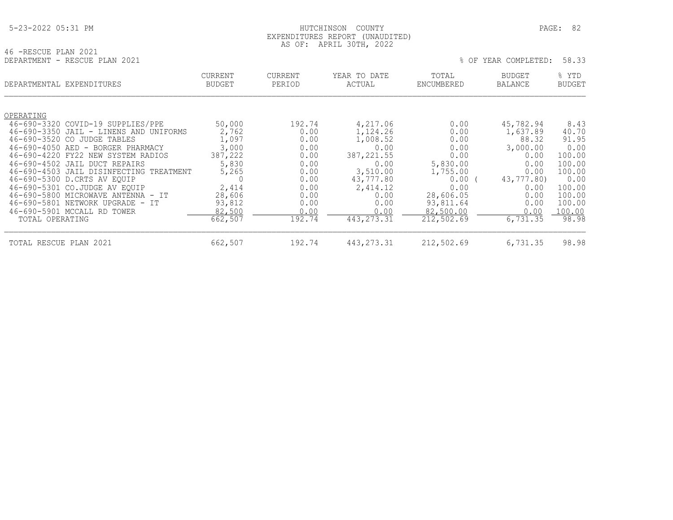# HUTCHINSON COUNTY PAGE: 82 EXPENDITURES REPORT (UNAUDITED) AS OF: APRIL 30TH, 2022

| 46 -RESCUE PLAN 2021 |                               |  |
|----------------------|-------------------------------|--|
|                      | DEPARTMENT - RESCUE PLAN 2021 |  |

| MENT - RESCUE PLAN 2021 |  | % OF YEAR COMPLETED: 58.33 |  |
|-------------------------|--|----------------------------|--|
|                         |  |                            |  |

| DEPARTMENTAL EXPENDITURES |                                         | <b>CURRENT</b><br><b>BUDGET</b> | <b>CURRENT</b><br>PERIOD | YEAR TO DATE<br>ACTUAL | TOTAL<br>ENCUMBERED | <b>BUDGET</b><br>BALANCE | % YTD<br><b>BUDGET</b> |
|---------------------------|-----------------------------------------|---------------------------------|--------------------------|------------------------|---------------------|--------------------------|------------------------|
|                           |                                         |                                 |                          |                        |                     |                          |                        |
| OPERATING                 |                                         |                                 |                          |                        |                     |                          |                        |
|                           | 46-690-3320 COVID-19 SUPPLIES/PPE       | 50,000                          | 192.74                   | 4,217.06               | 0.00                | 45,782.94                | 8.43                   |
|                           | 46-690-3350 JAIL - LINENS AND UNIFORMS  | 2,762                           | 0.00                     | 1,124.26               | 0.00                | 1,637.89                 | 40.70                  |
|                           | 46-690-3520 CO JUDGE TABLES             | 1,097                           | 0.00                     | 1,008.52               | 0.00                | 88.32                    | 91.95                  |
| $46 - 690 - 4050$ AED -   | BORGER PHARMACY                         | 3,000                           | 0.00                     | 0.00                   | 0.00                | 3,000.00                 | 0.00                   |
|                           | 46-690-4220 FY22 NEW SYSTEM RADIOS      | 387,222                         | 0.00                     | 387, 221.55            | 0.00                | 0.00                     | 100.00                 |
|                           | 46-690-4502 JAIL DUCT REPAIRS           | 5,830                           | 0.00                     | 0.00                   | 5,830.00            | 0.00                     | 100.00                 |
|                           | 46-690-4503 JAIL DISINFECTING TREATMENT | 5,265                           | 0.00                     | 3,510.00               | 1,755.00            | 0.00                     | 100.00                 |
|                           | 46-690-5300 D.CRTS AV EOUIP             | $\Omega$                        | 0.00                     | 43,777.80              | 0.00                | 43,777.80)               | 0.00                   |
|                           | 46-690-5301 CO.JUDGE AV EOUIP           | 2,414                           | 0.00                     | 2,414.12               | 0.00                | 0.00                     | 100.00                 |
|                           | 46-690-5800 MICROWAVE ANTENNA - IT      | 28,606                          | 0.00                     | 0.00                   | 28,606.05           | 0.00                     | 100.00                 |
|                           | 46-690-5801 NETWORK UPGRADE - IT        | 93,812                          | 0.00                     | 0.00                   | 93,811.64           | 0.00                     | 100.00                 |
|                           | 46-690-5901 MCCALL RD TOWER             | 82,500                          | 0.00                     | 0.00                   | 82,500.00           | 0.00                     | 100.00                 |
| TOTAL OPERATING           |                                         | 662,507                         | 192.74                   | 443, 273. 31           | 212,502.69          | 6,731.35                 | 98.98                  |
| TOTAL RESCUE PLAN 2021    |                                         | 662,507                         | 192.74                   | 443, 273. 31           | 212,502.69          | 6,731.35                 | 98.98                  |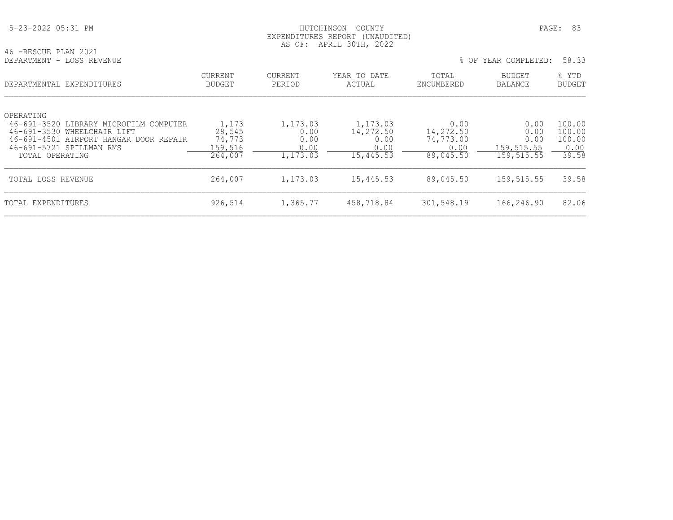| 5-23-2022 05:31 PM |
|--------------------|
|--------------------|

# HUTCHINSON COUNTY PAGE: 83 EXPENDITURES REPORT (UNAUDITED) AS OF: APRIL 30TH, 2022

| 46 -RESCUE PLAN 2021      |  |  |  |
|---------------------------|--|--|--|
| DEPARTMENT - LOSS REVENUE |  |  |  |

|  |  |  | OF YEAR COMPLETED: | 58.33 |
|--|--|--|--------------------|-------|
|--|--|--|--------------------|-------|

| DEPARTMENTAL EXPENDITURES                                                                                                                                                         | <b>CURRENT</b><br><b>BUDGET</b>                 | <b>CURRENT</b><br>PERIOD                     | YEAR TO DATE<br>ACTUAL                             | TOTAL<br>ENCUMBERED                                 | <b>BUDGET</b><br>BALANCE                          | % YTD<br><b>BUDGET</b>                      |
|-----------------------------------------------------------------------------------------------------------------------------------------------------------------------------------|-------------------------------------------------|----------------------------------------------|----------------------------------------------------|-----------------------------------------------------|---------------------------------------------------|---------------------------------------------|
| OPERATING<br>46-691-3520<br>LIBRARY MICROFILM COMPUTER<br>46-691-3530<br>WHEELCHAIR LIFT<br>46-691-4501 AIRPORT HANGAR DOOR REPAIR<br>46-691-5721 SPILLMAN RMS<br>TOTAL OPERATING | 1,173<br>28,545<br>74,773<br>159,516<br>264,007 | 1,173.03<br>0.00<br>0.00<br>0.00<br>1,173.03 | 1,173.03<br>14,272.50<br>0.00<br>0.00<br>15,445.53 | 0.00<br>14,272.50<br>74,773.00<br>0.00<br>89,045.50 | 0.00<br>0.00<br>0.00<br>159, 515.55<br>159,515.55 | 100.00<br>100.00<br>100.00<br>0.00<br>39.58 |
| TOTAL LOSS REVENUE                                                                                                                                                                | 264,007                                         | 1,173.03                                     | 15,445.53                                          | 89,045.50                                           | 159,515.55                                        | 39.58                                       |
| TOTAL EXPENDITURES                                                                                                                                                                | 926,514                                         | 1,365.77                                     | 458,718.84                                         | 301,548.19                                          | 166,246.90                                        | 82.06                                       |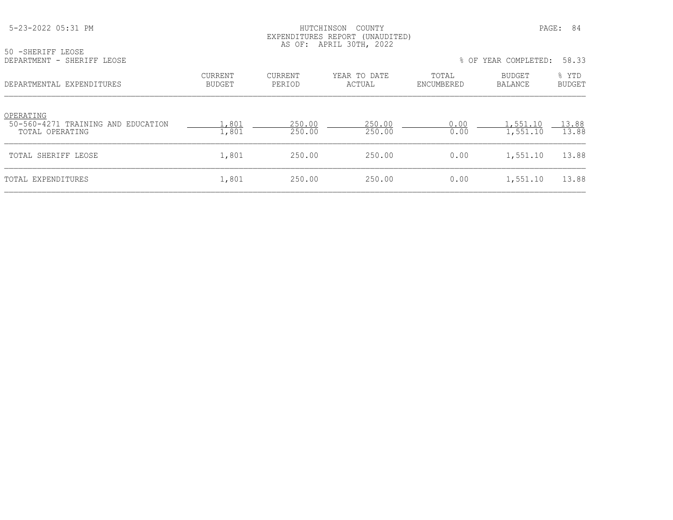## HUTCHINSON COUNTY PAGE: 84 EXPENDITURES REPORT (UNAUDITED) AS OF: APRIL 30TH, 2022

| 50 -SHERIFF LEOSE          |  |
|----------------------------|--|
| DEPARTMENT - SHERIFF LEOSE |  |

| DEPARTMENT - SHERIFF LEOSE | % OF YEAR COMPLETED: 58.33 |  |
|----------------------------|----------------------------|--|
|----------------------------|----------------------------|--|

| DEPARTMENTAL EXPENDITURES                                          | CURRENT<br><b>BUDGET</b> | CURRENT<br>PERIOD | YEAR TO DATE<br>ACTUAL | TOTAL<br>ENCUMBERED | <b>BUDGET</b><br>BALANCE | % YTD<br><b>BUDGET</b> |
|--------------------------------------------------------------------|--------------------------|-------------------|------------------------|---------------------|--------------------------|------------------------|
| OPERATING<br>50-560-4271 TRAINING AND EDUCATION<br>TOTAL OPERATING | .,801<br>1,801           | 250.00<br>250.00  | 250.00<br>250.00       | 0.00<br>0.00        | 1,551.10<br>1,551.10     | 13.88<br>13.88         |
| TOTAL SHERIFF LEOSE                                                | 1,801                    | 250.00            | 250.00                 | 0.00                | 1,551.10                 | 13.88                  |
| TOTAL EXPENDITURES                                                 | 1,801                    | 250.00            | 250.00                 | 0.00                | 1,551.10                 | 13.88                  |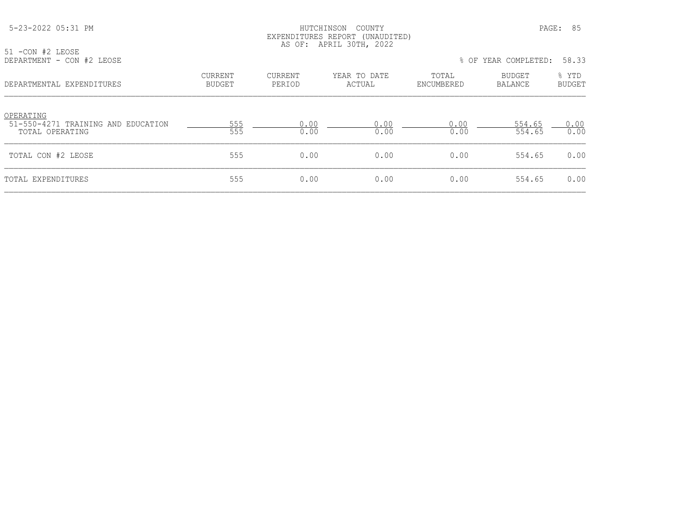## HUTCHINSON COUNTY PAGE: 85 EXPENDITURES REPORT (UNAUDITED) AS OF: APRIL 30TH, 2022

| 51 -CON #2 LEOSE          |  |  |
|---------------------------|--|--|
| DEPARTMENT - CON #2 LEOSE |  |  |

|  | DEPARTMENT - CON #2 LEOSE |  | % OF YEAR COMPLETED: 58.33 |  |  |
|--|---------------------------|--|----------------------------|--|--|
|--|---------------------------|--|----------------------------|--|--|

| DEPARTMENTAL EXPENDITURES                                          | <b>CURRENT</b><br><b>BUDGET</b> | CURRENT<br>PERIOD | YEAR TO DATE<br>ACTUAL | TOTAL<br>ENCUMBERED | <b>BUDGET</b><br>BALANCE | % YTD<br><b>BUDGET</b> |
|--------------------------------------------------------------------|---------------------------------|-------------------|------------------------|---------------------|--------------------------|------------------------|
| OPERATING<br>51-550-4271 TRAINING AND EDUCATION<br>TOTAL OPERATING | 555<br>555                      | 0.00<br>0.00      | 0.00<br>0.00           | 0.00<br>0.00        | 554.65<br>554.65         | 0.00<br>0.00           |
| TOTAL CON #2 LEOSE                                                 | 555                             | 0.00              | 0.00                   | 0.00                | 554.65                   | 0.00                   |
| TOTAL EXPENDITURES                                                 | 555                             | 0.00              | 0.00                   | 0.00                | 554.65                   | 0.00                   |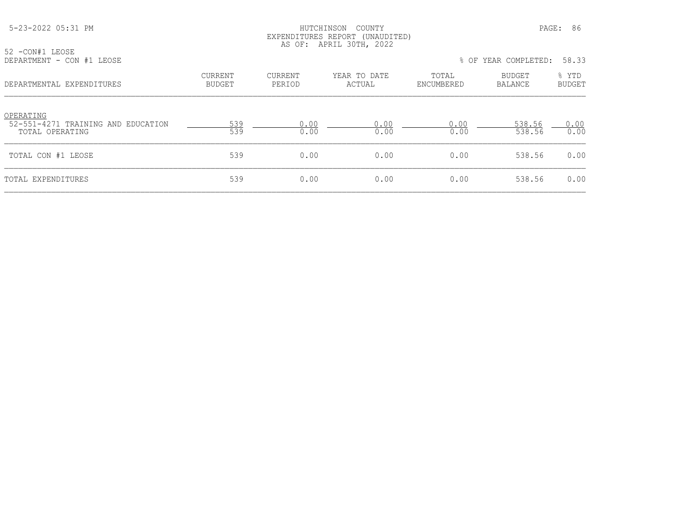### HUTCHINSON COUNTY PAGE: 86 EXPENDITURES REPORT (UNAUDITED) AS OF: APRIL 30TH, 2022

52 -CON#1 LEOSE<br>DEPARTMENT - CON

|                          |                   |                        |                     |                   | 58.33                  |
|--------------------------|-------------------|------------------------|---------------------|-------------------|------------------------|
| <b>CURRENT</b><br>BUDGET | CURRENT<br>PERIOD | YEAR TO DATE<br>ACTUAL | TOTAL<br>ENCUMBERED | BUDGET<br>BALANCE | % YTD<br><b>BUDGET</b> |
| 539<br>539               | 0.00<br>0.00      | 0.00<br>0.00           | 0.00<br>0.00        | 538.56<br>538.56  | 0.00<br>0.00           |
| 539                      | 0.00              | 0.00                   | 0.00                | 538.56            | 0.00                   |
| 539                      | 0.00              | 0.00                   | 0.00                | 538.56            | 0.00                   |
|                          |                   |                        |                     |                   | % OF YEAR COMPLETED:   |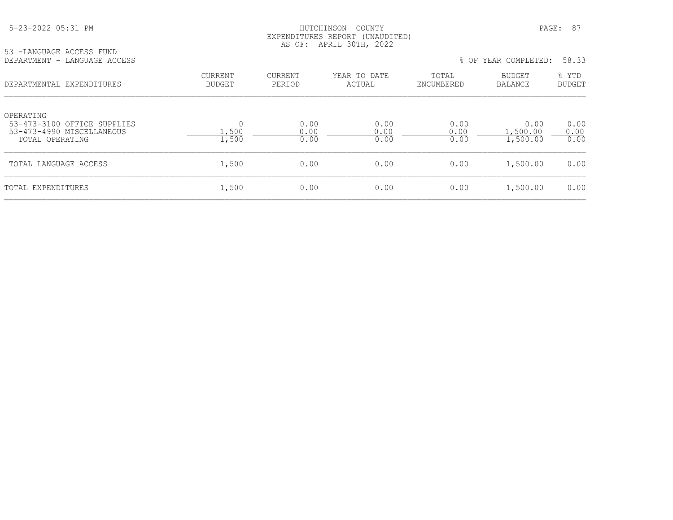# HUTCHINSON COUNTY PAGE: 87 EXPENDITURES REPORT (UNAUDITED) AS OF: APRIL 30TH, 2022

| 53 -LANGUAGE ACCESS FUND |                 | --- -- | 1.12 1.22 0.02 1.07 0.002 0.002 0.000 |  |  |
|--------------------------|-----------------|--------|---------------------------------------|--|--|
| DEPARTMENT - I           | LANGUAGE ACCESS |        |                                       |  |  |

|  |  |  | OF YEAR COMPLETED: | 58.33 |
|--|--|--|--------------------|-------|
|--|--|--|--------------------|-------|

| DEPARTMENTAL EXPENDITURES                                                                | <b>CURRENT</b><br><b>BUDGET</b> | <b>CURRENT</b><br>PERIOD | YEAR TO DATE<br>ACTUAL | TOTAL<br>ENCUMBERED  | <b>BUDGET</b><br><b>BALANCE</b> | % YTD<br><b>BUDGET</b> |
|------------------------------------------------------------------------------------------|---------------------------------|--------------------------|------------------------|----------------------|---------------------------------|------------------------|
| OPERATING<br>53-473-3100 OFFICE SUPPLIES<br>53-473-4990 MISCELLANEOUS<br>TOTAL OPERATING | .,500<br>1,500                  | 0.00<br>0.00<br>0.00     | 0.00<br>0.00<br>0.00   | 0.00<br>0.00<br>0.00 | 0.00<br>, 500.00<br>1,500.00    | 0.00<br>0.00<br>0.00   |
| TOTAL LANGUAGE ACCESS                                                                    | 1,500                           | 0.00                     | 0.00                   | 0.00                 | 1,500.00                        | 0.00                   |
| TOTAL EXPENDITURES                                                                       | 1,500                           | 0.00                     | 0.00                   | 0.00                 | 1,500.00                        | 0.00                   |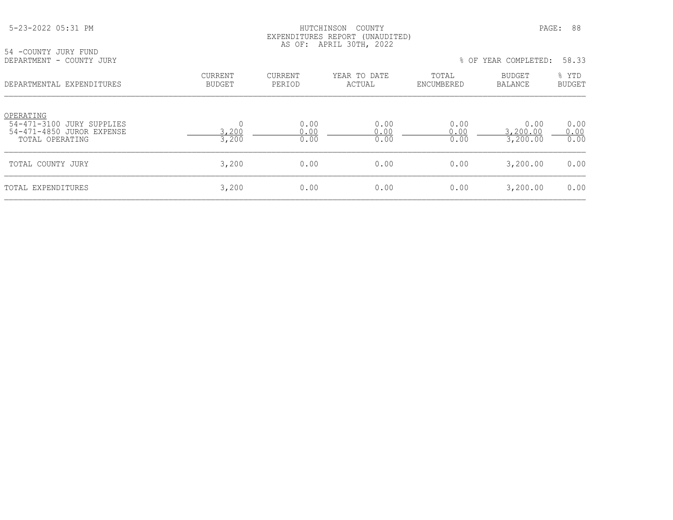### HUTCHINSON COUNTY PAGE: 88 EXPENDITURES REPORT (UNAUDITED) AS OF: APRIL 30TH, 2022

54 -COUNTY JURY FUND<br>DEPARTMENT - COUNTY JURY

| DEPARTMENTAL EXPENDITURES                                                              | <b>CURRENT</b><br>BUDGET | CURRENT<br>PERIOD    | YEAR TO DATE<br>ACTUAL | TOTAL<br>ENCUMBERED  | <b>BUDGET</b><br>BALANCE     | % YTD<br>BUDGET      |
|----------------------------------------------------------------------------------------|--------------------------|----------------------|------------------------|----------------------|------------------------------|----------------------|
| OPERATING<br>54-471-3100 JURY SUPPLIES<br>54-471-4850 JUROR EXPENSE<br>TOTAL OPERATING | 3,200<br>3,200           | 0.00<br>0.00<br>0.00 | 0.00<br>0.00<br>0.00   | 0.00<br>0.00<br>0.00 | 0.00<br>3,200.00<br>3,200.00 | 0.00<br>0.00<br>0.00 |
| TOTAL COUNTY JURY                                                                      | 3,200                    | 0.00                 | 0.00                   | 0.00                 | 3,200.00                     | 0.00                 |
| TOTAL EXPENDITURES                                                                     | 3,200                    | 0.00                 | 0.00                   | 0.00                 | 3,200.00                     | 0.00                 |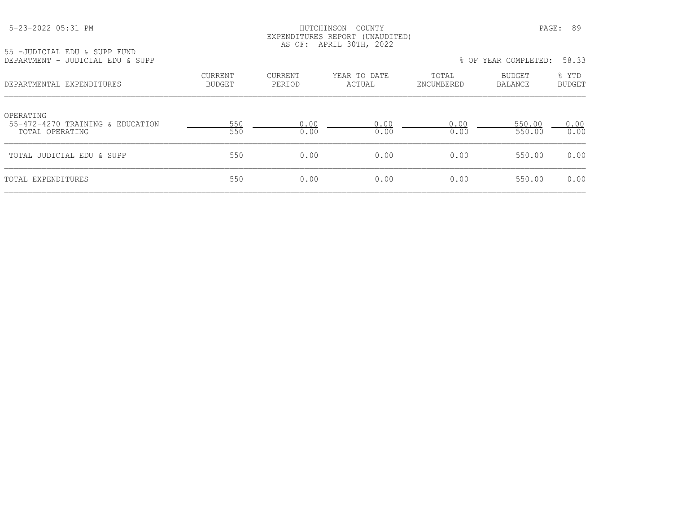## HUTCHINSON COUNTY PAGE: 89 EXPENDITURES REPORT (UNAUDITED) AS OF: APRIL 30TH, 2022

55 -JUDICIAL EDU & SUPP FUND

| DEPARTMENT - JUDICIAL EDU & SUPP                                 |                                 |                   |                        |                     | % OF YEAR COMPLETED: | 58.33                  |
|------------------------------------------------------------------|---------------------------------|-------------------|------------------------|---------------------|----------------------|------------------------|
| DEPARTMENTAL EXPENDITURES                                        | <b>CURRENT</b><br><b>BUDGET</b> | CURRENT<br>PERIOD | YEAR TO DATE<br>ACTUAL | TOTAL<br>ENCUMBERED | BUDGET<br>BALANCE    | % YTD<br><b>BUDGET</b> |
| OPERATING<br>55-472-4270 TRAINING & EDUCATION<br>TOTAL OPERATING | 550<br>550                      | 0.00<br>0.00      | 0.00<br>0.00           | 0.00<br>0.00        | 550.00<br>550.00     | 0.00<br>0.00           |
| TOTAL JUDICIAL EDU & SUPP                                        | 550                             | 0.00              | 0.00                   | 0.00                | 550.00               | 0.00                   |
| TOTAL EXPENDITURES                                               | 550                             | 0.00              | 0.00                   | 0.00                | 550.00               | 0.00                   |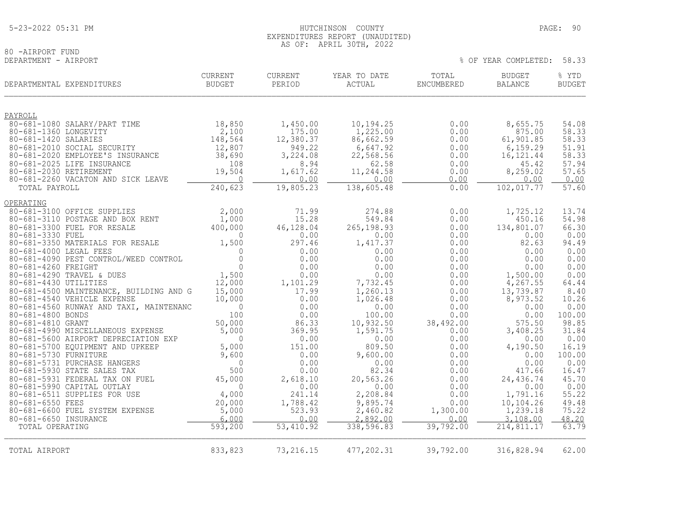# 80 -AIRPORT FUND<br>DEPARTMENT - AIRPORT

| DEPARTMENTAL EXPENDITURES                                  | <b>CURRENT</b><br><b>BUDGET</b> | CURRENT<br>PERIOD | YEAR TO DATE<br>ACTUAL | TOTAL<br>ENCUMBERED | <b>BUDGET</b><br><b>BALANCE</b> | % YTD<br><b>BUDGET</b> |
|------------------------------------------------------------|---------------------------------|-------------------|------------------------|---------------------|---------------------------------|------------------------|
| PAYROLL                                                    |                                 |                   |                        |                     |                                 |                        |
| 80-681-1080 SALARY/PART TIME                               | 18,850                          | 1,450.00          | 10,194.25              | 0.00                | 8,655.75                        | 54.08                  |
| 80-681-1360 LONGEVITY                                      | 2,100                           | 175.00            | 1,225.00               | 0.00                | 875.00                          | 58.33                  |
| 80-681-1420 SALARIES                                       | 148,564                         | 12,380.37         | 86,662.59              | 0.00                | 61,901.85                       | 58.33                  |
| 80-681-2010 SOCIAL SECURITY                                | 12,807                          | 949.22            | 6,647.92               | 0.00                | 6,159.29                        | 51.91                  |
| 80-681-2020 EMPLOYEE'S INSURANCE                           | 38,690                          | 3,224.08          | 22,568.56              | 0.00                | 16, 121.44                      | 58.33                  |
| 80-681-2025 LIFE INSURANCE<br>80-681-2030 RETIREMENT       | 108<br>19,504                   | 8.94<br>1,617.62  | 62.58<br>11,244.58     | 0.00<br>0.00        | 45.42<br>8,259.02               | 57.94<br>57.65         |
| 80-681-2260 VACATON AND SICK LEAVE                         | $\overline{0}$                  | 0.00              | 0.00                   | 0.00                | 0.00                            | 0.00                   |
| TOTAL PAYROLL                                              | 240,623                         | 19,805.23         | 138,605.48             | 0.00                | 102,017.77                      | 57.60                  |
| OPERATING                                                  |                                 |                   |                        |                     |                                 |                        |
| 80-681-3100 OFFICE SUPPLIES                                | 2,000                           | 71.99             | 274.88                 | 0.00                | 1,725.12                        | 13.74                  |
| 80-681-3110 POSTAGE AND BOX RENT                           | 1,000                           | 15.28             | 549.84                 | 0.00                | 450.16                          | 54.98                  |
| 80-681-3300 FUEL FOR RESALE                                | 400,000                         | 46,128.04         | 265, 198.93            | 0.00                | 134,801.07                      | 66.30                  |
| 80-681-3330 FUEL                                           | $\Omega$                        | 0.00              | 0.00                   | 0.00                | 0.00                            | 0.00                   |
| 80-681-3350 MATERIALS FOR RESALE<br>80-681-4000 LEGAL FEES | 1,500<br>$\Omega$               | 297.46<br>0.00    | 1,417.37<br>0.00       | 0.00<br>0.00        | 82.63<br>0.00                   | 94.49<br>0.00          |
| 80-681-4090 PEST CONTROL/WEED CONTROL                      | $\Omega$                        | 0.00              | 0.00                   | 0.00                | 0.00                            | 0.00                   |
| 80-681-4260 FREIGHT                                        | $\Omega$                        | 0.00              | 0.00                   | 0.00                | 0.00                            | 0.00                   |
| 80-681-4290 TRAVEL & DUES                                  | 1,500                           | 0.00              | 0.00                   | 0.00                | 1,500.00                        | 0.00                   |
| 80-681-4430 UTILITIES                                      | 12,000                          | 1,101.29          | 7,732.45               | 0.00                | 4,267.55                        | 64.44                  |
| 80-681-4500 MAINTENANCE, BUILDING AND G                    | 15,000                          | 17.99             | 1,260.13               | 0.00                | 13,739.87                       | 8.40                   |
| 80-681-4540 VEHICLE EXPENSE                                | 10,000                          | 0.00              | 1,026.48               | 0.00                | 8,973.52                        | 10.26                  |
| 80-681-4560 RUNWAY AND TAXI, MAINTENANC                    | $\Omega$                        | 0.00              | 0.00                   | 0.00                | 0.00                            | 0.00                   |
| 80-681-4800 BONDS                                          | 100                             | 0.00              | 100.00                 | 0.00                | 0.00                            | 100.00                 |
| 80-681-4810 GRANT<br>80-681-4990 MISCELLANEOUS EXPENSE     | 50,000                          | 86.33             | 10,932.50              | 38,492.00<br>0.00   | 575.50                          | 98.85<br>31.84         |
| 80-681-5600 AIRPORT DEPRECIATION EXP                       | 5,000<br>$\Omega$               | 369.95<br>0.00    | 1,591.75<br>0.00       | 0.00                | 3,408.25<br>0.00                | 0.00                   |
| 80-681-5700 EQUIPMENT AND UPKEEP                           | 5,000                           | 151.00            | 809.50                 | 0.00                | 4,190.50                        | 16.19                  |
| 80-681-5730 FURNITURE                                      | 9,600                           | 0.00              | 9,600.00               | 0.00                | 0.00                            | 100.00                 |
| 80-681-5731 PURCHASE HANGERS                               | $\mathbf 0$                     | 0.00              | 0.00                   | 0.00                | 0.00                            | 0.00                   |
| 80-681-5930 STATE SALES TAX                                | 500                             | 0.00              | 82.34                  | 0.00                | 417.66                          | 16.47                  |
| 80-681-5931 FEDERAL TAX ON FUEL                            | 45,000                          | 2,618.10          | 20,563.26              | 0.00                | 24,436.74                       | 45.70                  |
| 80-681-5990 CAPITAL OUTLAY                                 | $\Omega$                        | 0.00              | 0.00                   | 0.00                | 0.00                            | 0.00                   |
| 80-681-6511 SUPPLIES FOR USE                               | 4,000                           | 241.14            | 2,208.84               | 0.00                | 1,791.16                        | 55.22                  |
| 80-681-6550 FEES                                           | 20,000                          | 1,788.42          | 9,895.74               | 0.00                | 10,104.26                       | 49.48                  |
| 80-681-6600 FUEL SYSTEM EXPENSE                            | 5,000                           | 523.93            | 2,460.82<br>2,892.00   | 1,300.00<br>0.00    | 1,239.18                        | 75.22                  |
| 80-681-6650 INSURANCE<br>TOTAL OPERATING                   | 6,000<br>593,200                | 0.00<br>53,410.92 | 338, 596.83            | 39,792.00           | 3,108.00<br>214,811.17          | 48.20<br>63.79         |
|                                                            |                                 |                   |                        |                     |                                 |                        |
| TOTAL AIRPORT                                              | 833,823                         | 73, 216.15        | 477, 202.31            | 39,792.00           | 316,828.94                      | 62.00                  |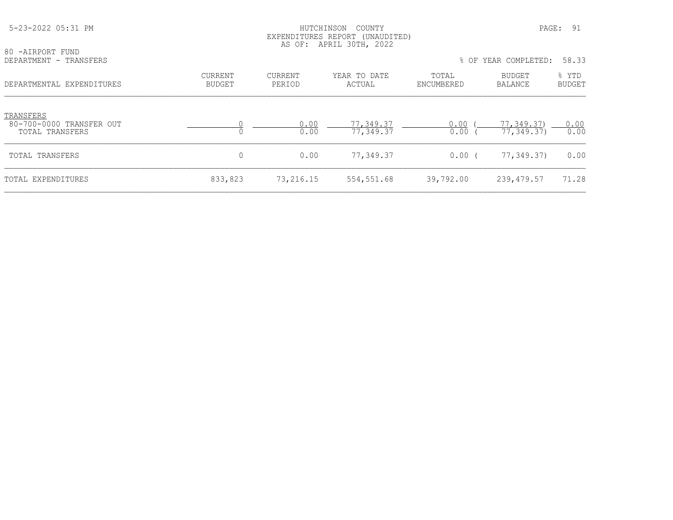| 5-23-2022 05:31 PM                                       |                                 | HUTCHINSON        | COUNTY<br>EXPENDITURES REPORT (UNAUDITED)<br>AS OF: APRIL 30TH, 2022 |                     |                          | PAGE: 91               |
|----------------------------------------------------------|---------------------------------|-------------------|----------------------------------------------------------------------|---------------------|--------------------------|------------------------|
| 80 -AIRPORT FUND<br>DEPARTMENT - TRANSFERS               |                                 |                   |                                                                      | $8$ OF              | YEAR COMPLETED:          | 58.33                  |
| DEPARTMENTAL EXPENDITURES                                | <b>CURRENT</b><br><b>BUDGET</b> | CURRENT<br>PERIOD | YEAR TO DATE<br>ACTUAL                                               | TOTAL<br>ENCUMBERED | BUDGET<br><b>BALANCE</b> | % YTD<br><b>BUDGET</b> |
| TRANSFERS<br>80-700-0000 TRANSFER OUT<br>TOTAL TRANSFERS | $\Omega$                        | 0.00<br>0.00      | 77,349.37<br>77,349.37                                               | 0.00<br>0.00        | 77,349.37)<br>77,349.37) | 0.00<br>0.00           |
| TOTAL TRANSFERS                                          | 0                               | 0.00              | 77,349.37                                                            | 0.00(               | 77,349.37)               | 0.00                   |
| TOTAL EXPENDITURES                                       | 833,823                         | 73,216.15         | 554,551.68                                                           | 39,792.00           | 239, 479.57              | 71.28                  |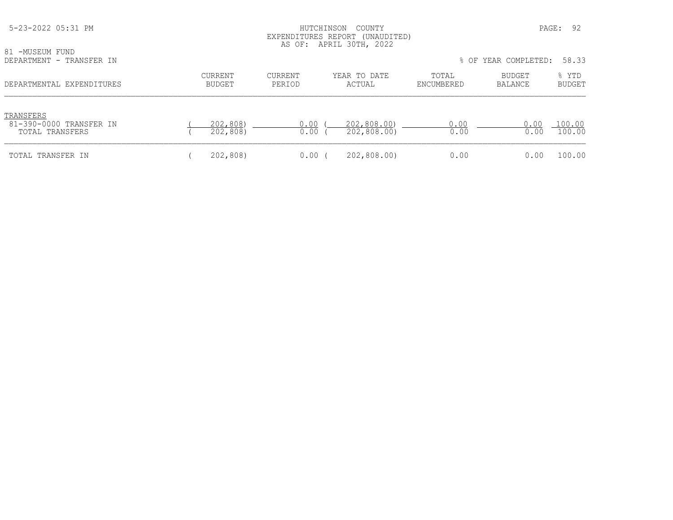| 5-23-2022 05:31 PM<br>81 -MUSEUM FUND<br>DEPARTMENT - TRANSFER IN |                          | HUTCHINSON        | COUNTY<br>EXPENDITURES REPORT (UNAUDITED)<br>AS OF: APRIL 30TH, 2022 |                     | PAGE:<br>% OF YEAR COMPLETED: | 92<br>58.33            |
|-------------------------------------------------------------------|--------------------------|-------------------|----------------------------------------------------------------------|---------------------|-------------------------------|------------------------|
| DEPARTMENTAL EXPENDITURES                                         | CURRENT<br><b>BUDGET</b> | CURRENT<br>PERIOD | YEAR TO DATE<br>ACTUAL                                               | TOTAL<br>ENCUMBERED | BUDGET<br><b>BALANCE</b>      | % YTD<br><b>BUDGET</b> |
| TRANSFERS<br>81-390-0000 TRANSFER IN<br>TOTAL TRANSFERS           | 202,808)<br>202,808)     | 0.00<br>0.00      | 202,808.00)<br>202,808.00)                                           | 0.00<br>0.00        | 0.00<br>0.00                  | 100.00<br>100.00       |
| TOTAL TRANSFER IN                                                 | 202,808)                 | 0.00              | 202,808.00)                                                          | 0.00                | 0.00                          | 100.00                 |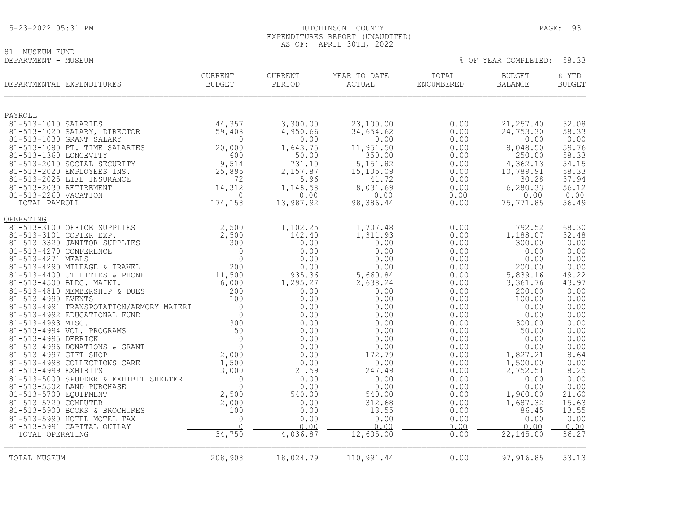# 81 -MUSEUM FUND<br>DEPARTMENT - MUSEUM

| DEPARTMENTAL EXPENDITURES                                 | <b>CURRENT</b><br><b>BUDGET</b> | CURRENT<br>PERIOD | YEAR TO DATE<br>ACTUAL | TOTAL<br>ENCUMBERED | <b>BUDGET</b><br><b>BALANCE</b> | % YTD<br><b>BUDGET</b> |
|-----------------------------------------------------------|---------------------------------|-------------------|------------------------|---------------------|---------------------------------|------------------------|
| PAYROLL                                                   |                                 |                   |                        |                     |                                 |                        |
| 81-513-1010 SALARIES                                      | 44,357                          | 3,300.00          | 23,100.00              | 0.00                | 21, 257.40                      | 52.08                  |
| 81-513-1020 SALARY, DIRECTOR                              | 59,408                          | 4,950.66          | 34,654.62              | 0.00                | 24, 753.30                      | 58.33                  |
| 81-513-1030 GRANT SALARY                                  | $\Omega$                        | 0.00              | 0.00                   | 0.00                | 0.00                            | 0.00                   |
| 81-513-1080 PT. TIME SALARIES                             | 20,000                          | 1,643.75          | 11,951.50              | 0.00                | 8,048.50                        | 59.76                  |
| 81-513-1360 LONGEVITY                                     | 600<br>9,514                    | 50.00<br>731.10   | 350.00<br>5,151.82     | 0.00                | 250.00                          | 58.33                  |
| 81-513-2010 SOCIAL SECURITY<br>81-513-2020 EMPLOYEES INS. | 25,895                          | 2,157.87          | 15,105.09              | 0.00<br>0.00        | 4,362.13<br>10,789.91           | 54.15<br>58.33         |
| 81-513-2025 LIFE INSURANCE                                | 72                              | 5.96              | 41.72                  | 0.00                | 30.28                           | 57.94                  |
| 81-513-2030 RETIREMENT                                    | 14,312                          | 1,148.58          | 8,031.69               | 0.00                | 6,280.33                        | 56.12                  |
| 81-513-2260 VACATION                                      | $\Omega$                        | 0.00              | 0.00                   | 0.00                | 0.00                            | 0.00                   |
| TOTAL PAYROLL                                             | 174,158                         | 13,987.92         | 98,386.44              | 0.00                | 75, 771.85                      | 56.49                  |
| OPERATING                                                 |                                 |                   |                        |                     |                                 |                        |
| 81-513-3100 OFFICE SUPPLIES                               | 2,500                           | 1,102.25          | 1,707.48               | 0.00                | 792.52                          | 68.30                  |
| 81-513-3101 COPIER EXP.                                   | 2,500                           | 142.40            | 1,311.93               | 0.00                | 1,188.07                        | 52.48                  |
| 81-513-3320 JANITOR SUPPLIES                              | 300                             | 0.00              | 0.00                   | 0.00                | 300.00                          | 0.00                   |
| 81-513-4270 CONFERENCE                                    | $\mathbf 0$                     | 0.00              | 0.00                   | 0.00                | 0.00                            | 0.00                   |
| 81-513-4271 MEALS<br>81-513-4290 MILEAGE & TRAVEL         | $\Omega$<br>200                 | 0.00<br>0.00      | 0.00<br>0.00           | 0.00<br>0.00        | 0.00<br>200.00                  | $0.00$<br>$0.00$       |
| 81-513-4400 UTILITIES & PHONE                             | 11,500                          | 935.36            | 5,660.84               | 0.00                | 5,839.16                        | 49.22                  |
| 81-513-4500 BLDG. MAINT.                                  | 6,000                           | 1,295.27          | 2,638.24               | 0.00                | 3,361.76                        | 43.97                  |
| 81-513-4810 MEMBERSHIP & DUES                             | 200                             | 0.00              | 0.00                   | 0.00                | 200.00                          | 0.00                   |
| 81-513-4990 EVENTS                                        | 100                             | 0.00              | 0.00                   | 0.00                | 100.00                          | 0.00                   |
| 81-513-4991 TRANSPOTATION/ARMORY MATERI                   | $\mathbf 0$                     | 0.00              | 0.00                   | 0.00                | 0.00                            | 0.00                   |
| 81-513-4992 EDUCATIONAL FUND                              | $\mathbf{0}$                    | 0.00              | 0.00                   | 0.00                | 0.00                            | 0.00                   |
| 81-513-4993 MISC.                                         | 300                             | 0.00              | 0.00                   | 0.00                | 300.00                          | 0.00                   |
| 81-513-4994 VOL. PROGRAMS                                 | 50                              | 0.00              | 0.00                   | 0.00                | 50.00                           | 0.00                   |
| 81-513-4995 DERRICK<br>81-513-4996 DONATIONS & GRANT      | $\Omega$<br>$\mathbf{0}$        | 0.00<br>0.00      | 0.00                   | 0.00                | 0.00<br>0.00                    | 0.00<br>0.00           |
| 81-513-4997 GIFT SHOP                                     | 2,000                           | 0.00              | 0.00<br>172.79         | 0.00<br>0.00        | 1,827.21                        | 8.64                   |
| 81-513-4998 COLLECTIONS CARE                              | 1,500                           | 0.00              | 0.00                   | 0.00                | 1,500.00                        |                        |
| 81-513-4999 EXHIBITS                                      | 3,000                           | 21.59             | 247.49                 | 0.00                | 2,752.51                        | $0.00$<br>8.25         |
| 81-513-5000 SPUDDER & EXHIBIT SHELTER                     | $\overline{0}$                  | 0.00              | 0.00                   | 0.00                | 0.00                            | 0.00                   |
| 81-513-5502 LAND PURCHASE                                 | $\Omega$                        | 0.00              | 0.00                   | 0.00                | 0.00                            | $0.00$<br>21.60        |
| 81-513-5700 EQUIPMENT                                     | 2,500                           | 540.00            | 540.00                 | 0.00                | 1,960.00                        |                        |
| 81-513-5720 COMPUTER                                      | 2,000                           | 0.00              | 312.68                 | 0.00                | 1,687.32                        | 15.63                  |
| 81-513-5900 BOOKS & BROCHURES                             | 100                             | 0.00              | 13.55                  | 0.00                | 86.45                           | 13.55                  |
| 81-513-5990 HOTEL MOTEL TAX<br>81-513-5991 CAPITAL OUTLAY | $\mathbf 0$<br>$\cap$           | 0.00<br>0.00      | 0.00<br>0.00           | 0.00<br>0.00        | 0.00<br>0.00                    | 0.00<br>0.00           |
| TOTAL OPERATING                                           | 34,750                          | 4,036.87          | 12,605.00              | 0.00                | 22,145.00                       | 36.27                  |
|                                                           |                                 |                   |                        |                     |                                 |                        |
| TOTAL MUSEUM                                              | 208,908                         | 18,024.79         | 110,991.44             | 0.00                | 97,916.85                       | 53.13                  |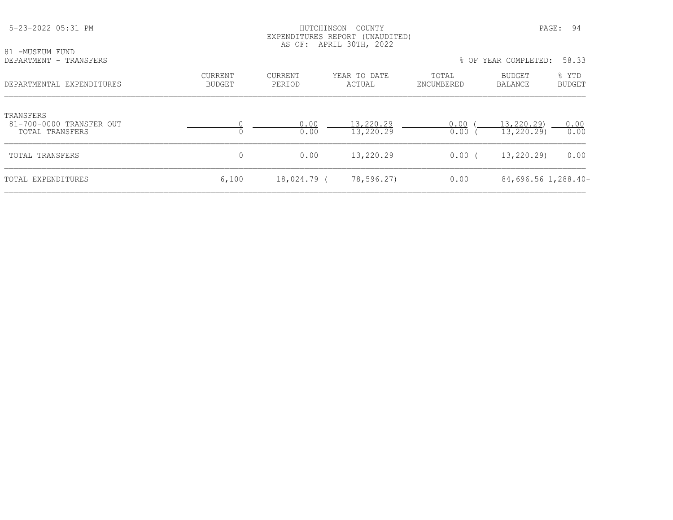| 81 -MUSEUM FUND<br>DEPARTMENT - TRANSFERS                |                                 |                   |                        | % OF YEAR COMPLETED: | 58.33                    |                 |
|----------------------------------------------------------|---------------------------------|-------------------|------------------------|----------------------|--------------------------|-----------------|
| DEPARTMENTAL EXPENDITURES                                | <b>CURRENT</b><br><b>BUDGET</b> | CURRENT<br>PERIOD | YEAR TO DATE<br>ACTUAL | TOTAL<br>ENCUMBERED  | BUDGET<br>BALANCE        | % YTD<br>BUDGET |
| TRANSFERS<br>81-700-0000 TRANSFER OUT<br>TOTAL TRANSFERS |                                 | 0.00<br>0.00      | 13,220.29<br>13,220.29 | 0.00<br>0.00         | 13,220.29)<br>13,220.29) | 0.00<br>0.00    |
| TOTAL TRANSFERS                                          | 0                               | 0.00              | 13,220.29              | $0.00$ (             | 13,220.29)               | 0.00            |
| TOTAL EXPENDITURES                                       | 6,100                           | 18,024.79 (       | 78,596.27)             | 0.00                 | 84,696.56 1,288.40-      |                 |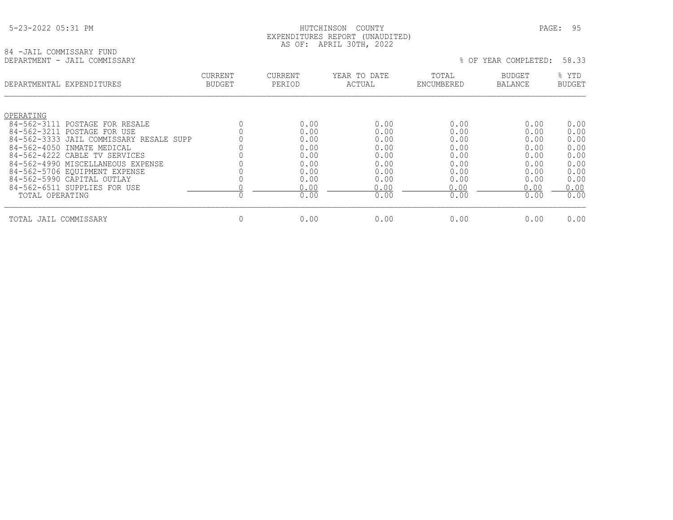84 -JAIL COMMISSARY FUND<br>DEPARTMENT - JAIL COMMISSARY

## HUTCHINSON COUNTY PAGE: 95 EXPENDITURES REPORT (UNAUDITED) AS OF: APRIL 30TH, 2022

|                   | DEPARTMENTAL EXPENDITURES                                  | <b>CURRENT</b><br><b>BUDGET</b> | <b>CURRENT</b><br>PERIOD | YEAR TO DATE<br>ACTUAL | TOTAL<br>ENCUMBERED | <b>BUDGET</b><br><b>BALANCE</b> | % YTD<br><b>BUDGET</b> |
|-------------------|------------------------------------------------------------|---------------------------------|--------------------------|------------------------|---------------------|---------------------------------|------------------------|
| OPERATING         |                                                            |                                 |                          |                        |                     |                                 |                        |
| 84-562-3111       | POSTAGE FOR RESALE                                         |                                 | 0.00                     | 0.00                   | 0.00                | 0.00                            | 0.00                   |
| 84-562-3211       | POSTAGE FOR USE<br>84-562-3333 JAIL COMMISSARY RESALE SUPP |                                 | 0.00<br>0.00             | 0.00<br>0.00           | 0.00<br>0.00        | 0.00<br>0.00                    | 0.00<br>0.00           |
| $84 - 562 - 4050$ | INMATE MEDICAL                                             |                                 | 0.00                     | 0.00                   | 0.00                | 0.00                            | 0.00                   |
|                   | 84-562-4222 CABLE TV SERVICES                              |                                 | 0.00                     | 0.00                   | 0.00                | 0.00                            | 0.00                   |
|                   | 84-562-4990 MISCELLANEOUS EXPENSE                          |                                 | 0.00                     | 0.00                   | 0.00                | 0.00                            | 0.00                   |
|                   | 84-562-5706 EQUIPMENT EXPENSE                              |                                 | 0.00                     | 0.00                   | 0.00                | 0.00                            | 0.00                   |
|                   | 84-562-5990 CAPITAL OUTLAY                                 |                                 | 0.00                     | 0.00                   | 0.00                | 0.00                            | 0.00                   |
|                   | 84-562-6511 SUPPLIES FOR USE                               |                                 | 0.00                     | 0.00                   | 0.00                | 0.00                            | 0.00                   |
| TOTAL OPERATING   |                                                            |                                 | 0.00                     | 0.00                   | 0.00                | 0.00                            | 0.00                   |
| TOTAL JAIL        | COMMISSARY                                                 | $\mathbf 0$                     | 0.00                     | 0.00                   | 0.00                | 0.00                            | 0.00                   |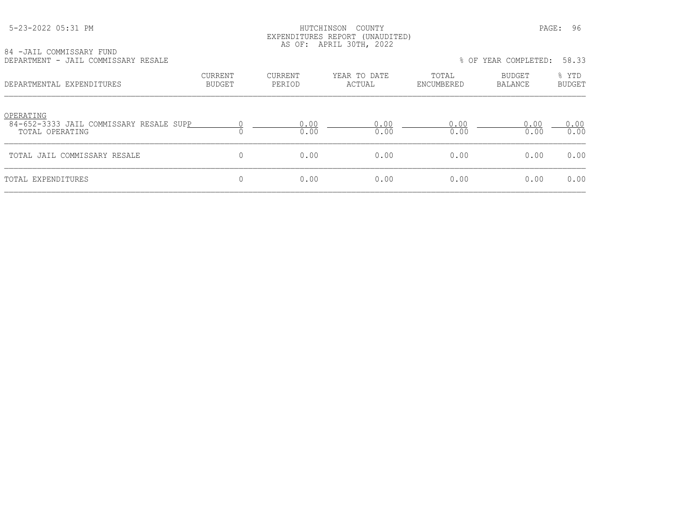# HUTCHINSON COUNTY **PAGE: 96**  EXPENDITURES REPORT (UNAUDITED) AS OF: APRIL 30TH, 2022

| 84 -JAIL COMMISSARY FUND |  |                                     |  |
|--------------------------|--|-------------------------------------|--|
|                          |  | DEPARTMENT - JAIL COMMISSARY RESALE |  |

| 04 TUAIL COMMISSANI IUND<br>DEPARTMENT - JAIL COMMISSARY RESALE         |                          |                          |                        |                     | % OF YEAR COMPLETED: | 58.33           |
|-------------------------------------------------------------------------|--------------------------|--------------------------|------------------------|---------------------|----------------------|-----------------|
| DEPARTMENTAL EXPENDITURES                                               | <b>CURRENT</b><br>BUDGET | <b>CURRENT</b><br>PERIOD | YEAR TO DATE<br>ACTUAL | TOTAL<br>ENCUMBERED | BUDGET<br>BALANCE    | % YTD<br>BUDGET |
| OPERATING<br>84-652-3333 JAIL COMMISSARY RESALE SUPP<br>TOTAL OPERATING |                          | 0.00<br>0.00             | 0.00<br>0.00           | 0.00<br>0.00        | 0.00<br>0.00         | 0.00<br>0.00    |
| TOTAL JAIL COMMISSARY RESALE                                            |                          | 0.00                     | 0.00                   | 0.00                | 0.00                 | 0.00            |
| TOTAL EXPENDITURES                                                      |                          | 0.00                     | 0.00                   | 0.00                | 0.00                 | 0.00            |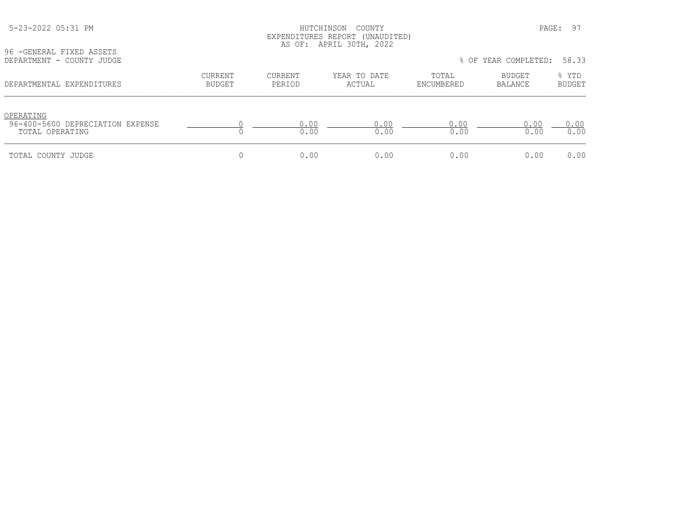# 5-23-2022 05:31 PM HUTCHINSON COUNTY PAGE: 97 EXPENDITURES REPORT (UNAUDITED) AS OF: APRIL 30TH, 2022

96 -GENERAL FIXED ASSETS<br>DEPARTMENT - COUNTY JUDGI

| DEPARTMENT - COUNTY JUDGE                                        |                   |                   |                        |                     | % OF YEAR COMPLETED: 58.33 |                        |
|------------------------------------------------------------------|-------------------|-------------------|------------------------|---------------------|----------------------------|------------------------|
| DEPARTMENTAL EXPENDITURES                                        | CURRENT<br>BUDGET | CURRENT<br>PERIOD | YEAR TO DATE<br>ACTUAL | TOTAL<br>ENCUMBERED | BUDGET<br>BALANCE          | % YTD<br><b>BUDGET</b> |
| OPERATING<br>96-400-5600 DEPRECIATION EXPENSE<br>TOTAL OPERATING |                   | 0.00<br>0.00      | 0.00<br>0.00           | 0.00<br>0.00        | 0.00<br>0.00               | 0.00<br>0.00           |
| TOTAL COUNTY JUDGE                                               |                   | 0.00              | 0.00                   | 0.00                | 0.00                       | 0.00                   |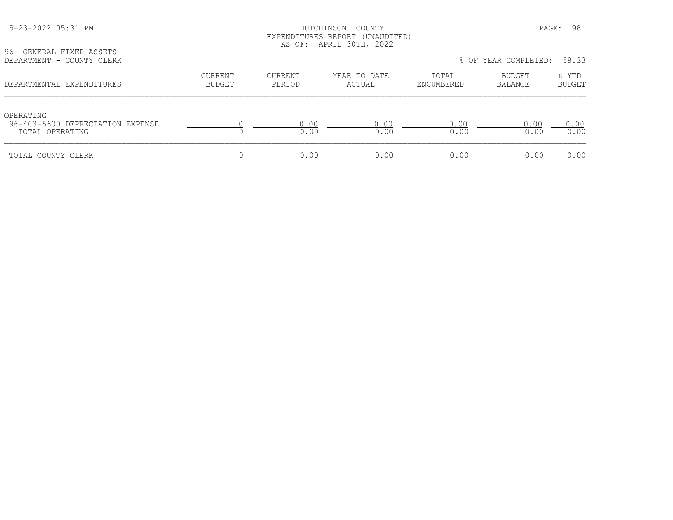| 5-23-2022 05:31 PM |  |
|--------------------|--|
|--------------------|--|

# 5-23-2022 05:31 PM HUTCHINSON COUNTY PAGE: 98 EXPENDITURES REPORT (UNAUDITED) AS OF: APRIL 30TH, 2022

96 -GENERAL FIXED ASSETS<br>DEPARTMENT - COUNTY CLER

| DEPARTMENT - COUNTY CLERK                                        |                          |                   |                        |                     | % OF YEAR COMPLETED: | 58.33                  |
|------------------------------------------------------------------|--------------------------|-------------------|------------------------|---------------------|----------------------|------------------------|
| DEPARTMENTAL EXPENDITURES                                        | CURRENT<br><b>BUDGET</b> | CURRENT<br>PERIOD | YEAR TO DATE<br>ACTUAL | TOTAL<br>ENCUMBERED | BUDGET<br>BALANCE    | % YTD<br><b>BUDGET</b> |
| OPERATING<br>96-403-5600 DEPRECIATION EXPENSE<br>TOTAL OPERATING |                          | 0.00<br>0.00      | 0.00<br>0.00           | 0.00<br>0.00        | 0.00<br>0.00         | 0.00<br>0.00           |
| TOTAL COUNTY CLERK                                               |                          | 0.00              | 0.00                   | 0.00                | 0.00                 | 0.00                   |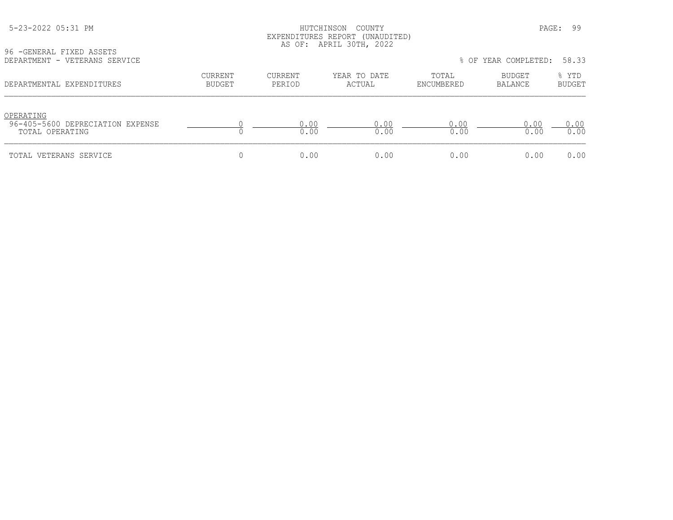# HUTCHINSON COUNTY PAGE: 99 EXPENDITURES REPORT (UNAUDITED) AS OF: APRIL 30TH, 2022

96 -GENERAL FIXED ASSETS<br>DEPARTMENT - VETERANS SEI

| DEPARTMENT - VETERANS SERVICE                                    |                          |                   |                        |                     | % OF YEAR COMPLETED: | 58.33                  |
|------------------------------------------------------------------|--------------------------|-------------------|------------------------|---------------------|----------------------|------------------------|
| DEPARTMENTAL EXPENDITURES                                        | CURRENT<br><b>BUDGET</b> | CURRENT<br>PERIOD | YEAR TO DATE<br>ACTUAL | TOTAL<br>ENCUMBERED | BUDGET<br>BALANCE    | % YTD<br><b>BUDGET</b> |
| OPERATING<br>96-405-5600 DEPRECIATION EXPENSE<br>TOTAL OPERATING |                          | 0.00<br>0.00      | 0.00<br>0.00           | 0.00<br>0.00        | 0.00<br>0.00         | 0.00<br>0.00           |
| TOTAL VETERANS SERVICE                                           |                          | 0.00              | 0.00                   | 0.00                | 0.00                 | 0.00                   |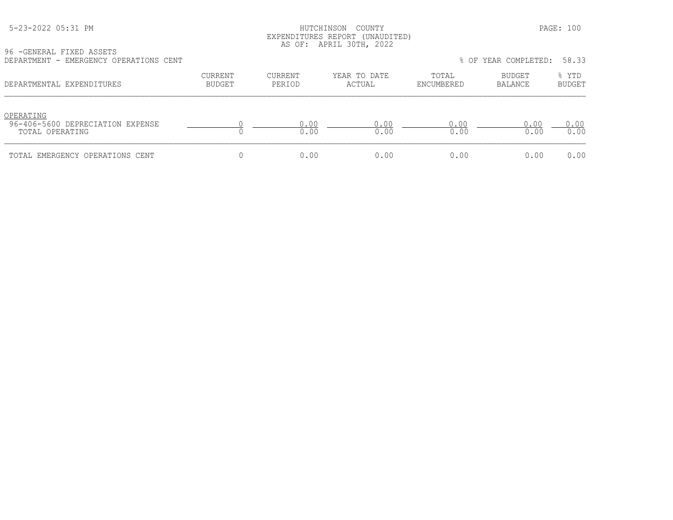## HUTCHINSON COUNTY PAGE: 100 EXPENDITURES REPORT (UNAUDITED)<br>AS OF: APRIL 30TH, 2022 AS OF: APRIL 30TH, 2022

96 -GENERAL FIXED ASSETS

| DEPARTMENT - EMERGENCY OPERATIONS CENT                           |                          |                   |                        |                     | % OF YEAR COMPLETED: | 58.33                  |
|------------------------------------------------------------------|--------------------------|-------------------|------------------------|---------------------|----------------------|------------------------|
| DEPARTMENTAL EXPENDITURES                                        | CURRENT<br><b>BUDGET</b> | CURRENT<br>PERIOD | YEAR TO DATE<br>ACTUAL | TOTAL<br>ENCUMBERED | BUDGET<br>BALANCE    | % YTD<br><b>BUDGET</b> |
| OPERATING<br>96-406-5600 DEPRECIATION EXPENSE<br>TOTAL OPERATING |                          | 0.00<br>0.00      | 0.00<br>0.00           | 0.00<br>0.00        | 0.00<br>0.00         | 0.00<br>0.00           |
| TOTAL EMERGENCY OPERATIONS CENT                                  |                          | 0.00              | 0.00                   | 0.00                | 0.00                 | 0.00                   |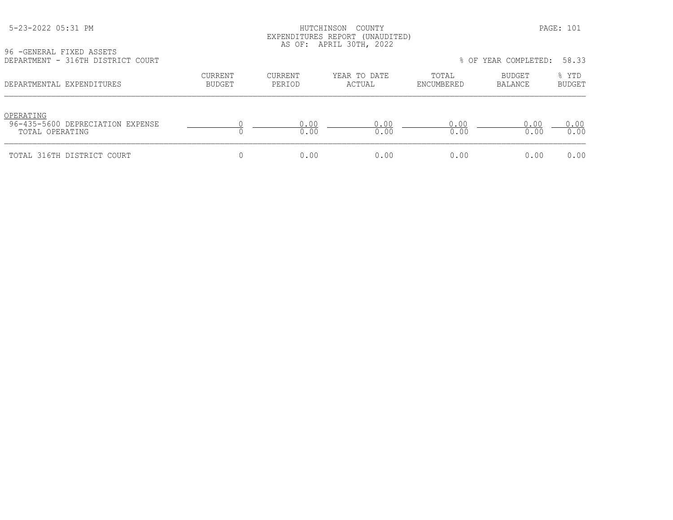## HUTCHINSON COUNTY PAGE: 101 EXPENDITURES REPORT (UNAUDITED) AS OF: APRIL 30TH, 2022

96 -GENERAL FIXED ASSETS<br>DEPARTMENT - 316TH DISTRICT COURT

| 96 - GENERAL FIXED ASSETS<br>DEPARTMENT - 316TH DISTRICT COURT   |                                 |                   |                        |                     | % OF YEAR COMPLETED: 58.33 |                        |
|------------------------------------------------------------------|---------------------------------|-------------------|------------------------|---------------------|----------------------------|------------------------|
| DEPARTMENTAL EXPENDITURES                                        | <b>CURRENT</b><br><b>BUDGET</b> | CURRENT<br>PERIOD | YEAR TO DATE<br>ACTUAL | TOTAL<br>ENCUMBERED | BUDGET<br>BALANCE          | % YTD<br><b>BUDGET</b> |
| OPERATING<br>96-435-5600 DEPRECIATION EXPENSE<br>TOTAL OPERATING |                                 | 0.00<br>0.00      | 0.00<br>0.00           | 0.00<br>0.00        | 0.00<br>0.00               | 0.00<br>0.00           |
| TOTAL 316TH DISTRICT COURT                                       |                                 | 0.00              | 0.00                   | 0.00                | 0.00                       | 0.00                   |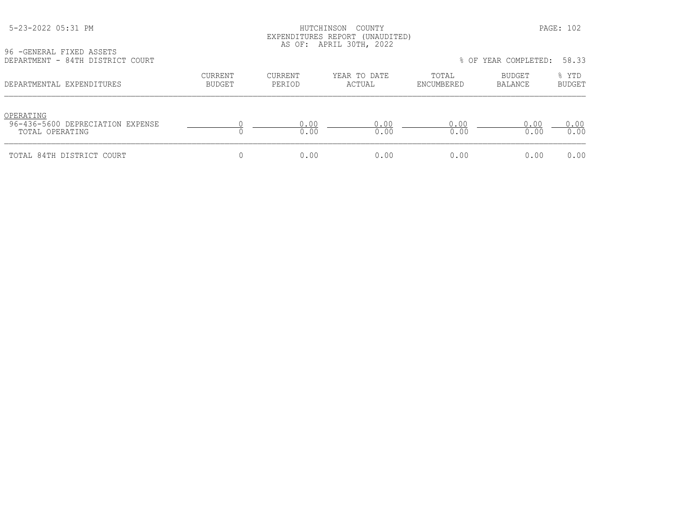# HUTCHINSON COUNTY PAGE: 102 EXPENDITURES REPORT (UNAUDITED) AS OF: APRIL 30TH, 2022

96 -GENERAL FIXED ASSETS<br>DEPARTMENT - 84TH DISTRI

| DEPARTMENT - 84TH DISTRICT COURT                                 |                          |                   |                        |                     | % OF YEAR COMPLETED:     | 58.33                  |
|------------------------------------------------------------------|--------------------------|-------------------|------------------------|---------------------|--------------------------|------------------------|
| DEPARTMENTAL EXPENDITURES                                        | CURRENT<br><b>BUDGET</b> | CURRENT<br>PERIOD | YEAR TO DATE<br>ACTUAL | TOTAL<br>ENCUMBERED | <b>BUDGET</b><br>BALANCE | % YTD<br><b>BUDGET</b> |
| OPERATING<br>96-436-5600 DEPRECIATION EXPENSE<br>TOTAL OPERATING |                          | 0.00<br>0.00      | 0.00<br>0.00           | 0.00<br>0.00        | 0.00<br>0.00             | 0.00<br>0.00           |
| TOTAL 84TH DISTRICT COURT                                        |                          | 0.00              | 0.00                   | 0.00                | 0.00                     | 0.00                   |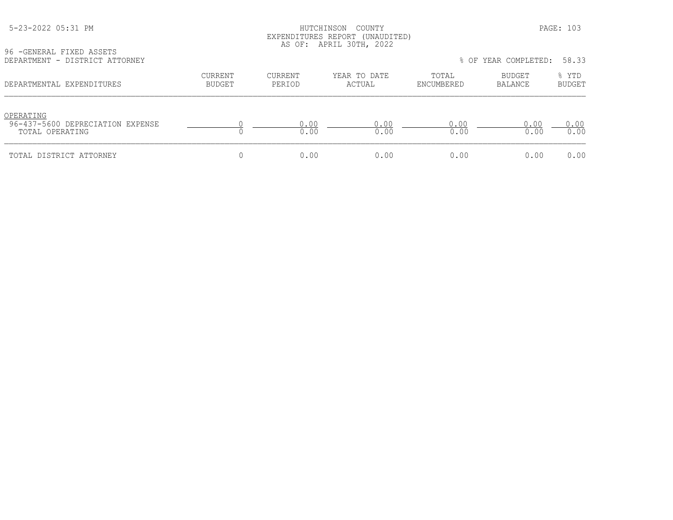# HUTCHINSON COUNTY PAGE: 103 EXPENDITURES REPORT (UNAUDITED) AS OF: APRIL 30TH, 2022

96 -GENERAL FIXED ASSETS<br>DEPARTMENT - DISTRICT AT

| DEPARTMENT - DISTRICT ATTORNEY                                   |                          |                   |                        |                     | % OF YEAR COMPLETED:     | 58.33                  |
|------------------------------------------------------------------|--------------------------|-------------------|------------------------|---------------------|--------------------------|------------------------|
| DEPARTMENTAL EXPENDITURES                                        | CURRENT<br><b>BUDGET</b> | CURRENT<br>PERIOD | YEAR TO DATE<br>ACTUAL | TOTAL<br>ENCUMBERED | <b>BUDGET</b><br>BALANCE | % YTD<br><b>BUDGET</b> |
| OPERATING<br>96-437-5600 DEPRECIATION EXPENSE<br>TOTAL OPERATING |                          | 0.00<br>0.00      | 0.00<br>0.00           | 0.00<br>0.00        | 0.00<br>0.00             | 0.00<br>0.00           |
| TOTAL DISTRICT ATTORNEY                                          |                          | 0.00              | 0.00                   | 0.00                | 0.00                     | 0.00                   |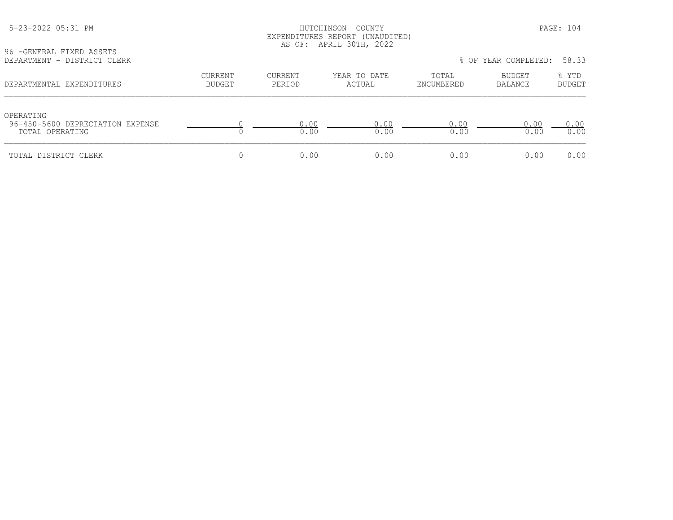# HUTCHINSON COUNTY PAGE: 104 EXPENDITURES REPORT (UNAUDITED) AS OF: APRIL 30TH, 2022

| 96 - GENERAL FIXED ASSETS   |  |  |
|-----------------------------|--|--|
| DEPARTMENT - DISTRICT CLERK |  |  |

| DEPARTMENT - DISTRICT CLERK                                      |                          |                   |                        |                     | % OF YEAR COMPLETED: | 58.33                  |
|------------------------------------------------------------------|--------------------------|-------------------|------------------------|---------------------|----------------------|------------------------|
| DEPARTMENTAL EXPENDITURES                                        | CURRENT<br><b>BUDGET</b> | CURRENT<br>PERIOD | YEAR TO DATE<br>ACTUAL | TOTAL<br>ENCUMBERED | BUDGET<br>BALANCE    | % YTD<br><b>BUDGET</b> |
| OPERATING<br>96-450-5600 DEPRECIATION EXPENSE<br>TOTAL OPERATING |                          | 0.00<br>0.00      | 0.00<br>0.00           | 0.00<br>0.00        | 0.00<br>0.00         | 0.00<br>0.00           |
| TOTAL DISTRICT CLERK                                             |                          | 0.00              | 0.00                   | 0.00                | 0.00                 | 0.00                   |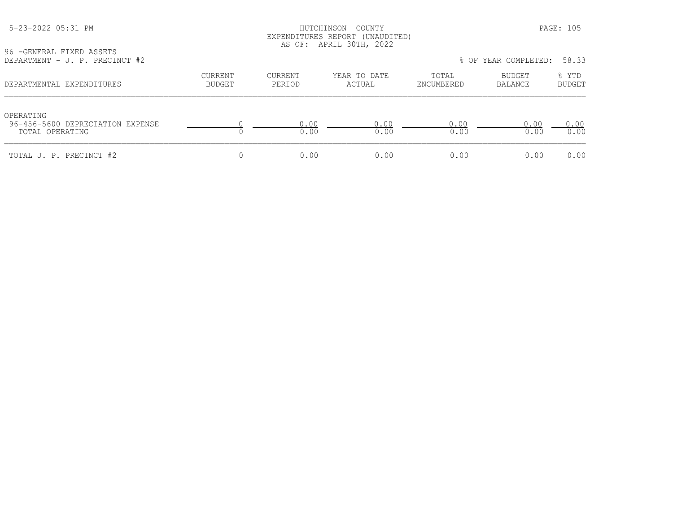## HUTCHINSON COUNTY PAGE: 105 EXPENDITURES REPORT (UNAUDITED) AS OF: APRIL 30TH, 2022

96 -GENERAL FIXED ASSETS

| DEPARTMENT - J. P. PRECINCT #2                                   |                          |                   |                        |                     | % OF YEAR COMPLETED: | 58.33                  |
|------------------------------------------------------------------|--------------------------|-------------------|------------------------|---------------------|----------------------|------------------------|
| DEPARTMENTAL EXPENDITURES                                        | CURRENT<br><b>BUDGET</b> | CURRENT<br>PERIOD | YEAR TO DATE<br>ACTUAL | TOTAL<br>ENCUMBERED | BUDGET<br>BALANCE    | % YTD<br><b>BUDGET</b> |
| OPERATING<br>96-456-5600 DEPRECIATION EXPENSE<br>TOTAL OPERATING |                          | 0.00<br>0.00      | 0.00<br>0.00           | 0.00<br>0.00        | 0.00<br>0.00         | 0.00<br>0.00           |
| TOTAL J. P. PRECINCT #2                                          |                          | 0.00              | 0.00                   | 0.00                | 0.00                 | 0.00                   |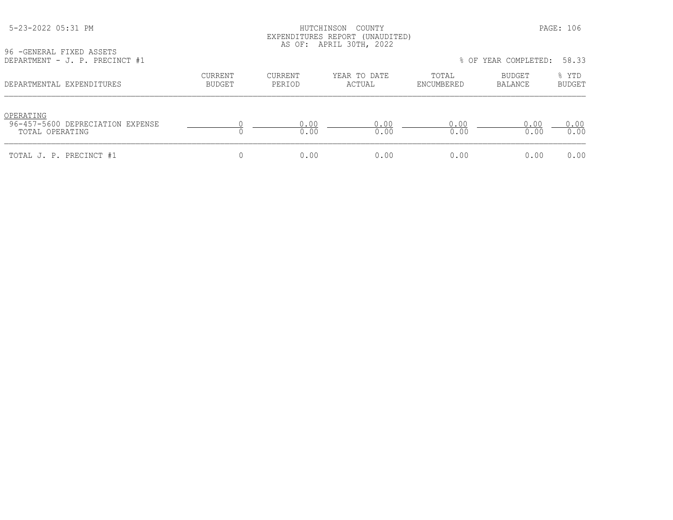## HUTCHINSON COUNTY PAGE: 106 EXPENDITURES REPORT (UNAUDITED) AS OF: APRIL 30TH, 2022

| DEPARTMENT - J. P. PRECINCT #1 |
|--------------------------------|

| JU TUMMAN IIAMU ASSAIS<br>DEPARTMENT - J. P. PRECINCT #1 |         |         |              |            | % OF YEAR COMPLETED: 58.33 |        |
|----------------------------------------------------------|---------|---------|--------------|------------|----------------------------|--------|
| DEPARTMENTAL EXPENDITURES                                | CURRENT | CURRENT | YEAR TO DATE | TOTAL      | BUDGET                     | % YTD  |
|                                                          | BUDGET  | PERIOD  | ACTUAL       | ENCUMBERED | BALANCE                    | BUDGET |

| OPERATING<br>96-457-5600 DEPRECIATION EXPENSE<br>TOTAL OPERATING | ∩∩   |     | (1)<br>).OO | 0.00 | $.00 \times$ |
|------------------------------------------------------------------|------|-----|-------------|------|--------------|
| TOTAL J. P. PRECINCT #1                                          | n nn | 100 | . 00        | 0.00 | 0.00         |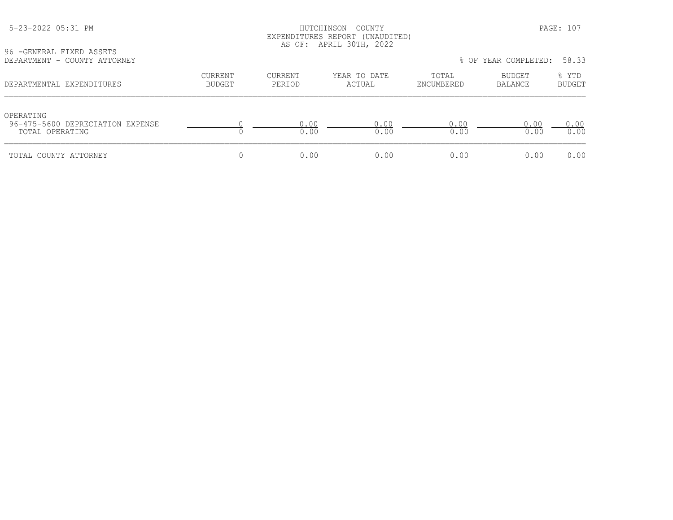## HUTCHINSON COUNTY PAGE: 107 EXPENDITURES REPORT (UNAUDITED) AS OF: APRIL 30TH, 2022

| 96 - GENERAL FIXED ASSETS    |  |  |
|------------------------------|--|--|
| DEPARTMENT - COUNTY ATTORNEY |  |  |

| DEPARTMENT - COUNTY ATTORNEY                                     |                          |                   |                        |                     | % OF YEAR COMPLETED: | 58.33                  |
|------------------------------------------------------------------|--------------------------|-------------------|------------------------|---------------------|----------------------|------------------------|
| DEPARTMENTAL EXPENDITURES                                        | CURRENT<br><b>BUDGET</b> | CURRENT<br>PERIOD | YEAR TO DATE<br>ACTUAL | TOTAL<br>ENCUMBERED | BUDGET<br>BALANCE    | % YTD<br><b>BUDGET</b> |
| OPERATING<br>96-475-5600 DEPRECIATION EXPENSE<br>TOTAL OPERATING |                          | 0.00<br>0.00      | 0.00<br>0.00           | 0.00<br>0.00        | 0.00<br>0.00         | 0.00<br>0.00           |
| TOTAL COUNTY ATTORNEY                                            |                          | 0.00              | 0.00                   | 0.00                | 0.00                 | 0.00                   |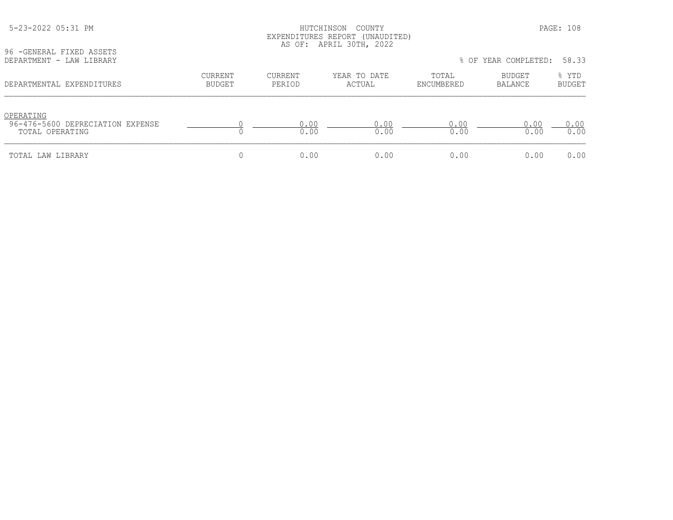| 96 - GENERAL FIXED ASSETS<br>DEPARTMENT - LAW LIBRARY            |                          |                          |                        |                     | % OF YEAR COMPLETED: 58.33 |                 |
|------------------------------------------------------------------|--------------------------|--------------------------|------------------------|---------------------|----------------------------|-----------------|
| DEPARTMENTAL EXPENDITURES                                        | <b>CURRENT</b><br>BUDGET | <b>CURRENT</b><br>PERIOD | YEAR TO DATE<br>ACTUAL | TOTAL<br>ENCUMBERED | BUDGET<br>BALANCE          | % YTD<br>BUDGET |
| OPERATING<br>96-476-5600 DEPRECIATION EXPENSE<br>TOTAL OPERATING |                          | 0.00<br>0.00             | 0.00<br>0.00           | 0.00<br>0.00        | 0.00<br>0.00               | 0.00<br>0.00    |
| TOTAL LAW LIBRARY                                                |                          | 0.00                     | 0.00                   | 0.00                | 0.00                       | 0.00            |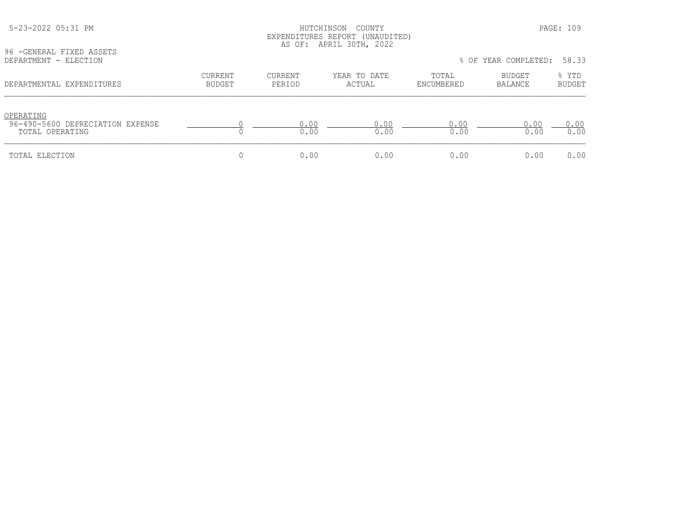| 96 - GENERAL FIXED ASSETS<br>DEPARTMENT - ELECTION  |                |                | EAFENDIIURES REPURI (UNAUDIIED)<br>AS OF: APRIL 30TH, 2022 |              | % OF YEAR COMPLETED: | 58.33         |
|-----------------------------------------------------|----------------|----------------|------------------------------------------------------------|--------------|----------------------|---------------|
|                                                     | <b>CURRENT</b> | <b>CURRENT</b> | YEAR TO DATE                                               | TOTAL        | BUDGET               | % YTD         |
| DEPARTMENTAL EXPENDITURES                           | <b>BUDGET</b>  | PERIOD         | ACTUAL                                                     | ENCUMBERED   | <b>BALANCE</b>       | <b>BUDGET</b> |
| OPERATING                                           |                |                |                                                            |              |                      |               |
| 96-490-5600 DEPRECIATION EXPENSE<br>TOTAL OPERATING |                | 0.00<br>0.00   | 0.00<br>0.00                                               | 0.00<br>0.00 | 0.00<br>0.00         | 0.00<br>0.00  |
| TOTAL ELECTION                                      | 0              | 0.00           | 0.00                                                       | 0.00         | 0.00                 | 0.00          |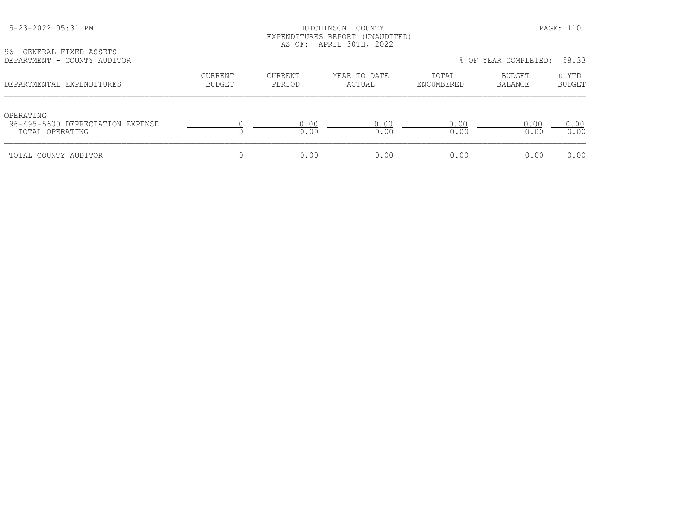### HUTCHINSON COUNTY PAGE: 110 EXPENDITURES REPORT (UNAUDITED) AS OF: APRIL 30TH, 2022

96 -GENERAL FIXED ASSETS<br>DEPARTMENT - COUNTY AUDI

| DEPARTMENT - COUNTY AUDITOR                                      |                          |                   |                        |                     | % OF YEAR COMPLETED: | 58.33                  |
|------------------------------------------------------------------|--------------------------|-------------------|------------------------|---------------------|----------------------|------------------------|
| DEPARTMENTAL EXPENDITURES                                        | CURRENT<br><b>BUDGET</b> | CURRENT<br>PERIOD | YEAR TO DATE<br>ACTUAL | TOTAL<br>ENCUMBERED | BUDGET<br>BALANCE    | % YTD<br><b>BUDGET</b> |
| OPERATING<br>96-495-5600 DEPRECIATION EXPENSE<br>TOTAL OPERATING |                          | 0.00<br>0.00      | 0.00<br>0.00           | 0.00<br>0.00        | 0.00<br>0.00         | 0.00<br>0.00           |
| TOTAL COUNTY AUDITOR                                             |                          | 0.00              | 0.00                   | 0.00                | 0.00                 | 0.00                   |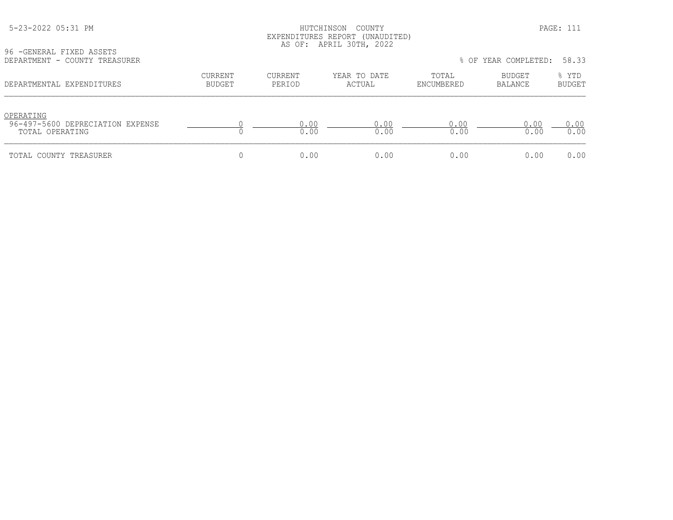#### HUTCHINSON COUNTY PAGE: 111 EXPENDITURES REPORT (UNAUDITED) AS OF: APRIL 30TH, 2022

96 -GENERAL FIXED ASSETS<br>DEPARTMENT - COUNTY TREA

| DEPARTMENT - COUNTY TREASURER                                    |                          |                   |                        |                     | % OF YEAR COMPLETED: | 58.33                  |
|------------------------------------------------------------------|--------------------------|-------------------|------------------------|---------------------|----------------------|------------------------|
| DEPARTMENTAL EXPENDITURES                                        | CURRENT<br><b>BUDGET</b> | CURRENT<br>PERIOD | YEAR TO DATE<br>ACTUAL | TOTAL<br>ENCUMBERED | BUDGET<br>BALANCE    | % YTD<br><b>BUDGET</b> |
| OPERATING<br>96-497-5600 DEPRECIATION EXPENSE<br>TOTAL OPERATING |                          | 0.00<br>0.00      | 0.00<br>0.00           | 0.00<br>0.00        | 0.00<br>0.00         | 0.00<br>0.00           |
| TOTAL COUNTY TREASURER                                           |                          | 0.00              | 0.00                   | 0.00                | 0.00                 | 0.00                   |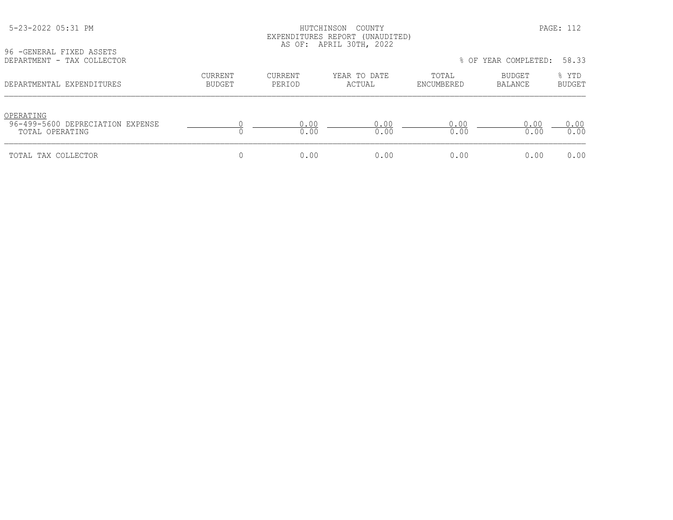## HUTCHINSON COUNTY PAGE: 112 EXPENDITURES REPORT (UNAUDITED) AS OF: APRIL 30TH, 2022

96 -GENERAL FIXED ASSETS<br>DEPARTMENT - TAX COLLECT

| DEPARTMENT - TAX COLLECTOR                                       |                   |                   |                        |                     | % OF YEAR COMPLETED: | 58.33                  |
|------------------------------------------------------------------|-------------------|-------------------|------------------------|---------------------|----------------------|------------------------|
| DEPARTMENTAL EXPENDITURES                                        | CURRENT<br>BUDGET | CURRENT<br>PERIOD | YEAR TO DATE<br>ACTUAL | TOTAL<br>ENCUMBERED | BUDGET<br>BALANCE    | % YTD<br><b>BUDGET</b> |
| OPERATING<br>96-499-5600 DEPRECIATION EXPENSE<br>TOTAL OPERATING |                   | 0.00<br>0.00      | 0.00<br>0.00           | 0.00<br>0.00        | 0.00<br>0.00         | 0.00<br>0.00           |
| TOTAL TAX COLLECTOR                                              |                   | 0.00              | 0.00                   | 0.00                | 0.00                 | 0.00                   |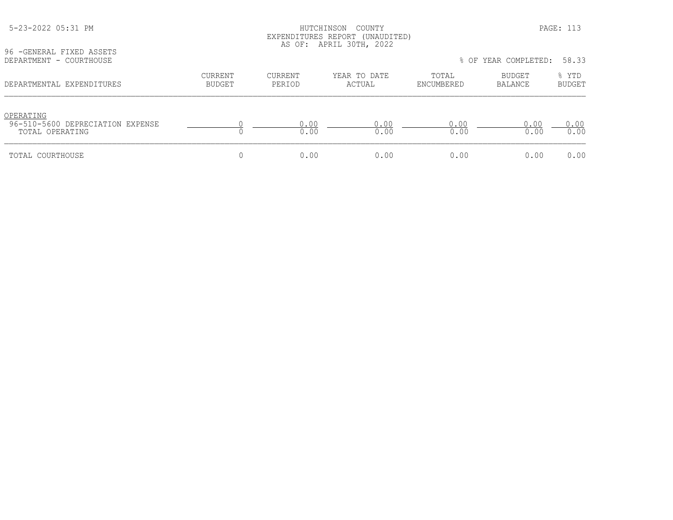|                                                                  |                                 |                   | EXPENDITURES REPORT (UNAUDITED)<br>AS OF: APRIL 30TH, 2022 |                     |                      |                        |
|------------------------------------------------------------------|---------------------------------|-------------------|------------------------------------------------------------|---------------------|----------------------|------------------------|
| 96 - GENERAL FIXED ASSETS<br>DEPARTMENT - COURTHOUSE             |                                 |                   |                                                            |                     | % OF YEAR COMPLETED: | 58.33                  |
| DEPARTMENTAL EXPENDITURES                                        | <b>CURRENT</b><br><b>BUDGET</b> | CURRENT<br>PERIOD | YEAR TO DATE<br>ACTUAL                                     | TOTAL<br>ENCUMBERED | BUDGET<br>BALANCE    | % YTD<br><b>BUDGET</b> |
| OPERATING<br>96-510-5600 DEPRECIATION EXPENSE<br>TOTAL OPERATING |                                 | 0.00<br>0.00      | 0.00<br>0.00                                               | 0.00<br>0.00        | 0.00<br>0.00         | 0.00<br>0.00           |
| TOTAL COURTHOUSE                                                 |                                 | 0.00              | 0.00                                                       | 0.00                | 0.00                 | 0.00                   |

5-23-2022 05:31 PM HUTCHINSON COUNTY PAGE: 113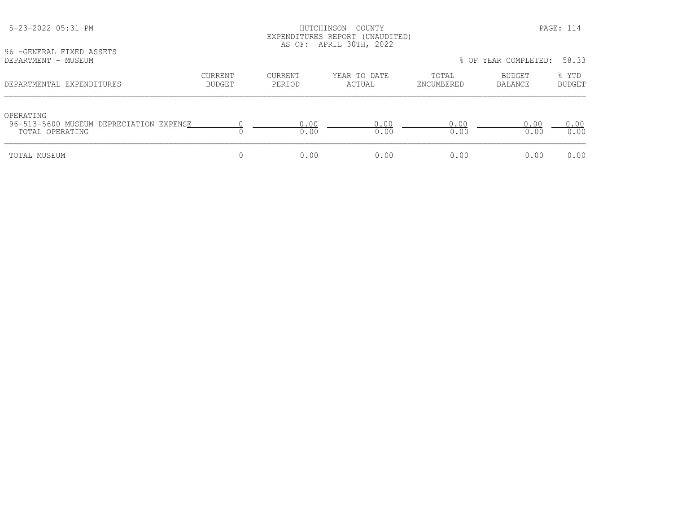|                                                                         |                          |                   | EXPENDITURES REPORT (UNAUDITED)<br>AS OF: APRIL 30TH, 2022 |                     |                      |                        |
|-------------------------------------------------------------------------|--------------------------|-------------------|------------------------------------------------------------|---------------------|----------------------|------------------------|
| 96 - GENERAL FIXED ASSETS<br>DEPARTMENT - MUSEUM                        |                          |                   |                                                            |                     | % OF YEAR COMPLETED: | 58.33                  |
| DEPARTMENTAL EXPENDITURES                                               | <b>CURRENT</b><br>BUDGET | CURRENT<br>PERIOD | YEAR TO DATE<br>ACTUAL                                     | TOTAL<br>ENCUMBERED | BUDGET<br>BALANCE    | % YTD<br><b>BUDGET</b> |
| OPERATING<br>96-513-5600 MUSEUM DEPRECIATION EXPENSE<br>TOTAL OPERATING |                          | 0.00<br>0.00      | 0.00<br>0.00                                               | 0.00<br>0.00        | 0.00<br>0.00         | 0.00<br>0.00           |
| TOTAL MUSEUM                                                            |                          | 0.00              | 0.00                                                       | 0.00                | 0.00                 | 0.00                   |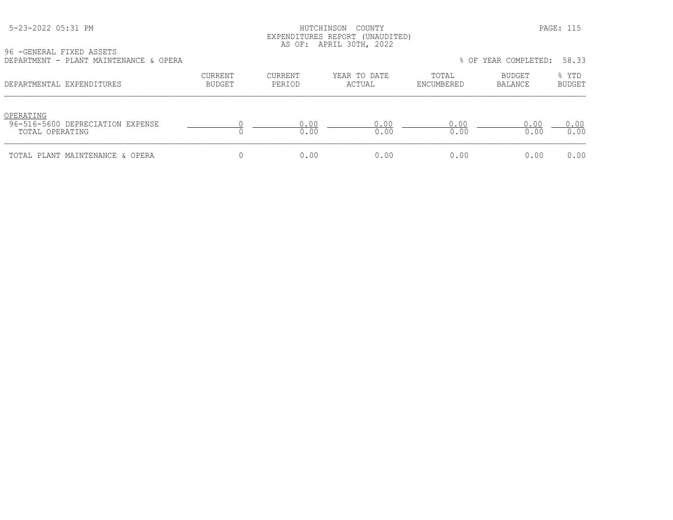|  | 5-23-2022 05:31 PM |  |
|--|--------------------|--|
|  |                    |  |

#### HUTCHINSON COUNTY PAGE: 115 EXPENDITURES REPORT (UNAUDITED) AS OF: APRIL 30TH, 2022

96 -GENERAL FIXED ASSETS DEPARTMENT - PLANT MAINTENANCE & OPERA % OF YEAR COMPLETED: 58.33

| DEFARIMENI - FIANI MAINIENANCE & OFERA                           |                   |                   |                        |                     | TO UP IEAR CUMPLEIED. | <u>JO.JJ</u>           |
|------------------------------------------------------------------|-------------------|-------------------|------------------------|---------------------|-----------------------|------------------------|
| DEPARTMENTAL EXPENDITURES                                        | CURRENT<br>BUDGET | CURRENT<br>PERIOD | YEAR TO DATE<br>ACTUAL | TOTAL<br>ENCUMBERED | BUDGET<br>BALANCE     | % YTD<br><b>BUDGET</b> |
| OPERATING<br>96-516-5600 DEPRECIATION EXPENSE<br>TOTAL OPERATING |                   | 0.00<br>0.00      | 0.00<br>0.00           | 0.00<br>0.00        | 0.00<br>0.00          | 0.00<br>0.00           |
| TOTAL PLANT MAINTENANCE & OPERA                                  |                   | 0.00              | 0.00                   | 0.00                | 0.00                  | 0.00                   |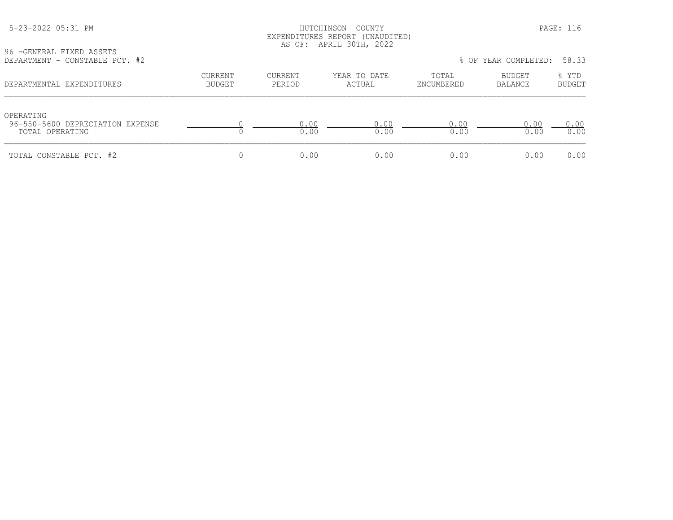#### HUTCHINSON COUNTY PAGE: 116 EXPENDITURES REPORT (UNAUDITED) AS OF: APRIL 30TH, 2022

96 -GENERAL FIXED ASSETS<br>DEPARTMENT - CONSTABLE P

| DEPARTMENT - CONSTABLE PCT. #2                                   |                          |                   |                        |                     | % OF YEAR COMPLETED: 58.33 |                        |
|------------------------------------------------------------------|--------------------------|-------------------|------------------------|---------------------|----------------------------|------------------------|
| DEPARTMENTAL EXPENDITURES                                        | CURRENT<br><b>BUDGET</b> | CURRENT<br>PERIOD | YEAR TO DATE<br>ACTUAL | TOTAL<br>ENCUMBERED | BUDGET<br>BALANCE          | % YTD<br><b>BUDGET</b> |
| OPERATING<br>96-550-5600 DEPRECIATION EXPENSE<br>TOTAL OPERATING |                          | 0.00<br>0.00      | 0.00<br>0.00           | 0.00<br>0.00        | 0.00<br>0.00               | 0.00<br>0.00           |
| TOTAL CONSTABLE PCT. #2                                          |                          | 0.00              | 0.00                   | 0.00                | 0.00                       | 0.00                   |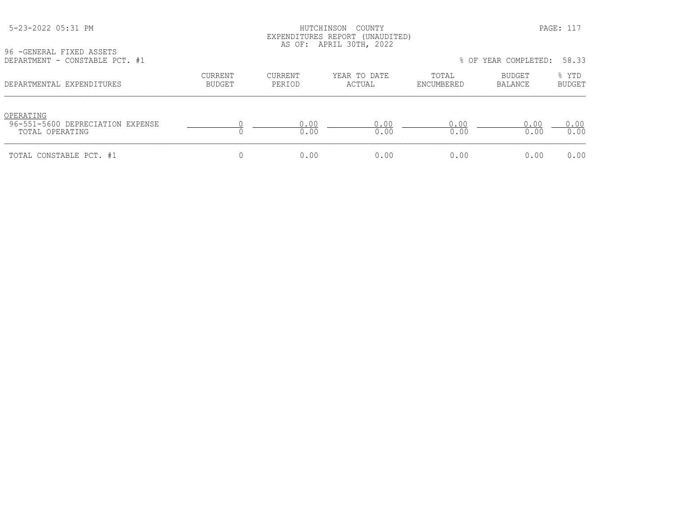### HUTCHINSON COUNTY PAGE: 117 EXPENDITURES REPORT (UNAUDITED) AS OF: APRIL 30TH, 2022

96 -GENERAL FIXED ASSETS<br>DEPARTMENT - CONSTABLE P

| DEPARTMENT - CONSTABLE PCT. #1                                   |                   |                   |                        |                     | % OF YEAR COMPLETED: | 58.33                  |
|------------------------------------------------------------------|-------------------|-------------------|------------------------|---------------------|----------------------|------------------------|
| DEPARTMENTAL EXPENDITURES                                        | CURRENT<br>BUDGET | CURRENT<br>PERIOD | YEAR TO DATE<br>ACTUAL | TOTAL<br>ENCUMBERED | BUDGET<br>BALANCE    | % YTD<br><b>BUDGET</b> |
| OPERATING<br>96-551-5600 DEPRECIATION EXPENSE<br>TOTAL OPERATING |                   | 0.00<br>0.00      | 0.00<br>0.00           | 0.00<br>0.00        | 0.00<br>0.00         | 0.00<br>0.00           |
| TOTAL CONSTABLE PCT. #1                                          |                   | 0.00              | 0.00                   | 0.00                | 0.00                 | 0.00                   |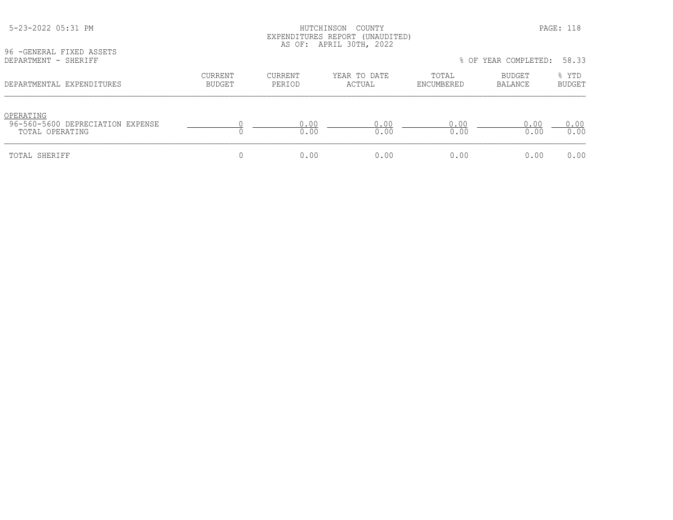|                                                                  |                   |                          | EXPENDITURES REPORT (UNAUDITED)<br>AS OF: APRIL 30TH, 2022 |                     |                            |                        |
|------------------------------------------------------------------|-------------------|--------------------------|------------------------------------------------------------|---------------------|----------------------------|------------------------|
| 96 - GENERAL FIXED ASSETS<br>DEPARTMENT - SHERIFF                |                   |                          |                                                            |                     | % OF YEAR COMPLETED: 58.33 |                        |
| DEPARTMENTAL EXPENDITURES                                        | CURRENT<br>BUDGET | <b>CURRENT</b><br>PERIOD | YEAR TO DATE<br>ACTUAL                                     | TOTAL<br>ENCUMBERED | BUDGET<br>BALANCE          | % YTD<br><b>BUDGET</b> |
| OPERATING<br>96-560-5600 DEPRECIATION EXPENSE<br>TOTAL OPERATING |                   | 0.00<br>0.00             | 0.00<br>0.00                                               | 0.00<br>0.00        | 0.00<br>0.00               | 0.00<br>0.00           |
| TOTAL SHERIFF                                                    |                   | 0.00                     | 0.00                                                       | 0.00                | 0.00                       | 0.00                   |

5-23-2022 05:31 PM HUTCHINSON COUNTY PAGE: 118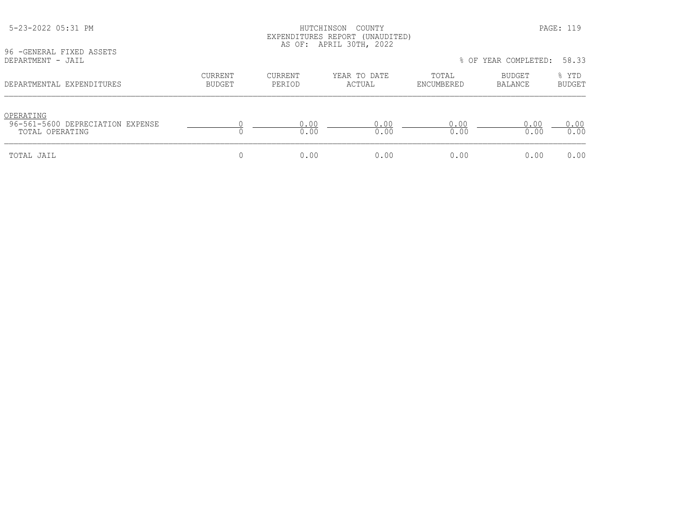| 96 - GENERAL FIXED ASSETS<br>DEPARTMENT - JAIL                   |                   |                          | AS OF: APRIL 30TH, 2022 |                     | % OF YEAR COMPLETED: | 58.33           |
|------------------------------------------------------------------|-------------------|--------------------------|-------------------------|---------------------|----------------------|-----------------|
| DEPARTMENTAL EXPENDITURES                                        | CURRENT<br>BUDGET | <b>CURRENT</b><br>PERIOD | YEAR TO DATE<br>ACTUAL  | TOTAL<br>ENCUMBERED | BUDGET<br>BALANCE    | % YTD<br>BUDGET |
| OPERATING<br>96-561-5600 DEPRECIATION EXPENSE<br>TOTAL OPERATING |                   | 0.00<br>0.00             | 0.00<br>0.00            | 0.00<br>0.00        | 0.00<br>0.00         | 0.00<br>0.00    |
| TOTAL JAIL                                                       |                   | 0.00                     | 0.00                    | 0.00                | 0.00                 | 0.00            |

 5-23-2022 05:31 PM HUTCHINSON COUNTY PAGE: 119 EXPENDITURES REPORT (UNAUDITED)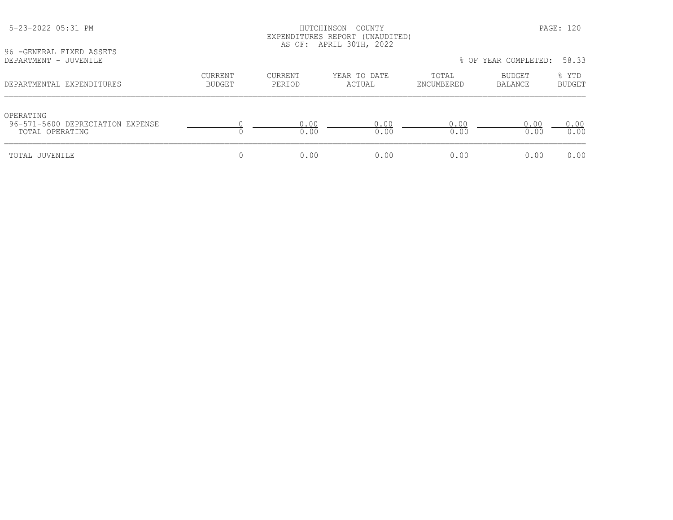| 96 - GENERAL FIXED ASSETS                                        |                          |                   |                        |                     |                          |                        |
|------------------------------------------------------------------|--------------------------|-------------------|------------------------|---------------------|--------------------------|------------------------|
| DEPARTMENT - JUVENILE                                            |                          |                   |                        |                     | % OF YEAR COMPLETED:     | 58.33                  |
| DEPARTMENTAL EXPENDITURES                                        | CURRENT<br><b>BUDGET</b> | CURRENT<br>PERIOD | YEAR TO DATE<br>ACTUAL | TOTAL<br>ENCUMBERED | BUDGET<br><b>BALANCE</b> | % YTD<br><b>BUDGET</b> |
| OPERATING<br>96-571-5600 DEPRECIATION EXPENSE<br>TOTAL OPERATING |                          | 0.00<br>0.00      | 0.00<br>0.00           | 0.00<br>0.00        | 0.00<br>0.00             | 0.00<br>0.00           |
| TOTAL JUVENILE                                                   |                          | 0.00              | 0.00                   | 0.00                | 0.00                     | 0.00                   |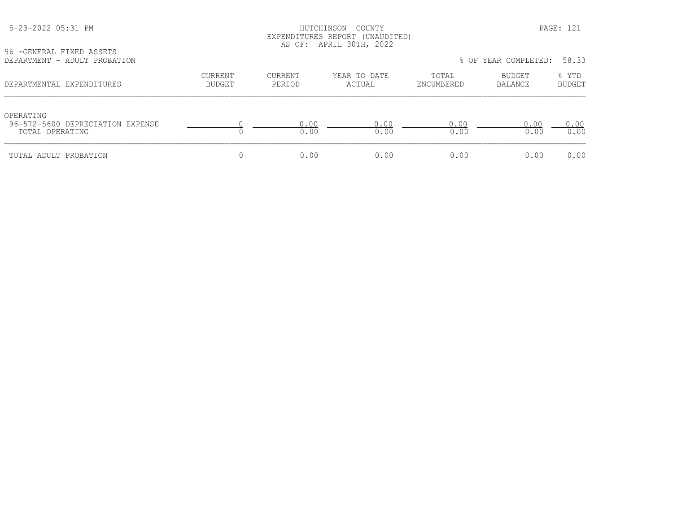## HUTCHINSON COUNTY PAGE: 121 EXPENDITURES REPORT (UNAUDITED) AS OF: APRIL 30TH, 2022

96 -GENERAL FIXED ASSETS<br>DEPARTMENT - ADULT PROBA

| DEPARTMENT - ADULT PROBATION                                     |                   |                   |                        |                     | % OF YEAR COMPLETED: | 58.33                  |
|------------------------------------------------------------------|-------------------|-------------------|------------------------|---------------------|----------------------|------------------------|
| DEPARTMENTAL EXPENDITURES                                        | CURRENT<br>BUDGET | CURRENT<br>PERIOD | YEAR TO DATE<br>ACTUAL | TOTAL<br>ENCUMBERED | BUDGET<br>BALANCE    | % YTD<br><b>BUDGET</b> |
| OPERATING<br>96-572-5600 DEPRECIATION EXPENSE<br>TOTAL OPERATING |                   | 0.00<br>0.00      | 0.00<br>0.00           | 0.00<br>0.00        | 0.00<br>0.00         | 0.00<br>0.00           |
| TOTAL ADULT PROBATION                                            |                   | 0.00              | 0.00                   | 0.00                | 0.00                 | 0.00                   |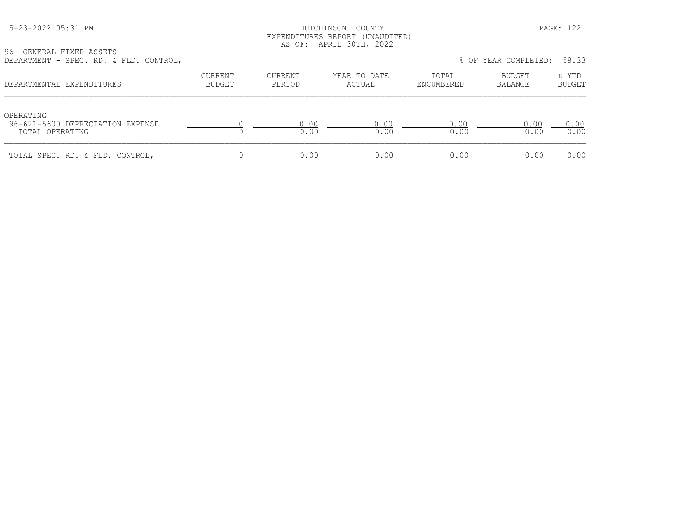#### HUTCHINSON COUNTY PAGE: 122 EXPENDITURES REPORT (UNAUDITED) AS OF: APRIL 30TH, 2022

96 -GENERAL FIXED ASSETS DEPARTMENT - SPEC. RD. & FLD. CONTROL, % OF YEAR COMPLETED: 58.33

| DEFARIMENI - JIEU, RD, & IED, CONIROL,                           |                          |                   |                        |                     | O UP IBAN CUMPBIBD. | JU . JJ                |
|------------------------------------------------------------------|--------------------------|-------------------|------------------------|---------------------|---------------------|------------------------|
| DEPARTMENTAL EXPENDITURES                                        | CURRENT<br><b>BUDGET</b> | CURRENT<br>PERIOD | YEAR TO DATE<br>ACTUAL | TOTAL<br>ENCUMBERED | BUDGET<br>BALANCE   | % YTD<br><b>BUDGET</b> |
| OPERATING<br>96-621-5600 DEPRECIATION EXPENSE<br>TOTAL OPERATING |                          | 0.00<br>0.00      | 0.00<br>0.00           | 0.00<br>0.00        | 0.00<br>0.00        | 0.00<br>0.00           |
| TOTAL SPEC. RD. & FLD. CONTROL,                                  |                          | 0.00              | 0.00                   | 0.00                | 0.00                | 0.00                   |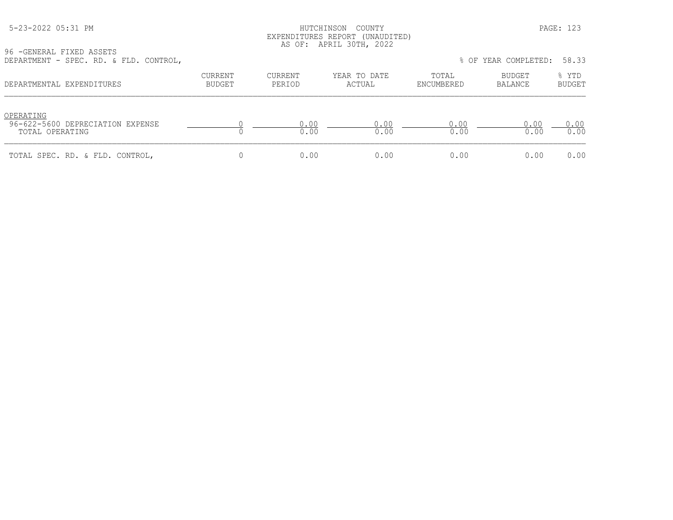#### HUTCHINSON COUNTY PAGE: 123 EXPENDITURES REPORT (UNAUDITED) AS OF: APRIL 30TH, 2022

| DEPARTMENT - SPEC. RD. & FLD. CONTROL,                           |                          |                   |                        |                     | % OF YEAR COMPLETED: | 58.33                  |
|------------------------------------------------------------------|--------------------------|-------------------|------------------------|---------------------|----------------------|------------------------|
| DEPARTMENTAL EXPENDITURES                                        | CURRENT<br><b>BUDGET</b> | CURRENT<br>PERIOD | YEAR TO DATE<br>ACTUAL | TOTAL<br>ENCUMBERED | BUDGET<br>BALANCE    | % YTD<br><b>BUDGET</b> |
| OPERATING<br>96-622-5600 DEPRECIATION EXPENSE<br>TOTAL OPERATING |                          | 0.00<br>0.00      | 0.00<br>0.00           | 0.00<br>0.00        | 0.00<br>0.00         | 0.00<br>0.00           |
| TOTAL SPEC. RD. & FLD. CONTROL,                                  |                          | 0.00              | 0.00                   | 0.00                | 0.00                 | 0.00                   |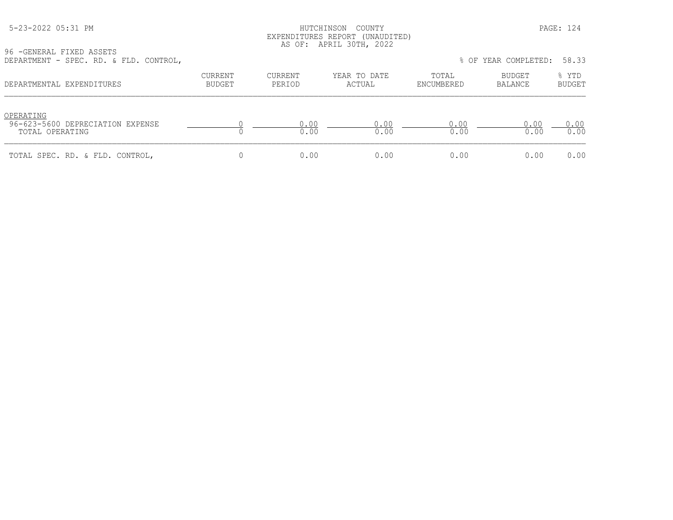#### HUTCHINSON COUNTY PAGE: 124 EXPENDITURES REPORT (UNAUDITED) AS OF: APRIL 30TH, 2022

| DEPARTMENT - SPEC. RD. & FLD. CONTROL,                           |                          |                   |                        |                     | % OF YEAR COMPLETED: | 58.33                  |
|------------------------------------------------------------------|--------------------------|-------------------|------------------------|---------------------|----------------------|------------------------|
| DEPARTMENTAL EXPENDITURES                                        | CURRENT<br><b>BUDGET</b> | CURRENT<br>PERIOD | YEAR TO DATE<br>ACTUAL | TOTAL<br>ENCUMBERED | BUDGET<br>BALANCE    | % YTD<br><b>BUDGET</b> |
| OPERATING<br>96-623-5600 DEPRECIATION EXPENSE<br>TOTAL OPERATING |                          | 0.00<br>0.00      | 0.00<br>0.00           | 0.00<br>0.00        | 0.00<br>0.00         | 0.00<br>0.00           |
| TOTAL SPEC. RD. & FLD. CONTROL,                                  |                          | 0.00              | 0.00                   | 0.00                | 0.00                 | 0.00                   |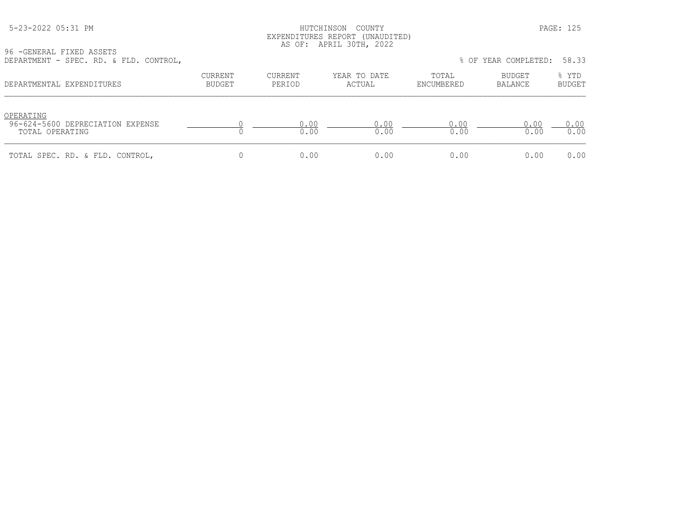#### HUTCHINSON COUNTY PAGE: 125 EXPENDITURES REPORT (UNAUDITED) AS OF: APRIL 30TH, 2022

| DEPARTMENT - SPEC. RD. & FLD. CONTROL,                           |                          |                   |                        |                     | % OF YEAR COMPLETED: | 58.33                  |
|------------------------------------------------------------------|--------------------------|-------------------|------------------------|---------------------|----------------------|------------------------|
| DEPARTMENTAL EXPENDITURES                                        | CURRENT<br><b>BUDGET</b> | CURRENT<br>PERIOD | YEAR TO DATE<br>ACTUAL | TOTAL<br>ENCUMBERED | BUDGET<br>BALANCE    | % YTD<br><b>BUDGET</b> |
| OPERATING<br>96-624-5600 DEPRECIATION EXPENSE<br>TOTAL OPERATING |                          | 0.00<br>0.00      | 0.00<br>0.00           | 0.00<br>0.00        | 0.00<br>0.00         | 0.00<br>0.00           |
| TOTAL SPEC. RD. & FLD. CONTROL,                                  |                          | 0.00              | 0.00                   | 0.00                | 0.00                 | 0.00                   |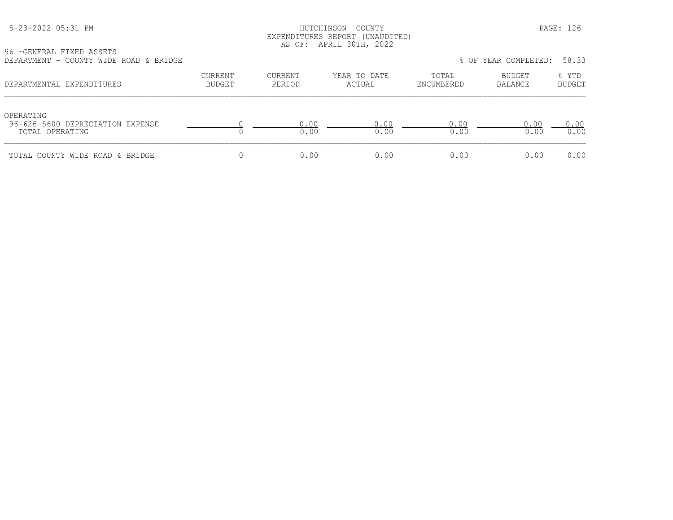|  | 5-23-2022 05:31 PM |  |
|--|--------------------|--|
|  |                    |  |

#### HUTCHINSON COUNTY PAGE: 126 EXPENDITURES REPORT (UNAUDITED) AS OF: APRIL 30TH, 2022

| DEPARTMENT - COUNTY WIDE ROAD & BRIDGE                           |                          |                   |                        |                     | % OF YEAR COMPLETED: | 58.33                  |
|------------------------------------------------------------------|--------------------------|-------------------|------------------------|---------------------|----------------------|------------------------|
| DEPARTMENTAL EXPENDITURES                                        | CURRENT<br><b>BUDGET</b> | CURRENT<br>PERIOD | YEAR TO DATE<br>ACTUAL | TOTAL<br>ENCUMBERED | BUDGET<br>BALANCE    | % YTD<br><b>BUDGET</b> |
| OPERATING<br>96-626-5600 DEPRECIATION EXPENSE<br>TOTAL OPERATING |                          | 0.00<br>0.00      | 0.00<br>0.00           | 0.00<br>0.00        | 0.00<br>0.00         | 0.00<br>0.00           |
| TOTAL COUNTY WIDE ROAD & BRIDGE                                  |                          | 0.00              | 0.00                   | 0.00                | 0.00                 | 0.00                   |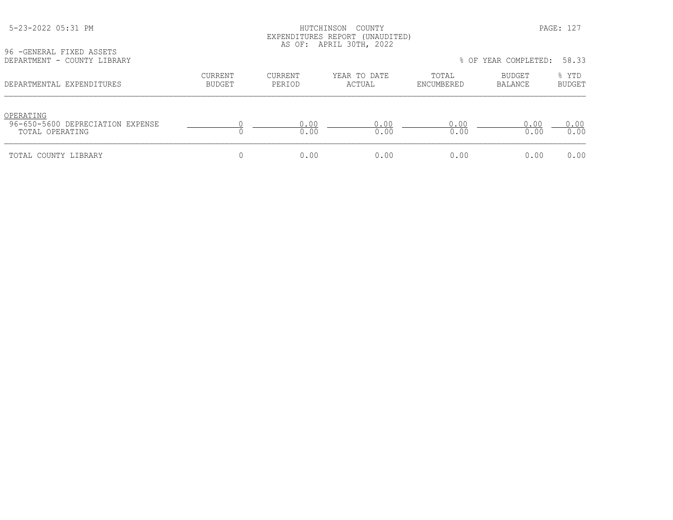### HUTCHINSON COUNTY PAGE: 127 EXPENDITURES REPORT (UNAUDITED) AS OF: APRIL 30TH, 2022

96 -GENERAL FIXED ASSETS<br>DEPARTMENT - COUNTY LIBR

| DEPARTMENT - COUNTY LIBRARY                                      |                   |                   |                        |                     | % OF YEAR COMPLETED: | 58.33                  |
|------------------------------------------------------------------|-------------------|-------------------|------------------------|---------------------|----------------------|------------------------|
| DEPARTMENTAL EXPENDITURES                                        | CURRENT<br>BUDGET | CURRENT<br>PERIOD | YEAR TO DATE<br>ACTUAL | TOTAL<br>ENCUMBERED | BUDGET<br>BALANCE    | % YTD<br><b>BUDGET</b> |
| OPERATING<br>96-650-5600 DEPRECIATION EXPENSE<br>TOTAL OPERATING |                   | 0.00<br>0.00      | 0.00<br>0.00           | 0.00<br>0.00        | 0.00<br>0.00         | 0.00<br>0.00           |
| TOTAL COUNTY LIBRARY                                             |                   | 0.00              | 0.00                   | 0.00                | 0.00                 | 0.00                   |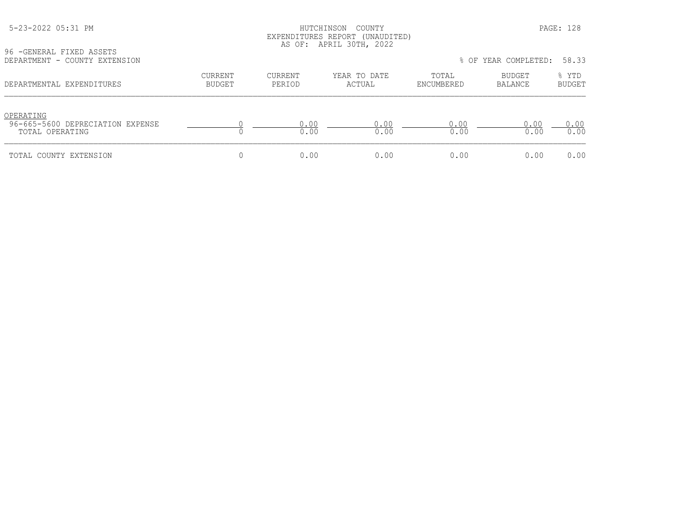## HUTCHINSON COUNTY PAGE: 128 EXPENDITURES REPORT (UNAUDITED) AS OF: APRIL 30TH, 2022

96 -GENERAL FIXED ASSETS<br>DEPARTMENT - COUNTY EXTED

| DEPARTMENT - COUNTY EXTENSION                                    |                          |                   |                        |                     | % OF YEAR COMPLETED:     | 58.33                  |
|------------------------------------------------------------------|--------------------------|-------------------|------------------------|---------------------|--------------------------|------------------------|
| DEPARTMENTAL EXPENDITURES                                        | CURRENT<br><b>BUDGET</b> | CURRENT<br>PERIOD | YEAR TO DATE<br>ACTUAL | TOTAL<br>ENCUMBERED | <b>BUDGET</b><br>BALANCE | % YTD<br><b>BUDGET</b> |
| OPERATING<br>96-665-5600 DEPRECIATION EXPENSE<br>TOTAL OPERATING |                          | 0.00<br>0.00      | 0.00<br>0.00           | 0.00<br>0.00        | 0.00<br>0.00             | 0.00<br>0.00           |
| TOTAL COUNTY EXTENSION                                           |                          | 0.00              | 0.00                   | 0.00                | 0.00                     | 0.00                   |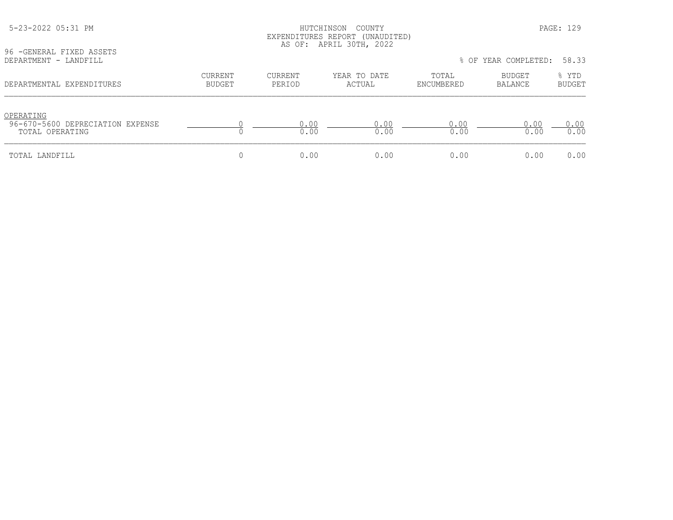| 96 - GENERAL FIXED ASSETS<br>DEPARTMENT - LANDFILL               | EAPENDIIONES NEPONI (ONAODIIED)<br>AS OF: APRIL 30TH, 2022<br>% OF YEAR COMPLETED: |                   |                        |                     |                   | 58.33                  |  |
|------------------------------------------------------------------|------------------------------------------------------------------------------------|-------------------|------------------------|---------------------|-------------------|------------------------|--|
| DEPARTMENTAL EXPENDITURES                                        | <b>CURRENT</b><br>BUDGET                                                           | CURRENT<br>PERIOD | YEAR TO DATE<br>ACTUAL | TOTAL<br>ENCUMBERED | BUDGET<br>BALANCE | % YTD<br><b>BUDGET</b> |  |
| OPERATING<br>96-670-5600 DEPRECIATION EXPENSE<br>TOTAL OPERATING |                                                                                    | 0.00<br>0.00      | 0.00<br>0.00           | 0.00<br>0.00        | 0.00<br>0.00      | 0.00<br>0.00           |  |
| TOTAL LANDFILL                                                   |                                                                                    | 0.00              | 0.00                   | 0.00                | 0.00              | 0.00                   |  |

# 5-23-2022 05:31 PM HUTCHINSON COUNTY PAGE: 129 EXPENDITURES REPORT (UNAUDITED)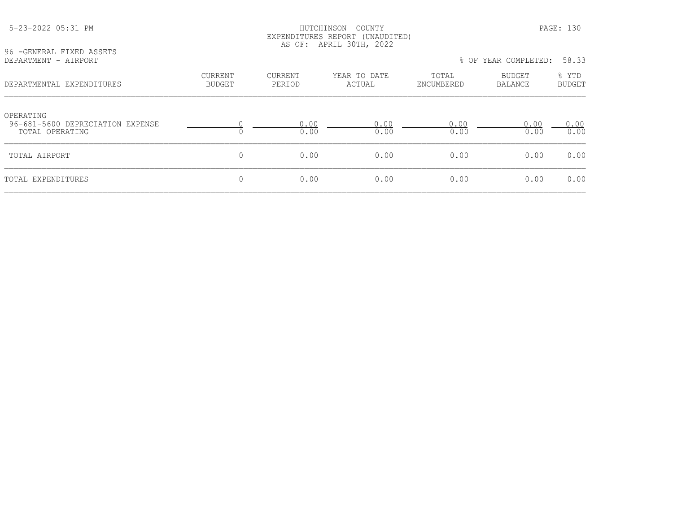#### 5-23-2022 05:31 PM HUTCHINSON COUNTY PAGE: 130 EXPENDITURES REPORT (UNAUDITED) AS OF: APRIL 30TH, 2022

| DEPARTMENT - AIRPORT                                             |                   |                          |                        | % OF YEAR COMPLETED: | 58.33             |                        |
|------------------------------------------------------------------|-------------------|--------------------------|------------------------|----------------------|-------------------|------------------------|
| DEPARTMENTAL EXPENDITURES                                        | CURRENT<br>BUDGET | <b>CURRENT</b><br>PERIOD | YEAR TO DATE<br>ACTUAL | TOTAL<br>ENCUMBERED  | BUDGET<br>BALANCE | % YTD<br><b>BUDGET</b> |
| OPERATING<br>96-681-5600 DEPRECIATION EXPENSE<br>TOTAL OPERATING |                   | 0.00<br>0.00             | 0.00<br>0.00           | 0.00<br>0.00         | 0.00<br>0.00      | 0.00<br>0.00           |
| TOTAL AIRPORT                                                    | 0                 | 0.00                     | 0.00                   | 0.00                 | 0.00              | 0.00                   |
| TOTAL EXPENDITURES                                               |                   | 0.00                     | 0.00                   | 0.00                 | 0.00              | 0.00                   |